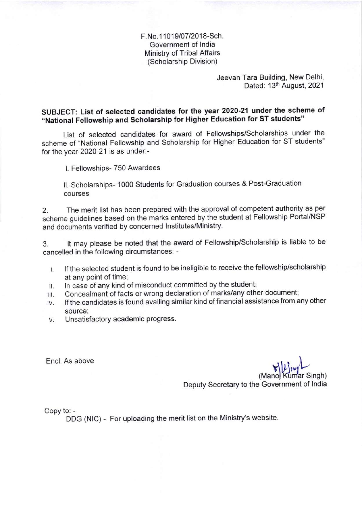F. No. 11019/07/2018-Sch. Government of lndia Ministry of Tribal Affairs (Scholarship Division)

> Jeevan Tara Building, New Delhi, Dated: 13th August, 2021

#### sUBJECT: List of selected candidates for the year 2020-21 under the scheme of "National Fellowship and Scholarship for Higher Education for ST students"

List of selected candidates for award of Fellowships/scholarships under the scheme of "National Fellowship and Scholarship for Higher Education for ST students" for the year 2020-21 is as under:-

l. Fellowships- 750 Awardees

ll. Scholarships- 1000 Students for Graduation courses & Post-Graduation courses

2. The merit list has been prepared with the approval of competent authority as per scheme guidelines based on the marks entered by the student at Fellowship Portal/NSP and documents verified by concerned lnstitutes/Ministry.

3. lt may please be noted that the award of Fellowship/Scholarship is liable to be cancelled in the following circumstances: -

- lf the selected student is found to be ineligible to receive the fellowship/scholarship  $\mathbf{L}$ at any point of time;
- $II.$ ln case of any kind of misconduct committed by the student;
- $III.$ Concealment of facts or wrong declaration of marks/any other document;
- lv. lf the candidates is found availing similar kind of financial assistance from any other source;
- <sup>U</sup>nsatisfactory academic progress. V.

Encl: As above

ar Singh)

Deputy Secretary to the Government of lndia

Copy to: -

DDG (NlC) - For uploading the merit list on the Ministry's website.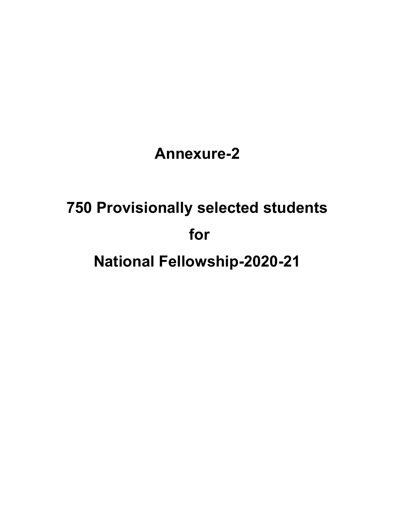#### Annexure-2

# 750 Provisionally selected students for National Fellowship-2020-21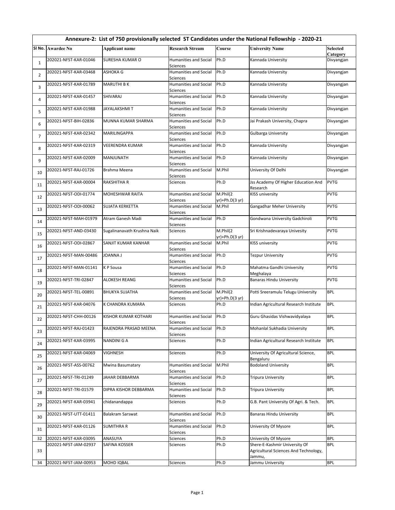|                | Annexure-2: List of 750 provisionally selected ST Candidates under the National Fellowship - 2020-21 |                             |                                                 |                            |                                                                                  |                      |  |  |  |
|----------------|------------------------------------------------------------------------------------------------------|-----------------------------|-------------------------------------------------|----------------------------|----------------------------------------------------------------------------------|----------------------|--|--|--|
|                | SI No. Awardee No                                                                                    | <b>Applicant name</b>       | <b>Research Stream</b>                          | Course                     | <b>University Name</b>                                                           | Selected<br>Category |  |  |  |
| $\mathbf{1}$   | 202021-NFST-KAR-01046                                                                                | <b>SURESHA KUMAR O</b>      | <b>Humanities and Social</b><br>Sciences        | Ph.D                       | Kannada University                                                               | Divyangjan           |  |  |  |
| $\overline{2}$ | 202021-NFST-KAR-03468                                                                                | ASHOKA G                    | <b>Humanities and Social</b><br>Sciences        | Ph.D                       | Kannada University                                                               | Divyangjan           |  |  |  |
| 3              | 202021-NFST-KAR-01789                                                                                | <b>MARUTHI B K</b>          | Humanities and Social<br>Sciences               | Ph.D                       | Kannada University                                                               | Divyangjan           |  |  |  |
| 4              | 202021-NFST-KAR-01457                                                                                | SHIVARAJ                    | Humanities and Social<br>Sciences               | Ph.D                       | Kannada University                                                               | Divyangjan           |  |  |  |
| 5              | 202021-NFST-KAR-01988                                                                                | JAYALAKSHMI T               | Humanities and Social<br><b>Sciences</b>        | Ph.D                       | Kannada University                                                               | Divyangjan           |  |  |  |
| 6              | 202021-NFST-BIH-02836                                                                                | MUNNA KUMAR SHARMA          | <b>Humanities and Social</b><br>Sciences        | Ph.D                       | Jai Prakash University, Chapra                                                   | Divyangjan           |  |  |  |
| $\overline{7}$ | 202021-NFST-KAR-02342                                                                                | MARILINGAPPA                | <b>Humanities and Social</b><br>Sciences        | Ph.D                       | <b>Gulbarga University</b>                                                       | Divyangjan           |  |  |  |
| 8              | 202021-NFST-KAR-02319                                                                                | VEERENDRA KUMAR             | <b>Humanities and Social</b><br>Sciences        | Ph.D                       | Kannada University                                                               | Divyangjan           |  |  |  |
| 9              | 202021-NFST-KAR-02009                                                                                | MANJUNATH                   | Humanities and Social<br>Sciences               | Ph.D                       | Kannada University                                                               | Divyangjan           |  |  |  |
| 10             | 202021-NFST-RAJ-01726                                                                                | Brahma Meena                | Humanities and Social<br>Sciences               | M.Phil                     | University Of Delhi                                                              | Divyangjan           |  |  |  |
| 11             | 202021-NFST-KAR-00004                                                                                | RAKSHITHA R                 | Sciences                                        | Ph.D                       | <b>Jss Academy Of Higher Education And</b><br>Research                           | <b>PVTG</b>          |  |  |  |
| 12             | 202021-NFST-ODI-01774                                                                                | MOHESHWAR RAITA             | <b>Humanities and Social</b><br><b>Sciences</b> | M.Phil(2<br>yr)+Ph.D(3 yr) | <b>KISS university</b>                                                           | <b>PVTG</b>          |  |  |  |
| 13             | 202021-NFST-ODI-00062                                                                                | SUJATA KERKETTA             | Humanities and Social<br>Sciences               | M.Phil                     | Gangadhar Meher University                                                       | <b>PVTG</b>          |  |  |  |
| 14             | 202021-NFST-MAH-01979                                                                                | Atram Ganesh Madi           | <b>Humanities and Social</b><br>Sciences        | Ph.D                       | Gondwana University Gadchiroli                                                   | <b>PVTG</b>          |  |  |  |
| 15             | 202021-NFST-AND-03430                                                                                | Sugalinanavath Krushna Naik | Sciences                                        | M.Phil(2<br>yr)+Ph.D(3 yr) | Sri Krishnadevaraya Univesity                                                    | <b>PVTG</b>          |  |  |  |
| 16             | 202021-NFST-ODI-02867                                                                                | SANJIT KUMAR KANHAR         | Humanities and Social<br>Sciences               | M.Phil                     | <b>KISS university</b>                                                           | PVTG                 |  |  |  |
| 17             | 202021-NFST-MAN-00486                                                                                | <b>JOANNAJ</b>              | <b>Humanities and Social</b><br>Sciences        | Ph.D                       | Tezpur University                                                                | <b>PVTG</b>          |  |  |  |
| 18             | 202021-NFST-MAN-01141                                                                                | K P Sousa                   | Humanities and Social<br>Sciences               | Ph.D                       | Mahatma Gandhi University<br>Meghalaya                                           | <b>PVTG</b>          |  |  |  |
| 19             | 202021-NFST-TRI-02847                                                                                | ALOKESH REANG               | Humanities and Social<br>Sciences               | Ph.D                       | <b>Banaras Hindu University</b>                                                  | <b>PVTG</b>          |  |  |  |
| 20             | 202021-NFST-TEL-00891                                                                                | <b>BHUKYA SUJATHA</b>       | Humanities and Social<br>Sciences               | M.Phil(2<br>yr)+Ph.D(3 yr) | Potti Sreeramulu Telugu University                                               | <b>BPL</b>           |  |  |  |
| 21             | 202021-NFST-KAR-04076                                                                                | K CHANDRA KUMARA            | Sciences                                        | Ph.D                       | Indian Agricultural Research Institute                                           | <b>BPL</b>           |  |  |  |
| 22             | 202021-NFST-CHH-00126                                                                                | KISHOR KUMAR KOTHARI        | <b>Humanities and Social</b><br>Sciences        | Ph.D                       | Guru Ghasidas Vishwavidyalaya                                                    | <b>BPL</b>           |  |  |  |
| 23             | 202021-NFST-RAJ-01423                                                                                | RAJENDRA PRASAD MEENA       | <b>Humanities and Social</b><br>Sciences        | Ph.D                       | Mohanlal Sukhadia University                                                     | <b>BPL</b>           |  |  |  |
| 24             | 202021-NFST-KAR-03995                                                                                | NANDINI G A                 | Sciences                                        | Ph.D                       | Indian Agricultural Research Institute                                           | <b>BPL</b>           |  |  |  |
| 25             | 202021-NFST-KAR-04069                                                                                | <b>VIGHNESH</b>             | Sciences                                        | Ph.D                       | University Of Agricultural Science,<br>Bengaluru                                 | <b>BPL</b>           |  |  |  |
| 26             | 202021-NFST-ASS-00762                                                                                | Mwina Basumatary            | Humanities and Social<br>Sciences               | M.Phil                     | <b>Bodoland University</b>                                                       | <b>BPL</b>           |  |  |  |
| 27             | 202021-NFST-TRI-01249                                                                                | JAHAR DEBBARMA              | <b>Humanities and Social</b><br>Sciences        | Ph.D                       | Tripura University                                                               | <b>BPL</b>           |  |  |  |
| 28             | 202021-NFST-TRI-01579                                                                                | DIPRA KISHOR DEBBARMA       | <b>Humanities and Social</b><br>Sciences        | Ph.D                       | Tripura University                                                               | <b>BPL</b>           |  |  |  |
| 29             | 202021-NFST-KAR-03941                                                                                | chidanandappa               | Sciences                                        | Ph.D                       | G.B. Pant University Of Agri. & Tech.                                            | BPL                  |  |  |  |
| 30             | 202021-NFST-UTT-01411                                                                                | Balakram Sarswat            | <b>Humanities and Social</b><br>Sciences        | Ph.D                       | <b>Banaras Hindu University</b>                                                  | BPL                  |  |  |  |
| 31             | 202021-NFST-KAR-01126                                                                                | <b>SUMITHRA R</b>           | Humanities and Social<br>Sciences               | Ph.D                       | University Of Mysore                                                             | <b>BPL</b>           |  |  |  |
| 32             | 202021-NFST-KAR-03095                                                                                | ANASUYA                     | Sciences                                        | Ph.D                       | University Of Mysore                                                             | <b>BPL</b>           |  |  |  |
| 33             | 202021-NFST-JAM-02937                                                                                | SAFINA KOSSER               | Sciences                                        | Ph.D                       | Shere-E-Kashmir University Of<br>Agricultural Sciences And Technology,<br>Jammu, | BPL                  |  |  |  |
| 34             | 202021-NFST-JAM-00953                                                                                | MOHD IQBAL                  | Sciences                                        | Ph.D                       | Jammu University                                                                 | <b>BPL</b>           |  |  |  |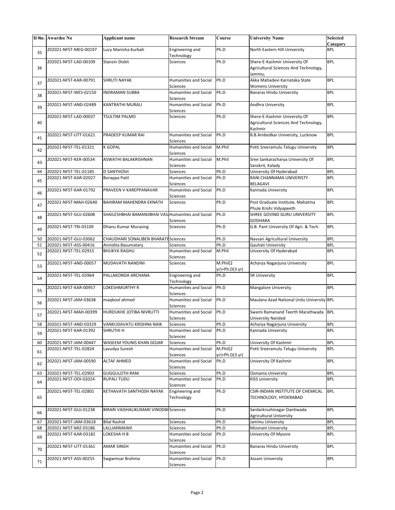|    | SI No. Awardee No     | <b>Applicant name</b>                               | <b>Research Stream</b>                          | Course                     | <b>University Name</b>                                                            | <b>Selected</b><br>Category |
|----|-----------------------|-----------------------------------------------------|-------------------------------------------------|----------------------------|-----------------------------------------------------------------------------------|-----------------------------|
| 35 | 202021-NFST-MEG-00197 | Lucy Manisha Kurbah                                 | Engineering and<br>Technology                   | Ph.D                       | North Eastern Hill University                                                     | <b>BPL</b>                  |
| 36 | 202021-NFST-LAD-00109 | Stanzin Diskit                                      | <b>Sciences</b>                                 | Ph.D                       | Shere-E-Kashmir University Of<br>Agricultural Sciences And Technology,<br>Jammu,  | <b>BPL</b>                  |
| 37 | 202021-NFST-KAR-00791 | <b>SHRUTI NAYAK</b>                                 | <b>Humanities and Social</b><br>Sciences        | Ph.D                       | Akka Mahadevi Karnataka State<br><b>Womens University</b>                         | <b>BPL</b>                  |
| 38 | 202021-NFST-WES-02150 | <b>INDRAMAN SUBBA</b>                               | <b>Humanities and Social</b><br><b>Sciences</b> | Ph.D                       | <b>Banaras Hindu University</b>                                                   | <b>BPL</b>                  |
| 39 | 202021-NFST-AND-02489 | KANTRATHI MURALI                                    | <b>Humanities and Social</b><br>Sciences        | Ph.D                       | Andhra University                                                                 | <b>BPL</b>                  |
| 40 | 202021-NFST-LAD-00037 | <b>TSULTIM PALMO</b>                                | Sciences                                        | Ph.D                       | Shere-E-Kashmir University Of<br>Agricultural Sciences And Technology,<br>Kashmir | <b>BPL</b>                  |
| 41 | 202021-NFST-UTT-01621 | PRADEEP KUMAR RAI                                   | <b>Humanities and Social</b><br>Sciences        | Ph.D                       | B.B.Ambedkar University, Lucknow                                                  | <b>BPL</b>                  |
| 42 | 202021-NFST-TEL-01321 | <b>K GOPAL</b>                                      | <b>Humanities and Social</b><br><b>Sciences</b> | M.Phil                     | Potti Sreeramulu Telugu University                                                | <b>BPL</b>                  |
| 43 | 202021-NFST-KER-00534 | ASWATHI BALAKRISHNAN                                | <b>Humanities and Social</b><br>Sciences        | M.Phil                     | Sree Sankaracharya University Of<br>Sanskrit, Kalady                              | <b>BPL</b>                  |
| 44 | 202021-NFST-TEL-01185 | <b>D SANTHOSH</b>                                   | Sciences                                        | Ph.D                       | University Of Hyderabad                                                           | <b>BPL</b>                  |
| 45 | 202021-NFST-KAR-02027 | Borappa Patil                                       | <b>Humanities and Social</b><br><b>Sciences</b> | Ph.D                       | RANI CHANNAMA UNIVERISTY<br><b>BELAGAVI</b>                                       | BPL                         |
| 46 | 202021-NFST-KAR-01792 | PRAVEEN V KAREPPANAVAR                              | <b>Humanities and Social</b><br>Sciences        | Ph.D                       | Kannada University                                                                | <b>BPL</b>                  |
| 47 | 202021-NFST-MAH-02640 | BAHIRAM MAHENDRA EKNATH                             | Sciences                                        | Ph.D                       | Post Graduate Institute, Mahatma<br>Phule Krishi Vidyapeeth                       | <b>BPL</b>                  |
| 48 | 202021-NFST-GUJ-02608 | SHAILESHBHAI BAMANJIBHAI VAS. Humanities and Social | Sciences                                        | Ph.D                       | SHREE GOVIND GURU UNIVERSITY<br><b>GODHARA</b>                                    | <b>BPL</b>                  |
| 49 | 202021-NFST-TRI-03109 | <b>Dhanu Kumar Murasing</b>                         | Sciences                                        | Ph.D                       | G.B. Pant University Of Agri. & Tech.                                             | <b>BPL</b>                  |
| 50 | 202021-NFST-GUJ-03062 | CHAUDHARI SONALIBEN BHARATE Sciences                |                                                 | Ph.D                       | Navsari Agricultural University                                                   | <b>BPL</b>                  |
| 51 | 202021-NFST-ASS-00416 | Anindita Basumatary                                 | Sciences                                        | Ph.D                       | Gauhati University                                                                | <b>BPL</b>                  |
| 52 | 202021-NFST-TEL-02915 | <b>BHUKYA RAGHU</b>                                 | <b>Humanities and Social</b><br>Sciences        | M.Phil                     | University Of Hyderabad                                                           | <b>BPL</b>                  |
| 53 | 202021-NFST-AND-00057 | MUDAVATH NANDINI                                    | Sciences                                        | M.Phil(2<br>yr)+Ph.D(3 yr) | Acharya Nagarjuna University                                                      | <b>BPL</b>                  |
| 54 | 202021-NFST-TEL-02964 | PALLAKONDA ARCHANA                                  | Engineering and<br>Technology                   | Ph.D                       | <b>SR University</b>                                                              | <b>BPL</b>                  |
| 55 | 202021-NFST-KAR-00957 | LOKESHMURTHY R                                      | <b>Humanities and Social</b><br>Sciences        | Ph.D                       | <b>Mangalore University</b>                                                       | <b>BPL</b>                  |
| 56 | 202021-NFST-JAM-03638 | magbool ahmed                                       | <b>Humanities and Social</b><br><b>Sciences</b> | Ph.D                       | Maulana Azad National Urdu University BPL                                         |                             |
| 57 | 202021-NFST-MAH-00399 | HURDUKHE JOTIBA NIVRUTTI                            | <b>Humanities and Social</b><br>Sciences        | Ph.D                       | Swami Ramanand Teerth Marathwada<br><b>University Nanded</b>                      | <b>BPL</b>                  |
| 58 | 202021-NFST-AND-03329 | VANKUDAVATU KRISHNA NAIK                            | Sciences                                        | Ph.D                       | Acharya Nagarjuna University                                                      | BPL                         |
| 59 | 202021-NFST-KAR-01392 | SHRUTHI H                                           | Humanities and Social<br>Sciences               | Ph.D                       | Kannada University                                                                | <b>BPL</b>                  |
| 60 | 202021-NFST-JAM-00447 | WASEEM YOUNIS KHAN GOJAR                            | Sciences                                        | Ph.D                       | University Of Kashmir                                                             | <b>BPL</b>                  |
| 61 | 202021-NFST-TEL-02824 | Lavudya Suresh                                      | <b>Humanities and Social</b><br><b>Sciences</b> | M.Phil(2<br>yr)+Ph.D(3 yr) | Potti Sreeramulu Telugu University                                                | <b>BPL</b>                  |
| 62 | 202021-NFST-JAM-00590 | <b>ALTAF AHMED</b>                                  | <b>Humanities and Social</b><br>Sciences        | Ph.D                       | University Of Kashmir                                                             | <b>BPL</b>                  |
| 63 | 202021-NFST-TEL-02903 | <b>GUGGULOTH RANI</b>                               | Sciences                                        | Ph.D                       | Osmania University                                                                | <b>BPL</b>                  |
| 64 | 202021-NFST-ODI-02024 | RUPALI TUDU                                         | <b>Humanities and Social</b><br>Sciences        | Ph.D                       | <b>KISS university</b>                                                            | <b>BPL</b>                  |
| 65 | 202021-NFST-TEL-02801 | KETHAVATH SANTHOSH NAYAK                            | Engineering and<br>Technology                   | Ph.D                       | CSIR-INDIAN INSTITUTE OF CHEMICAL<br>TECHNOLOGY, HYDERABAD                        | <b>BPL</b>                  |
| 66 | 202021-NFST-GUJ-01238 | BIRARI VAISHALIKUMARI VINODBI Sciences              |                                                 | Ph.D                       | Sardarkrushinagar Dantiwada<br><b>Agricultural University</b>                     | BPL                         |
| 67 | 202021-NFST-JAM-03618 | <b>Bilal Rashid</b>                                 | Sciences                                        | Ph.D                       | Jammu University                                                                  | <b>BPL</b>                  |
| 68 | 202021-NFST-MIZ-03186 | LALLIANMAWII                                        | Sciences                                        | Ph.D                       | Mizoram University                                                                | BPL                         |
| 69 | 202021-NFST-KAR-03182 | LOKESHA H B                                         | <b>Humanities and Social</b><br>Sciences        | Ph.D                       | University Of Mysore                                                              | <b>BPL</b>                  |
| 70 | 202021-NFST-UTT-01361 | <b>AMAR SINGH</b>                                   | Humanities and Social<br>Sciences               | Ph.D                       | <b>Banaras Hindu University</b>                                                   | BPL                         |
| 71 | 202021-NFST-ASS-00255 | Swgwmsar Brahma                                     | Humanities and Social<br>Sciences               | Ph.D                       | <b>Assam University</b>                                                           | BPL                         |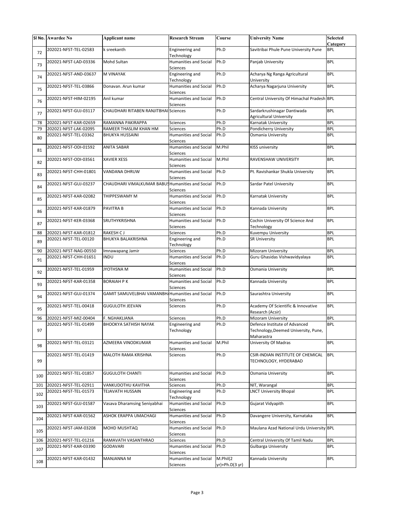|     | SI No. Awardee No     | <b>Applicant name</b>                                   | <b>Research Stream</b>                          | Course                     | <b>University Name</b>                                        | <b>Selected</b><br>Category |
|-----|-----------------------|---------------------------------------------------------|-------------------------------------------------|----------------------------|---------------------------------------------------------------|-----------------------------|
| 72  | 202021-NFST-TEL-02583 | k sreekanth                                             | Engineering and<br>Technology                   | Ph.D                       | Savitribai Phule Pune University Pune                         | <b>BPL</b>                  |
| 73  | 202021-NFST-LAD-03336 | Mohd Sultan                                             | <b>Humanities and Social</b><br><b>Sciences</b> | Ph.D                       | Panjab University                                             | <b>BPL</b>                  |
| 74  | 202021-NFST-AND-03637 | M VINAYAK                                               | Engineering and<br>Technology                   | Ph.D                       | Acharya Ng Ranga Agricultural<br>University                   | <b>BPL</b>                  |
| 75  | 202021-NFST-TEL-03866 | Donavan. Arun kumar                                     | <b>Humanities and Social</b><br><b>Sciences</b> | Ph.D                       | Acharya Nagarjuna University                                  | <b>BPL</b>                  |
| 76  | 202021-NFST-HIM-02195 | Anil kumar                                              | <b>Humanities and Social</b><br><b>Sciences</b> | Ph.D                       | Central University Of Himachal Pradesh BPL                    |                             |
| 77  | 202021-NFST-GUJ-03117 | CHAUDHARI RITABEN RANJITBHAI Sciences                   |                                                 | Ph.D                       | Sardarkrushinagar Dantiwada<br><b>Agricultural University</b> | <b>BPL</b>                  |
| 78  | 202021-NFST-KAR-02659 | RAMANNA PAKIRAPPA                                       | Sciences                                        | Ph.D                       | Karnatak University                                           | <b>BPL</b>                  |
| 79  | 202021-NFST-LAK-02095 | RAMEER THASLIM KHAN HM                                  | <b>Sciences</b>                                 | Ph.D                       | Pondicherry University                                        | <b>BPL</b>                  |
| 80  | 202021-NFST-TEL-03362 | <b>BHUKYA HUSSAINI</b>                                  | <b>Humanities and Social</b><br><b>Sciences</b> | Ph.D                       | Osmania University                                            | <b>BPL</b>                  |
| 81  | 202021-NFST-ODI-01592 | ANITA SABAR                                             | <b>Humanities and Social</b><br>Sciences        | M.Phil                     | KISS university                                               | <b>BPL</b>                  |
| 82  | 202021-NFST-ODI-03561 | <b>XAVIER XESS</b>                                      | <b>Humanities and Social</b><br><b>Sciences</b> | M.Phil                     | RAVENSHAW UNIVERSITY                                          | <b>BPL</b>                  |
| 83  | 202021-NFST-CHH-01801 | VANDANA DHRUW                                           | <b>Humanities and Social</b><br>Sciences        | Ph.D                       | Pt. Ravishankar Shukla University                             | <b>BPL</b>                  |
| 84  | 202021-NFST-GUJ-03237 | CHAUDHARI VIMALKUMAR BABUSHumanities and Social         | Sciences                                        | Ph.D                       | Sardar Patel University                                       | <b>BPL</b>                  |
| 85  | 202021-NFST-KAR-02082 | THIPPESWAMY M                                           | <b>Humanities and Social</b><br>Sciences        | Ph.D                       | Karnatak University                                           | <b>BPL</b>                  |
| 86  | 202021-NFST-KAR-01879 | <b>PAVITRA B</b>                                        | <b>Humanities and Social</b><br>Sciences        | Ph.D                       | Kannada University                                            | <b>BPL</b>                  |
| 87  | 202021-NFST-KER-03368 | SRUTHYKRISHNA                                           | <b>Humanities and Social</b><br>Sciences        | Ph.D                       | Cochin University Of Science And<br>Technology                | <b>BPL</b>                  |
| 88  | 202021-NFST-KAR-01812 | RAKESH CJ                                               | Sciences                                        | Ph.D                       | Kuvempu University                                            | <b>BPL</b>                  |
| 89  | 202021-NFST-TEL-00120 | <b>BHUKYA BALAKRISHNA</b>                               | Engineering and<br>Technology                   | Ph.D                       | <b>SR University</b>                                          | <b>BPL</b>                  |
| 90  | 202021-NFST-NAG-00550 | Imnawapang Jamir                                        | Sciences                                        | Ph.D                       | Mizoram University                                            | <b>BPL</b>                  |
| 91  | 202021-NFST-CHH-01651 | <b>INDU</b>                                             | <b>Humanities and Social</b><br><b>Sciences</b> | Ph.D                       | Guru Ghasidas Vishwavidyalaya                                 | <b>BPL</b>                  |
| 92  | 202021-NFST-TEL-01959 | <b>JYOTHSNA M</b>                                       | <b>Humanities and Social</b><br><b>Sciences</b> | Ph.D                       | Osmania University                                            | <b>BPL</b>                  |
| 93  | 202021-NFST-KAR-01358 | <b>BORAIAH P K</b>                                      | <b>Humanities and Social</b><br>Sciences        | Ph.D                       | Kannada University                                            | <b>BPL</b>                  |
| 94  | 202021-NFST-GUJ-01374 | <b>GAMIT SAMUVELBHAI VAMANBH, Humanities and Social</b> | Sciences                                        | Ph.D                       | Saurashtra University                                         | <b>BPL</b>                  |
| 95  | 202021-NFST-TEL-00418 | <b>GUGULOTH JEEVAN</b>                                  | Sciences                                        | Ph.D                       | Academy Of Scientific & Innovative<br>Research (Acsir)        | <b>BPL</b>                  |
| 96  | 202021-NFST-MIZ-00404 | F. NGHAKLIANA                                           | Sciences                                        | Ph.D                       | Mizoram University                                            | <b>BPL</b>                  |
|     | 202021-NFST-TEL-01499 | <b>BHOOKYA SATHISH NAYAK</b>                            | Engineering and                                 | Ph.D                       | Defence Institute of Advanced                                 | <b>BPL</b>                  |
| 97  |                       |                                                         | Technology                                      |                            | Technology, Deemed University, Pune,<br>Maharastra            |                             |
| 98  | 202021-NFST-TEL-03121 | AZMEERA VINODKUMAR                                      | Humanities and Social<br>Sciences               | M.Phil                     | University Of Madras                                          | <b>BPL</b>                  |
| 99  | 202021-NFST-TEL-01419 | MALOTH RAMA KRISHNA                                     | Sciences                                        | Ph.D                       | CSIR-INDIAN INSTITUTE OF CHEMICAL<br>TECHNOLOGY, HYDERABAD    | <b>BPL</b>                  |
| 100 | 202021-NFST-TEL-01857 | <b>GUGULOTH CHANTI</b>                                  | <b>Humanities and Social</b><br>Sciences        | Ph.D                       | Osmania University                                            | <b>BPL</b>                  |
| 101 | 202021-NFST-TEL-02911 | VANKUDOTHU KAVITHA                                      | Sciences                                        | Ph.D                       | NIT, Warangal                                                 | <b>BPL</b>                  |
|     | 202021-NFST-TEL-01573 | TEJAVATH HUSSAIN                                        | Engineering and                                 | Ph.D                       | <b>LNCT University Bhopal</b>                                 | <b>BPL</b>                  |
| 102 | 202021-NFST-GUJ-01587 | Vasava Dharamsing Seniyabhai                            | Technology<br><b>Humanities and Social</b>      | Ph.D                       | Gujarat Vidyapith                                             | <b>BPL</b>                  |
| 103 | 202021-NFST-KAR-01562 | ASHOK ERAPPA UMACHAGI                                   | Sciences<br>Humanities and Social               | Ph.D                       | Davangere University, Karnataka                               | <b>BPL</b>                  |
| 104 | 202021-NFST-JAM-03208 | MOHD MUSHTAQ                                            | Sciences<br>Humanities and Social               | Ph.D                       | Maulana Azad National Urdu University BPL                     |                             |
| 105 |                       |                                                         | Sciences                                        |                            |                                                               |                             |
| 106 | 202021-NFST-TEL-01216 | RAMAVATH VASANTHRAO                                     | Sciences                                        | Ph.D                       | Central University Of Tamil Nadu                              | <b>BPL</b>                  |
|     | 202021-NFST-KAR-03390 | GODAVARI                                                | <b>Humanities and Social</b>                    | Ph.D                       | <b>Gulbarga University</b>                                    | <b>BPL</b>                  |
| 107 |                       |                                                         | Sciences                                        |                            |                                                               |                             |
| 108 | 202021-NFST-KAR-01432 | MANJANNA M                                              | Humanities and Social<br>Sciences               | M.Phil(2<br>yr)+Ph.D(3 yr) | Kannada University                                            | <b>BPL</b>                  |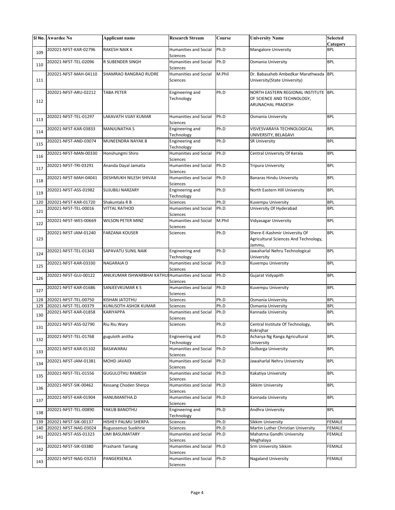|     | SI No. Awardee No     | <b>Applicant name</b>       | <b>Research Stream</b>                          | <b>Course</b> | <b>University Name</b>                                                                         | <b>Selected</b><br>Category |
|-----|-----------------------|-----------------------------|-------------------------------------------------|---------------|------------------------------------------------------------------------------------------------|-----------------------------|
| 109 | 202021-NFST-KAR-02796 | RAKESH NAIK K               | <b>Humanities and Social</b><br><b>Sciences</b> | Ph.D          | <b>Mangalore University</b>                                                                    | BPL                         |
| 110 | 202021-NFST-TEL-02096 | R SUBENDER SINGH            | <b>Humanities and Social</b><br>Sciences        | Ph.D          | Osmania University                                                                             | <b>BPL</b>                  |
| 111 | 202021-NFST-MAH-04110 | SHAMRAO RANGRAO RUDRE       | <b>Humanities and Social</b><br>Sciences        | M.Phil        | Dr. Babasaheb Ambedkar Marathwada BPL<br>University(State University)                          |                             |
| 112 | 202021-NFST-ARU-02212 | <b>TABA PETER</b>           | Engineering and<br>Technology                   | Ph.D          | NORTH EASTERN REGIONAL INSTITUTE BPL<br>OF SCIENCE AND TECHNOLOGY,<br><b>ARUNACHAL PRADESH</b> |                             |
| 113 | 202021-NFST-TEL-01297 | <b>LAKAVATH VIJAY KUMAR</b> | <b>Humanities and Social</b><br>Sciences        | Ph.D          | Osmania University                                                                             | <b>BPL</b>                  |
| 114 | 202021-NFST-KAR-03833 | <b>MANJUNATHA S</b>         | Engineering and<br>Technology                   | Ph.D          | VISVESVARAYA TECHNOLOGICAL<br>UNIVERSITY, BELAGAVI                                             | BPL                         |
| 115 | 202021-NFST-AND-03074 | MUNEENDRA NAYAK B           | Engineering and<br>Technology                   | Ph.D          | <b>SR University</b>                                                                           | <b>BPL</b>                  |
| 116 | 202021-NFST-MAN-00330 | Honshungmi Shiro            | <b>Humanities and Social</b><br>Sciences        | Ph.D          | Central University Of Kerala                                                                   | <b>BPL</b>                  |
| 117 | 202021-NFST-TRI-03291 | Ananda Dayal Jamatia        | <b>Humanities and Social</b><br><b>Sciences</b> | Ph.D          | <b>Tripura University</b>                                                                      | <b>BPL</b>                  |
| 118 | 202021-NFST-MAH-04041 | DESHMUKH NILESH SHIVAJI     | Humanities and Social<br>Sciences               | Ph.D          | <b>Banaras Hindu University</b>                                                                | BPL                         |
| 119 | 202021-NFST-ASS-01982 | <b>SUJUBILI NARZARY</b>     | Engineering and<br>Technology                   | Ph.D          | North Eastern Hill University                                                                  | <b>BPL</b>                  |
| 120 | 202021-NFST-KAR-01720 | Shakuntala R B              | <b>Sciences</b>                                 | Ph.D          | Kuvempu University                                                                             | <b>BPL</b>                  |
| 121 | 202021-NFST-TEL-00016 | <b>VITTAL RATHOD</b>        | <b>Humanities and Social</b><br><b>Sciences</b> | Ph.D          | University Of Hyderabad                                                                        | BPL                         |
| 122 | 202021-NFST-WES-00669 | WILSON PETER MINZ           | <b>Humanities and Social</b><br>Sciences        | M.Phil        | Vidyasagar University                                                                          | <b>BPL</b>                  |
| 123 | 202021-NFST-JAM-01240 | <b>FARZANA KOUSER</b>       | Sciences                                        | Ph.D          | Shere-E-Kashmir University Of<br>Agricultural Sciences And Technology,<br>Jammu,               | <b>BPL</b>                  |
| 124 | 202021-NFST-TEL-01343 | SAPAVATU SUNIL NAIK         | Engineering and<br>Technology                   | Ph.D          | Jawaharlal Nehru Technological<br>University                                                   | <b>BPL</b>                  |
| 125 | 202021-NFST-KAR-03330 | NAGARAJA D                  | <b>Humanities and Social</b><br><b>Sciences</b> | Ph.D          | Kuvempu University                                                                             | <b>BPL</b>                  |
| 126 | 202021-NFST-GUJ-00122 | ANILKUMAR ISHWARBHAI KATHUI | <b>Humanities and Social</b><br>Sciences        | Ph.D          | Gujarat Vidyapith                                                                              | BPL                         |
| 127 | 202021-NFST-KAR-01686 | SANJEEVKUMAR K S            | <b>Humanities and Social</b><br>Sciences        | Ph.D          | Kuvempu University                                                                             | <b>BPL</b>                  |
| 128 | 202021-NFST-TEL-00750 | KISHAN JATOTHU              | Sciences                                        | Ph.D          | Osmania University                                                                             | <b>BPL</b>                  |
| 129 | 202021-NFST-TEL-00379 | KUNUSOTH ASHOK KUMAR        | <b>Sciences</b>                                 | Ph.D          | Osmania University                                                                             | <b>BPL</b>                  |
| 130 | 202021-NFST-KAR-01858 | <b>KARIYAPPA</b>            | <b>Humanities and Social</b><br>Sciences        | Ph.D          | Kannada University                                                                             | BPL                         |
| 131 | 202021-NFST-ASS-02790 | Riu Riu Wary                | Sciences                                        | Ph.D          | Central Institute Of Technology,<br>Kokrajhar                                                  | <b>BPL</b>                  |
| 132 | 202021-NFST-TEL-01768 | guguloth anitha             | Engineering and<br>Technology                   | Ph.D          | Acharya Ng Ranga Agricultural<br>University                                                    | <b>BPL</b>                  |
| 133 | 202021-NFST-KAR-01102 | BASAWARAJ                   | <b>Humanities and Social</b><br>Sciences        | Ph.D          | <b>Gulbarga University</b>                                                                     | BPL                         |
| 134 | 202021-NFST-JAM-01381 | MOHD JAVAID                 | <b>Humanities and Social</b><br>Sciences        | Ph.D          | Jawaharlal Nehru University                                                                    | BPL                         |
| 135 | 202021-NFST-TEL-01556 | <b>GUGULOTHU RAMESH</b>     | Humanities and Social<br><b>Sciences</b>        | Ph.D          | Kakatiya University                                                                            | <b>BPL</b>                  |
| 136 | 202021-NFST-SIK-00462 | Kessang Choden Sherpa       | <b>Humanities and Social</b><br>Sciences        | Ph.D          | <b>Sikkim University</b>                                                                       | <b>BPL</b>                  |
| 137 | 202021-NFST-KAR-01904 | HANUMANTHA.D                | <b>Humanities and Social</b><br>Sciences        | Ph.D          | Kannada University                                                                             | <b>BPL</b>                  |
| 138 | 202021-NFST-TEL-00890 | YAKUB BANOTHU               | Engineering and<br>Technology                   | Ph.D          | Andhra University                                                                              | BPL                         |
| 139 | 202021-NFST-SIK-00137 | HISHEY PALMU SHERPA         | Sciences                                        | Ph.D          | Sikkim University                                                                              | FEMALE                      |
| 140 | 202021-NFST-NAG-03024 | Ruguozenuo Suokhrie         | Sciences                                        | Ph.D          | Martin Luther Christian University                                                             | FEMALE                      |
| 141 | 202021-NFST-ASS-01323 | LIMI BASUMATARY             | <b>Humanities and Social</b><br>Sciences        | Ph.D          | Mahatma Gandhi University<br>Meghalaya                                                         | FEMALE                      |
| 142 | 202021-NFST-SIK-03380 | Prashanti Tamang            | Humanities and Social<br>Sciences               | Ph.D          | Srm University Sikkim                                                                          | FEMALE                      |
| 143 | 202021-NFST-NAG-03253 | PANGERSENLA                 | <b>Humanities and Social</b><br>Sciences        | Ph.D          | <b>Nagaland University</b>                                                                     | FEMALE                      |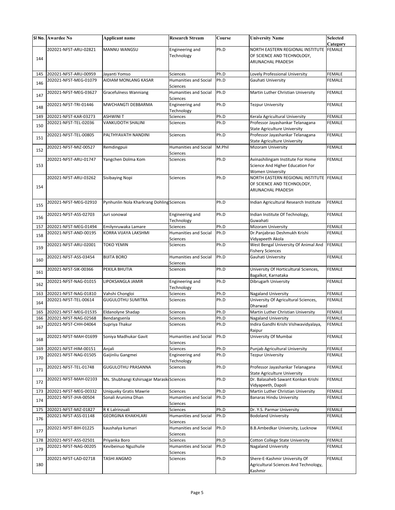|     | SI No. Awardee No     | <b>Applicant name</b>                     | <b>Research Stream</b>                   | Course | <b>University Name</b>                                                    | <b>Selected</b> |
|-----|-----------------------|-------------------------------------------|------------------------------------------|--------|---------------------------------------------------------------------------|-----------------|
|     |                       |                                           |                                          |        |                                                                           | Category        |
|     | 202021-NFST-ARU-02821 | MANNU WANGSU                              | Engineering and                          | Ph.D   | NORTH EASTERN REGIONAL INSTITUTE                                          | <b>FEMALE</b>   |
| 144 |                       |                                           | Technology                               |        | OF SCIENCE AND TECHNOLOGY,<br>ARUNACHAL PRADESH                           |                 |
|     |                       |                                           |                                          |        |                                                                           |                 |
| 145 | 202021-NFST-ARU-00959 | Jayanti Yomso                             | <b>Sciences</b>                          | Ph.D   | Lovely Professional University                                            | <b>FEMALE</b>   |
|     | 202021-NFST-MEG-01079 | AIDIAM MONLANG KASAR                      | <b>Humanities and Social</b>             | Ph.D   | Gauhati University                                                        | <b>FEMALE</b>   |
| 146 |                       |                                           | Sciences                                 |        |                                                                           |                 |
| 147 | 202021-NFST-MEG-03627 | Gracefulness Wanniang                     | <b>Humanities and Social</b>             | Ph.D   | Martin Luther Christian University                                        | FEMALE          |
|     |                       |                                           | Sciences                                 |        |                                                                           |                 |
| 148 | 202021-NFST-TRI-01446 | MWCHANGTI DEBBARMA                        | Engineering and<br>Technology            | Ph.D   | <b>Tezpur University</b>                                                  | <b>FEMALE</b>   |
| 149 | 202021-NFST-KAR-03273 | <b>ASHWINIT</b>                           | Sciences                                 | Ph.D   | Kerala Agricultural University                                            | <b>FEMALE</b>   |
|     | 202021-NFST-TEL-02036 | <b>VANKUDOTH SHALINI</b>                  | Sciences                                 | Ph.D   | Professor Jayashankar Telanagana                                          | FEMALE          |
| 150 |                       |                                           |                                          |        | <b>State Agriculture University</b>                                       |                 |
| 151 | 202021-NFST-TEL-00805 | PALTHYAVATH NANDINI                       | Sciences                                 | Ph.D   | Professor Jayashankar Telanagana                                          | FEMALE          |
|     |                       |                                           |                                          |        | <b>State Agriculture University</b>                                       |                 |
| 152 | 202021-NFST-MIZ-00527 | Remdingpuii                               | <b>Humanities and Social</b><br>Sciences | M.Phil | <b>Mizoram University</b>                                                 | <b>FEMALE</b>   |
|     | 202021-NFST-ARU-01747 | Yangchen Dolma Kom                        | Sciences                                 | Ph.D   | Avinashilingam Institute For Home                                         | <b>FEMALE</b>   |
| 153 |                       |                                           |                                          |        | Science And Higher Education For                                          |                 |
|     |                       |                                           |                                          |        | <b>Women University</b>                                                   |                 |
|     | 202021-NFST-ARU-03262 | Sisibaying Nopi                           | <b>Sciences</b>                          | Ph.D   | NORTH EASTERN REGIONAL INSTITUTE FEMALE                                   |                 |
| 154 |                       |                                           |                                          |        | OF SCIENCE AND TECHNOLOGY,                                                |                 |
|     |                       |                                           |                                          |        | ARUNACHAL PRADESH                                                         |                 |
|     | 202021-NFST-MEG-02910 | Pynhunlin Nola Kharkrang Dohling Sciences |                                          | Ph.D   | Indian Agricultural Research Institute                                    | <b>FEMALE</b>   |
| 155 |                       |                                           |                                          |        |                                                                           |                 |
|     | 202021-NFST-ASS-02703 | Juri sonowal                              | Engineering and                          | Ph.D   | Indian Institute Of Technology,                                           | <b>FEMALE</b>   |
| 156 |                       |                                           | Technology                               |        | Guwahati                                                                  |                 |
| 157 | 202021-NFST-MEG-01494 | Emilynruwaka Lamare                       | Sciences                                 | Ph.D   | <b>Mizoram University</b>                                                 | FEMALE          |
| 158 | 202021-NFST-AND-00195 | KORRA VIJAYA LAKSHMI                      | <b>Humanities and Social</b>             | Ph.D   | Dr.Panjabrao Deshmukh Krishi                                              | <b>FEMALE</b>   |
|     |                       | TOKO YEMIN                                | Sciences                                 | Ph.D   | Vidyapeeth Akola<br>West Bengal University Of Animal And                  | <b>FEMALE</b>   |
| 159 | 202021-NFST-ARU-02001 |                                           | Sciences                                 |        | <b>Fishery Sciences</b>                                                   |                 |
|     | 202021-NFST-ASS-03454 | <b>BIJITA BORO</b>                        | <b>Humanities and Social</b>             | Ph.D   | Gauhati University                                                        | <b>FEMALE</b>   |
| 160 |                       |                                           | Sciences                                 |        |                                                                           |                 |
| 161 | 202021-NFST-SIK-00366 | PEKILA BHUTIA                             | Sciences                                 | Ph.D   | University Of Horticultural Sciences,                                     | FEMALE          |
|     |                       |                                           |                                          |        | Bagalkot, Karnataka                                                       |                 |
| 162 | 202021-NFST-NAG-01015 | LIPOKSANGLA JAMIR                         | Engineering and                          | Ph.D   | Dibrugarh University                                                      | FEMALE          |
| 163 | 202021-NFST-NAG-01810 | Vahshi Chongloi                           | Technology<br>Sciences                   | Ph.D   | <b>Nagaland University</b>                                                | <b>FEMALE</b>   |
|     | 202021-NFST-TEL-00614 | <b>GUGULOTHU SUMITRA</b>                  | Sciences                                 | Ph.D   | University Of Agricultural Sciences,                                      | FEMALE          |
| 164 |                       |                                           |                                          |        | Dharwad                                                                   |                 |
| 165 | 202021-NFST-MEG-01535 | Eldanolyne Shadap                         | Sciences                                 | Ph.D   | Martin Luther Christian University                                        | <b>FEMALE</b>   |
| 166 | 202021-NFST-NAG-02568 | Bendangsenla                              | Sciences                                 | Ph.D   | <b>Nagaland University</b>                                                | FEMALE          |
| 167 | 202021-NFST-CHH-04064 | Supriya Thakur                            | Sciences                                 | Ph.D   | Indira Gandhi Krishi Vishwavidyalaya,                                     | FEMALE          |
|     | 202021-NFST-MAH-01699 | Soniya Madhukar Gavit                     | <b>Humanities and Social</b>             | Ph.D   | Raipur<br>University Of Mumbai                                            | FEMALE          |
| 168 |                       |                                           | Sciences                                 |        |                                                                           |                 |
| 169 | 202021-NFST-HIM-00151 | Anjali                                    | Sciences                                 | Ph.D   | Punjab Agricultural University                                            | FEMALE          |
| 170 | 202021-NFST-NAG-01505 | Gaijinliu Gangmei                         | Engineering and                          | Ph.D   | <b>Tezpur University</b>                                                  | FEMALE          |
|     |                       |                                           | Technology                               |        |                                                                           |                 |
| 171 | 202021-NFST-TEL-01748 | <b>GUGULOTHU PRASANNA</b>                 | Sciences                                 | Ph.D   | Professor Jayashankar Telanagana                                          | FEMALE          |
|     | 202021-NFST-MAH-02103 | Ms. Shubhangi Kshirsagar Maraski Sciences |                                          | Ph.D   | <b>State Agriculture University</b><br>Dr. Balasaheb Sawant Konkan Krishi | FEMALE          |
| 172 |                       |                                           |                                          |        | Vidyapeeth, Dapoli                                                        |                 |
| 173 | 202021-NFST-MEG-00332 | Uniqueky Gratis Mawrie                    | Sciences                                 | Ph.D   | Martin Luther Christian University                                        | FEMALE          |
| 174 | 202021-NFST-JHA-00504 | Sonali Arunima Dhan                       | <b>Humanities and Social</b>             | Ph.D   | <b>Banaras Hindu University</b>                                           | FEMALE          |
|     |                       |                                           | Sciences                                 |        |                                                                           |                 |
| 175 | 202021-NFST-MIZ-01827 | R K Lalrinzuali                           | Sciences                                 | Ph.D   | Dr. Y.S. Parmar University                                                | FEMALE          |
| 176 | 202021-NFST-ASS-01148 | <b>GEORGINA KHAKHLARI</b>                 | Humanities and Social<br>Sciences        | Ph.D   | <b>Bodoland University</b>                                                | FEMALE          |
|     | 202021-NFST-BIH-01225 | kaushalya kumari                          | <b>Humanities and Social</b>             | Ph.D   | B.B.Ambedkar University, Lucknow                                          | FEMALE          |
| 177 |                       |                                           | Sciences                                 |        |                                                                           |                 |
| 178 | 202021-NFST-ASS-02501 | Priyanka Boro                             | Sciences                                 | Ph.D   | Cotton College State University                                           | FEMALE          |
| 179 | 202021-NFST-NAG-00205 | Kevibeinuo Nguzhulie                      | <b>Humanities and Social</b>             | Ph.D   | <b>Nagaland University</b>                                                | FEMALE          |
|     |                       |                                           | Sciences                                 |        |                                                                           |                 |
| 180 | 202021-NFST-LAD-02718 | TASHI ANGMO                               | Sciences                                 | Ph.D   | Shere-E-Kashmir University Of<br>Agricultural Sciences And Technology,    | FEMALE          |
|     |                       |                                           |                                          |        | Kashmir                                                                   |                 |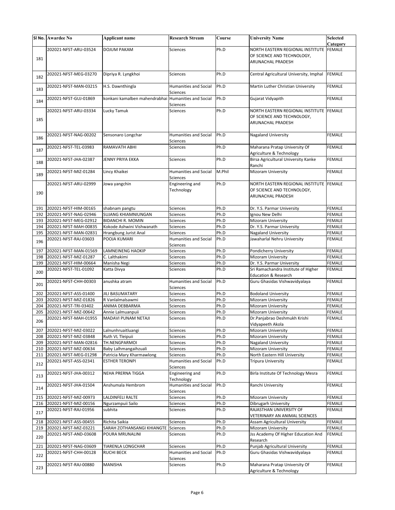|            | SI No. Awardee No                              | <b>Applicant name</b>                               | <b>Research Stream</b>                   | Course       | <b>University Name</b>                                     | <b>Selected</b>  |
|------------|------------------------------------------------|-----------------------------------------------------|------------------------------------------|--------------|------------------------------------------------------------|------------------|
|            |                                                |                                                     |                                          |              |                                                            | Category         |
|            | 202021-NFST-ARU-03524                          | <b>DOJUM PAKAM</b>                                  | Sciences                                 | Ph.D         | NORTH EASTERN REGIONAL INSTITUTE                           | <b>FEMALE</b>    |
| 181        |                                                |                                                     |                                          |              | OF SCIENCE AND TECHNOLOGY,                                 |                  |
|            |                                                |                                                     |                                          |              | ARUNACHAL PRADESH                                          |                  |
|            | 202021-NFST-MEG-03270                          | Dipriya R. Lyngkhoi                                 | <b>Sciences</b>                          | Ph.D         | Central Agricultural University, Imphal                    | <b>FEMALE</b>    |
| 182        |                                                |                                                     |                                          |              |                                                            |                  |
|            | 202021-NFST-MAN-03215                          | H.S. Dawnthingla                                    | <b>Humanities and Social</b>             | Ph.D         | Martin Luther Christian University                         | FEMALE           |
| 183        |                                                |                                                     | Sciences                                 |              |                                                            |                  |
|            | 202021-NFST-GUJ-01869                          | konkani kamalben mahendrabhai Humanities and Social |                                          | Ph.D         | Gujarat Vidyapith                                          | <b>FEMALE</b>    |
| 184        |                                                |                                                     | Sciences                                 |              |                                                            |                  |
|            | 202021-NFST-ARU-03334                          | Lucky Tamuk                                         | Sciences                                 | Ph.D         | NORTH EASTERN REGIONAL INSTITUTE FEMALE                    |                  |
| 185        |                                                |                                                     |                                          |              | OF SCIENCE AND TECHNOLOGY,                                 |                  |
|            |                                                |                                                     |                                          |              | <b>ARUNACHAL PRADESH</b>                                   |                  |
|            |                                                |                                                     |                                          |              |                                                            |                  |
| 186        | 202021-NFST-NAG-00202                          | Sensonaro Longchar                                  | <b>Humanities and Social</b><br>Sciences | Ph.D         | <b>Nagaland University</b>                                 | <b>FEMALE</b>    |
|            | 202021-NFST-TEL-03983                          | RAMAVATH ABHI                                       | Sciences                                 | Ph.D         | Maharana Pratap University Of                              | <b>FEMALE</b>    |
| 187        |                                                |                                                     |                                          |              | Agriculture & Technology                                   |                  |
|            | 202021-NFST-JHA-02387                          | JENNY PRIYA EKKA                                    | Sciences                                 | Ph.D         | Birsa Agricultural University Kanke                        | <b>FEMALE</b>    |
| 188        |                                                |                                                     |                                          |              | Ranchi                                                     |                  |
|            | 202021-NFST-MIZ-01284                          | Lincy Khaikei                                       | <b>Humanities and Social</b>             | M.Phil       | Mizoram University                                         | FEMALE           |
| 189        |                                                |                                                     | Sciences                                 |              |                                                            |                  |
|            | 202021-NFST-ARU-02999                          | Jowa yangchin                                       | Engineering and                          | Ph.D         | NORTH EASTERN REGIONAL INSTITUTE FEMALE                    |                  |
| 190        |                                                |                                                     | Technology                               |              | OF SCIENCE AND TECHNOLOGY,                                 |                  |
|            |                                                |                                                     |                                          |              | <b>ARUNACHAL PRADESH</b>                                   |                  |
|            |                                                |                                                     |                                          |              |                                                            |                  |
| 191        | 202021-NFST-HIM-00165                          | shabnam pangtu                                      | Sciences                                 | Ph.D<br>Ph.D | Dr. Y.S. Parmar University                                 | FEMALE<br>FEMALE |
| 192<br>193 | 202021-NFST-NAG-02946<br>202021-NFST-MEG-02912 | SUJANG KHIAMNIUNGAN<br><b>BIDANCHI R. MOMIN</b>     | <b>Sciences</b><br>Sciences              | Ph.D         | Ignou New Delhi<br><b>Mizoram University</b>               | FEMALE           |
| 194        | 202021-NFST-MAH-00835                          | Kokode Ashwini Vishwanath                           | Sciences                                 | Ph.D         | Dr. Y.S. Parmar University                                 | <b>FEMALE</b>    |
| 195        | 202021-NFST-MAN-02831                          | Hrangbung Jurist Anal                               | Sciences                                 | Ph.D         | <b>Nagaland University</b>                                 | FEMALE           |
|            | 202021-NFST-RAJ-03603                          | POOJA KUMARI                                        | <b>Humanities and Social</b>             | Ph.D         | Jawaharlal Nehru University                                | FEMALE           |
| 196        |                                                |                                                     | Sciences                                 |              |                                                            |                  |
| 197        | 202021-NFST-MAN-01569                          | <b>LAMNEINENG HAOKIP</b>                            | Sciences                                 | Ph.D         | Pondicherry University                                     | <b>FEMALE</b>    |
| 198        | 202021-NFST-MIZ-01287                          | C. Lalthakimi                                       | Sciences                                 | Ph.D         | <b>Mizoram University</b>                                  | <b>FEMALE</b>    |
| 199        | 202021-NFST-HIM-00664                          | Manisha Negi                                        | Sciences                                 | Ph.D         | Dr. Y.S. Parmar University                                 | <b>FEMALE</b>    |
| 200        | 202021-NFST-TEL-01092                          | Katta Divya                                         | Sciences                                 | Ph.D         | Sri Ramachandra Institute of Higher                        | FEMALE           |
|            |                                                |                                                     |                                          |              | <b>Education &amp; Research</b>                            |                  |
| 201        | 202021-NFST-CHH-00303                          | anushka atram                                       | <b>Humanities and Social</b><br>Sciences | Ph.D         | Guru Ghasidas Vishwavidyalaya                              | <b>FEMALE</b>    |
| 202        | 202021-NFST-ASS-01400                          | JILI BASUMATARY                                     | Sciences                                 | Ph.D         | <b>Bodoland University</b>                                 | <b>FEMALE</b>    |
| 203        | 202021-NFST-MIZ-01826                          | R Vanlalmalsawmi                                    | Sciences                                 | Ph.D         | <b>Mizoram University</b>                                  | <b>FEMALE</b>    |
| 204        | 202021-NFST-TRI-03402                          | ANIMA DEBBARMA                                      | <b>Sciences</b>                          | Ph.D         | Mizoram University                                         | FEMALE           |
| 205        | 202021-NFST-MIZ-00642                          | Annie Lalmuanpuii                                   | Sciences                                 | Ph.D         | Mizoram University                                         | FEMALE           |
| 206        | 202021-NFST-MAH-01955                          | <b>MADAVI PUNAM NETAJI</b>                          | Sciences                                 | Ph.D         | Dr.Panjabrao Deshmukh Krishi                               | FEMALE           |
|            |                                                |                                                     |                                          |              | Vidyapeeth Akola                                           |                  |
| 207        | 202021-NFST-MIZ-03022                          | Lalnunhruaitluangi                                  | Sciences                                 | Ph.D         | <b>Mizoram University</b>                                  | <b>FEMALE</b>    |
| 208        | 202021-NFST-MIZ-03848                          | Ruth VL Tleipuii                                    | Sciences                                 | Ph.D         | <b>Mizoram University</b>                                  | FEMALE           |
| 209        | 202021-NFST-MAN-02816                          | TH.NENGPARMOI                                       | Sciences                                 | Ph.D         | <b>Nagaland University</b>                                 | FEMALE           |
| 210        | 202021-NFST-MIZ-00634                          | Baby Lalhmangaihzuali                               | Sciences                                 | Ph.D         | Mizoram University<br>North Eastern Hill University        | FEMALE           |
| 211        | 202021-NFST-MEG-01298<br>202021-NFST-ASS-02341 | Patricia Mary Kharmawlong<br><b>ESTHER TERONPI</b>  | Sciences<br><b>Humanities and Social</b> | Ph.D<br>Ph.D | <b>Tripura University</b>                                  | FEMALE<br>FEMALE |
| 212        |                                                |                                                     | Sciences                                 |              |                                                            |                  |
|            | 202021-NFST-JHA-00312                          | NEHA PRERNA TIGGA                                   | Engineering and                          | Ph.D         | Birla Institute Of Technology Mesra                        | FEMALE           |
| 213        |                                                |                                                     | Technology                               |              |                                                            |                  |
|            | 202021-NFST-JHA-01504                          | Anshumala Hembrom                                   | Humanities and Social                    | Ph.D         | Ranchi University                                          | <b>FEMALE</b>    |
| 214        |                                                |                                                     | Sciences                                 |              |                                                            |                  |
| 215        | 202021-NFST-MIZ-00973                          | LALDINFELI RALTE                                    | Sciences                                 | Ph.D         | <b>Mizoram University</b>                                  | FEMALE           |
| 216        | 202021-NFST-MIZ-00156                          | Ngurzampuii Sailo                                   | Sciences                                 | Ph.D         | Dibrugarh University                                       | FEMALE           |
| 217        | 202021-NFST-RAJ-01956                          | subhita                                             | Sciences                                 | Ph.D         | RAJASTHAN UNIVERSITY OF                                    | <b>FEMALE</b>    |
|            |                                                |                                                     |                                          |              | VETERINARY AN ANIMAL SCIENCES                              |                  |
| 218        | 202021-NFST-ASS-00455<br>202021-NFST-MIZ-03221 | Richita Saikia                                      | Sciences                                 | Ph.D<br>Ph.D | Assam Agricultural University<br><b>Mizoram University</b> | FEMALE<br>FEMALE |
| 219        | 202021-NFST-AND-03608                          | SARAH ZOTHANSANGI KHIANGTE<br>POURA MRUNALINI       | Sciences<br>Sciences                     | Ph.D         | Jss Academy Of Higher Education And                        | FEMALE           |
| 220        |                                                |                                                     |                                          |              | Research                                                   |                  |
| 221        | 202021-NFST-NAG-03609                          | TIARENLA LONGCHAR                                   | Sciences                                 | Ph.D         | Punjab Agricultural University                             | FEMALE           |
|            | 202021-NFST-CHH-00128                          | <b>RUCHI BECK</b>                                   | <b>Humanities and Social</b>             | Ph.D         | Guru Ghasidas Vishwavidyalaya                              | FEMALE           |
| 222        |                                                |                                                     | Sciences                                 |              |                                                            |                  |
| 223        | 202021-NFST-RAJ-00880                          | MANISHA                                             | Sciences                                 | Ph.D         | Maharana Pratap University Of                              | FEMALE           |
|            |                                                |                                                     |                                          |              | Agriculture & Technology                                   |                  |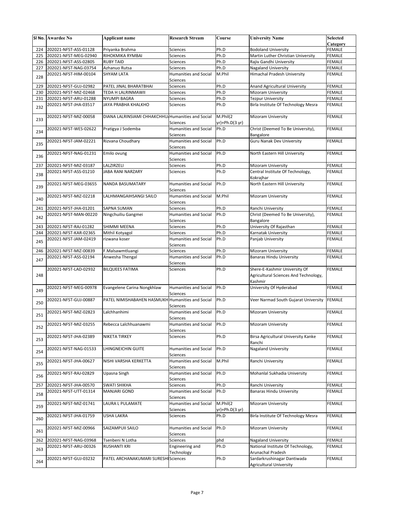|     | SI No. Awardee No     | <b>Applicant name</b>                            | <b>Research Stream</b>                          | Course                     | <b>University Name</b>                                                            | <b>Selected</b><br>Category |
|-----|-----------------------|--------------------------------------------------|-------------------------------------------------|----------------------------|-----------------------------------------------------------------------------------|-----------------------------|
| 224 | 202021-NFST-ASS-01128 | Priyanka Brahma                                  | Sciences                                        | Ph.D                       | <b>Bodoland University</b>                                                        | <b>FEMALE</b>               |
| 225 | 202021-NFST-MEG-02940 | RIHOKMIKA RYMBAI                                 | Sciences                                        | Ph.D                       | Martin Luther Christian University                                                | <b>FEMALE</b>               |
| 226 | 202021-NFST-ASS-02805 | <b>RUBY TAID</b>                                 | Sciences                                        | Ph.D                       | Rajiv Gandhi University                                                           | <b>FEMALE</b>               |
| 227 | 202021-NFST-NAG-03754 | Azhanuo Rutsa                                    | Sciences                                        | Ph.D                       | <b>Nagaland University</b>                                                        | <b>FEMALE</b>               |
| 228 | 202021-NFST-HIM-00104 | <b>SHYAM LATA</b>                                | <b>Humanities and Social</b><br>Sciences        | M.Phil                     | Himachal Pradesh University                                                       | <b>FEMALE</b>               |
| 229 | 202021-NFST-GUJ-02982 | PATEL JINAL BHARATBHAI                           | Sciences                                        | Ph.D                       | Anand Agricultural University                                                     | <b>FEMALE</b>               |
| 230 | 202021-NFST-MIZ-02468 | TEDA H LALRINMAWII                               | Sciences                                        | Ph.D                       | Mizoram University                                                                | <b>FEMALE</b>               |
| 231 | 202021-NFST-ARU-01288 | <b>NYUMPI BAGRA</b>                              | Sciences                                        | Ph.D                       | <b>Tezpur University</b>                                                          | FEMALE                      |
|     | 202021-NFST-JHA-03517 | JAYA PRABHA KHALKHO                              | Sciences                                        | Ph.D                       | Birla Institute Of Technology Mesra                                               | <b>FEMALE</b>               |
| 232 |                       |                                                  |                                                 |                            |                                                                                   |                             |
| 233 | 202021-NFST-MIZ-00058 | DIANA LALRINSIAMI CHHAKCHHU                      | <b>Humanities and Social</b><br><b>Sciences</b> | M.Phil(2<br>yr)+Ph.D(3 yr) | Mizoram University                                                                | <b>FEMALE</b>               |
| 234 | 202021-NFST-WES-02622 | Pratigya J Sodemba                               | <b>Humanities and Social</b>                    | Ph.D                       | Christ (Deemed To Be University),                                                 | <b>FEMALE</b>               |
|     |                       |                                                  | Sciences<br><b>Humanities and Social</b>        | Ph.D                       | Bangalore<br><b>Guru Nanak Dev University</b>                                     |                             |
| 235 | 202021-NFST-JAM-02221 | Rizvana Choudhary                                | Sciences                                        |                            |                                                                                   | <b>FEMALE</b>               |
| 236 | 202021-NFST-NAG-01231 | Emilo ovung                                      | <b>Humanities and Social</b><br>Sciences        | Ph.D                       | North Eastern Hill University                                                     | <b>FEMALE</b>               |
| 237 | 202021-NFST-MIZ-03187 | LALZIRZELI                                       | Sciences                                        | Ph.D                       | Mizoram University                                                                | <b>FEMALE</b>               |
|     | 202021-NFST-ASS-01210 | <b>JABA RANI NARZARY</b>                         | Sciences                                        | Ph.D                       | Central Institute Of Technology,                                                  | <b>FEMALE</b>               |
| 238 |                       |                                                  |                                                 |                            | Kokrajhar                                                                         |                             |
| 239 | 202021-NFST-MEG-03655 | NANDA BASUMATARY                                 | <b>Humanities and Social</b><br>Sciences        | Ph.D                       | North Eastern Hill University                                                     | <b>FEMALE</b>               |
| 240 | 202021-NFST-MIZ-02218 | LALHMANGAIHSANGI SAILO                           | Humanities and Social<br>Sciences               | M.Phil                     | Mizoram University                                                                | <b>FEMALE</b>               |
| 241 | 202021-NFST-JHA-01201 | SAPNA SUMAN                                      | Sciences                                        | Ph.D                       | Ranchi University                                                                 | <b>FEMALE</b>               |
|     | 202021-NFST-MAN-00220 | Ningchuiliu Gangmei                              | Humanities and Social                           | Ph.D                       | Christ (Deemed To Be University),                                                 | <b>FEMALE</b>               |
| 242 |                       |                                                  | Sciences                                        |                            | Bangalore                                                                         |                             |
| 243 | 202021-NFST-RAJ-01282 | SHIMMI MEENA                                     | Sciences                                        | Ph.D                       | University Of Rajasthan                                                           | <b>FEMALE</b>               |
| 244 | 202021-NFST-KAR-02365 | Mithil Kotyagol                                  | Sciences                                        | Ph.D                       | Karnatak University                                                               | <b>FEMALE</b>               |
|     | 202021-NFST-JAM-02419 | rizwana koser                                    | Humanities and Social                           | Ph.D                       | Panjab University                                                                 | <b>FEMALE</b>               |
| 245 |                       |                                                  | Sciences                                        |                            |                                                                                   |                             |
| 246 | 202021-NFST-MIZ-00839 | F.Malsawmtluangi                                 | Sciences                                        | Ph.D                       | Mizoram University                                                                | <b>FEMALE</b>               |
| 247 | 202021-NFST-ASS-02194 | Anwesha Thengal                                  | Humanities and Social<br>Sciences               | Ph.D                       | <b>Banaras Hindu University</b>                                                   | <b>FEMALE</b>               |
| 248 | 202021-NFST-LAD-02932 | <b>BILQUEES FATIMA</b>                           | Sciences                                        | Ph.D                       | Shere-E-Kashmir University Of<br>Agricultural Sciences And Technology,<br>Kashmir | <b>FEMALE</b>               |
| 249 | 202021-NFST-MEG-00978 | Evangelene Carina Nongkhlaw                      | Humanities and Social<br>Sciences               | Ph.D                       | University Of Hyderabad                                                           | <b>FEMALE</b>               |
| 250 | 202021-NFST-GUJ-00887 | PATEL NIMISHABAHEN HASMUKH Humanities and Social | Sciences                                        | Ph.D                       | Veer Narmad South Gujarat University                                              | <b>FEMALE</b>               |
| 251 | 202021-NFST-MIZ-02823 | Lalchhanhimi                                     | Humanities and Social<br>Sciences               | Ph.D                       | <b>Mizoram University</b>                                                         | <b>FEMALE</b>               |
| 252 | 202021-NFST-MIZ-03255 | Rebecca Lalchhuanawmi                            | Humanities and Social                           | Ph.D                       | Mizoram University                                                                | FEMALE                      |
|     | 202021-NFST-JHA-02389 | NIKETA TIRKEY                                    | Sciences<br>Sciences                            | Ph.D                       | Birsa Agricultural University Kanke                                               | <b>FEMALE</b>               |
| 253 |                       |                                                  |                                                 |                            | Ranchi                                                                            |                             |
| 254 | 202021-NFST-NAG-01533 | LHINGNEICHIN GUITE                               | Humanities and Social<br>Sciences               | Ph.D                       | <b>Nagaland University</b>                                                        | <b>FEMALE</b>               |
| 255 | 202021-NFST-JHA-00627 | NISHI VARSHA KERKETTA                            | <b>Humanities and Social</b><br>Sciences        | M.Phil                     | Ranchi University                                                                 | <b>FEMALE</b>               |
| 256 | 202021-NFST-RAJ-02829 | Upasna Singh                                     | Humanities and Social<br>Sciences               | Ph.D                       | Mohanlal Sukhadia University                                                      | <b>FEMALE</b>               |
| 257 | 202021-NFST-JHA-00570 | <b>SWATI SHIKHA</b>                              | Sciences                                        | Ph.D                       | Ranchi University                                                                 | <b>FEMALE</b>               |
| 258 | 202021-NFST-UTT-01314 | MANJARI GOND                                     | <b>Humanities and Social</b><br>Sciences        | Ph.D                       | <b>Banaras Hindu University</b>                                                   | <b>FEMALE</b>               |
| 259 | 202021-NFST-MIZ-01741 | LAURA L PULAMATE                                 | <b>Humanities and Social</b><br>Sciences        | M.Phil(2<br>yr)+Ph.D(3 yr) | <b>Mizoram University</b>                                                         | <b>FEMALE</b>               |
| 260 | 202021-NFST-JHA-01759 | USHA LAKRA                                       | Sciences                                        | Ph.D                       | Birla Institute Of Technology Mesra                                               | <b>FEMALE</b>               |
| 261 | 202021-NFST-MIZ-00966 | SAIZAMPUII SAILO                                 | Humanities and Social                           | Ph.D                       | <b>Mizoram University</b>                                                         | <b>FEMALE</b>               |
|     |                       |                                                  | Sciences                                        |                            |                                                                                   |                             |
| 262 | 202021-NFST-NAG-03968 | Tsenbeni N Lotha                                 | Sciences                                        | phd                        | <b>Nagaland University</b>                                                        | <b>FEMALE</b>               |
| 263 | 202021-NFST-ARU-00326 | <b>RUSHANTI KRI</b>                              | Engineering and<br>Technology                   | Ph.D                       | National Institute Of Technology,<br>Arunachal Pradesh                            | FEMALE                      |
| 264 | 202021-NFST-GUJ-03232 | PATEL ARCHANAKUMARI SURESHI Sciences             |                                                 | Ph.D                       | Sardarkrushinagar Dantiwada<br><b>Agricultural University</b>                     | <b>FEMALE</b>               |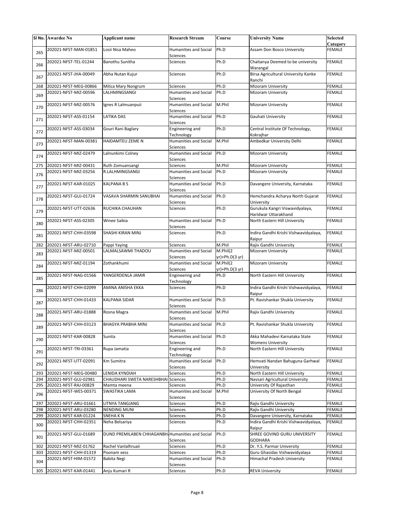|     | SI No. Awardee No     | Applicant name             | <b>Research Stream</b>                   | Course                     | <b>University Name</b>                                    | <b>Selected</b>           |
|-----|-----------------------|----------------------------|------------------------------------------|----------------------------|-----------------------------------------------------------|---------------------------|
|     | 202021-NFST-MAN-01851 | Losii Nisa Maheo           | Humanities and Social                    | Ph.D                       | Assam Don Bosco University                                | Category<br><b>FEMALE</b> |
| 265 |                       |                            | <b>Sciences</b>                          |                            |                                                           |                           |
| 266 | 202021-NFST-TEL-01244 | Banothu Sunitha            | Sciences                                 | Ph.D                       | Chaitanya Deemed to be university<br>Warangal             | <b>FEMALE</b>             |
| 267 | 202021-NFST-JHA-00049 | Abha Nutan Kujur           | Sciences                                 | Ph.D                       | Birsa Agricultural University Kanke<br>Ranchi             | <b>FEMALE</b>             |
| 268 | 202021-NFST-MEG-00866 | Milica Mary Nongrum        | Sciences                                 | Ph.D                       | Mizoram University                                        | <b>FEMALE</b>             |
| 269 | 202021-NFST-MIZ-00596 | LALHMINGSANGI              | <b>Humanities and Social</b><br>Sciences | Ph.D                       | <b>Mizoram University</b>                                 | <b>FEMALE</b>             |
| 270 | 202021-NFST-MIZ-00576 | Ignes R Lalmuanpuii        | <b>Humanities and Social</b><br>Sciences | M.Phil                     | Mizoram University                                        | <b>FEMALE</b>             |
| 271 | 202021-NFST-ASS-01154 | <b>LATIKA DAS</b>          | <b>Humanities and Social</b><br>Sciences | Ph.D                       | Gauhati University                                        | <b>FEMALE</b>             |
| 272 | 202021-NFST-ASS-03034 | Gouri Rani Baglary         | Engineering and<br>Technology            | Ph.D                       | Central Institute Of Technology,<br>Kokrajhar             | <b>FEMALE</b>             |
| 273 | 202021-NFST-MAN-00381 | HAIDAMTEU ZEME N           | <b>Humanities and Social</b><br>Sciences | M.Phil                     | Ambedkar University Delhi                                 | <b>FEMALE</b>             |
| 274 | 202021-NFST-MIZ-02479 | Lalnunkimi Colney          | <b>Humanities and Social</b><br>Sciences | Ph.D                       | <b>Mizoram University</b>                                 | <b>FEMALE</b>             |
| 275 | 202021-NFST-MIZ-00431 | Ruth Zomuansangi           | Sciences                                 | M.Phil                     | Mizoram University                                        | <b>FEMALE</b>             |
|     | 202021-NFST-MIZ-03256 | R.LALHMINGSANGI            | <b>Humanities and Social</b>             | Ph.D                       | <b>Mizoram University</b>                                 | <b>FEMALE</b>             |
| 276 |                       |                            | <b>Sciences</b>                          |                            |                                                           |                           |
| 277 | 202021-NFST-KAR-01025 | <b>KALPANA B S</b>         | Humanities and Social<br>Sciences        | Ph.D                       | Davangere University, Karnataka                           | <b>FEMALE</b>             |
| 278 | 202021-NFST-GUJ-01724 | VASAVA SHARMIN SANUBHAI    | <b>Humanities and Social</b><br>Sciences | Ph.D                       | Hemchandra Acharya North Gujarat<br>University            | <b>FEMALE</b>             |
| 279 | 202021-NFST-UTT-02636 | RUCHIKA CHAUHAN            | Sciences                                 | Ph.D                       | Gurukula Kangri Viswavidyalaya,<br>Haridwar Uttarakhand   | <b>FEMALE</b>             |
| 280 | 202021-NFST-ASS-02305 | Winee Saikia               | <b>Humanities and Social</b><br>Sciences | Ph.D                       | North Eastern Hill University                             | <b>FEMALE</b>             |
| 281 | 202021-NFST-CHH-03598 | SHASHI KIRAN MINJ          | Sciences                                 | Ph.D                       | Indira Gandhi Krishi Vishwavidyalaya,<br>Raipur           | <b>FEMALE</b>             |
| 282 | 202021-NFST-ARU-02710 | Pappi Yaying               | Sciences                                 | M.Phil                     | Rajiv Gandhi University                                   | <b>FEMALE</b>             |
|     | 202021-NFST-MIZ-00501 | LALMALSAWMI THADOU         | <b>Humanities and Social</b>             | M.Phil(2                   | <b>Mizoram University</b>                                 | <b>FEMALE</b>             |
| 283 |                       |                            | Sciences                                 | yr)+Ph.D(3 yr)             |                                                           |                           |
| 284 | 202021-NFST-MIZ-01194 | Zothankhumi                | Humanities and Social<br>Sciences        | M.Phil(2<br>yr)+Ph.D(3 yr) | <b>Mizoram University</b>                                 | <b>FEMALE</b>             |
| 285 | 202021-NFST-NAG-01566 | YANGERDENLA JAMIR          | Engineering and<br>Technology            | Ph.D                       | North Eastern Hill University                             | <b>FEMALE</b>             |
| 286 | 202021-NFST-CHH-02099 | AMINA ANISHA EKKA          | <b>Sciences</b>                          | Ph.D                       | Indira Gandhi Krishi Vishwavidyalaya,<br>Raipur           | <b>FEMALE</b>             |
| 287 | 202021-NFST-CHH-01433 | <b>KALPANA SIDAR</b>       | Humanities and Social<br>Sciences        | Ph.D                       | Pt. Ravishankar Shukla University                         | <b>FEMALE</b>             |
| 288 | 202021-NFST-ARU-01888 | Rosna Magra                | <b>Humanities and Social</b><br>Sciences | M.Phil                     | Rajiv Gandhi University                                   | <b>FEMALE</b>             |
| 289 | 202021-NFST-CHH-03123 | <b>BHAGYA PRABHA MINJ</b>  | Humanities and Social<br>Sciences        | Ph.D                       | Pt. Ravishankar Shukla University                         | <b>FEMALE</b>             |
| 290 | 202021-NFST-KAR-00828 | Sunita                     | Humanities and Social<br>Sciences        | Ph.D                       | Akka Mahadevi Karnataka State<br><b>Womens University</b> | <b>FEMALE</b>             |
| 291 | 202021-NFST-TRI-03361 | Rupa Jamatia               | Engineering and<br>Technology            | Ph.D                       | North Eastern Hill University                             | <b>FEMALE</b>             |
| 292 | 202021-NFST-UTT-02091 | Km Sumitra                 | Humanities and Social<br>Sciences        | Ph.D                       | Hemvati Nandan Bahuguna Garhwal<br>University             | <b>FEMALE</b>             |
| 293 | 202021-NFST-MEG-00480 | LENIDA KYNDIAH             | Sciences                                 | Ph.D                       | North Eastern Hill University                             | <b>FEMALE</b>             |
| 294 | 202021-NFST-GUJ-02981 | CHAUDHARI SWETA NARESHBHAI | Sciences                                 | Ph.D                       | Navsari Agricultural University                           | <b>FEMALE</b>             |
| 295 | 202021-NFST-RAJ-00829 | Mamta meena                | Sciences                                 | Ph.D                       | University Of Rajasthan                                   | <b>FEMALE</b>             |
| 296 | 202021-NFST-WES-00371 | SWASTIKA LAMA              | <b>Humanities and Social</b><br>Sciences | M.Phil                     | University Of North Bengal                                | FEMALE                    |
| 297 | 202021-NFST-ARU-01661 | LITNYA TANGJANG            | Sciences                                 | Ph.D                       | Rajiv Gandhi University                                   | <b>FEMALE</b>             |
| 298 | 202021-NFST-ARU-03280 | NENDING MUNI               | Sciences                                 | Ph.D                       | Rajiv Gandhi University                                   | <b>FEMALE</b>             |
| 299 | 202021-NFST-KAR-01224 | SNEHA K N                  | Sciences                                 | Ph.D                       | Davangere University, Karnataka                           | <b>FEMALE</b>             |
| 300 | 202021-NFST-CHH-02351 | Neha Belsariya             | Sciences                                 | Ph.D                       | Indira Gandhi Krishi Vishwavidyalaya,<br>Raipur           | <b>FEMALE</b>             |
| 301 | 202021-NFST-GUJ-01689 | DUND PREMILABEN CHHAGANBH  | Humanities and Social<br>Sciences        | Ph.D                       | SHREE GOVIND GURU UNIVERSITY<br><b>GODHARA</b>            | <b>FEMALE</b>             |
| 302 | 202021-NFST-MIZ-01762 | Rachel Vanlalhruaii        | Sciences                                 | Ph.D                       | Dr. Y.S. Parmar University                                | <b>FEMALE</b>             |
| 303 | 202021-NFST-CHH-01319 | Poonam xess                | Sciences                                 | Ph.D                       | Guru Ghasidas Vishwavidyalaya                             | <b>FEMALE</b>             |
| 304 | 202021-NFST-HIM-01572 | Babita Negi                | <b>Humanities and Social</b><br>Sciences | Ph.D                       | Himachal Pradesh University                               | <b>FEMALE</b>             |
| 305 | 202021-NFST-KAR-01441 | Anju Kumari R              | Sciences                                 | Ph.D                       | <b>REVA University</b>                                    | <b>FEMALE</b>             |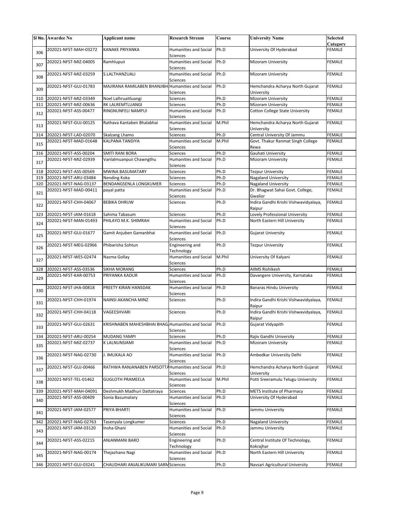|     | SI No. Awardee No                              | Applicant name                                   | <b>Research Stream</b>                          | Course       | <b>University Name</b>                                    | <b>Selected</b>                |
|-----|------------------------------------------------|--------------------------------------------------|-------------------------------------------------|--------------|-----------------------------------------------------------|--------------------------------|
|     | 202021-NFST-MAH-03272                          | <b>KANAKE PRIYANKA</b>                           | <b>Humanities and Social</b>                    | Ph.D         | University Of Hyderabad                                   | Category<br><b>FEMALE</b>      |
| 306 |                                                |                                                  | Sciences                                        |              |                                                           |                                |
| 307 | 202021-NFST-MIZ-04005                          | Ramhlupuii                                       | <b>Humanities and Social</b><br><b>Sciences</b> | Ph.D         | <b>Mizoram University</b>                                 | <b>FEMALE</b>                  |
| 308 | 202021-NFST-MIZ-03259                          | S.LALTHANZUALI                                   | <b>Humanities and Social</b><br><b>Sciences</b> | Ph.D         | <b>Mizoram University</b>                                 | <b>FEMALE</b>                  |
| 309 | 202021-NFST-GUJ-01783                          | MAJIRANA RAMILABEN BHANJIBH                      | <b>Humanities and Social</b>                    | Ph.D         | Hemchandra Acharya North Gujarat                          | <b>FEMALE</b>                  |
| 310 | 202021-NFST-MIZ-03349                          | Noel Lalhruaitluangi                             | Sciences<br>Sciences                            | Ph.D         | University<br>Mizoram University                          | <b>FEMALE</b>                  |
| 311 | 202021-NFST-MIZ-00636                          | RK LALREMTLUANGI                                 | Sciences                                        | Ph.D         | Mizoram University                                        | <b>FEMALE</b>                  |
| 312 | 202021-NFST-ASS-00477                          | RINGNUNFELI NAMPUI                               | <b>Humanities and Social</b>                    | Ph.D         | <b>Cotton College State University</b>                    | <b>FEMALE</b>                  |
|     |                                                |                                                  | Sciences                                        |              |                                                           |                                |
| 313 | 202021-NFST-GUJ-00125                          | Rathava Kantaben Bhalabhai                       | <b>Humanities and Social</b><br>Sciences        | M.Phil       | Hemchandra Acharya North Gujarat<br>University            | <b>FEMALE</b>                  |
| 314 | 202021-NFST-LAD-02070                          | Skalzang Lhamo                                   | Sciences                                        | Ph.D         | Central University Of Jammu                               | <b>FEMALE</b>                  |
| 315 | 202021-NFST-MAD-01648                          | KALPANA TANDIYA                                  | <b>Humanities and Social</b>                    | M.Phil       | Govt. Thakur Ranmat Singh College                         | <b>FEMALE</b>                  |
|     |                                                |                                                  | Sciences                                        |              | Rewa                                                      |                                |
| 316 | 202021-NFST-ASS-00204                          | SMITI RANI BORA                                  | Sciences                                        | Ph.D         | Gauhati University                                        | <b>FEMALE</b>                  |
| 317 | 202021-NFST-MIZ-02939                          | Vanlalmuanpuii Chawngthu                         | <b>Humanities and Social</b><br><b>Sciences</b> | Ph.D         | <b>Mizoram University</b>                                 | <b>FEMALE</b>                  |
| 318 | 202021-NFST-ASS-00569                          | MWINA BASUMATARY                                 | Sciences                                        | Ph.D         | <b>Tezpur University</b>                                  | <b>FEMALE</b>                  |
| 319 | 202021-NFST-ARU-03484                          | Nending Koka                                     | Sciences                                        | Ph.D         | <b>Nagaland University</b>                                | <b>FEMALE</b>                  |
| 320 | 202021-NFST-NAG-03137                          | BENDANGSENLA LONGKUMER                           | Sciences                                        | Ph.D         | <b>Nagaland University</b>                                | <b>FEMALE</b>                  |
| 321 | 202021-NFST-MAD-00411                          | payal patta                                      | <b>Humanities and Social</b><br>Sciences        | Ph.D         | Dr. Bhagwat Sahai Govt. College,<br>Gwalior               | <b>FEMALE</b>                  |
| 322 | 202021-NFST-CHH-04067                          | <b>BEBIKA DHRUW</b>                              | Sciences                                        | Ph.D         | Indira Gandhi Krishi Vishwavidyalaya,<br>Raipur           | <b>FEMALE</b>                  |
| 323 | 202021-NFST-JAM-01618                          | Sahima Tabasum                                   | <b>Sciences</b>                                 | Ph.D         | Lovely Professional University                            | <b>FEMALE</b>                  |
| 324 | 202021-NFST-MAN-01493                          | PHILAYO M.K. SHIMRAH                             | <b>Humanities and Social</b><br>Sciences        | Ph.D         | North Eastern Hill University                             | <b>FEMALE</b>                  |
| 325 | 202021-NFST-GUJ-01677                          | Gamit Anjuben Gamanbhai                          | <b>Humanities and Social</b><br>Sciences        | Ph.D         | <b>Gujarat University</b>                                 | <b>FEMALE</b>                  |
| 326 | 202021-NFST-MEG-02966                          | Phibarisha Sohtun                                | Engineering and<br>Technology                   | Ph.D         | <b>Tezpur University</b>                                  | <b>FEMALE</b>                  |
| 327 | 202021-NFST-WES-02474                          | Nazma Gollay                                     | <b>Humanities and Social</b>                    | M.Phil       | University Of Kalyani                                     | <b>FEMALE</b>                  |
|     |                                                |                                                  | Sciences                                        |              |                                                           |                                |
| 328 | 202021-NFST-ASS-03536<br>202021-NFST-KAR-00753 | SIKHA MORANG<br>PRIYANKA KADUR                   | Sciences<br><b>Humanities and Social</b>        | Ph.D<br>Ph.D | <b>AIIMS Rishikesh</b><br>Davangere University, Karnataka | <b>FEMALE</b><br><b>FEMALE</b> |
| 329 |                                                |                                                  | Sciences                                        |              |                                                           |                                |
| 330 | 202021-NFST-JHA-00818                          | PREETY KIRAN HANSDAK                             | Humanities and Social<br>Sciences               | Ph.D         | <b>Banaras Hindu University</b>                           | <b>FEMALE</b>                  |
| 331 | 202021-NFST-CHH-01974                          | NAINSI AKANCHA MINZ                              | Sciences                                        | Ph.D         | Indira Gandhi Krishi Vishwavidyalaya,<br>Raipur           | <b>FEMALE</b>                  |
| 332 | 202021-NFST-CHH-04118                          | VAGEESHVARI                                      | Sciences                                        | Ph.D         | Indira Gandhi Krishi Vishwavidyalaya,<br>Raipur           | <b>FEMALE</b>                  |
| 333 | 202021-NFST-GUJ-02631                          | KRISHNABEN MAHESHBHAI BHAG Humanities and Social | Sciences                                        | Ph.D         | Gujarat Vidyapith                                         | FEMALE                         |
| 334 | 202021-NFST-ARU-00254                          | MUDANG YAMPI                                     | Sciences                                        | Ph.D         | Rajiv Gandhi University                                   | <b>FEMALE</b>                  |
| 335 | 202021-NFST-MIZ-02737                          | K LALNUNSIAMI                                    | <b>Humanities and Social</b><br>Sciences        | Ph.D         | Mizoram University                                        | <b>FEMALE</b>                  |
| 336 | 202021-NFST-NAG-02730                          | J. IMLIKALA AO                                   | Humanities and Social<br>Sciences               | Ph.D         | Ambedkar University Delhi                                 | <b>FEMALE</b>                  |
| 337 | 202021-NFST-GUJ-00466                          | RATHWA RANJANABEN PARSOTTA Humanities and Social | Sciences                                        | Ph.D         | Hemchandra Acharya North Gujarat<br>University            | <b>FEMALE</b>                  |
| 338 | 202021-NFST-TEL-01462                          | <b>GUGLOTH PRAMEELA</b>                          | Humanities and Social<br>Sciences               | M.Phil       | Potti Sreeramulu Telugu University                        | <b>FEMALE</b>                  |
| 339 | 202021-NFST-MAH-04091                          | Deshmukh Madhuri Dattatraya                      | Sciences                                        | Ph.D         | <b>METS Institute of Pharmacy</b>                         | <b>FEMALE</b>                  |
| 340 | 202021-NFST-ASS-00409                          | Sonia Basumatary                                 | <b>Humanities and Social</b><br>Sciences        | Ph.D         | University Of Hyderabad                                   | <b>FEMALE</b>                  |
| 341 | 202021-NFST-JAM-02577                          | PRIYA BHARTI                                     | Humanities and Social<br>Sciences               | Ph.D         | Jammu University                                          | <b>FEMALE</b>                  |
| 342 | 202021-NFST-NAG-02763                          | Tasenyala Longkumer                              | Sciences                                        | Ph.D         | <b>Nagaland University</b>                                | <b>FEMALE</b>                  |
| 343 | 202021-NFST-JAM-03120                          | Insha Ghani                                      | Humanities and Social                           | Ph.D         | Jammu University                                          | <b>FEMALE</b>                  |
|     |                                                |                                                  | Sciences                                        |              |                                                           |                                |
| 344 | 202021-NFST-ASS-02215                          | ANJANMANI BARO                                   | Engineering and<br>Technology                   | Ph.D         | Central Institute Of Technology,<br>Kokrajhar             | <b>FEMALE</b>                  |
| 345 | 202021-NFST-NAG-00174                          | Thejazhano Nagi                                  | <b>Humanities and Social</b><br>Sciences        | Ph.D         | North Eastern Hill University                             | <b>FEMALE</b>                  |
| 346 | 202021-NFST-GUJ-03241                          | CHAUDHARI ANJALIKUMARI SARM Sciences             |                                                 | Ph.D         | Navsari Agricultural University                           | <b>FEMALE</b>                  |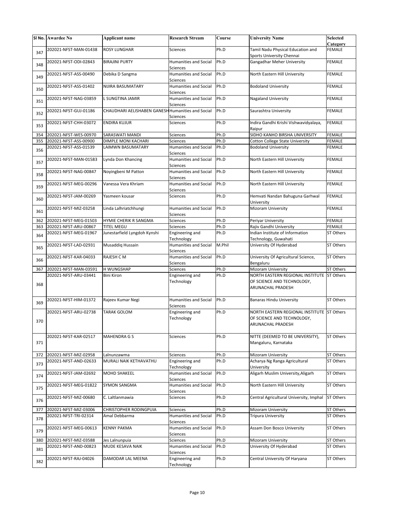|     | SI No. Awardee No     | <b>Applicant name</b>                             | <b>Research Stream</b>                          | Course | <b>University Name</b>                                                                        | <b>Selected</b><br>Category |
|-----|-----------------------|---------------------------------------------------|-------------------------------------------------|--------|-----------------------------------------------------------------------------------------------|-----------------------------|
| 347 | 202021-NFST-MAN-01438 | <b>ROSY LUNGHAR</b>                               | Sciences                                        | Ph.D   | Tamil Nadu Physical Education and<br>Sports University Chennai                                | FEMALE                      |
| 348 | 202021-NFST-ODI-02843 | <b>BIRAJINI PURTY</b>                             | <b>Humanities and Social</b><br>Sciences        | Ph.D   | Gangadhar Meher University                                                                    | <b>FEMALE</b>               |
| 349 | 202021-NFST-ASS-00490 | Debika D Sangma                                   | <b>Humanities and Social</b><br>Sciences        | Ph.D   | North Eastern Hill University                                                                 | <b>FEMALE</b>               |
| 350 | 202021-NFST-ASS-01402 | NIJIRA BASUMATARY                                 | <b>Humanities and Social</b><br>Sciences        | Ph.D   | <b>Bodoland University</b>                                                                    | <b>FEMALE</b>               |
| 351 | 202021-NFST-NAG-03859 | L SUNGTINA JAMIR                                  | <b>Humanities and Social</b><br>Sciences        | Ph.D   | <b>Nagaland University</b>                                                                    | <b>FEMALE</b>               |
| 352 | 202021-NFST-GUJ-01186 | CHAUDHARI AELISHABEN GANESH Humanities and Social | Sciences                                        | Ph.D   | Saurashtra University                                                                         | <b>FEMALE</b>               |
| 353 | 202021-NFST-CHH-03072 | <b>ENDIRA KUJUR</b>                               | <b>Sciences</b>                                 | Ph.D   | Indira Gandhi Krishi Vishwavidyalaya,<br>Raipur                                               | FEMALE                      |
| 354 | 202021-NFST-WES-00970 | SARASWATI MANDI                                   | Sciences                                        | Ph.D   | SIDHO KANHO BIRSHA UNIVERSITY                                                                 | <b>FEMALE</b>               |
| 355 | 202021-NFST-ASS-00900 | DIMPLE MONI KACHARI                               | Sciences                                        | Ph.D   | <b>Cotton College State University</b>                                                        | <b>FEMALE</b>               |
| 356 | 202021-NFST-ASS-01539 | LAIMWN BASUMATARY                                 | <b>Humanities and Social</b><br><b>Sciences</b> | Ph.D   | <b>Bodoland University</b>                                                                    | FEMALE                      |
| 357 | 202021-NFST-MAN-01583 | Lynda Don Khancing                                | <b>Humanities and Social</b><br>Sciences        | Ph.D   | North Eastern Hill University                                                                 | FEMALE                      |
| 358 | 202021-NFST-NAG-00847 | Noyingbeni M Patton                               | <b>Humanities and Social</b><br>Sciences        | Ph.D   | North Eastern Hill University                                                                 | <b>FEMALE</b>               |
| 359 | 202021-NFST-MEG-00296 | Vanessa Vera Khriam                               | <b>Humanities and Social</b><br>Sciences        | Ph.D   | North Eastern Hill University                                                                 | <b>FEMALE</b>               |
| 360 | 202021-NFST-JAM-00269 | Yasmeen kousar                                    | Sciences                                        | Ph.D   | Hemvati Nandan Bahuguna Garhwal<br>University                                                 | <b>FEMALE</b>               |
| 361 | 202021-NFST-MIZ-03258 | Linda Lalhriatchhungi                             | Humanities and Social<br>Sciences               | Ph.D   | Mizoram University                                                                            | <b>FEMALE</b>               |
| 362 | 202021-NFST-MEG-01503 | HYMIE CHERIK R SANGMA                             | Sciences                                        | Ph.D   | Periyar University                                                                            | <b>FEMALE</b>               |
| 363 | 202021-NFST-ARU-00867 | TITEL MEGU                                        | Sciences                                        | Ph.D   | Rajiv Gandhi University                                                                       | FEMALE                      |
| 364 | 202021-NFST-MEG-01967 | Junestarfield Lyngdoh Kynshi                      | Engineering and<br>Technology                   | Ph.D   | Indian Institute of Information<br>Technology, Guwahati                                       | ST Others                   |
| 365 | 202021-NFST-LAD-02931 | Musaddig Hussain                                  | <b>Humanities and Social</b><br>Sciences        | M.Phil | University Of Hyderabad                                                                       | <b>ST Others</b>            |
| 366 | 202021-NFST-KAR-04033 | RAJESH C M                                        | Humanities and Social<br>Sciences               | Ph.D   | University Of Agricultural Science,<br>Bengaluru                                              | <b>ST Others</b>            |
| 367 | 202021-NFST-MAN-03591 | H WUNGSHAP                                        | Sciences                                        | Ph.D   | Mizoram University                                                                            | <b>ST Others</b>            |
|     | 202021-NFST-ARU-03441 | <b>Bini Kiron</b>                                 | Engineering and                                 | Ph.D   | NORTH EASTERN REGIONAL INSTITUTE                                                              | <b>ST Others</b>            |
| 368 |                       |                                                   | Technology                                      |        | OF SCIENCE AND TECHNOLOGY,<br><b>ARUNACHAL PRADESH</b>                                        |                             |
| 369 | 202021-NFST-HIM-01372 | Rajeev Kumar Negi                                 | <b>Humanities and Social</b><br>Sciences        | Ph.D   | <b>Banaras Hindu University</b>                                                               | ST Others                   |
| 370 | 202021-NFST-ARU-02738 | <b>TARAK GOLOM</b>                                | Engineering and<br>Technology                   | Ph.D   | NORTH EASTERN REGIONAL INSTITUTE ST Others<br>OF SCIENCE AND TECHNOLOGY,<br>ARUNACHAL PRADESH |                             |
| 371 | 202021-NFST-KAR-02517 | <b>MAHENDRA G S</b>                               | Sciences                                        | Ph.D   | NITTE (DEEMED TO BE UNIVERSITY),<br>Mangaluru, Karnataka                                      | ST Others                   |
| 372 | 202021-NFST-MIZ-02958 | Lalnunzawma                                       | Sciences                                        | Ph.D   | <b>Mizoram University</b>                                                                     | ST Others                   |
| 373 | 202021-NFST-AND-02633 | MURALI NAIK KETHAVATHU                            | Engineering and<br>Technology                   | Ph.D   | Acharya Ng Ranga Agricultural<br>University                                                   | ST Others                   |
| 374 | 202021-NFST-JAM-02692 | MOHD SHAKEEL                                      | <b>Humanities and Social</b><br>Sciences        | Ph.D   | Aligarh Muslim University, Aligarh                                                            | ST Others                   |
| 375 | 202021-NFST-MEG-01822 | <b>SYMON SANGMA</b>                               | <b>Humanities and Social</b><br>Sciences        | Ph.D   | North Eastern Hill University                                                                 | <b>ST Others</b>            |
| 376 | 202021-NFST-MIZ-00680 | C. Laltlanmawia                                   | Sciences                                        | Ph.D   | Central Agricultural University, Imphal                                                       | <b>ST Others</b>            |
| 377 | 202021-NFST-MIZ-03006 | CHRISTOPHER RODINGPUIA                            | Sciences                                        | Ph.D   | <b>Mizoram University</b>                                                                     | <b>ST Others</b>            |
| 378 | 202021-NFST-TRI-02314 | Amal Debbarma                                     | <b>Humanities and Social</b><br>Sciences        | Ph.D   | Tripura University                                                                            | ST Others                   |
| 379 | 202021-NFST-MEG-00613 | <b>KENNY PAKMA</b>                                | <b>Humanities and Social</b><br>Sciences        | Ph.D   | Assam Don Bosco University                                                                    | <b>ST Others</b>            |
| 380 | 202021-NFST-MIZ-03588 | Jes Lalnunpuia                                    | Sciences                                        | Ph.D   | Mizoram University                                                                            | ST Others                   |
|     | 202021-NFST-AND-00823 | MUDE KESAVA NAIK                                  | Humanities and Social                           | Ph.D   | University Of Hyderabad                                                                       | ST Others                   |
| 381 |                       |                                                   | Sciences                                        |        |                                                                                               |                             |
| 382 | 202021-NFST-RAJ-04026 | DAMODAR LAL MEENA                                 | Engineering and<br>Technology                   | Ph.D   | Central University Of Haryana                                                                 | <b>ST Others</b>            |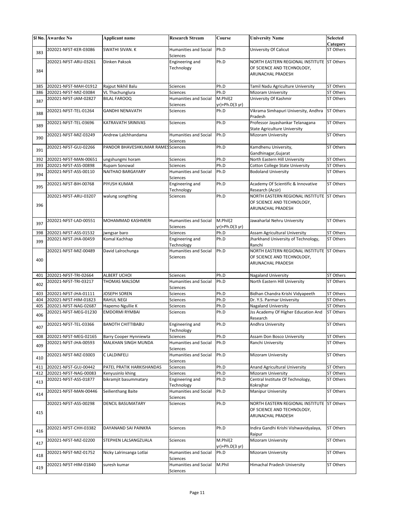|     | SI No. Awardee No     | <b>Applicant name</b>              | <b>Research Stream</b>                     | Course                     | <b>University Name</b>                                                  | <b>Selected</b>  |
|-----|-----------------------|------------------------------------|--------------------------------------------|----------------------------|-------------------------------------------------------------------------|------------------|
|     |                       |                                    |                                            |                            |                                                                         | Category         |
| 383 | 202021-NFST-KER-03086 | SWATHI SIVAN. K                    | <b>Humanities and Social</b><br>Sciences   | Ph.D                       | University Of Calicut                                                   | ST Others        |
|     | 202021-NFST-ARU-03261 | Dinken Paksok                      | Engineering and                            | Ph.D                       | NORTH EASTERN REGIONAL INSTITUTE ST Others                              |                  |
| 384 |                       |                                    | Technology                                 |                            | OF SCIENCE AND TECHNOLOGY,                                              |                  |
|     |                       |                                    |                                            |                            | ARUNACHAL PRADESH                                                       |                  |
| 385 | 202021-NFST-MAH-01912 | Rajput Nikhil Balu                 | Sciences                                   | Ph.D                       | Tamil Nadu Agriculture University                                       | ST Others        |
| 386 | 202021-NFST-MIZ-03084 | VL Thachunglura                    | Sciences                                   | Ph.D                       | Mizoram University                                                      | ST Others        |
| 387 | 202021-NFST-JAM-02827 | <b>BILAL FAROOQ</b>                | <b>Humanities and Social</b><br>Sciences   | M.Phil(2<br>yr)+Ph.D(3 yr) | University Of Kashmir                                                   | ST Others        |
| 388 | 202021-NFST-TEL-01264 | <b>GANDHI NENAVATH</b>             | <b>Sciences</b>                            | Ph.D                       | Vikrama Simhapuri University, Andhra<br>Pradesh                         | <b>ST Others</b> |
| 389 | 202021-NFST-TEL-03696 | KATRAVATH SRINIVAS                 | <b>Sciences</b>                            | Ph.D                       | Professor Jayashankar Telanagana<br><b>State Agriculture University</b> | ST Others        |
| 390 | 202021-NFST-MIZ-03249 | Andrew Lalchhandama                | Humanities and Social<br>Sciences          | Ph.D                       | Mizoram University                                                      | ST Others        |
| 391 | 202021-NFST-GUJ-02266 | PANDOR BHAVESHKUMAR RAMES Sciences |                                            | Ph.D                       | Kamdhenu University,<br>Gandhinagar, Gujarat                            | ST Others        |
| 392 | 202021-NFST-MAN-00651 | ungshungmi horam                   | Sciences                                   | Ph.D                       | North Eastern Hill University                                           | ST Others        |
| 393 | 202021-NFST-ASS-00898 | Rupam Sonowal                      | <b>Sciences</b>                            | Ph.D                       | <b>Cotton College State University</b>                                  | ST Others        |
|     | 202021-NFST-ASS-00110 | NAITHAO BARGAYARY                  | <b>Humanities and Social</b>               | Ph.D                       | <b>Bodoland University</b>                                              | ST Others        |
| 394 |                       |                                    | Sciences                                   |                            |                                                                         |                  |
| 395 | 202021-NFST-BIH-00768 | PIYUSH KUMAR                       | Engineering and<br>Technology              | Ph.D                       | Academy Of Scientific & Innovative<br>Research (Acsir)                  | ST Others        |
|     | 202021-NFST-ARU-03207 | walung songthing                   | Sciences                                   | Ph.D                       | NORTH EASTERN REGIONAL INSTITUTE IST Others                             |                  |
|     |                       |                                    |                                            |                            | OF SCIENCE AND TECHNOLOGY,                                              |                  |
| 396 |                       |                                    |                                            |                            | ARUNACHAL PRADESH                                                       |                  |
|     |                       |                                    |                                            |                            |                                                                         |                  |
| 397 | 202021-NFST-LAD-00551 | MOHAMMAD KASHMERI                  | Humanities and Social                      | M.Phil(2                   | Jawaharlal Nehru University                                             | ST Others        |
|     |                       |                                    | Sciences                                   | yr)+Ph.D(3 yr)             |                                                                         |                  |
| 398 | 202021-NFST-ASS-01532 | jwngsar baro                       | <b>Sciences</b>                            | Ph.D                       | <b>Assam Agricultural University</b>                                    | ST Others        |
| 399 | 202021-NFST-JHA-00459 | Komal Kachhap                      | Engineering and                            | Ph.D                       | Jharkhand University of Technology,                                     | ST Others        |
|     |                       |                                    | Technology                                 |                            | Ranchi                                                                  |                  |
|     | 202021-NFST-MIZ-00489 | David Lalrochunga                  | <b>Humanities and Social</b>               | Ph.D                       | NORTH EASTERN REGIONAL INSTITUTE ST Others                              |                  |
| 400 |                       |                                    | Sciences                                   |                            | OF SCIENCE AND TECHNOLOGY,<br>ARUNACHAL PRADESH                         |                  |
|     |                       |                                    |                                            |                            |                                                                         |                  |
| 401 | 202021-NFST-TRI-02664 | <b>ALBERT UCHOI</b>                | <b>Sciences</b>                            | Ph.D                       | Nagaland University                                                     | ST Others        |
|     | 202021-NFST-TRI-03217 | THOMAS MALSOM                      | <b>Humanities and Social</b>               | Ph.D                       | North Eastern Hill University                                           | ST Others        |
| 402 |                       |                                    | <b>Sciences</b>                            |                            |                                                                         |                  |
| 403 | 202021-NFST-JHA-01111 | JOSEPH SOREN                       | Sciences                                   | Ph.D                       | Bidhan Chandra Krishi Vidyapeeth                                        | ST Others        |
| 404 | 202021-NFST-HIM-01823 | RAHUL NEGI                         | Sciences                                   | Ph.D                       | Dr. Y.S. Parmar University                                              | ST Others        |
| 405 | 202021-NFST-NAG-02687 | Hapemo Ngullie K                   | Sciences                                   | Ph.D                       | <b>Nagaland University</b>                                              | ST Others        |
| 406 | 202021-NFST-MEG-01230 | <b>EMDORMI RYMBAI</b>              | Sciences                                   | Ph.D                       | <b>Jss Academy Of Higher Education And</b>                              | ST Others        |
|     | 202021-NFST-TEL-03366 | <b>BANOTH CHITTIBABU</b>           |                                            | Ph.D                       | Research                                                                | ST Others        |
| 407 |                       |                                    | Engineering and<br>Technology              |                            | Andhra University                                                       |                  |
| 408 | 202021-NFST-MEG-02165 | <b>Barry Cooper Hynniewta</b>      | <b>Sciences</b>                            | Ph.D                       | Assam Don Bosco University                                              | ST Others        |
|     | 202021-NFST-JHA-00593 | MALKHAN SINGH MUNDA                | Humanities and Social                      | Ph.D                       | Ranchi University                                                       | ST Others        |
| 409 |                       |                                    | Sciences                                   |                            |                                                                         |                  |
| 410 | 202021-NFST-MIZ-03003 | C LALDINFELI                       | <b>Humanities and Social</b>               | Ph.D                       | <b>Mizoram University</b>                                               | ST Others        |
|     |                       |                                    | Sciences                                   |                            |                                                                         |                  |
| 411 | 202021-NFST-GUJ-00442 | PATEL PRATIK HARKISHANDAS          | Sciences                                   | Ph.D                       | <b>Anand Agricultural University</b>                                    | ST Others        |
| 412 | 202021-NFST-NAG-00083 | Kenyusinlo khing                   | Sciences                                   | Ph.D                       | Mizoram University                                                      | ST Others        |
| 413 | 202021-NFST-ASS-01877 | bikramjit basummatary              | Engineering and                            | Ph.D                       | Central Institute Of Technology,                                        | ST Others        |
|     | 202021-NFST-MAN-00446 | Seilienthang Baite                 | Technology<br><b>Humanities and Social</b> | Ph.D                       | Kokrajhar<br><b>Manipur University</b>                                  | ST Others        |
| 414 |                       |                                    | Sciences                                   |                            |                                                                         |                  |
|     | 202021-NFST-ASS-00298 | DENCIL BASUMATARY                  | Sciences                                   | Ph.D                       | NORTH EASTERN REGIONAL INSTITUTE ST Others                              |                  |
| 415 |                       |                                    |                                            |                            | OF SCIENCE AND TECHNOLOGY,                                              |                  |
|     |                       |                                    |                                            |                            | ARUNACHAL PRADESH                                                       |                  |
|     |                       |                                    |                                            |                            |                                                                         |                  |
| 416 | 202021-NFST-CHH-03382 | DAYANAND SAI PAINKRA               | Sciences                                   | Ph.D                       | Indira Gandhi Krishi Vishwavidyalaya,                                   | ST Others        |
|     | 202021-NFST-MIZ-02200 | STEPHEN LALSANGZUALA               | Sciences                                   | M.Phil(2                   | Raipur<br>Mizoram University                                            | ST Others        |
| 417 |                       |                                    |                                            | yr)+Ph.D(3 yr)             |                                                                         |                  |
|     | 202021-NFST-MIZ-01752 | Nicky Lalrinsanga Lotlai           | <b>Humanities and Social</b>               | Ph.D                       | <b>Mizoram University</b>                                               | ST Others        |
| 418 |                       |                                    | <b>Sciences</b>                            |                            |                                                                         |                  |
|     | 202021-NFST-HIM-01840 | suresh kumar                       | <b>Humanities and Social</b>               | M.Phil                     | Himachal Pradesh University                                             | ST Others        |
| 419 |                       |                                    | Sciences                                   |                            |                                                                         |                  |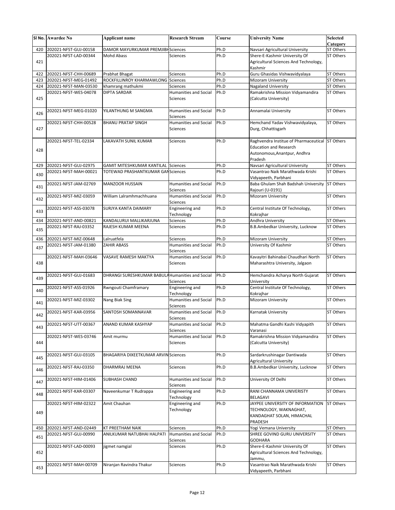|     | SI No. Awardee No                              | Applicant name                                   | <b>Research Stream</b>                   | Course | <b>University Name</b>                          | <b>Selected</b><br>Category |
|-----|------------------------------------------------|--------------------------------------------------|------------------------------------------|--------|-------------------------------------------------|-----------------------------|
| 420 | 202021-NFST-GUJ-00158                          | DAMOR MAYURKUMAR PREMJIBH Sciences               |                                          | Ph.D   | Navsari Agricultural University                 | ST Others                   |
|     | 202021-NFST-LAD-00344                          | <b>Mohd Abass</b>                                | <b>Sciences</b>                          | Ph.D   | Shere-E-Kashmir University Of                   | ST Others                   |
| 421 |                                                |                                                  |                                          |        | Agricultural Sciences And Technology,           |                             |
|     |                                                |                                                  |                                          |        | Kashmir                                         |                             |
| 422 | 202021-NFST-CHH-00689                          | Prabhat Bhagat                                   | Sciences                                 | Ph.D   | Guru Ghasidas Vishwavidyalaya                   | ST Others                   |
| 423 | 202021-NFST-MEG-01492                          | ROCKFILLINROY KHARMAWLONG Sciences               |                                          | Ph.D   | Mizoram University                              | ST Others                   |
| 424 | 202021-NFST-MAN-03530                          | khamrang mathukmi                                | Sciences                                 | Ph.D   | <b>Nagaland University</b>                      | ST Others                   |
|     | 202021-NFST-WES-04078                          | <b>DIPTA SARDAR</b>                              | <b>Humanities and Social</b>             | Ph.D   | Ramakrishna Mission Vidyamandira                | ST Others                   |
| 425 |                                                |                                                  | Sciences                                 |        | (Calcutta University)                           |                             |
|     |                                                |                                                  |                                          |        |                                                 |                             |
| 426 | 202021-NFST-MEG-01020                          | YILANTHUNG M SANGMA                              | <b>Humanities and Social</b>             | Ph.D   | Annamalai University                            | ST Others                   |
|     |                                                |                                                  | Sciences                                 |        |                                                 |                             |
|     | 202021-NFST-CHH-00528                          | <b>BHANU PRATAP SINGH</b>                        | <b>Humanities and Social</b>             | Ph.D   | Hemchand Yadav Vishwavidyalaya,                 | ST Others                   |
| 427 |                                                |                                                  | Sciences                                 |        | Durg, Chhattisgarh                              |                             |
|     |                                                |                                                  |                                          |        |                                                 |                             |
|     | 202021-NFST-TEL-02334                          | LAKAVATH SUNIL KUMAR                             | Sciences                                 | Ph.D   | Raghvendra Institue of Pharmaceutical ST Others |                             |
| 428 |                                                |                                                  |                                          |        | <b>Education and Research</b>                   |                             |
|     |                                                |                                                  |                                          |        | Autonomous, Anantpur, Andhra                    |                             |
|     |                                                |                                                  |                                          |        | Pradesh                                         |                             |
| 429 | 202021-NFST-GUJ-02975                          | <b>GAMIT MITESHKUMAR KANTILAL Sciences</b>       |                                          | Ph.D   | Navsari Agricultural University                 | ST Others                   |
| 430 | 202021-NFST-MAH-00021                          | TOTEWAD PRASHANTKUMAR GAN Sciences               |                                          | Ph.D   | Vasantrao Naik Marathwada Krishi                | ST Others                   |
|     |                                                |                                                  |                                          |        | Vidyapeeth, Parbhani                            |                             |
| 431 | 202021-NFST-JAM-02769                          | <b>MANZOOR HUSSAIN</b>                           | <b>Humanities and Social</b>             | Ph.D   | Baba Ghulam Shah Badshah University             | <b>ST Others</b>            |
|     |                                                |                                                  | Sciences                                 |        | Rajouri (U-0191)                                |                             |
| 432 | 202021-NFST-MIZ-03059                          | William Lalramhmachhuana                         | <b>Humanities and Social</b>             | Ph.D   | Mizoram University                              | ST Others                   |
|     |                                                |                                                  | Sciences                                 |        |                                                 |                             |
| 433 | 202021-NFST-ASS-03078                          | SURJYA KANTA DAIMARY                             | Engineering and                          | Ph.D   | Central Institute Of Technology,                | ST Others                   |
|     |                                                | KANDALURUI MALLIKARJUNA                          | Technology<br>Sciences                   | Ph.D   | Kokrajhar<br>Andhra University                  | ST Others                   |
| 434 | 202021-NFST-AND-00821<br>202021-NFST-RAJ-03352 | RAJESH KUMAR MEENA                               | Sciences                                 | Ph.D   | B.B.Ambedkar University, Lucknow                | ST Others                   |
| 435 |                                                |                                                  |                                          |        |                                                 |                             |
| 436 | 202021-NFST-MIZ-00648                          | Lalruatfela                                      | Sciences                                 | Ph.D   | Mizoram University                              | ST Others                   |
|     | 202021-NFST-JAM-01380                          | <b>ZAHIR ABASS</b>                               | <b>Humanities and Social</b>             | Ph.D   | University Of Kashmir                           | ST Others                   |
| 437 |                                                |                                                  | Sciences                                 |        |                                                 |                             |
|     | 202021-NFST-MAH-03646                          | VASAVE RAMESH MAKTYA                             | <b>Humanities and Social</b>             | Ph.D   | Kavayitri Bahinabai Chaudhari North             | ST Others                   |
| 438 |                                                |                                                  | Sciences                                 |        | Maharashtra University, Jalgaon                 |                             |
|     |                                                |                                                  |                                          |        |                                                 |                             |
| 439 | 202021-NFST-GUJ-01683                          | DHRANGI SURESHKUMAR BABULA Humanities and Social |                                          | Ph.D   | Hemchandra Acharya North Gujarat                | ST Others                   |
|     |                                                |                                                  | Sciences                                 |        | University                                      |                             |
| 440 | 202021-NFST-ASS-01926                          | Rwngouti Chamframary                             | Engineering and                          | Ph.D   | Central Institute Of Technology,                | ST Others                   |
|     |                                                |                                                  | Technology                               |        | Kokrajhar                                       |                             |
| 441 | 202021-NFST-MIZ-03302                          | Nang Biak Sing                                   | Humanities and Social                    | Ph.D   | Mizoram University                              | ST Others                   |
|     |                                                |                                                  | <b>Sciences</b>                          |        |                                                 |                             |
| 442 | 202021-NFST-KAR-03956                          | SANTOSH SOMANNAVAR                               | <b>Humanities and Social</b>             | Ph.D   | Karnatak University                             | <b>ST Others</b>            |
|     |                                                |                                                  | Sciences                                 |        |                                                 |                             |
| 443 | 202021-NFST-UTT-00367                          | ANAND KUMAR KASHYAP                              | Humanities and Social<br><b>Sciences</b> | Ph.D   | Mahatma Gandhi Kashi Vidyapith<br>Varanasi      | ST Others                   |
|     | 202021-NFST-WES-03746                          | Amit murmu                                       | Humanities and Social                    | Ph.D   | Ramakrishna Mission Vidyamandira                | ST Others                   |
| 444 |                                                |                                                  | <b>Sciences</b>                          |        | (Calcutta University)                           |                             |
|     |                                                |                                                  |                                          |        |                                                 |                             |
|     | 202021-NFST-GUJ-03105                          | <b>BHAGARIYA DIXEETKUMAR ARVIN Sciences</b>      |                                          | Ph.D   | Sardarkrushinagar Dantiwada                     | ST Others                   |
| 445 |                                                |                                                  |                                          |        | <b>Agricultural University</b>                  |                             |
|     | 202021-NFST-RAJ-03350                          | DHARMRAJ MEENA                                   | Sciences                                 | Ph.D   | <b>B.B.Ambedkar University, Lucknow</b>         | ST Others                   |
| 446 |                                                |                                                  |                                          |        |                                                 |                             |
| 447 | 202021-NFST-HIM-01406                          | SUBHASH CHAND                                    | <b>Humanities and Social</b>             | Ph.D   | University Of Delhi                             | ST Others                   |
|     |                                                |                                                  | Sciences                                 |        |                                                 |                             |
| 448 | 202021-NFST-KAR-03307                          | Naveenkumar T Rudrappa                           | Engineering and                          | Ph.D   | RANI CHANNAMA UNIVERISTY                        | ST Others                   |
|     |                                                |                                                  | Technology                               |        | <b>BELAGAVI</b>                                 |                             |
|     | 202021-NFST-HIM-02322                          | Amit Chauhan                                     | Engineering and                          | Ph.D   | JAYPEE UNIVERSITY OF INFORMATION                | <b>ST Others</b>            |
| 449 |                                                |                                                  | Technology                               |        | TECHNOLOGY, WAKNAGHAT,                          |                             |
|     |                                                |                                                  |                                          |        | KANDAGHAT SOLAN, HIMACHAL                       |                             |
|     |                                                |                                                  |                                          |        | PRADESH                                         |                             |
| 450 | 202021-NFST-AND-02449                          | KT PREETHAM NAIK                                 | Sciences                                 | Ph.D   | Yogi Vemana University                          | ST Others                   |
| 451 | 202021-NFST-GUJ-00990                          | ANILKUMAR NATUBHAI HALPATI                       | <b>Humanities and Social</b>             | Ph.D   | SHREE GOVIND GURU UNIVERSITY                    | ST Others                   |
|     |                                                |                                                  | Sciences                                 | Ph.D   | <b>GODHARA</b><br>Shere-E-Kashmir University Of | ST Others                   |
| 452 | 202021-NFST-LAD-00093                          | jigmet namgial                                   | Sciences                                 |        | Agricultural Sciences And Technology,           |                             |
|     |                                                |                                                  |                                          |        | Jammu,                                          |                             |
|     | 202021-NFST-MAH-00709                          | Niranjan Ravindra Thakur                         | Sciences                                 | Ph.D   | Vasantrao Naik Marathwada Krishi                | ST Others                   |
| 453 |                                                |                                                  |                                          |        | Vidyapeeth, Parbhani                            |                             |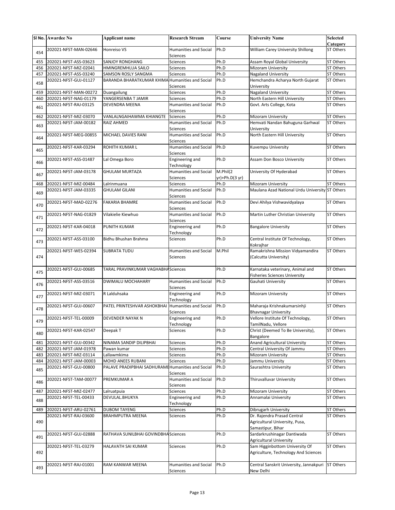|     | SI No. Awardee No     | Applicant name                                    | <b>Research Stream</b>                          | Course                     | <b>University Name</b>                                                             | <b>Selected</b><br>Category |
|-----|-----------------------|---------------------------------------------------|-------------------------------------------------|----------------------------|------------------------------------------------------------------------------------|-----------------------------|
| 454 | 202021-NFST-MAN-02646 | Honreiso VS                                       | <b>Humanities and Social</b><br><b>Sciences</b> | Ph.D                       | William Carey University Shillong                                                  | ST Others                   |
| 455 | 202021-NFST-ASS-03623 | SANJOY RONGHANG                                   | Sciences                                        | Ph.D                       | Assam Royal Global University                                                      | <b>ST Others</b>            |
| 456 | 202021-NFST-MIZ-02041 | HMINGREMHLUA SAILO                                | <b>Sciences</b>                                 | Ph.D                       | <b>Mizoram University</b>                                                          | ST Others                   |
| 457 | 202021-NFST-ASS-03240 | SAMSON ROSLY SANGMA                               | <b>Sciences</b>                                 | Ph.D                       | <b>Nagaland University</b>                                                         | ST Others                   |
| 458 | 202021-NFST-GUJ-01127 | BARANDA BHARATKUMAR KHIMA Humanities and Social   | Sciences                                        | Ph.D                       | Hemchandra Acharya North Gujarat<br>University                                     | ST Others                   |
| 459 | 202021-NFST-MAN-00272 | Duangailung                                       | Sciences                                        | Ph.D                       | <b>Nagaland University</b>                                                         | ST Others                   |
| 460 | 202021-NFST-NAG-01179 | YANGERSENBA T JAMIR                               | <b>Sciences</b>                                 | Ph.D                       | North Eastern Hill University                                                      | ST Others                   |
| 461 | 202021-NFST-RAJ-03125 | DEVENDRA MEENA                                    | <b>Humanities and Social</b><br><b>Sciences</b> | Ph.D                       | Govt. Arts College, Kota                                                           | ST Others                   |
| 462 | 202021-NFST-MIZ-03070 | VANLALNGAIHAWMA KHIANGTE                          | <b>Sciences</b>                                 | Ph.D                       | <b>Mizoram University</b>                                                          | ST Others                   |
| 463 | 202021-NFST-JAM-00182 | RAIZ AHMED                                        | Humanities and Social<br>Sciences               | Ph.D                       | Hemvati Nandan Bahuguna Garhwal<br>University                                      | <b>ST Others</b>            |
| 464 | 202021-NFST-MEG-00855 | MICHAEL DAVIES RANI                               | Humanities and Social<br>Sciences               | Ph.D                       | North Eastern Hill University                                                      | ST Others                   |
| 465 | 202021-NFST-KAR-03294 | ROHITH KUMAR L                                    | <b>Humanities and Social</b><br>Sciences        | Ph.D                       | Kuvempu University                                                                 | ST Others                   |
| 466 | 202021-NFST-ASS-01487 | Lal Omega Boro                                    | Engineering and<br>Technology                   | Ph.D                       | Assam Don Bosco University                                                         | <b>ST Others</b>            |
| 467 | 202021-NFST-JAM-03178 | <b>GHULAM MURTAZA</b>                             | <b>Humanities and Social</b><br>Sciences        | M.Phil(2<br>yr)+Ph.D(3 yr) | University Of Hyderabad                                                            | ST Others                   |
| 468 | 202021-NFST-MIZ-00484 | Lalrinmuana                                       | Sciences                                        | Ph.D                       | Mizoram University                                                                 | ST Others                   |
| 469 | 202021-NFST-JAM-03335 | <b>GHULAM GILANI</b>                              | <b>Humanities and Social</b><br>Sciences        | Ph.D                       | Maulana Azad National Urdu University ST Others                                    |                             |
| 470 | 202021-NFST-MAD-02276 | <b>FAKARIA BHAMRE</b>                             | Humanities and Social<br>Sciences               | Ph.D                       | Devi Ahilya Vishwavidyalaya                                                        | ST Others                   |
| 471 | 202021-NFST-NAG-01829 | Vilakielie Kiewhuo                                | Humanities and Social<br>Sciences               | Ph.D                       | Martin Luther Christian University                                                 | ST Others                   |
| 472 | 202021-NFST-KAR-04018 | <b>PUNITH KUMAR</b>                               | Engineering and<br>Technology                   | Ph.D                       | <b>Bangalore University</b>                                                        | <b>ST Others</b>            |
| 473 | 202021-NFST-ASS-03100 | Bidhu Bhushan Brahma                              | Sciences                                        | Ph.D                       | Central Institute Of Technology,<br>Kokrajhar                                      | ST Others                   |
| 474 | 202021-NFST-WES-02394 | <b>SUBRATA TUDU</b>                               | <b>Humanities and Social</b><br>Sciences        | M.Phil                     | Ramakrishna Mission Vidyamandira<br>(Calcutta University)                          | ST Others                   |
| 475 | 202021-NFST-GUJ-00685 | TARAL PRAVINKUMAR VAGHABHA Sciences               |                                                 | Ph.D                       | Karnataka veterinary, Animal and<br><b>Fisheries Sciences University</b>           | <b>ST Others</b>            |
| 476 | 202021-NFST-ASS-03516 | DWIMALU MOCHAHARY                                 | <b>Humanities and Social</b><br>Sciences        | Ph.D                       | Gauhati University                                                                 | ST Others                   |
| 477 | 202021-NFST-MIZ-03071 | R Lalduhsaka                                      | Engineering and<br>Technology                   | Ph.D                       | <b>Mizoram University</b>                                                          | <b>ST Others</b>            |
| 478 | 202021-NFST-GUJ-00607 | PATEL PRINTESHVAR ASHOKBHAI                       | <b>Humanities and Social</b><br>Sciences        | Ph.D                       | Maharaja Krishnakumarsinhji<br><b>Bhavnagar University</b>                         | <b>ST Others</b>            |
| 479 | 202021-NFST-TEL-00009 | <b>DEVENDER NAYAK N</b>                           | Engineering and<br>Technology                   | Ph.D                       | Vellore Institute Of Technology,<br>TamilNadu, Vellore                             | ST Others                   |
| 480 | 202021-NFST-KAR-02547 | Deepak T                                          | Sciences                                        | Ph.D                       | Christ (Deemed To Be University),<br>Bangalore                                     | ST Others                   |
| 481 | 202021-NFST-GUJ-00342 | NINAMA SANDIP DILIPBHAI                           | Sciences                                        | Ph.D                       | <b>Anand Agricultural University</b>                                               | ST Others                   |
| 482 | 202021-NFST-JAM-01978 | Pawan kumar                                       | Sciences                                        | Ph.D                       | Central University Of Jammu                                                        | <b>ST Others</b>            |
| 483 | 202021-NFST-MIZ-03114 | Lallawmkima                                       | Sciences                                        | Ph.D                       | <b>Mizoram University</b>                                                          | ST Others                   |
| 484 | 202021-NFST-JAM-00003 | MOHD ANEES RUBANI                                 | Sciences                                        | Ph.D                       | Jammu University                                                                   | ST Others                   |
| 485 | 202021-NFST-GUJ-00800 | PALAVE PRADIPBHAI SADHURAMI Humanities and Social | <b>Sciences</b>                                 | Ph.D                       | Saurashtra University                                                              | ST Others                   |
| 486 | 202021-NFST-TAM-00077 | PREMKUMAR A                                       | <b>Humanities and Social</b><br>Sciences        | Ph.D                       | Thiruvalluvar University                                                           | ST Others                   |
| 487 | 202021-NFST-MIZ-02477 | Lalruatpuia                                       | Sciences                                        | Ph.D                       | Mizoram University                                                                 | ST Others                   |
| 488 | 202021-NFST-TEL-00433 | DEVULAL.BHUKYA                                    | Engineering and<br>Technology                   | Ph.D                       | Annamalai University                                                               | ST Others                   |
| 489 | 202021-NFST-ARU-02761 | <b>DUBOM TAYENG</b>                               | Sciences                                        | Ph.D                       | Dibrugarh University                                                               | ST Others                   |
| 490 | 202021-NFST-RAJ-03600 | <b>BRAHMPUTRA MEENA</b>                           | Sciences                                        | Ph.D                       | Dr. Rajendra Prasad Central<br>Agricultural University, Pusa,<br>Samastipur, Bihar | ST Others                   |
| 491 | 202021-NFST-GUJ-02888 | RATHAVA SUNILBHAI GOVINDBHA Sciences              |                                                 | Ph.D                       | Sardarkrushinagar Dantiwada<br><b>Agricultural University</b>                      | ST Others                   |
| 492 | 202021-NFST-TEL-03279 | HALAVATH SAI KUMAR                                | Sciences                                        | Ph.D                       | Sam Higginbottom University Of<br>Agriculture, Technology And Sciences             | ST Others                   |
| 493 | 202021-NFST-RAJ-01001 | RAM KANWAR MEENA                                  | Humanities and Social<br>Sciences               | Ph.D                       | Central Sanskrit University, Jannakpuri<br>New Delhi                               | ST Others                   |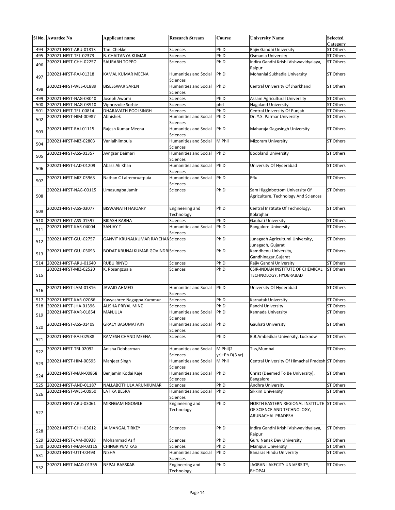|     | SI No. Awardee No     | <b>Applicant name</b>                      | <b>Research Stream</b>                          | Course                     | <b>University Name</b>                                                              | <b>Selected</b><br>Category |
|-----|-----------------------|--------------------------------------------|-------------------------------------------------|----------------------------|-------------------------------------------------------------------------------------|-----------------------------|
| 494 | 202021-NFST-ARU-01813 | Tani Chekke                                | Sciences                                        | Ph.D                       | Rajiv Gandhi University                                                             | ST Others                   |
| 495 | 202021-NFST-TEL-02373 | <b>B. CHAITANYA KUMAR</b>                  | Sciences                                        | Ph.D                       | Osmania University                                                                  | ST Others                   |
| 496 | 202021-NFST-CHH-02257 | SAURABH TOPPO                              | Sciences                                        | Ph.D                       | Indira Gandhi Krishi Vishwavidyalaya,<br>Raipur                                     | <b>ST Others</b>            |
| 497 | 202021-NFST-RAJ-01318 | KAMAL KUMAR MEENA                          | <b>Humanities and Social</b><br>Sciences        | Ph.D                       | Mohanlal Sukhadia University                                                        | ST Others                   |
| 498 | 202021-NFST-WES-01889 | <b>BISESSWAR SAREN</b>                     | Humanities and Social<br>Sciences               | Ph.D                       | Central University Of Jharkhand                                                     | ST Others                   |
| 499 | 202021-NFST-NAG-03040 | Joseph Awomi                               | Sciences                                        | Ph.D                       | Assam Agricultural University                                                       | ST Others                   |
| 500 | 202021-NFST-NAG-03910 | Viphrezolie Sorhie                         | Sciences                                        | phd                        | <b>Nagaland University</b>                                                          | ST Others                   |
| 501 | 202021-NFST-TEL-00814 | DHARAVATH POOLSINGH                        | <b>Sciences</b>                                 | Ph.D                       | Central University Of Punjab                                                        | ST Others                   |
| 502 | 202021-NFST-HIM-00987 | Abhishek                                   | <b>Humanities and Social</b><br>Sciences        | Ph.D                       | Dr. Y.S. Parmar University                                                          | ST Others                   |
| 503 | 202021-NFST-RAJ-01115 | Rajesh Kumar Meena                         | Humanities and Social<br>Sciences               | Ph.D                       | Maharaja Gagasingh University                                                       | ST Others                   |
| 504 | 202021-NFST-MIZ-02803 | Vanlalhlimpuia                             | Humanities and Social<br>Sciences               | M.Phil                     | <b>Mizoram University</b>                                                           | ST Others                   |
| 505 | 202021-NFST-ASS-01357 | Jwngsar Daimari                            | <b>Humanities and Social</b><br>Sciences        | Ph.D                       | <b>Bodoland University</b>                                                          | <b>ST Others</b>            |
| 506 | 202021-NFST-LAD-01209 | Abass Ali Khan                             | <b>Humanities and Social</b><br>Sciences        | Ph.D                       | University Of Hyderabad                                                             | ST Others                   |
| 507 | 202021-NFST-MIZ-03963 | Nathan C Lalremruatpuia                    | <b>Humanities and Social</b><br>Sciences        | Ph.D                       | Eflu                                                                                | ST Others                   |
| 508 | 202021-NFST-NAG-00115 | Limasungba Jamir                           | Sciences                                        | Ph.D                       | Sam Higginbottom University Of<br>Agriculture, Technology And Sciences              | <b>ST Others</b>            |
| 509 | 202021-NFST-ASS-03077 | <b>BISWANATH HAJOARY</b>                   | Engineering and<br>Technology                   | Ph.D                       | Central Institute Of Technology,<br>Kokrajhar                                       | ST Others                   |
| 510 | 202021-NFST-ASS-01597 | <b>BIKASH RABHA</b>                        | Sciences                                        | Ph.D                       | Gauhati University                                                                  | ST Others                   |
| 511 | 202021-NFST-KAR-04004 | <b>SANJAY T</b>                            | <b>Humanities and Social</b><br>Sciences        | Ph.D                       | <b>Bangalore University</b>                                                         | <b>ST Others</b>            |
| 512 | 202021-NFST-GUJ-02757 | <b>GANVIT KRUNALKUMAR RAYCHAN Sciences</b> |                                                 | Ph.D                       | Junagadh Agricultural University,<br>Junagadh, Gujarat                              | <b>ST Others</b>            |
| 513 | 202021-NFST-GUJ-03093 | <b>BODAT KRUNALKUMAR GOVINDB Sciences</b>  |                                                 | Ph.D                       | Kamdhenu University,<br>Gandhinagar, Gujarat                                        | ST Others                   |
| 514 | 202021-NFST-ARU-01640 | <b>RUBU RINYO</b>                          | Sciences                                        | Ph.D                       | Rajiv Gandhi University                                                             | ST Others                   |
| 515 | 202021-NFST-MIZ-02520 | K. Rosangzuala                             | Sciences                                        | Ph.D                       | CSIR-INDIAN INSTITUTE OF CHEMICAL<br>TECHNOLOGY, HYDERABAD                          | <b>ST Others</b>            |
| 516 | 202021-NFST-JAM-01316 | <b>JAVAID AHMED</b>                        | <b>Humanities and Social</b><br>Sciences        | Ph.D                       | University Of Hyderabad                                                             | ST Others                   |
| 517 | 202021-NFST-KAR-02086 | Kavyashree Nagappa Kummur                  | Sciences                                        | Ph.D                       | Karnatak University                                                                 | ST Others                   |
| 518 | 202021-NFST-JHA-01396 | ALISHA PRIYAL MINZ                         | Sciences                                        | Ph.D                       | Ranchi University                                                                   | ST Others                   |
| 519 | 202021-NFST-KAR-01854 | MANJULA                                    | Humanities and Social<br>Sciences               | Ph.D                       | Kannada University                                                                  | ST Others                   |
| 520 | 202021-NFST-ASS-01409 | <b>GRACY BASUMATARY</b>                    | Humanities and Social<br>Sciences               | Ph.D                       | Gauhati University                                                                  | ST Others                   |
| 521 | 202021-NFST-RAJ-02988 | RAMESH CHAND MEENA                         | Sciences                                        | Ph.D                       | B.B.Ambedkar University, Lucknow                                                    | ST Others                   |
| 522 | 202021-NFST-TRI-02092 | Anisha Debbarman                           | <b>Humanities and Social</b><br>Sciences        | M.Phil(2<br>yr)+Ph.D(3 yr) | Tiss, Mumbai                                                                        | ST Others                   |
| 523 | 202021-NFST-HIM-00595 | Manjeet Singh                              | <b>Humanities and Social</b><br>Sciences        | M.Phil                     | Central University Of Himachal Pradesh ST Others                                    |                             |
| 524 | 202021-NFST-MAN-00868 | Benjamin Kodai Kaje                        | <b>Humanities and Social</b><br><b>Sciences</b> | Ph.D                       | Christ (Deemed To Be University),<br>Bangalore                                      | <b>ST Others</b>            |
| 525 | 202021-NFST-AND-01187 | NALLABOTHULA ARUNKUMAR                     | Sciences                                        | Ph.D                       | Andhra University                                                                   | ST Others                   |
| 526 | 202021-NFST-WES-00950 | LATIKA BESRA                               | <b>Humanities and Social</b><br>Sciences        | Ph.D                       | Sikkim University                                                                   | ST Others                   |
| 527 | 202021-NFST-ARU-03061 | MIRNGAM NGOMLE                             | Engineering and<br>Technology                   | Ph.D                       | NORTH EASTERN REGIONAL INSTITUTE<br>OF SCIENCE AND TECHNOLOGY,<br>ARUNACHAL PRADESH | <b>ST Others</b>            |
| 528 | 202021-NFST-CHH-03612 | JAIMANGAL TIRKEY                           | Sciences                                        | Ph.D                       | Indira Gandhi Krishi Vishwavidyalaya,<br>Raipur                                     | ST Others                   |
| 529 | 202021-NFST-JAM-00938 | Mohammad Asif                              | Sciences                                        | Ph.D                       | <b>Guru Nanak Dev University</b>                                                    | ST Others                   |
| 530 | 202021-NFST-MAN-03115 | CHINGRIPEM KAS                             | <b>Sciences</b>                                 | Ph.D                       | <b>Manipur University</b>                                                           | ST Others                   |
| 531 | 202021-NFST-UTT-00493 | <b>NISHA</b>                               | <b>Humanities and Social</b><br>Sciences        | Ph.D                       | <b>Banaras Hindu University</b>                                                     | ST Others                   |
| 532 | 202021-NFST-MAD-01355 | NEPAL BARSKAR                              | Engineering and<br>Technology                   | Ph.D                       | JAGRAN LAKECITY UNIVERSITY,<br><b>BHOPAL</b>                                        | ST Others                   |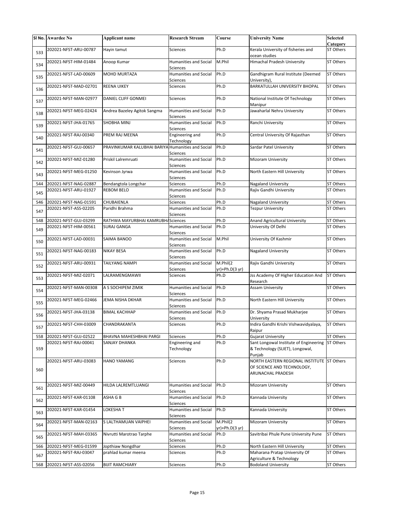|     | SI No. Awardee No     | <b>Applicant name</b>                             | <b>Research Stream</b>                          | Course                     | <b>University Name</b>                                                                        | <b>Selected</b><br>Category |
|-----|-----------------------|---------------------------------------------------|-------------------------------------------------|----------------------------|-----------------------------------------------------------------------------------------------|-----------------------------|
| 533 | 202021-NFST-ARU-00787 | Hayin tamut                                       | Sciences                                        | Ph.D                       | Kerala University of fisheries and<br>ocean studies                                           | <b>ST Others</b>            |
| 534 | 202021-NFST-HIM-01484 | Anoop Kumar                                       | <b>Humanities and Social</b><br><b>Sciences</b> | M.Phil                     | Himachal Pradesh University                                                                   | ST Others                   |
| 535 | 202021-NFST-LAD-00609 | MOHD MURTAZA                                      | <b>Humanities and Social</b><br>Sciences        | Ph.D                       | Gandhigram Rural Institute (Deemed<br>University),                                            | <b>ST Others</b>            |
| 536 | 202021-NFST-MAD-02701 | <b>REENA UIKEY</b>                                | <b>Sciences</b>                                 | Ph.D                       | BARKATULLAH UNIVERSITY BHOPAL                                                                 | <b>ST Others</b>            |
| 537 | 202021-NFST-MAN-02977 | DANIEL CLIFF GONMEI                               | Sciences                                        | Ph.D                       | National Institute Of Technology<br>Manipur                                                   | <b>ST Others</b>            |
| 538 | 202021-NFST-MEG-02424 | Andrea Bazeley Agitok Sangma                      | <b>Humanities and Social</b><br>Sciences        | Ph.D                       | Jawaharlal Nehru University                                                                   | <b>ST Others</b>            |
| 539 | 202021-NFST-JHA-01765 | SHOBHA MINJ                                       | <b>Humanities and Social</b><br><b>Sciences</b> | Ph.D                       | Ranchi University                                                                             | <b>ST Others</b>            |
| 540 | 202021-NFST-RAJ-00340 | PREM RAJ MEENA                                    | Engineering and<br>Technology                   | Ph.D                       | Central University Of Rajasthan                                                               | ST Others                   |
| 541 | 202021-NFST-GUJ-00657 | PRAVINKUMAR KALUBHAI BARIYA Humanities and Social | <b>Sciences</b>                                 | Ph.D                       | Sardar Patel University                                                                       | ST Others                   |
| 542 | 202021-NFST-MIZ-01280 | Priskil Lalremruati                               | <b>Humanities and Social</b><br>Sciences        | Ph.D                       | Mizoram University                                                                            | <b>ST Others</b>            |
| 543 | 202021-NFST-MEG-01250 | Kevinson Jyrwa                                    | <b>Humanities and Social</b><br>Sciences        | Ph.D                       | North Eastern Hill University                                                                 | <b>ST Others</b>            |
| 544 | 202021-NFST-NAG-02887 | Bendangtola Longchar                              | <b>Sciences</b>                                 | Ph.D                       | <b>Nagaland University</b>                                                                    | ST Others                   |
| 545 | 202021-NFST-ARU-01927 | <b>REBOM BELO</b>                                 | <b>Humanities and Social</b><br>Sciences        | Ph.D                       | Rajiv Gandhi University                                                                       | ST Others                   |
| 546 | 202021-NFST-NAG-01591 | CHUBAIENLA                                        | Sciences                                        | Ph.D                       | <b>Nagaland University</b>                                                                    | ST Others                   |
| 547 | 202021-NFST-ASS-02205 | Paridhi Brahma                                    | <b>Humanities and Social</b><br>Sciences        | Ph.D                       | <b>Tezpur University</b>                                                                      | ST Others                   |
| 548 | 202021-NFST-GUJ-03299 | RATHWA MAYURBHAI KAMRUBHA Sciences                |                                                 | Ph.D                       | <b>Anand Agricultural University</b>                                                          | ST Others                   |
| 549 | 202021-NFST-HIM-00561 | <b>SURAJ GANGA</b>                                | <b>Humanities and Social</b><br>Sciences        | Ph.D                       | University Of Delhi                                                                           | ST Others                   |
| 550 | 202021-NFST-LAD-00031 | SAIMA BANOO                                       | <b>Humanities and Social</b><br><b>Sciences</b> | M.Phil                     | University Of Kashmir                                                                         | ST Others                   |
| 551 | 202021-NFST-NAG-00183 | <b>NIKAY BESA</b>                                 | <b>Humanities and Social</b><br>Sciences        | Ph.D                       | <b>Nagaland University</b>                                                                    | ST Others                   |
| 552 | 202021-NFST-ARU-00931 | TAILYANG NAMPI                                    | <b>Humanities and Social</b><br>Sciences        | M.Phil(2<br>yr)+Ph.D(3 yr) | Rajiv Gandhi University                                                                       | ST Others                   |
| 553 | 202021-NFST-MIZ-02071 | LALRAMENGMAWII                                    | Sciences                                        | Ph.D                       | <b>Jss Academy Of Higher Education And</b><br>Research                                        | <b>ST Others</b>            |
| 554 | 202021-NFST-MAN-00308 | A S SOCHIPEM ZIMIK                                | <b>Humanities and Social</b><br>Sciences        | Ph.D                       | <b>Assam University</b>                                                                       | <b>ST Others</b>            |
| 555 | 202021-NFST-MEG-02466 | JEMA NISHA DKHAR                                  | Humanities and Social<br>Sciences               | Ph.D                       | North Eastern Hill University                                                                 | ST Others                   |
| 556 | 202021-NFST-JHA-03138 | <b>BIMAL KACHHAP</b>                              | <b>Humanities and Social</b><br>Sciences        | Ph.D                       | Dr. Shyama Prasad Mukharjee<br>University                                                     | ST Others                   |
| 557 | 202021-NFST-CHH-03009 | CHANDRAKANTA                                      | Sciences                                        | Ph.D                       | Indira Gandhi Krishi Vishwavidyalaya,<br>Raipur                                               | <b>ST Others</b>            |
| 558 | 202021-NFST-GUJ-02522 | BHAVNA MAHESHBHAI PARGI                           | <b>Sciences</b>                                 | Ph.D                       | <b>Gujarat University</b>                                                                     | ST Others                   |
| 559 | 202021-NFST-RAJ-00041 | SANJAY DHANKA                                     | Engineering and<br>Technology                   | Ph.D                       | Sant Longowal Institute of Engineering<br>& Technology (SLIET), Longowal,<br>Puniab           | <b>ST Others</b>            |
| 560 | 202021-NFST-ARU-03083 | HANO YAMANG                                       | Sciences                                        | Ph.D                       | NORTH EASTERN REGIONAL INSTITUTE ST Others<br>OF SCIENCE AND TECHNOLOGY,<br>ARUNACHAL PRADESH |                             |
| 561 | 202021-NFST-MIZ-00449 | HILDA LALREMTLUANGI                               | <b>Humanities and Social</b><br>Sciences        | Ph.D                       | <b>Mizoram University</b>                                                                     | <b>ST Others</b>            |
| 562 | 202021-NFST-KAR-01108 | ASHA G B                                          | <b>Humanities and Social</b><br>Sciences        | Ph.D                       | Kannada University                                                                            | ST Others                   |
| 563 | 202021-NFST-KAR-01454 | LOKESHA T                                         | <b>Humanities and Social</b><br><b>Sciences</b> | Ph.D                       | Kannada University                                                                            | ST Others                   |
| 564 | 202021-NFST-MAN-02163 | S LALTHAMUAN VAIPHEI                              | <b>Humanities and Social</b><br>Sciences        | M.Phil(2<br>yr)+Ph.D(3 yr) | Mizoram University                                                                            | <b>ST Others</b>            |
| 565 | 202021-NFST-MAH-03365 | Nivrutti Marotrao Tarphe                          | <b>Humanities and Social</b><br>Sciences        | Ph.D                       | Savitribai Phule Pune University Pune                                                         | ST Others                   |
| 566 | 202021-NFST-MEG-01599 | Jopthiaw Nongdhar                                 | Sciences                                        | Ph.D                       | North Eastern Hill University                                                                 | ST Others                   |
| 567 | 202021-NFST-RAJ-03047 | prahlad kumar meena                               | Sciences                                        | Ph.D                       | Maharana Pratap University Of<br>Agriculture & Technology                                     | ST Others                   |
| 568 | 202021-NFST-ASS-02056 | <b>BIJIT RAMCHIARY</b>                            | Sciences                                        | Ph.D                       | <b>Bodoland University</b>                                                                    | ST Others                   |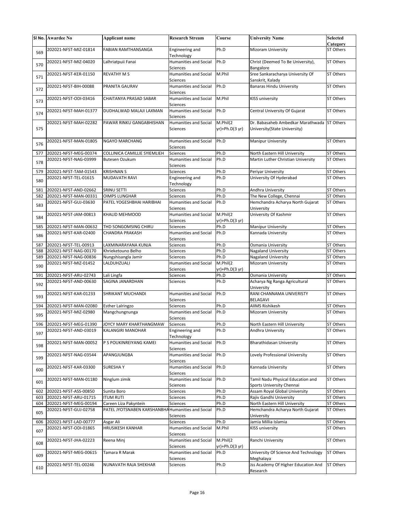|     | SI No. Awardee No     | <b>Applicant name</b>                             | <b>Research Stream</b>                          | Course                     | <b>University Name</b>                                                       | <b>Selected</b>  |
|-----|-----------------------|---------------------------------------------------|-------------------------------------------------|----------------------------|------------------------------------------------------------------------------|------------------|
|     |                       |                                                   |                                                 |                            |                                                                              | Category         |
| 569 | 202021-NFST-MIZ-01814 | FABIAN RAMTHANSANGA                               | Engineering and<br>Technology                   | Ph.D                       | <b>Mizoram University</b>                                                    | ST Others        |
| 570 | 202021-NFST-MIZ-04020 | Lalhriatpuii Fanai                                | <b>Humanities and Social</b><br>Sciences        | Ph.D                       | Christ (Deemed To Be University),<br>Bangalore                               | <b>ST Others</b> |
| 571 | 202021-NFST-KER-01150 | <b>REVATHY M S</b>                                | <b>Humanities and Social</b><br>Sciences        | M.Phil                     | Sree Sankaracharya University Of<br>Sanskrit, Kalady                         | ST Others        |
| 572 | 202021-NFST-BIH-00088 | PRANITA GAURAV                                    | <b>Humanities and Social</b><br>Sciences        | Ph.D                       | <b>Banaras Hindu University</b>                                              | ST Others        |
| 573 | 202021-NFST-ODI-03416 | CHAITANYA PRASAD SABAR                            | Humanities and Social<br><b>Sciences</b>        | M.Phil                     | <b>KISS university</b>                                                       | <b>ST Others</b> |
| 574 | 202021-NFST-MAH-01377 | DUDHALWAD MALAJI LAXMAN                           | <b>Humanities and Social</b><br><b>Sciences</b> | Ph.D                       | Central University Of Gujarat                                                | ST Others        |
| 575 | 202021-NFST-MAH-02282 | PAWAR RINKU GANGABHISHAN                          | Humanities and Social<br>Sciences               | M.Phil(2<br>yr)+Ph.D(3 yr) | Dr. Babasaheb Ambedkar Marathwada ST Others<br>University (State University) |                  |
| 576 | 202021-NFST-MAN-01805 | <b>NGAYO MARCHANG</b>                             | <b>Humanities and Social</b><br>Sciences        | Ph.D                       | <b>Manipur University</b>                                                    | <b>ST Others</b> |
| 577 | 202021-NFST-MEG-00374 | COLLINICA CAMILLIE SYIEMLIEH                      | Sciences                                        | Ph.D                       | North Eastern Hill University                                                | ST Others        |
| 578 | 202021-NFST-NAG-03999 | <b>Butesen Ozukum</b>                             | Humanities and Social<br>Sciences               | Ph.D                       | Martin Luther Christian University                                           | ST Others        |
| 579 | 202021-NFST-TAM-01543 | <b>KRISHNAN S</b>                                 | Sciences                                        | Ph.D                       | Periyar University                                                           | ST Others        |
| 580 | 202021-NFST-TEL-01615 | MUDAVATH RAVI                                     | Engineering and<br>Technology                   | Ph.D                       | University Of Hyderabad                                                      | <b>ST Others</b> |
| 581 | 202021-NFST-AND-02662 | SRINU SETTI                                       | Sciences                                        | Ph.D                       | Andhra University                                                            | ST Others        |
| 582 | 202021-NFST-MAN-00331 | OIMPS LUNGHAR                                     | <b>Sciences</b>                                 | Ph.D                       | The New College, Chennai                                                     | ST Others        |
| 583 | 202021-NFST-GUJ-03630 | PATEL YOGESHBHAI HARIBHAI                         | Humanities and Social<br>Sciences               | Ph.D                       | Hemchandra Acharya North Gujarat<br>University                               | ST Others        |
| 584 | 202021-NFST-JAM-00813 | <b>KHALID MEHMOOD</b>                             | Humanities and Social<br>Sciences               | M.Phil(2<br>yr)+Ph.D(3 yr) | University Of Kashmir                                                        | <b>ST Others</b> |
| 585 | 202021-NFST-MAN-00632 | THD SONGOMSING CHIRU                              | Sciences                                        | Ph.D                       | <b>Manipur University</b>                                                    | ST Others        |
| 586 | 202021-NFST-KAR-02400 | CHANDRA PRAKASH                                   | <b>Humanities and Social</b><br>Sciences        | Ph.D                       | Kannada University                                                           | <b>ST Others</b> |
| 587 | 202021-NFST-TEL-00913 | LAXMINARAYANA KUNJA                               | Sciences                                        | Ph.D                       | Osmania University                                                           | ST Others        |
| 588 | 202021-NFST-NAG-00170 | Khrieketouno Belho                                | Sciences                                        | Ph.D                       | Nagaland University                                                          | ST Others        |
| 589 | 202021-NFST-NAG-00836 | Nungshisangla Jamir                               | Sciences                                        | Ph.D                       | Nagaland University                                                          | ST Others        |
| 590 | 202021-NFST-MIZ-01452 | LALDUHZUALI                                       | Humanities and Social<br>Sciences               | M.Phil(2<br>yr)+Ph.D(3 yr) | Mizoram University                                                           | ST Others        |
| 591 | 202021-NFST-ARU-02743 | Lali Lingfa                                       | Sciences                                        | Ph.D                       | Osmania University                                                           | ST Others        |
| 592 | 202021-NFST-AND-00630 | SAGINA JANARDHAN                                  | Sciences                                        | Ph.D                       | Acharya Ng Ranga Agricultural<br>University                                  | ST Others        |
| 593 | 202021-NFST-KAR-01233 | SHRIKANT MUCHANDI                                 | Humanities and Social<br>Sciences               | Ph.D                       | RANI CHANNAMA UNIVERISTY<br><b>BELAGAVI</b>                                  | ST Others        |
| 594 | 202021-NFST-MAN-02080 | <b>Esther Lalringzo</b>                           | Sciences                                        | Ph.D                       | <b>AIIMS Rishikesh</b>                                                       | ST Others        |
| 595 | 202021-NFST-MIZ-02980 | Mangchungnunga                                    | <b>Humanities and Social</b><br>Sciences        | Ph.D                       | Mizoram University                                                           | ST Others        |
| 596 | 202021-NFST-MEG-01390 | JOYCY MARY KHARTHANGMAW                           | Sciences                                        | Ph.D                       | North Eastern Hill University                                                | ST Others        |
| 597 | 202021-NFST-AND-03019 | KALANGIRI MANOHAR                                 | Engineering and<br>Technology                   | Ph.D                       | Andhra University                                                            | ST Others        |
| 598 | 202021-NFST-MAN-00052 | P S POUKINREIYANG KAMEI                           | <b>Humanities and Social</b><br>Sciences        | Ph.D                       | <b>Bharathidasan University</b>                                              | ST Others        |
| 599 | 202021-NFST-NAG-03544 | APANGJUNGBA                                       | <b>Humanities and Social</b><br><b>Sciences</b> | Ph.D                       | Lovely Professional University                                               | ST Others        |
| 600 | 202021-NFST-KAR-03300 | <b>SURESHAY</b>                                   | <b>Humanities and Social</b><br>Sciences        | Ph.D                       | Kannada University                                                           | ST Others        |
| 601 | 202021-NFST-MAN-01180 | Ninglum zimik                                     | <b>Humanities and Social</b><br><b>Sciences</b> | Ph.D                       | Tamil Nadu Physical Education and<br>Sports University Chennai               | ST Others        |
| 602 | 202021-NFST-ASS-00850 | Sunita Boro                                       | Sciences                                        | Ph.D                       | Assam Royal Global University                                                | ST Others        |
| 603 | 202021-NFST-ARU-01715 | <b>ITUM RUTI</b>                                  | Sciences                                        | Ph.D                       | Rajiv Gandhi University                                                      | ST Others        |
| 604 | 202021-NFST-MEG-00194 | Careen Liza Pakyntein                             | Sciences                                        | Ph.D                       | North Eastern Hill University                                                | <b>ST Others</b> |
| 605 | 202021-NFST-GUJ-02758 | PATEL JYOTSNABEN KARSHANBHA Humanities and Social | Sciences                                        | Ph.D                       | Hemchandra Acharya North Gujarat<br>University                               | ST Others        |
| 606 | 202021-NFST-LAD-00777 | Asgar Ali                                         | Sciences                                        | Ph.D                       | Jamia Millia Islamia                                                         | ST Others        |
| 607 | 202021-NFST-ODI-01865 | HRUSIKESH KANHAR                                  | <b>Humanities and Social</b><br>Sciences        | M.Phil                     | KISS university                                                              | ST Others        |
| 608 | 202021-NFST-JHA-02223 | Reena Minj                                        | Humanities and Social<br>Sciences               | M.Phil(2<br>yr)+Ph.D(3 yr) | Ranchi University                                                            | ST Others        |
| 609 | 202021-NFST-MEG-00615 | Tamara R Marak                                    | Humanities and Social<br>Sciences               | Ph.D                       | University Of Science And Technology<br>Meghalaya                            | ST Others        |
| 610 | 202021-NFST-TEL-00246 | NUNAVATH RAJA SHEKHAR                             | Sciences                                        | Ph.D                       | <b>Jss Academy Of Higher Education And</b><br>Research                       | ST Others        |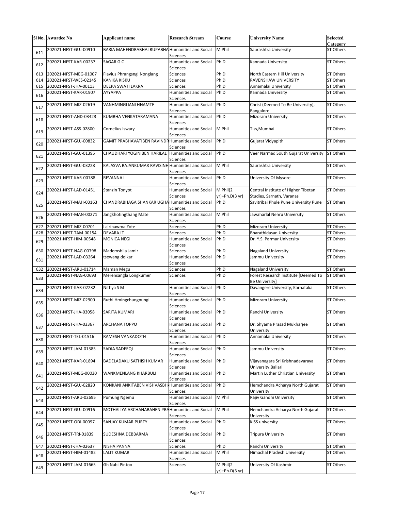|     | SI No. Awardee No     | Applicant name                                     | <b>Research Stream</b>                   | Course                 | <b>University Name</b>                                              | <b>Selected</b><br>Category |
|-----|-----------------------|----------------------------------------------------|------------------------------------------|------------------------|---------------------------------------------------------------------|-----------------------------|
| 611 | 202021-NFST-GUJ-00910 | BARIA MAHENDRABHAI RUPABHA Humanities and Social   |                                          | M.Phil                 | Saurashtra University                                               | ST Others                   |
|     |                       |                                                    | Sciences                                 |                        |                                                                     |                             |
| 612 | 202021-NFST-KAR-00237 | SAGAR G C                                          | <b>Humanities and Social</b><br>Sciences | Ph.D                   | Kannada University                                                  | <b>ST Others</b>            |
| 613 | 202021-NFST-MEG-01007 | Flavius Phrangsngi Nonglang                        | <b>Sciences</b>                          | Ph.D                   | North Eastern Hill University                                       | <b>ST Others</b>            |
| 614 | 202021-NFST-WES-02145 | <b>KANIKA KISKU</b>                                | Sciences                                 | Ph.D                   | RAVENSHAW UNIVERSITY                                                | ST Others                   |
| 615 | 202021-NFST-JHA-00113 | DEEPA SWATI LAKRA                                  | Sciences                                 | Ph.D                   | Annamalai University                                                | ST Others                   |
| 616 | 202021-NFST-KAR-01907 | AYYAPPA                                            | <b>Humanities and Social</b><br>Sciences | Ph.D                   | Kannada University                                                  | ST Others                   |
| 617 | 202021-NFST-MIZ-02619 | <b>VANHMINGLIANI HNAMTE</b>                        | <b>Humanities and Social</b>             | Ph.D                   | Christ (Deemed To Be University),                                   | ST Others                   |
| 618 | 202021-NFST-AND-03423 | KUMBHA VENKATARAMANA                               | Sciences<br><b>Humanities and Social</b> | Ph.D                   | Bangalore<br>Mizoram University                                     | <b>ST Others</b>            |
| 619 | 202021-NFST-ASS-02800 | Cornelius Iswary                                   | Sciences<br><b>Humanities and Social</b> | M.Phil                 | Tiss, Mumbai                                                        | ST Others                   |
| 620 | 202021-NFST-GUJ-00832 | GAMIT PRABHAVATIBEN RAVINDR Humanities and Social  | Sciences                                 | Ph.D                   | Gujarat Vidyapith                                                   | ST Others                   |
| 621 | 202021-NFST-GUJ-01395 | CHAUDHARI YOGINIBEN HARILAL Humanities and Social  | Sciences<br><b>Sciences</b>              | Ph.D                   | Veer Narmad South Gujarat University                                | <b>ST Others</b>            |
| 622 | 202021-NFST-GUJ-03228 | KALASVA RAJANKUMAR RAVISINH Humanities and Social  |                                          | M.Phil                 | Saurashtra University                                               | ST Others                   |
| 623 | 202021-NFST-KAR-00788 | <b>REVANNAL</b>                                    | Sciences<br><b>Humanities and Social</b> | Ph.D                   | University Of Mysore                                                | ST Others                   |
| 624 | 202021-NFST-LAD-01451 | Stanzin Tonyot                                     | Sciences<br><b>Humanities and Social</b> | M.Phil(2               | Central Institute of Higher Tibetan                                 | ST Others                   |
|     | 202021-NFST-MAH-03163 | CHANDRABHAGA SHANKAR UGHA Humanities and Social    | Sciences                                 | yr)+Ph.D(3 yr)<br>Ph.D | Studies, Sarnath, Varanasi<br>Savitribai Phule Pune University Pune | <b>ST Others</b>            |
| 625 |                       |                                                    | Sciences                                 |                        |                                                                     |                             |
| 626 | 202021-NFST-MAN-00271 | Jangkhotingthang Mate                              | <b>Humanities and Social</b><br>Sciences | M.Phil                 | Jawaharlal Nehru University                                         | <b>ST Others</b>            |
| 627 | 202021-NFST-MIZ-00701 | Lalrinawma Zote                                    | Sciences                                 | Ph.D                   | Mizoram University                                                  | <b>ST Others</b>            |
| 628 | 202021-NFST-TAM-00154 | <b>DEVARAJ T</b>                                   | <b>Sciences</b>                          | Ph.D                   | <b>Bharathidasan University</b>                                     | <b>ST Others</b>            |
| 629 | 202021-NFST-HIM-00548 | <b>MONICA NEGI</b>                                 | Humanities and Social<br>Sciences        | Ph.D                   | Dr. Y.S. Parmar University                                          | ST Others                   |
| 630 | 202021-NFST-NAG-00798 | Mademshila Jamir                                   | Sciences                                 | Ph.D                   | <b>Nagaland University</b>                                          | ST Others                   |
| 631 | 202021-NFST-LAD-03264 | tsewang dolkar                                     | Humanities and Social                    | Ph.D                   | Jammu University                                                    | ST Others                   |
| 632 | 202021-NFST-ARU-01714 | Maman Megu                                         | Sciences<br>Sciences                     | Ph.D                   | <b>Nagaland University</b>                                          | ST Others                   |
| 633 | 202021-NFST-NAG-00693 | Merensangla Longkumer                              | Sciences                                 | Ph.D                   | Forest Research Institute [Deemed To                                | ST Others                   |
|     |                       |                                                    |                                          |                        | Be University]                                                      |                             |
| 634 | 202021-NFST-KAR-02232 | Nithya S M                                         | <b>Humanities and Social</b><br>Sciences | Ph.D                   | Davangere University, Karnataka                                     | ST Others                   |
| 635 | 202021-NFST-MIZ-02900 | Ruthi Hmingchungnungi                              | <b>Humanities and Social</b><br>Sciences | Ph.D                   | <b>Mizoram University</b>                                           | <b>ST Others</b>            |
| 636 | 202021-NFST-JHA-03058 | SARITA KUMARI                                      | <b>Humanities and Social</b><br>Sciences | Ph.D                   | Ranchi University                                                   | ST Others                   |
| 637 | 202021-NFST-JHA-03367 | <b>ARCHANA TOPPO</b>                               | Humanities and Social<br>Sciences        | Ph.D                   | Dr. Shyama Prasad Mukharjee<br>University                           | ST Others                   |
| 638 | 202021-NFST-TEL-01516 | RAMESH VANKADOTH                                   | <b>Humanities and Social</b><br>Sciences | Ph.D                   | Annamalai University                                                | ST Others                   |
| 639 | 202021-NFST-JAM-01385 | SADIA SADEEQI                                      | <b>Humanities and Social</b><br>Sciences | Ph.D                   | Jammu University                                                    | <b>ST Others</b>            |
| 640 | 202021-NFST-KAR-01894 | BADELADAKU SATHISH KUMAR                           | <b>Humanities and Social</b><br>Sciences | Ph.D                   | Vijayanagara Sri Krishnadevaraya<br>University, Ballari             | ST Others                   |
| 641 | 202021-NFST-MEG-00030 | WANKMENLANG KHARBULI                               | Humanities and Social<br><b>Sciences</b> | Ph.D                   | Martin Luther Christian University                                  | ST Others                   |
| 642 | 202021-NFST-GUJ-02820 | KONKANI ANKITABEN VISHVASBH, Humanities and Social | Sciences                                 | Ph.D                   | Hemchandra Acharya North Gujarat<br>University                      | ST Others                   |
| 643 | 202021-NFST-ARU-02695 | Pumung Ngemu                                       | Humanities and Social<br>Sciences        | M.Phil                 | Rajiv Gandhi University                                             | ST Others                   |
| 644 | 202021-NFST-GUJ-00916 | MOTHALIYA ARCHANABAHEN PRA Humanities and Social   | Sciences                                 | M.Phil                 | Hemchandra Acharya North Gujarat<br>University                      | ST Others                   |
| 645 | 202021-NFST-ODI-00097 | SANJAY KUMAR PURTY                                 | <b>Humanities and Social</b><br>Sciences | Ph.D                   | <b>KISS university</b>                                              | ST Others                   |
| 646 | 202021-NFST-TRI-01839 | SUDESHNA DEBBARMA                                  | Humanities and Social<br>Sciences        | Ph.D                   | Tripura University                                                  | ST Others                   |
| 647 | 202021-NFST-JHA-02637 | NISHA PANNA                                        | Sciences                                 | Ph.D                   | Ranchi University                                                   | ST Others                   |
| 648 | 202021-NFST-HIM-01482 | <b>LALIT KUMAR</b>                                 | <b>Humanities and Social</b>             | M.Phil                 | Himachal Pradesh University                                         | ST Others                   |
|     | 202021-NFST-JAM-01665 | Gh Nabi Pintoo                                     | Sciences<br>Sciences                     | M.Phil(2               | University Of Kashmir                                               | ST Others                   |
| 649 |                       |                                                    |                                          | yr)+Ph.D(3 yr)         |                                                                     |                             |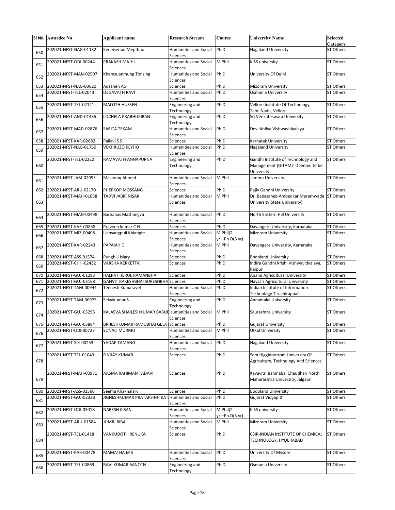|     | SI No. Awardee No     | Applicant name                                      | <b>Research Stream</b>                               | Course                     | <b>University Name</b>                                                               | <b>Selected</b><br>Category |
|-----|-----------------------|-----------------------------------------------------|------------------------------------------------------|----------------------------|--------------------------------------------------------------------------------------|-----------------------------|
| 650 | 202021-NFST-NAG-01132 | Keneisenuo Mepfhuo                                  | <b>Humanities and Social</b>                         | Ph.D                       | <b>Nagaland University</b>                                                           | ST Others                   |
| 651 | 202021-NFST-ODI-00244 | PRAKASH MAJHI                                       | Sciences<br><b>Humanities and Social</b>             | M.Phil                     | <b>KISS university</b>                                                               | ST Others                   |
| 652 | 202021-NFST-MAN-02507 | Khamsuanmung Tonsing                                | Sciences<br><b>Humanities and Social</b><br>Sciences | Ph.D                       | University Of Delhi                                                                  | ST Others                   |
| 653 | 202021-NFST-NAG-00620 | Aosanen Ao                                          | Sciences                                             | Ph.D                       | <b>Mizoram University</b>                                                            | ST Others                   |
| 654 | 202021-NFST-TEL-02043 | <b>DEGAVATH RAVI</b>                                | <b>Humanities and Social</b><br>Sciences             | Ph.D                       | Osmania University                                                                   | ST Others                   |
| 655 | 202021-NFST-TEL-02121 | <b>MALOTH HUSSEN</b>                                | Engineering and<br>Technology                        | Ph.D                       | Vellore Institute Of Technology,<br>TamilNadu, Vellore                               | ST Others                   |
| 656 | 202021-NFST-AND-01435 | LOCHELA PRABHUKIRAN                                 | Engineering and<br>Technology                        | Ph.D                       | Sri Venkateswara University                                                          | <b>ST Others</b>            |
| 657 | 202021-NFST-MAD-02876 | SARITA TEKAM                                        | <b>Humanities and Social</b><br>Sciences             | Ph.D                       | Devi Ahilya Vishwavidyalaya                                                          | <b>ST Others</b>            |
| 658 | 202021-NFST-KAR-02682 | Pallavi S S                                         | Sciences                                             | Ph.D                       | Karnatak University                                                                  | ST Others                   |
| 659 | 202021-NFST-NAG-01750 | <b>VEKHRUZO KEYHO</b>                               | <b>Humanities and Social</b><br><b>Sciences</b>      | Ph.D                       | <b>Nagaland University</b>                                                           | ST Others                   |
| 660 | 202021-NFST-TEL-02222 | RAMAVATH ANNAPURNA                                  | Engineering and<br>Technology                        | Ph.D                       | Gandhi Institute of Technology and<br>Management (GITAM)- Deemed to be<br>University | ST Others                   |
| 661 | 202021-NFST-JAM-02093 | Mashoog Ahmed                                       | <b>Humanities and Social</b><br>Sciences             | M.Phil                     | Jammu University                                                                     | ST Others                   |
| 662 | 202021-NFST-ARU-02170 | PHERKOP MOSSANG                                     | <b>Sciences</b>                                      | Ph.D                       | Rajiv Gandhi University                                                              | ST Others                   |
| 663 | 202021-NFST-MAH-01058 | TADVI JABIR NISAR                                   | <b>Humanities and Social</b><br>Sciences             | M.Phil                     | Dr. Babasaheb Ambedkar Marathwada ST Others<br>University(State University)          |                             |
| 664 | 202021-NFST-MAN-00498 | Barnabas Mashangva                                  | <b>Humanities and Social</b><br>Sciences             | Ph.D                       | North Eastern Hill University                                                        | <b>ST Others</b>            |
| 665 | 202021-NFST-KAR-00858 | Praveen kumar C H                                   | Sciences                                             | Ph.D                       | Davangere University, Karnataka                                                      | <b>ST Others</b>            |
| 666 | 202021-NFST-MIZ-00408 | Liansangpuii Khiangte                               | <b>Humanities and Social</b><br>Sciences             | M.Phil(2<br>yr)+Ph.D(3 yr) | <b>Mizoram University</b>                                                            | <b>ST Others</b>            |
| 667 | 202021-NFST-KAR-02243 | PAPAIAH C                                           | Humanities and Social<br>Sciences                    | M.Phil                     | Davangere University, Karnataka                                                      | ST Others                   |
| 668 | 202021-NFST-ASS-01574 | Pungbili Islary                                     | Sciences                                             | Ph.D                       | <b>Bodoland University</b>                                                           | ST Others                   |
| 669 | 202021-NFST-CHH-02432 | VARSHA KERKETTA                                     | Sciences                                             | Ph.D                       | Indira Gandhi Krishi Vishwavidyalaya,                                                | ST Others                   |
|     |                       |                                                     |                                                      |                            | Raipur                                                                               |                             |
| 670 | 202021-NFST-GUJ-01293 | HALPATI JERUL RAMANBHAI                             | Sciences                                             | Ph.D                       | Anand Agricultural University                                                        | ST Others                   |
| 671 | 202021-NFST-GUJ-03168 | GANVIT RAKESHBHAI SURESHBHA                         | <b>Sciences</b>                                      | Ph.D                       | Navsari Agricultural University                                                      | ST Others                   |
| 672 | 202021-NFST-TAM-00944 | Teenesh Kumaravel                                   | <b>Humanities and Social</b><br>Sciences             | Ph.D                       | Indian Institute of Information<br>Technology Tiruchirappalli                        | ST Others                   |
| 673 | 202021-NFST-TAM-00975 | Selvakumar S                                        | Engineering and                                      | Ph.D                       | Annamalai University                                                                 | <b>ST Others</b>            |
| 674 | 202021-NFST-GUJ-03295 | KALASVA SHAILESHKUMAR BABUI Humanities and Social   | Technology                                           | M.Phil                     | Saurashtra University                                                                | ST Others                   |
| 675 | 202021-NFST-GUJ-03884 |                                                     | Sciences                                             | Ph.D                       | <b>Gujarat University</b>                                                            | ST Others                   |
| 676 | 202021-NFST-ODI-00727 | BRIJESHKUMAR RAMUBHAI GELA Sciences<br>SONALI MURMU | Humanities and Social<br><b>Sciences</b>             | M.Phil                     | <b>Utkal University</b>                                                              | ST Others                   |
| 677 | 202021-NFST-SIK-00253 | YADAP TAMANG                                        | Humanities and Social<br>Sciences                    | Ph.D                       | <b>Nagaland University</b>                                                           | ST Others                   |
| 678 | 202021-NFST-TEL-01049 | R VIJAY KUMAR                                       | Sciences                                             | Ph.D                       | Sam Higginbottom University Of<br>Agriculture, Technology And Sciences               | ST Others                   |
| 679 | 202021-NFST-MAH-00971 | AASMA RAHIMAN TADAVI                                | Sciences                                             | Ph.D                       | Kavayitri Bahinabai Chaudhari North<br>Maharashtra University, Jalgaon               | <b>ST Others</b>            |
| 680 | 202021-NFST-ASS-01560 | Seema Khakhalary                                    | Sciences                                             | Ph.D                       | <b>Bodoland University</b>                                                           | ST Others                   |
| 681 | 202021-NFST-GUJ-02338 | JIGNESHKUMAR PRATAPSINH KAT Humanities and Social   | <b>Sciences</b>                                      | Ph.D                       | Gujarat Vidyapith                                                                    | ST Others                   |
| 682 | 202021-NFST-ODI-03018 | NARESH KISAN                                        | Humanities and Social<br>Sciences                    | M.Phil(2<br>yr)+Ph.D(3 yr) | <b>KISS university</b>                                                               | ST Others                   |
| 683 | 202021-NFST-ARU-01584 | <b>JUMRI RIBA</b>                                   | <b>Humanities and Social</b><br>Sciences             | M.Phil                     | <b>Mizoram University</b>                                                            | ST Others                   |
| 684 | 202021-NFST-TEL-01418 | VANKUDOTH RENUKA                                    | Sciences                                             | Ph.D                       | CSIR-INDIAN INSTITUTE OF CHEMICAL<br>TECHNOLOGY, HYDERABAD                           | ST Others                   |
| 685 | 202021-NFST-KAR-00478 | MAMATHA M S                                         | <b>Humanities and Social</b><br>Sciences             | Ph.D                       | University Of Mysore                                                                 | ST Others                   |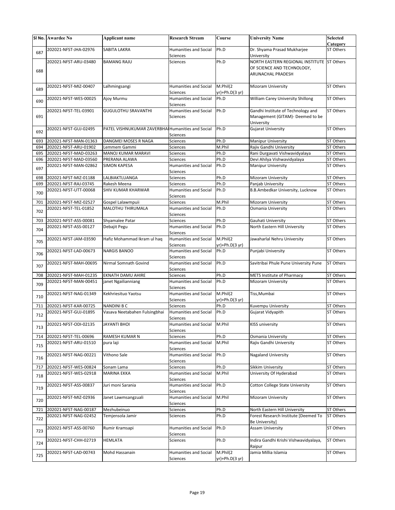|     | SI No. Awardee No     | <b>Applicant name</b>                             | <b>Research Stream</b>                               | Course                     | <b>University Name</b>                                                               | <b>Selected</b><br>Category |
|-----|-----------------------|---------------------------------------------------|------------------------------------------------------|----------------------------|--------------------------------------------------------------------------------------|-----------------------------|
| 687 | 202021-NFST-JHA-02976 | SABITA LAKRA                                      | Humanities and Social                                | Ph.D                       | Dr. Shyama Prasad Mukharjee                                                          | ST Others                   |
|     | 202021-NFST-ARU-03480 | <b>BAMANG RAJU</b>                                | Sciences<br>Sciences                                 | Ph.D                       | University<br>NORTH EASTERN REGIONAL INSTITUTE                                       | <b>ST Others</b>            |
| 688 |                       |                                                   |                                                      |                            | OF SCIENCE AND TECHNOLOGY,<br>ARUNACHAL PRADESH                                      |                             |
| 689 | 202021-NFST-MIZ-00407 | Lalhmingsangi                                     | Humanities and Social<br>Sciences                    | M.Phil(2<br>yr)+Ph.D(3 yr) | Mizoram University                                                                   | <b>ST Others</b>            |
| 690 | 202021-NFST-WES-00025 | Ajoy Murmu                                        | Humanities and Social<br>Sciences                    | Ph.D                       | William Carey University Shillong                                                    | ST Others                   |
| 691 | 202021-NFST-TEL-03901 | <b>GUGULOTHU SRAVANTHI</b>                        | <b>Humanities and Social</b><br><b>Sciences</b>      | Ph.D                       | Gandhi Institute of Technology and<br>Management (GITAM)- Deemed to be<br>University | ST Others                   |
| 692 | 202021-NFST-GUJ-02495 | PATEL VISHNUKUMAR ZAVERBHAI Humanities and Social | Sciences                                             | Ph.D                       | <b>Gujarat University</b>                                                            | <b>ST Others</b>            |
| 693 | 202021-NFST-MAN-01363 | DANGMEI MOSES R NAGA                              | Sciences                                             | Ph.D                       | Manipur University                                                                   | <b>ST Others</b>            |
| 694 | 202021-NFST-ARU-01902 | Lemmem Gammi                                      | Sciences                                             | M.Phil                     | Rajiv Gandhi University                                                              | ST Others                   |
| 695 | 202021-NFST-MAD-03263 | MANOJ KUMAR MARAVI                                | Sciences                                             | Ph.D                       | Rani Durgavati Vishwavidyalaya                                                       | ST Others                   |
| 696 | 202021-NFST-MAD-03560 | PRERANA ALAWA                                     | Sciences                                             | Ph.D                       | Devi Ahilya Vishwavidyalaya                                                          | ST Others                   |
| 697 | 202021-NFST-MAN-02862 | <b>SIMON KAPESA</b>                               | <b>Humanities and Social</b><br><b>Sciences</b>      | Ph.D                       | <b>Manipur University</b>                                                            | ST Others                   |
| 698 | 202021-NFST-MIZ-01188 | LALBIAKTLUANGA                                    | Sciences                                             | Ph.D                       | <b>Mizoram University</b>                                                            | ST Others                   |
| 699 | 202021-NFST-RAJ-03745 | Rakesh Meena                                      | <b>Sciences</b>                                      | Ph.D                       | Panjab University                                                                    | ST Others                   |
| 700 | 202021-NFST-UTT-00068 | <b>SHIV KUMAR KHARWAR</b>                         | <b>Humanities and Social</b><br>Sciences             | Ph.D                       | B.B.Ambedkar University, Lucknow                                                     | ST Others                   |
| 701 | 202021-NFST-MIZ-02527 | Gospel Lalawmpuii                                 | <b>Sciences</b>                                      | M.Phil                     | <b>Mizoram University</b>                                                            | ST Others                   |
| 702 | 202021-NFST-TEL-01852 | MALOTHU THIRUMALA                                 | <b>Humanities and Social</b><br>Sciences             | Ph.D                       | Osmania University                                                                   | ST Others                   |
| 703 | 202021-NFST-ASS-00081 | Shyamalee Patar                                   | <b>Sciences</b>                                      | Ph.D                       | Gauhati University                                                                   | ST Others                   |
|     | 202021-NFST-ASS-00127 | Debajit Pegu                                      | <b>Humanities and Social</b>                         | Ph.D                       | North Eastern Hill University                                                        | ST Others                   |
| 704 |                       |                                                   | Sciences                                             |                            |                                                                                      |                             |
| 705 | 202021-NFST-JAM-03590 | Hafiz Mohammad Ikram ul haq                       | Humanities and Social<br>Sciences                    | M.Phil(2<br>yr)+Ph.D(3 yr) | Jawaharlal Nehru University                                                          | <b>ST Others</b>            |
| 706 | 202021-NFST-LAD-00673 | NARGIS BANOO                                      | <b>Humanities and Social</b><br>Sciences             | Ph.D                       | Punjabi University                                                                   | ST Others                   |
| 707 | 202021-NFST-MAH-00695 | Nirmal Somnath Govind                             | <b>Humanities and Social</b><br>Sciences             | Ph.D                       | Savitribai Phule Pune University Pune                                                | <b>ST Others</b>            |
| 708 | 202021-NFST-MAH-01235 | EKNATH DAMU AHIRE                                 | Sciences                                             | Ph.D                       | <b>METS Institute of Pharmacy</b>                                                    | ST Others                   |
| 709 | 202021-NFST-MAN-00451 | janet Ngailianniang                               | <b>Humanities and Social</b><br><b>Sciences</b>      | Ph.D                       | <b>Mizoram University</b>                                                            | ST Others                   |
| 710 | 202021-NFST-NAG-01349 | Kekhriesituo Yaotsu                               | <b>Humanities and Social</b><br>Sciences             | M.Phil(2<br>yr)+Ph.D(3 yr) | Tiss, Mumbai                                                                         | ST Others                   |
| 711 | 202021-NFST-KAR-00725 | <b>NANDINI B C</b>                                | Sciences                                             | Ph.D                       | Kuvempu University                                                                   | ST Others                   |
| 712 | 202021-NFST-GUJ-01895 | Vasava Neetabahen Fulsingbhai                     | <b>Humanities and Social</b><br>Sciences             | Ph.D                       | Gujarat Vidyapith                                                                    | ST Others                   |
| 713 | 202021-NFST-ODI-02135 | JAYANTI BHOI                                      | Humanities and Social<br>Sciences                    | M.Phil                     | KISS university                                                                      | ST Others                   |
| 714 | 202021-NFST-TEL-00696 | RAMESH KUMAR N                                    | Sciences                                             | Ph.D                       | Osmania University                                                                   | ST Others                   |
| 715 | 202021-NFST-ARU-01510 | pura laji                                         | <b>Humanities and Social</b><br>Sciences             | M.Phil                     | Rajiv Gandhi University                                                              | ST Others                   |
| 716 | 202021-NFST-NAG-00221 | Vithono Sale                                      | <b>Humanities and Social</b><br>Sciences             | Ph.D                       | <b>Nagaland University</b>                                                           | ST Others                   |
| 717 | 202021-NFST-WES-00824 | Sonam Lama                                        | Sciences                                             | Ph.D                       | Sikkim University                                                                    | ST Others                   |
| 718 | 202021-NFST-WES-02918 | MARINA EKKA                                       | Humanities and Social                                | M.Phil                     | University Of Hyderabad                                                              | ST Others                   |
| 719 | 202021-NFST-ASS-00837 | Juri moni Sarania                                 | Sciences<br><b>Humanities and Social</b><br>Sciences | Ph.D                       | <b>Cotton College State University</b>                                               | ST Others                   |
| 720 | 202021-NFST-MIZ-02936 | Janet Lawmsangzuali                               | <b>Humanities and Social</b><br>Sciences             | M.Phil                     | <b>Mizoram University</b>                                                            | ST Others                   |
| 721 | 202021-NFST-NAG-00187 | Mezhubeinuo                                       | Sciences                                             | Ph.D                       | North Eastern Hill University                                                        | ST Others                   |
| 722 | 202021-NFST-NAG-02452 | Temjensola Jamir                                  | Sciences                                             | Ph.D                       | Forest Research Institute [Deemed To                                                 | ST Others                   |
| 723 | 202021-NFST-ASS-00760 | Rumir Kramsapi                                    | <b>Humanities and Social</b>                         | Ph.D                       | Be University]<br><b>Assam University</b>                                            | ST Others                   |
| 724 | 202021-NFST-CHH-02719 | HEMLATA                                           | Sciences<br>Sciences                                 | Ph.D                       | Indira Gandhi Krishi Vishwavidyalaya,                                                | ST Others                   |
| 725 | 202021-NFST-LAD-00743 | Mohd Hassanain                                    | Humanities and Social                                | M.Phil(2                   | Raipur<br>Jamia Millia Islamia                                                       | ST Others                   |
|     |                       |                                                   | Sciences                                             | yr)+Ph.D(3 yr)             |                                                                                      |                             |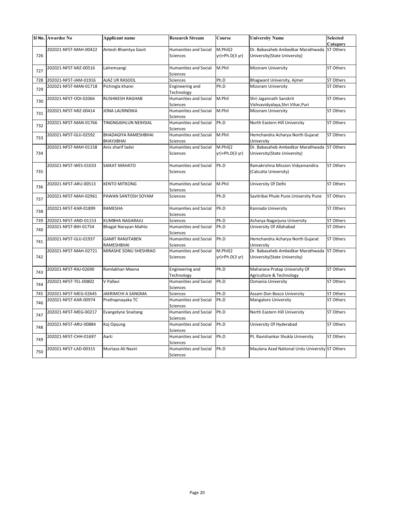|     | SI No. Awardee No     | Applicant name                            | <b>Research Stream</b>                          | Course                     | <b>University Name</b>                                             | Selected         |
|-----|-----------------------|-------------------------------------------|-------------------------------------------------|----------------------------|--------------------------------------------------------------------|------------------|
|     |                       |                                           |                                                 |                            |                                                                    | Category         |
| 726 | 202021-NFST-MAH-00422 | Antesh Bhamtya Gavit                      | Humanities and Social<br>Sciences               | M.Phil(2<br>yr)+Ph.D(3 yr) | Dr. Babasaheb Ambedkar Marathwada<br>University (State University) | <b>ST Others</b> |
| 727 | 202021-NFST-MIZ-00516 | Lalremsangi                               | Humanities and Social<br>Sciences               | M.Phil                     | <b>Mizoram University</b>                                          | <b>ST Others</b> |
| 728 | 202021-NFST-JAM-01916 | AJAZ UR RASOOL                            | Sciences                                        | Ph.D                       | Bhagwant University, Ajmer                                         | ST Others        |
| 729 | 202021-NFST-MAN-01718 | Pichingla kharei                          | Engineering and<br>Technology                   | Ph.D                       | Mizoram University                                                 | ST Others        |
| 730 | 202021-NFST-ODI-02066 | RUSHIKESH RAGHAB                          | <b>Humanities and Social</b><br><b>Sciences</b> | M.Phil                     | Shri Jagannath Sanskrit<br>Vishvavidyalaya, Shri Vihar, Puri       | <b>ST Others</b> |
| 731 | 202021-NFST-MIZ-00414 | JONA LALRINDIKA                           | <b>Humanities and Social</b><br><b>Sciences</b> | M.Phil                     | <b>Mizoram University</b>                                          | ST Others        |
| 732 | 202021-NFST-MAN-01766 | TINGNGAIHLUN NEIHSIAL                     | <b>Humanities and Social</b><br><b>Sciences</b> | Ph.D                       | North Eastern Hill University                                      | <b>ST Others</b> |
| 733 | 202021-NFST-GUJ-02592 | <b>BHADAGIYA RAMESHBHAI</b><br>BHAYJIBHAI | <b>Humanities and Social</b><br>Sciences        | M.Phil                     | Hemchandra Acharya North Gujarat<br>University                     | ST Others        |
| 734 | 202021-NFST-MAH-01158 | Anis sharif tadvi                         | <b>Humanities and Social</b><br>Sciences        | M.Phil(2<br>yr)+Ph.D(3 yr) | Dr. Babasaheb Ambedkar Marathwada<br>University(State University)  | <b>ST Others</b> |
| 735 | 202021-NFST-WES-01033 | SAIKAT MAHATO                             | <b>Humanities and Social</b><br>Sciences        | Ph.D                       | Ramakrishna Mission Vidyamandira<br>(Calcutta University)          | ST Others        |
| 736 | 202021-NFST-ARU-00513 | <b>KENTO MITKONG</b>                      | <b>Humanities and Social</b><br>Sciences        | M.Phil                     | University Of Delhi                                                | <b>ST Others</b> |
| 737 | 202021-NFST-MAH-02961 | PAWAN SANTOSH SOYAM                       | <b>Sciences</b>                                 | Ph.D                       | Savitribai Phule Pune University Pune                              | <b>ST Others</b> |
| 738 | 202021-NFST-KAR-01899 | <b>RAMESHA</b>                            | Humanities and Social<br>Sciences               | Ph.D                       | Kannada University                                                 | ST Others        |
| 739 | 202021-NFST-AND-01153 | KUMBHA NAGARAJU                           | <b>Sciences</b>                                 | Ph.D                       | Acharya Nagarjuna University                                       | ST Others        |
| 740 | 202021-NFST-BIH-01754 | Bhagat Narayan Mahto                      | <b>Humanities and Social</b><br><b>Sciences</b> | Ph.D                       | University Of Allahabad                                            | ST Others        |
| 741 | 202021-NFST-GUJ-01937 | <b>GAMIT RANJITABEN</b><br>RAMESHBHAI     | <b>Humanities and Social</b><br>Sciences        | Ph.D                       | Hemchandra Acharya North Gujarat<br>University                     | ST Others        |
| 742 | 202021-NFST-MAH-02721 | MIRASHE SONU SHESHRAO                     | <b>Humanities and Social</b><br>Sciences        | M.Phil(2<br>yr)+Ph.D(3 yr) | Dr. Babasaheb Ambedkar Marathwada<br>University(State University)  | <b>ST Others</b> |
| 743 | 202021-NFST-RAJ-02690 | Ramlakhan Meena                           | Engineering and<br>Technology                   | Ph.D                       | Maharana Pratap University Of<br>Agriculture & Technology          | ST Others        |
| 744 | 202021-NFST-TEL-00802 | V Pallavi                                 | <b>Humanities and Social</b><br><b>Sciences</b> | Ph.D                       | Osmania University                                                 | ST Others        |
| 745 | 202021-NFST-MEG-02645 | JAKRIMCHI A SANGMA                        | <b>Sciences</b>                                 | Ph.D                       | <b>Assam Don Bosco University</b>                                  | ST Others        |
| 746 | 202021-NFST-KAR-00974 | Prathapnayaka TC                          | <b>Humanities and Social</b><br>Sciences        | Ph.D                       | <b>Mangalore University</b>                                        | ST Others        |
| 747 | 202021-NFST-MEG-00217 | <b>Evangelyne Snaitang</b>                | <b>Humanities and Social</b><br><b>Sciences</b> | Ph.D                       | North Eastern Hill University                                      | ST Others        |
| 748 | 202021-NFST-ARU-00884 | Koj Opyung                                | <b>Humanities and Social</b><br>Sciences        | Ph.D                       | University Of Hyderabad                                            | ST Others        |
| 749 | 202021-NFST-CHH-01697 | Aarti                                     | <b>Humanities and Social</b><br>Sciences        | Ph.D                       | Pt. Ravishankar Shukla University                                  | ST Others        |
| 750 | 202021-NFST-LAD-00315 | Murtaza Ali Nasiri                        | Humanities and Social<br>Sciences               | Ph.D                       | Maulana Azad National Urdu University ST Others                    |                  |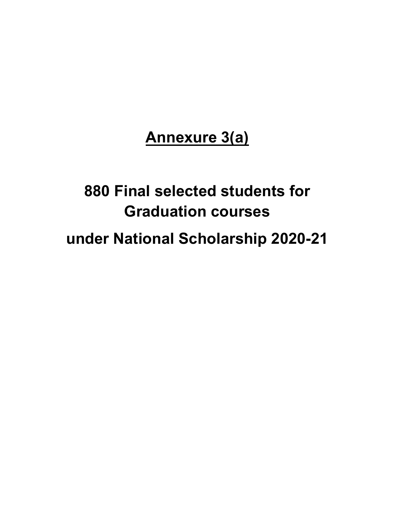### Annexure 3(a)

## 880 Final selected students for Graduation courses under National Scholarship 2020-21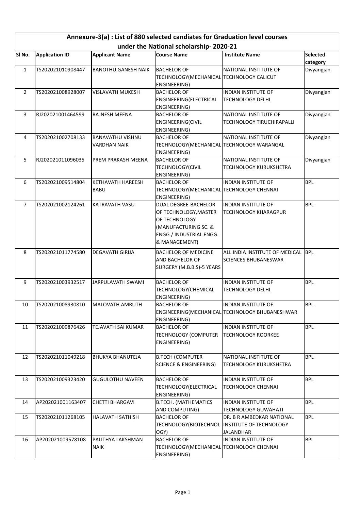|                | Annexure-3(a) : List of 880 selected candiates for Graduation level courses |                            |                                                           |                                                          |                             |  |  |
|----------------|-----------------------------------------------------------------------------|----------------------------|-----------------------------------------------------------|----------------------------------------------------------|-----------------------------|--|--|
|                |                                                                             |                            | under the National scholarship-2020-21                    |                                                          |                             |  |  |
| SI No.         | <b>Application ID</b>                                                       | <b>Applicant Name</b>      | <b>Course Name</b>                                        | <b>Institute Name</b>                                    | <b>Selected</b><br>category |  |  |
| $\mathbf{1}$   | TS202021010908447                                                           | <b>BANOTHU GANESH NAIK</b> | <b>BACHELOR OF</b>                                        | NATIONAL INSTITUTE OF                                    | Divyangjan                  |  |  |
|                |                                                                             |                            | TECHNOLOGY (MECHANICAL TECHNOLOGY CALICUT<br>ENGINEERING) |                                                          |                             |  |  |
| $\overline{2}$ | TS202021008928007                                                           | <b>VISLAVATH MUKESH</b>    | <b>BACHELOR OF</b>                                        | <b>INDIAN INSTITUTE OF</b>                               | Divyangjan                  |  |  |
|                |                                                                             |                            | ENGINEERING(ELECTRICAL<br>ENGINEERING)                    | <b>TECHNOLOGY DELHI</b>                                  |                             |  |  |
| 3              | RJ202021001464599                                                           | RAJNESH MEENA              | <b>BACHELOR OF</b>                                        | NATIONAL INSTITUTE OF                                    | Divyangjan                  |  |  |
|                |                                                                             |                            | ENGINEERING(CIVIL<br>ENGINEERING)                         | <b>TECHNOLOGY TIRUCHIRAPALLI</b>                         |                             |  |  |
| 4              | TS202021002708133                                                           | <b>BANAVATHU VISHNU</b>    | <b>BACHELOR OF</b>                                        | NATIONAL INSTITUTE OF                                    | Divyangjan                  |  |  |
|                |                                                                             | <b>VARDHAN NAIK</b>        | TECHNOLOGY(MECHANICAL TECHNOLOGY WARANGAL<br>ENGINEERING) |                                                          |                             |  |  |
| 5              | RJ202021011096035                                                           | PREM PRAKASH MEENA         | <b>BACHELOR OF</b>                                        | NATIONAL INSTITUTE OF                                    | Divyangjan                  |  |  |
|                |                                                                             |                            | TECHNOLOGY(CIVIL<br>ENGINEERING)                          | TECHNOLOGY KURUKSHETRA                                   |                             |  |  |
| 6              | TS202021009514804                                                           | KETHAVATH HAREESH          | <b>BACHELOR OF</b>                                        | <b>INDIAN INSTITUTE OF</b>                               | <b>BPL</b>                  |  |  |
|                |                                                                             | <b>BABU</b>                | TECHNOLOGY(MECHANICAL TECHNOLOGY CHENNAI<br>ENGINEERING)  |                                                          |                             |  |  |
| $\overline{7}$ | TS202021002124261                                                           | KATRAVATH VASU             | DUAL DEGREE-BACHELOR                                      | INDIAN INSTITUTE OF                                      | <b>BPL</b>                  |  |  |
|                |                                                                             |                            | OF TECHNOLOGY, MASTER                                     | <b>TECHNOLOGY KHARAGPUR</b>                              |                             |  |  |
|                |                                                                             |                            | OF TECHNOLOGY                                             |                                                          |                             |  |  |
|                |                                                                             |                            | (MANUFACTURING SC. &<br>ENGG./ INDUSTRIAL ENGG.           |                                                          |                             |  |  |
|                |                                                                             |                            | & MANAGEMENT)                                             |                                                          |                             |  |  |
| 8              | TS202021011774580                                                           | <b>DEGAVATH GIRIJA</b>     | <b>BACHELOR OF MEDICINE</b>                               | ALL INDIA INSTITUTE OF MEDICAL                           | <b>BPL</b>                  |  |  |
|                |                                                                             |                            | AND BACHELOR OF                                           | <b>SCIENCES BHUBANESWAR</b>                              |                             |  |  |
|                |                                                                             |                            | SURGERY (M.B.B.S)-5 YEARS                                 |                                                          |                             |  |  |
| 9              | TS202021003932517                                                           | JARPULAVATH SWAMI          | <b>BACHELOR OF</b>                                        | <b>INDIAN INSTITUTE OF</b>                               | <b>BPL</b>                  |  |  |
|                |                                                                             |                            | TECHNOLOGY(CHEMICAL<br>ENGINEERING)                       | <b>TECHNOLOGY DELHI</b>                                  |                             |  |  |
| 10             | TS202021008930810 MALOVATH AMRUTH                                           |                            | <b>BACHELOR OF</b>                                        | INDIAN INSTITUTE OF                                      | <b>BPL</b>                  |  |  |
|                |                                                                             |                            | ENGINEERING)                                              | ENGINEERING(MECHANICAL TECHNOLOGY BHUBANESHWAR           |                             |  |  |
| 11             | TS202021009876426                                                           | <b>TEJAVATH SAI KUMAR</b>  | <b>BACHELOR OF</b>                                        | <b>INDIAN INSTITUTE OF</b>                               | <b>BPL</b>                  |  |  |
|                |                                                                             |                            | TECHNOLOGY (COMPUTER<br>ENGINEERING)                      | <b>TECHNOLOGY ROORKEE</b>                                |                             |  |  |
| 12             | TS202021011049218                                                           | <b>BHUKYA BHANUTEJA</b>    | <b>B.TECH (COMPUTER</b>                                   | NATIONAL INSTITUTE OF                                    | <b>BPL</b>                  |  |  |
|                |                                                                             |                            | <b>SCIENCE &amp; ENGINEERING)</b>                         | <b>TECHNOLOGY KURUKSHETRA</b>                            |                             |  |  |
| 13             | TS202021009323420                                                           | <b>GUGULOTHU NAVEEN</b>    | <b>BACHELOR OF</b>                                        | <b>INDIAN INSTITUTE OF</b>                               | <b>BPL</b>                  |  |  |
|                |                                                                             |                            | TECHNOLOGY(ELECTRICAL                                     | <b>TECHNOLOGY CHENNAI</b>                                |                             |  |  |
|                |                                                                             |                            | ENGINEERING)                                              |                                                          |                             |  |  |
| 14             | AP202021001163407                                                           | <b>CHETTI BHARGAVI</b>     | <b>B.TECH. (MATHEMATICS</b><br>AND COMPUTING)             | <b>INDIAN INSTITUTE OF</b><br><b>TECHNOLOGY GUWAHATI</b> | <b>BPL</b>                  |  |  |
| 15             | TS202021011268105                                                           | HALAVATH SATHISH           | <b>BACHELOR OF</b>                                        | DR. B R AMBEDKAR NATIONAL                                | <b>BPL</b>                  |  |  |
|                |                                                                             |                            |                                                           | TECHNOLOGY(BIOTECHNOL INSTITUTE OF TECHNOLOGY            |                             |  |  |
|                |                                                                             |                            | OGY)                                                      | <b>JALANDHAR</b>                                         |                             |  |  |
| 16             | AP202021009578108                                                           | PALITHYA LAKSHMAN          | <b>BACHELOR OF</b>                                        | <b>INDIAN INSTITUTE OF</b>                               | <b>BPL</b>                  |  |  |
|                |                                                                             | <b>NAIK</b>                | TECHNOLOGY(MECHANICAL TECHNOLOGY CHENNAI                  |                                                          |                             |  |  |
|                |                                                                             |                            | ENGINEERING)                                              |                                                          |                             |  |  |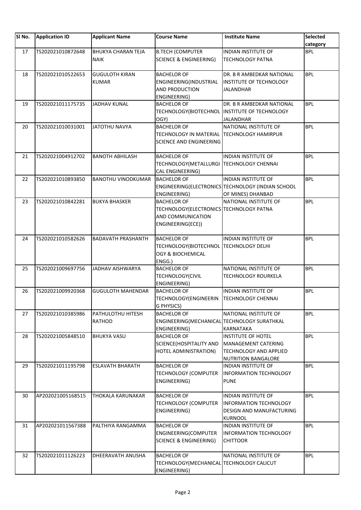| SI No. | <b>Application ID</b> | <b>Applicant Name</b>                     | <b>Course Name</b>                                                                                      | <b>Institute Name</b>                                                                                            | Selected<br>category |
|--------|-----------------------|-------------------------------------------|---------------------------------------------------------------------------------------------------------|------------------------------------------------------------------------------------------------------------------|----------------------|
|        |                       |                                           |                                                                                                         |                                                                                                                  |                      |
| 17     | TS202021010872648     | <b>BHUKYA CHARAN TEJA</b><br><b>NAIK</b>  | <b>B.TECH (COMPUTER</b><br><b>SCIENCE &amp; ENGINEERING)</b>                                            | <b>INDIAN INSTITUTE OF</b><br><b>TECHNOLOGY PATNA</b>                                                            | <b>BPL</b>           |
| 18     | TS202021010522653     | <b>GUGULOTH KIRAN</b><br><b>KUMAR</b>     | <b>BACHELOR OF</b><br>ENGINEERING(INDUSTRIAL<br><b>AND PRODUCTION</b><br>ENGINEERING)                   | DR. B R AMBEDKAR NATIONAL<br><b>INSTITUTE OF TECHNOLOGY</b><br><b>JALANDHAR</b>                                  | <b>BPL</b>           |
| 19     | TS202021011175735     | <b>JADHAV KUNAL</b>                       | <b>BACHELOR OF</b><br>OGY)                                                                              | DR. B R AMBEDKAR NATIONAL<br>TECHNOLOGY(BIOTECHNOL  INSTITUTE OF TECHNOLOGY<br><b>JALANDHAR</b>                  | <b>BPL</b>           |
| 20     | TS202021010031001     | <b>JATOTHU NAVYA</b>                      | <b>BACHELOR OF</b><br>TECHNOLOGY IN MATERIAL TECHNOLOGY HAMIRPUR<br>SCIENCE AND ENGINEERING             | NATIONAL INSTITUTE OF                                                                                            | <b>BPL</b>           |
| 21     | TS202021004912702     | <b>BANOTH ABHILASH</b>                    | <b>BACHELOR OF</b><br>TECHNOLOGY (METALLURGI TECHNOLOGY CHENNAI<br>CAL ENGINEERING)                     | INDIAN INSTITUTE OF                                                                                              | <b>BPL</b>           |
| 22     | TS202021010893850     | <b>BANOTHU VINODKUMAR</b>                 | <b>BACHELOR OF</b><br>ENGINEERING)                                                                      | <b>INDIAN INSTITUTE OF</b><br>ENGINEERING(ELECTRONICS TECHNOLOGY (INDIAN SCHOOL<br>OF MINES) DHANBAD             | <b>BPL</b>           |
| 23     | TS202021010842281     | <b>BUKYA BHASKER</b>                      | <b>BACHELOR OF</b><br>TECHNOLOGY(ELECTRONICS TECHNOLOGY PATNA<br>AND COMMUNICATION<br>ENGINEERING(ECE)) | NATIONAL INSTITUTE OF                                                                                            | <b>BPL</b>           |
| 24     | TS202021010582626     | <b>BADAVATH PRASHANTH</b>                 | <b>BACHELOR OF</b><br>TECHNOLOGY(BIOTECHNOL TECHNOLOGY DELHI<br>OGY & BIOCHEMICAL<br>ENGG.)             | INDIAN INSTITUTE OF                                                                                              | <b>BPL</b>           |
| 25     | TS202021009697756     | JADHAV AISHWARYA                          | <b>BACHELOR OF</b><br><b>TECHNOLOGY(CIVIL</b><br>ENGINEERING)                                           | NATIONAL INSTITUTE OF<br><b>TECHNOLOGY ROURKELA</b>                                                              | <b>BPL</b>           |
| 26     | TS202021009920368     | <b>GUGULOTH MAHENDAR</b>                  | <b>BACHELOR OF</b><br>TECHNOLOGY(ENGINEERIN<br><b>G PHYSICS)</b>                                        | <b>INDIAN INSTITUTE OF</b><br><b>TECHNOLOGY CHENNAI</b>                                                          | <b>BPL</b>           |
| 27     | TS202021010385986     | <b>PATHULOTHU HITESH</b><br><b>RATHOD</b> | <b>BACHELOR OF</b><br>ENGINEERING(MECHANICAL TECHNOLOGY SURATHKAL<br>ENGINEERING)                       | NATIONAL INSTITUTE OF<br>KARNATAKA                                                                               | <b>BPL</b>           |
| 28     | TS202021005848510     | <b>BHUKYA VASU</b>                        | <b>BACHELOR OF</b><br>SCIENCE(HOSPITALITY AND<br>HOTEL ADMINISTRATION)                                  | <b>INSTITUTE OF HOTEL</b><br>MANAGEMENT CATERING<br>TECHNOLOGY AND APPLIED<br><b>NUTRITION BANGALORE</b>         | <b>BPL</b>           |
| 29     | TS202021011195798     | <b>ESLAVATH BHARATH</b>                   | <b>BACHELOR OF</b><br><b>TECHNOLOGY (COMPUTER</b><br>ENGINEERING)                                       | <b>INDIAN INSTITUTE OF</b><br><b>INFORMATION TECHNOLOGY</b><br><b>PUNE</b>                                       | <b>BPL</b>           |
| 30     | AP202021005168515     | <b>THOKALA KARUNAKAR</b>                  | <b>BACHELOR OF</b><br><b>TECHNOLOGY (COMPUTER</b><br>ENGINEERING)                                       | <b>INDIAN INSTITUTE OF</b><br><b>INFORMATION TECHNOLOGY</b><br><b>DESIGN AND MANUFACTURING</b><br><b>KURNOOL</b> | <b>BPL</b>           |
| 31     | AP202021011567388     | PALTHIYA RANGAMMA                         | <b>BACHELOR OF</b><br>ENGINEERING(COMPUTER<br><b>SCIENCE &amp; ENGINEERING)</b>                         | INDIAN INSTITUTE OF<br><b>INFORMATION TECHNOLOGY</b><br><b>CHITTOOR</b>                                          | <b>BPL</b>           |
| 32     | TS202021011126223     | <b>DHEERAVATH ANUSHA</b>                  | <b>BACHELOR OF</b><br>TECHNOLOGY(MECHANICAL TECHNOLOGY CALICUT<br>ENGINEERING)                          | NATIONAL INSTITUTE OF                                                                                            | <b>BPL</b>           |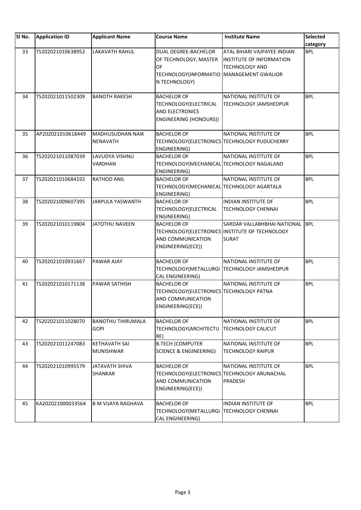| SI No. | <b>Application ID</b> | <b>Applicant Name</b>                    | <b>Course Name</b>                                                                                                      | <b>Institute Name</b>                                                                   | Selected   |
|--------|-----------------------|------------------------------------------|-------------------------------------------------------------------------------------------------------------------------|-----------------------------------------------------------------------------------------|------------|
|        |                       |                                          |                                                                                                                         |                                                                                         | category   |
| 33     | TS202021010638952     | <b>LAKAVATH RAHUL</b>                    | DUAL DEGREE-BACHELOR<br>OF TECHNOLOGY, MASTER<br><b>OF</b><br>TECHNOLOGY(INFORMATIO MANAGEMENT GWALIOR<br>N TECHNOLOGY) | ATAL BIHARI VAJPAYEE INDIAN<br><b>INSTITUTE OF INFORMATION</b><br><b>TECHNOLOGY AND</b> | <b>BPL</b> |
|        |                       |                                          |                                                                                                                         |                                                                                         |            |
| 34     | TS202021011502309     | <b>BANOTH RAKESH</b>                     | <b>BACHELOR OF</b><br>TECHNOLOGY(ELECTRICAL<br>AND ELECTRONICS<br>ENGINEERING (HONOURS))                                | NATIONAL INSTITUTE OF<br>TECHNOLOGY JAMSHEDPUR                                          | <b>BPL</b> |
| 35     | AP202021010618449     | MADHUSUDHAN NAIK<br><b>NENAVATH</b>      | <b>BACHELOR OF</b><br>ENGINEERING)                                                                                      | NATIONAL INSTITUTE OF<br>TECHNOLOGY(ELECTRONICS TECHNOLOGY PUDUCHERRY                   | <b>BPL</b> |
| 36     | TS202021011087039     | LAVUDYA VISHNU<br>VARDHAN                | <b>BACHELOR OF</b><br>TECHNOLOGY(MECHANICAL TECHNOLOGY NAGALAND<br>ENGINEERING)                                         | NATIONAL INSTITUTE OF                                                                   | <b>BPL</b> |
| 37     | TS202021010684192     | <b>RATHOD ANIL</b>                       | <b>BACHELOR OF</b><br>TECHNOLOGY (MECHANICAL TECHNOLOGY AGARTALA<br>ENGINEERING)                                        | NATIONAL INSTITUTE OF                                                                   | <b>BPL</b> |
| 38     | TS202021009607395     | JARPULA YASWANTH                         | <b>BACHELOR OF</b><br>TECHNOLOGY(ELECTRICAL<br>ENGINEERING)                                                             | <b>INDIAN INSTITUTE OF</b><br><b>TECHNOLOGY CHENNAI</b>                                 | <b>BPL</b> |
| 39     | TS202021010119804     | <b>JATOTHU NAVEEN</b>                    | <b>BACHELOR OF</b><br>AND COMMUNICATION<br>ENGINEERING(ECE))                                                            | SARDAR VALLABHBHAI NATIONAL<br>TECHNOLOGY (ELECTRONICS INSTITUTE OF TECHNOLOGY<br>SURAT | BPL        |
| 40     | TS202021010931667     | PAWAR AJAY                               | <b>BACHELOR OF</b><br><b>CAL ENGINEERING)</b>                                                                           | NATIONAL INSTITUTE OF<br>TECHNOLOGY(METALLURGI TECHNOLOGY JAMSHEDPUR                    | <b>BPL</b> |
| 41     | TS202021010171138     | PAWAR SATHISH                            | <b>BACHELOR OF</b><br>TECHNOLOGY(ELECTRONICS TECHNOLOGY PATNA<br>AND COMMUNICATION<br>ENGINEERING(ECE))                 | NATIONAL INSTITUTE OF                                                                   | <b>BPL</b> |
| 42     | TS202021011028070     | <b>BANOTHU THIRUMALA</b><br><b>GOPI</b>  | <b>BACHELOR OF</b><br>TECHNOLOGY(ARCHITECTU<br>RE)                                                                      | NATIONAL INSTITUTE OF<br><b>TECHNOLOGY CALICUT</b>                                      | <b>BPL</b> |
| 43     | TS202021011247083     | <b>KETHAVATH SAI</b><br><b>MUNISHWAR</b> | <b>B.TECH (COMPUTER</b><br><b>SCIENCE &amp; ENGINEERING)</b>                                                            | NATIONAL INSTITUTE OF<br><b>TECHNOLOGY RAIPUR</b>                                       | <b>BPL</b> |
| 44     | TS202021010995579     | JATAVATH SHIVA<br>SHANKAR                | <b>BACHELOR OF</b><br>TECHNOLOGY(ELECTRONICS TECHNOLOGY ARUNACHAL<br>AND COMMUNICATION<br>ENGINEERING(ECE))             | NATIONAL INSTITUTE OF<br>PRADESH                                                        | <b>BPL</b> |
| 45     | KA202021000033564     | <b>B M VIJAYA RAGHAVA</b>                | <b>BACHELOR OF</b><br>TECHNOLOGY(METALLURGI<br>CAL ENGINEERING)                                                         | <b>INDIAN INSTITUTE OF</b><br><b>TECHNOLOGY CHENNAI</b>                                 | <b>BPL</b> |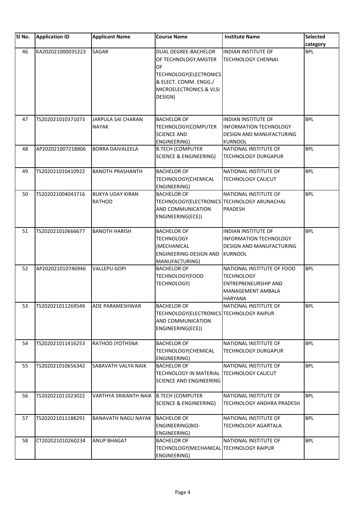| SI No. | <b>Application ID</b> | <b>Applicant Name</b>                    | <b>Course Name</b>                                                                                                                                  | <b>Institute Name</b>                                                                                                 | <b>Selected</b><br>category |
|--------|-----------------------|------------------------------------------|-----------------------------------------------------------------------------------------------------------------------------------------------------|-----------------------------------------------------------------------------------------------------------------------|-----------------------------|
| 46     | KA202021000035223     | SAGAR                                    | DUAL DEGREE-BACHELOR<br>OF TECHNOLOGY, MASTER<br><b>OF</b><br>TECHNOLOGY(ELECTRONICS<br>& ELECT. COMM. ENGG./<br>MICROELECTRONICS & VLSI<br>DESIGN) | INDIAN INSTITUTE OF<br><b>TECHNOLOGY CHENNAI</b>                                                                      | <b>BPL</b>                  |
| 47     | TS202021010371073     | JARPULA SAI CHARAN<br><b>NAYAK</b>       | <b>BACHELOR OF</b><br>TECHNOLOGY(COMPUTER<br><b>SCIENCE AND</b><br>ENGINEERING)                                                                     | <b>INDIAN INSTITUTE OF</b><br>INFORMATION TECHNOLOGY<br><b>DESIGN AND MANUFACTURING</b><br><b>KURNOOL</b>             | <b>BPL</b>                  |
| 48     | AP202021007218806     | <b>BORRA DAIVALEELA</b>                  | <b>B.TECH (COMPUTER</b><br><b>SCIENCE &amp; ENGINEERING)</b>                                                                                        | NATIONAL INSTITUTE OF<br><b>TECHNOLOGY DURGAPUR</b>                                                                   | <b>BPL</b>                  |
| 49     | TS202021010410922     | <b>BANOTH PRASHANTH</b>                  | <b>BACHELOR OF</b><br>TECHNOLOGY(CHEMICAL<br>ENGINEERING)                                                                                           | NATIONAL INSTITUTE OF<br><b>TECHNOLOGY CALICUT</b>                                                                    | <b>BPL</b>                  |
| 50     | TS202021004043716     | <b>BUKYA UDAY KIRAN</b><br><b>RATHOD</b> | <b>BACHELOR OF</b><br>TECHNOLOGY(ELECTRONICS TECHNOLOGY ARUNACHAL<br>AND COMMUNICATION<br>ENGINEERING(ECE))                                         | NATIONAL INSTITUTE OF<br>PRADESH                                                                                      | <b>BPL</b>                  |
| 51     | TS202021010666677     | <b>BANOTH HARISH</b>                     | <b>BACHELOR OF</b><br><b>TECHNOLOGY</b><br>(MECHANICAL<br>ENGINEERING-DESIGN AND<br>MANUFACTURING)                                                  | INDIAN INSTITUTE OF<br><b>INFORMATION TECHNOLOGY</b><br><b>DESIGN AND MANUFACTURING</b><br><b>KURNOOL</b>             | <b>BPL</b>                  |
| 52     | AP202021010746946     | <b>VALLEPU GOPI</b>                      | <b>BACHELOR OF</b><br>TECHNOLOGY(FOOD<br>TECHNOLOGY)                                                                                                | NATIONAL INSTITUTE OF FOOD<br><b>TECHNOLOGY</b><br><b>ENTREPRENEURSHIP AND</b><br>MANAGEMENT AMBALA<br><b>HARYANA</b> | <b>BPL</b>                  |
| 53     | TS202021011269549     | <b>ADE PARAMESHWAR</b>                   | <b>BACHELOR OF</b><br>TECHNOLOGY (ELECTRONICS TECHNOLOGY RAIPUR<br>AND COMMUNICATION<br>ENGINEERING(ECE))                                           | NATIONAL INSTITUTE OF                                                                                                 | <b>BPL</b>                  |
| 54     | TS202021011416253     | RATHOD JYOTHSNA                          | <b>BACHELOR OF</b><br>TECHNOLOGY(CHEMICAL<br>ENGINEERING)                                                                                           | NATIONAL INSTITUTE OF<br><b>TECHNOLOGY DURGAPUR</b>                                                                   | <b>BPL</b>                  |
| 55     | TS202021010656342     | SABAVATH VALYA NAIK                      | <b>BACHELOR OF</b><br>TECHNOLOGY IN MATERIAL TECHNOLOGY CALICUT<br>SCIENCE AND ENGINEERING                                                          | NATIONAL INSTITUTE OF                                                                                                 | <b>BPL</b>                  |
| 56     | TS202021011023022     | VARTHYA SRIKANTH NAIK                    | <b>B.TECH (COMPUTER</b><br><b>SCIENCE &amp; ENGINEERING)</b>                                                                                        | NATIONAL INSTITUTE OF<br>TECHNOLOGY ANDHRA PRADESH                                                                    | <b>BPL</b>                  |
| 57     | TS202021011188291     | <b>BANAVATH NAGU NAYAK</b>               | <b>BACHELOR OF</b><br><b>ENGINEERING(BIO-</b><br>ENGINEERING)                                                                                       | NATIONAL INSTITUTE OF<br><b>TECHNOLOGY AGARTALA</b>                                                                   | <b>BPL</b>                  |
| 58     | CT202021010260234     | <b>ANUP BHAGAT</b>                       | <b>BACHELOR OF</b><br>TECHNOLOGY (MECHANICAL TECHNOLOGY RAIPUR<br>ENGINEERING)                                                                      | NATIONAL INSTITUTE OF                                                                                                 | <b>BPL</b>                  |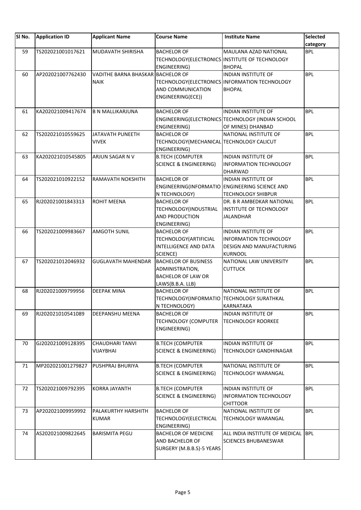| SI No. | <b>Application ID</b> | <b>Applicant Name</b>                            | <b>Course Name</b>                                                                              | <b>Institute Name</b>                                                                              | Selected<br>category |
|--------|-----------------------|--------------------------------------------------|-------------------------------------------------------------------------------------------------|----------------------------------------------------------------------------------------------------|----------------------|
| 59     | TS202021001017621     | MUDAVATH SHIRISHA                                | <b>BACHELOR OF</b><br>ENGINEERING)                                                              | MAULANA AZAD NATIONAL<br>TECHNOLOGY(ELECTRONICS INSTITUTE OF TECHNOLOGY<br><b>BHOPAL</b>           | <b>BPL</b>           |
| 60     | AP202021007762430     | VADITHE BARNA BHASKAR BACHELOR OF<br><b>NAIK</b> | AND COMMUNICATION<br>ENGINEERING(ECE))                                                          | INDIAN INSTITUTE OF<br>TECHNOLOGY(ELECTRONICS INFORMATION TECHNOLOGY<br><b>BHOPAL</b>              | <b>BPL</b>           |
| 61     | KA202021009417674     | <b>B N MALLIKARJUNA</b>                          | <b>BACHELOR OF</b><br>ENGINEERING)                                                              | INDIAN INSTITUTE OF<br>ENGINEERING(ELECTRONICS TECHNOLOGY (INDIAN SCHOOL<br>OF MINES) DHANBAD      | <b>BPL</b>           |
| 62     | TS202021010559625     | JATAVATH PUNEETH<br><b>VIVEK</b>                 | <b>BACHELOR OF</b><br>TECHNOLOGY (MECHANICAL TECHNOLOGY CALICUT<br>ENGINEERING)                 | NATIONAL INSTITUTE OF                                                                              | <b>BPL</b>           |
| 63     | KA202021010545805     | ARJUN SAGAR N V                                  | <b>B.TECH (COMPUTER</b><br><b>SCIENCE &amp; ENGINEERING)</b>                                    | INDIAN INSTITUTE OF<br><b>INFORMATION TECHNOLOGY</b><br><b>DHARWAD</b>                             | <b>BPL</b>           |
| 64     | TS202021010922152     | <b>RAMAVATH NOKSHITH</b>                         | <b>BACHELOR OF</b><br>N TECHNOLOGY)                                                             | INDIAN INSTITUTE OF<br>ENGINEERING(INFORMATIO ENGINEERING SCIENCE AND<br><b>TECHNOLOGY SHIBPUR</b> | <b>BPL</b>           |
| 65     | RJ202021001843313     | <b>ROHIT MEENA</b>                               | <b>BACHELOR OF</b><br>TECHNOLOGY(INDUSTRIAL<br><b>AND PRODUCTION</b><br>ENGINEERING)            | DR. B R AMBEDKAR NATIONAL<br><b>INSTITUTE OF TECHNOLOGY</b><br><b>JALANDHAR</b>                    | <b>BPL</b>           |
| 66     | TS202021009983667     | <b>AMGOTH SUNIL</b>                              | <b>BACHELOR OF</b><br>TECHNOLOGY(ARTIFICIAL<br><b>INTELLIGENCE AND DATA</b><br>SCIENCE)         | INDIAN INSTITUTE OF<br><b>INFORMATION TECHNOLOGY</b><br>DESIGN AND MANUFACTURING<br><b>KURNOOL</b> | <b>BPL</b>           |
| 67     | TS202021012046932     | <b>GUGLAVATH MAHENDAR</b>                        | <b>BACHELOR OF BUSINESS</b><br>ADMINISTRATION,<br><b>BACHELOR OF LAW OR</b><br>LAWS(B.B.A. LLB) | NATIONAL LAW UNIVERSITY<br><b>CUTTUCK</b>                                                          | <b>BPL</b>           |
| 68     | RJ202021009799956     | <b>DEEPAK MINA</b>                               | <b>BACHELOR OF</b><br>TECHNOLOGY(INFORMATIO TECHNOLOGY SURATHKAL<br>N TECHNOLOGY)               | NATIONAL INSTITUTE OF<br><b>KARNATAKA</b>                                                          | <b>BPL</b>           |
| 69     | RJ202021010541089     | <b>DEEPANSHU MEENA</b>                           | <b>BACHELOR OF</b><br><b>TECHNOLOGY (COMPUTER</b><br>ENGINEERING)                               | <b>INDIAN INSTITUTE OF</b><br><b>TECHNOLOGY ROORKEE</b>                                            | <b>BPL</b>           |
| 70     | GJ202021009128395     | <b>CHAUDHARI TANVI</b><br>VIJAYBHAI              | <b>B.TECH (COMPUTER</b><br><b>SCIENCE &amp; ENGINEERING)</b>                                    | <b>INDIAN INSTITUTE OF</b><br>TECHNOLOGY GANDHINAGAR                                               | <b>BPL</b>           |
| 71     | MP202021001279827     | PUSHPRAJ BHURIYA                                 | <b>B.TECH (COMPUTER</b><br><b>SCIENCE &amp; ENGINEERING)</b>                                    | NATIONAL INSTITUTE OF<br>TECHNOLOGY WARANGAL                                                       | <b>BPL</b>           |
| 72     | TS202021009792395     | KORRA JAYANTH                                    | <b>B.TECH (COMPUTER</b><br><b>SCIENCE &amp; ENGINEERING)</b>                                    | <b>INDIAN INSTITUTE OF</b><br><b>INFORMATION TECHNOLOGY</b><br><b>CHITTOOR</b>                     | <b>BPL</b>           |
| 73     | AP202021009959992     | PALAKURTHY HARSHITH<br><b>KUMAR</b>              | <b>BACHELOR OF</b><br>TECHNOLOGY (ELECTRICAL<br>ENGINEERING)                                    | NATIONAL INSTITUTE OF<br>TECHNOLOGY WARANGAL                                                       | <b>BPL</b>           |
| 74     | AS202021009822645     | <b>BARISMITA PEGU</b>                            | <b>BACHELOR OF MEDICINE</b><br>AND BACHELOR OF<br>SURGERY (M.B.B.S)-5 YEARS                     | ALL INDIA INSTITUTE OF MEDICAL<br><b>SCIENCES BHUBANESWAR</b>                                      | <b>BPL</b>           |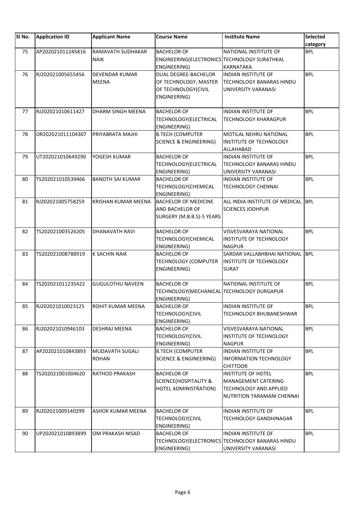| SI No. | <b>Application ID</b> | <b>Applicant Name</b>                   | <b>Course Name</b>                                                                   | <b>Institute Name</b>                                                                                           | Selected<br>category |
|--------|-----------------------|-----------------------------------------|--------------------------------------------------------------------------------------|-----------------------------------------------------------------------------------------------------------------|----------------------|
| 75     | AP202021011245816     | <b>RAMAVATH SUDHAKAR</b><br><b>NAIK</b> | <b>BACHELOR OF</b><br>ENGINEERING(ELECTRONICS TECHNOLOGY SURATHKAL<br>ENGINEERING)   | NATIONAL INSTITUTE OF<br><b>KARNATAKA</b>                                                                       | <b>BPL</b>           |
| 76     | RJ202021005655456     | <b>DEVENDAR KUMAR</b><br><b>MEENA</b>   | DUAL DEGREE-BACHELOR<br>OF TECHNOLOGY, MASTER<br>OF TECHNOLOGY(CIVIL<br>ENGINEERING) | <b>INDIAN INSTITUTE OF</b><br><b>TECHNOLOGY BANARAS HINDU</b><br>UNIVERSITY VARANASI                            | <b>BPL</b>           |
| 77     | RJ202021010611427     | <b>DHARM SINGH MEENA</b>                | <b>BACHELOR OF</b><br>TECHNOLOGY (ELECTRICAL<br>ENGINEERING)                         | INDIAN INSTITUTE OF<br><b>TECHNOLOGY KHARAGPUR</b>                                                              | <b>BPL</b>           |
| 78     | OR202021011104307     | PRIYABRATA MAJHI                        | <b>B.TECH (COMPUTER</b><br><b>SCIENCE &amp; ENGINEERING)</b>                         | MOTILAL NEHRU NATIONAL<br><b>INSTITUTE OF TECHNOLOGY</b><br><b>ALLAHABAD</b>                                    | <b>BPL</b>           |
| 79     | UT202021010649290     | YOGESH KUMAR                            | <b>BACHELOR OF</b><br>TECHNOLOGY(ELECTRICAL<br>ENGINEERING)                          | INDIAN INSTITUTE OF<br><b>TECHNOLOGY BANARAS HINDU</b><br>UNIVERSITY VARANASI                                   | <b>BPL</b>           |
| 80     | TS202021010539466     | <b>BANOTH SAI KUMAR</b>                 | <b>BACHELOR OF</b><br>TECHNOLOGY(CHEMICAL<br>ENGINEERING)                            | <b>INDIAN INSTITUTE OF</b><br><b>TECHNOLOGY CHENNAI</b>                                                         | <b>BPL</b>           |
| 81     | RJ202021005758259     | KRISHAN KUMAR MEENA                     | <b>BACHELOR OF MEDICINE</b><br>AND BACHELOR OF<br>SURGERY (M.B.B.S)-5 YEARS          | ALL INDIA INSTITUTE OF MEDICAL<br><b>SCIENCES JODHPUR</b>                                                       | <b>IBPL</b>          |
| 82     | TS202021003526205     | <b>DHANAVATH RAVI</b>                   | <b>BACHELOR OF</b><br>TECHNOLOGY(CHEMICAL<br>ENGINEERING)                            | VISVESVARAYA NATIONAL<br>INSTITUTE OF TECHNOLOGY<br><b>NAGPUR</b>                                               | <b>BPL</b>           |
| 83     | TS202021008788919     | <b>K SACHIN NAIK</b>                    | <b>BACHELOR OF</b><br><b>TECHNOLOGY (COMPUTER</b><br>ENGINEERING)                    | SARDAR VALLABHBHAI NATIONAL<br>INSTITUTE OF TECHNOLOGY<br><b>SURAT</b>                                          | <b>BPL</b>           |
| 84     | TS202021011235422     | <b>GUGULOTHU NAVEEN</b>                 | <b>BACHELOR OF</b><br>TECHNOLOGY (MECHANICAL TECHNOLOGY DURGAPUR<br>ENGINEERING)     | NATIONAL INSTITUTE OF                                                                                           | <b>BPL</b>           |
| 85     | RJ202021010023125     | <b>ROHIT KUMAR MEENA</b>                | <b>BACHELOR OF</b><br><b>TECHNOLOGY(CIVIL</b><br>ENGINEERING)                        | INDIAN INSTITUTE OF<br><b>TECHNOLOGY BHUBANESHWAR</b>                                                           | <b>BPL</b>           |
| 86     | RJ202021010946103     | <b>DESHRAJ MEENA</b>                    | <b>BACHELOR OF</b><br><b>TECHNOLOGY(CIVIL</b><br>ENGINEERING)                        | VISVESVARAYA NATIONAL<br><b>INSTITUTE OF TECHNOLOGY</b><br><b>NAGPUR</b>                                        | <b>BPL</b>           |
| 87     | AP202021010843893     | MUDAVATH SUGALI<br><b>ROHAN</b>         | <b>B.TECH (COMPUTER</b><br><b>SCIENCE &amp; ENGINEERING)</b>                         | INDIAN INSTITUTE OF<br><b>INFORMATION TECHNOLOGY</b><br><b>CHITTOOR</b>                                         | <b>BPL</b>           |
| 88     | TS202021001004620     | RATHOD PRAKASH                          | <b>BACHELOR OF</b><br><b>SCIENCE(HOSPITALITY &amp;</b><br>HOTEL ADMINISTRATION)      | <b>INSTITUTE OF HOTEL</b><br>MANAGEMENT CATERING<br><b>TECHNOLOGY AND APPLIED</b><br>NUTRITION TARAMANI CHENNAI | <b>BPL</b>           |
| 89     | RJ202021009140299     | ASHOK KUMAR MEENA                       | <b>BACHELOR OF</b><br><b>TECHNOLOGY(CIVIL</b><br>ENGINEERING)                        | INDIAN INSTITUTE OF<br><b>TECHNOLOGY GANDHINAGAR</b>                                                            | <b>BPL</b>           |
| 90     | UP202021010893899     | OM PRAKASH NISAD                        | <b>BACHELOR OF</b><br>ENGINEERING)                                                   | <b>INDIAN INSTITUTE OF</b><br>TECHNOLOGY(ELECTRONICS TECHNOLOGY BANARAS HINDU<br>UNIVERSITY VARANASI            | <b>BPL</b>           |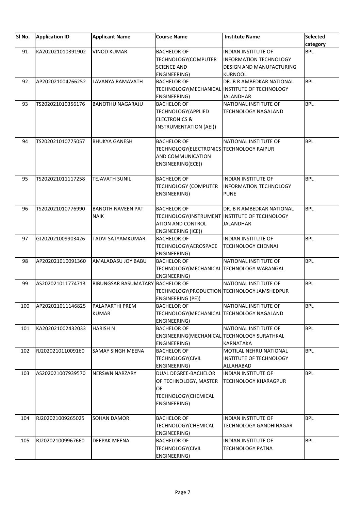| SI No. | <b>Application ID</b> | <b>Applicant Name</b>                   | <b>Course Name</b>                                                                                       | <b>Institute Name</b>                                                                                     | Selected<br>category |
|--------|-----------------------|-----------------------------------------|----------------------------------------------------------------------------------------------------------|-----------------------------------------------------------------------------------------------------------|----------------------|
| 91     | KA202021010391902     | <b>VINOD KUMAR</b>                      | <b>BACHELOR OF</b><br>TECHNOLOGY(COMPUTER<br><b>SCIENCE AND</b><br>ENGINEERING)                          | INDIAN INSTITUTE OF<br><b>INFORMATION TECHNOLOGY</b><br><b>DESIGN AND MANUFACTURING</b><br><b>KURNOOL</b> | <b>BPL</b>           |
| 92     | AP202021004766252     | LAVANYA RAMAVATH                        | <b>BACHELOR OF</b><br>ENGINEERING)                                                                       | DR. B R AMBEDKAR NATIONAL<br>TECHNOLOGY(MECHANICAL INSTITUTE OF TECHNOLOGY<br>JALANDHAR                   | <b>BPL</b>           |
| 93     | TS202021010356176     | <b>BANOTHU NAGARAJU</b>                 | <b>BACHELOR OF</b><br>TECHNOLOGY(APPLIED<br><b>ELECTRONICS &amp;</b><br>INSTRUMENTATION (AEI))           | NATIONAL INSTITUTE OF<br><b>TECHNOLOGY NAGALAND</b>                                                       | <b>BPL</b>           |
| 94     | TS202021010775057     | <b>BHUKYA GANESH</b>                    | <b>BACHELOR OF</b><br>TECHNOLOGY(ELECTRONICS TECHNOLOGY RAIPUR<br>AND COMMUNICATION<br>ENGINEERING(ECE)) | NATIONAL INSTITUTE OF                                                                                     | <b>BPL</b>           |
| 95     | TS202021011117258     | <b>TEJAVATH SUNIL</b>                   | <b>BACHELOR OF</b><br><b>TECHNOLOGY (COMPUTER</b><br>ENGINEERING)                                        | <b>INDIAN INSTITUTE OF</b><br><b>INFORMATION TECHNOLOGY</b><br><b>PUNE</b>                                | <b>BPL</b>           |
| 96     | TS202021010776990     | <b>BANOTH NAVEEN PAT</b><br><b>NAIK</b> | <b>BACHELOR OF</b><br>ATION AND CONTROL<br>ENGINEERING (ICE))                                            | DR. B R AMBEDKAR NATIONAL<br>TECHNOLOGY(INSTRUMENT INSTITUTE OF TECHNOLOGY<br><b>JALANDHAR</b>            | <b>BPL</b>           |
| 97     | GJ202021009903426     | TADVI SATYAMKUMAR                       | <b>BACHELOR OF</b><br>TECHNOLOGY(AEROSPACE<br>ENGINEERING)                                               | INDIAN INSTITUTE OF<br><b>TECHNOLOGY CHENNAI</b>                                                          | <b>BPL</b>           |
| 98     | AP202021010091360     | AMALADASU JOY BABU                      | <b>BACHELOR OF</b><br>TECHNOLOGY(MECHANICAL TECHNOLOGY WARANGAL<br>ENGINEERING)                          | NATIONAL INSTITUTE OF                                                                                     | <b>BPL</b>           |
| 99     | AS202021011774713     | BIBUNGSAR BASUMATARY BACHELOR OF        | <b>ENGINEERING (PE))</b>                                                                                 | NATIONAL INSTITUTE OF<br>TECHNOLOGY(PRODUCTION TECHNOLOGY JAMSHEDPUR                                      | <b>BPL</b>           |
| 100    | AP202021011146825     | <b>PALAPARTHI PREM</b><br><b>KUMAR</b>  | <b>BACHELOR OF</b><br>TECHNOLOGY(MECHANICAL TECHNOLOGY NAGALAND<br>ENGINEERING)                          | NATIONAL INSTITUTE OF                                                                                     | <b>BPL</b>           |
| 101    | KA202021002432033     | <b>HARISH N</b>                         | <b>BACHELOR OF</b><br>ENGINEERING(MECHANICAL TECHNOLOGY SURATHKAL<br>ENGINEERING)                        | NATIONAL INSTITUTE OF<br><b>KARNATAKA</b>                                                                 | <b>BPL</b>           |
| 102    | RJ202021011009160     | <b>SAMAY SINGH MEENA</b>                | <b>BACHELOR OF</b><br><b>TECHNOLOGY(CIVIL</b><br>ENGINEERING)                                            | MOTILAL NEHRU NATIONAL<br>INSTITUTE OF TECHNOLOGY<br>ALLAHABAD                                            | <b>BPL</b>           |
| 103    | AS202021007939570     | <b>NERSWN NARZARY</b>                   | DUAL DEGREE-BACHELOR<br>OF TECHNOLOGY, MASTER<br>0F<br>TECHNOLOGY(CHEMICAL<br>ENGINEERING)               | <b>INDIAN INSTITUTE OF</b><br><b>TECHNOLOGY KHARAGPUR</b>                                                 | <b>BPL</b>           |
| 104    | RJ202021009265025     | <b>SOHAN DAMOR</b>                      | <b>BACHELOR OF</b><br>TECHNOLOGY(CHEMICAL<br>ENGINEERING)                                                | <b>INDIAN INSTITUTE OF</b><br><b>TECHNOLOGY GANDHINAGAR</b>                                               | <b>BPL</b>           |
| 105    | RJ202021009967660     | <b>DEEPAK MEENA</b>                     | <b>BACHELOR OF</b><br><b>TECHNOLOGY(CIVIL</b><br>ENGINEERING)                                            | INDIAN INSTITUTE OF<br>TECHNOLOGY PATNA                                                                   | <b>BPL</b>           |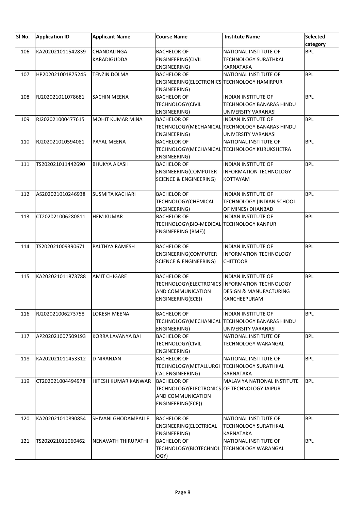| SI No. | <b>Application ID</b> | <b>Applicant Name</b>      | <b>Course Name</b>                                                                                           | <b>Institute Name</b>                                                                                                            | Selected<br>category |
|--------|-----------------------|----------------------------|--------------------------------------------------------------------------------------------------------------|----------------------------------------------------------------------------------------------------------------------------------|----------------------|
| 106    | KA202021011542839     | CHANDALINGA<br>KARADIGUDDA | <b>BACHELOR OF</b><br>ENGINEERING(CIVIL<br>ENGINEERING)                                                      | NATIONAL INSTITUTE OF<br><b>TECHNOLOGY SURATHKAL</b><br>KARNATAKA                                                                | <b>BPL</b>           |
| 107    | HP202021001875245     | <b>TENZIN DOLMA</b>        | <b>BACHELOR OF</b><br>ENGINEERING(ELECTRONICS TECHNOLOGY HAMIRPUR<br>ENGINEERING)                            | NATIONAL INSTITUTE OF                                                                                                            | <b>BPL</b>           |
| 108    | RJ202021011078681     | <b>SACHIN MEENA</b>        | <b>BACHELOR OF</b><br>TECHNOLOGY(CIVIL<br>ENGINEERING)                                                       | <b>INDIAN INSTITUTE OF</b><br><b>TECHNOLOGY BANARAS HINDU</b><br>UNIVERSITY VARANASI                                             | <b>BPL</b>           |
| 109    | RJ202021000477615     | <b>MOHIT KUMAR MINA</b>    | <b>BACHELOR OF</b><br>ENGINEERING)                                                                           | <b>INDIAN INSTITUTE OF</b><br>TECHNOLOGY (MECHANICAL TECHNOLOGY BANARAS HINDU<br>UNIVERSITY VARANASI                             | <b>BPL</b>           |
| 110    | RJ202021010594081     | PAYAL MEENA                | <b>BACHELOR OF</b><br>ENGINEERING)                                                                           | NATIONAL INSTITUTE OF<br>TECHNOLOGY(MECHANICAL TECHNOLOGY KURUKSHETRA                                                            | <b>BPL</b>           |
| 111    | TS202021011442690     | <b>BHUKYA AKASH</b>        | <b>BACHELOR OF</b><br>ENGINEERING(COMPUTER<br><b>SCIENCE &amp; ENGINEERING)</b>                              | <b>INDIAN INSTITUTE OF</b><br><b>INFORMATION TECHNOLOGY</b><br><b>KOTTAYAM</b>                                                   | <b>BPL</b>           |
| 112    | AS202021010246938     | <b>SUSMITA KACHARI</b>     | <b>BACHELOR OF</b><br>TECHNOLOGY(CHEMICAL<br>ENGINEERING)                                                    | INDIAN INSTITUTE OF<br>TECHNOLOGY (INDIAN SCHOOL<br>OF MINES) DHANBAD                                                            | <b>BPL</b>           |
| 113    | CT202021006280811     | <b>HEM KUMAR</b>           | <b>BACHELOR OF</b><br>TECHNOLOGY(BIO-MEDICAL TECHNOLOGY KANPUR<br>ENGINEERING (BME))                         | INDIAN INSTITUTE OF                                                                                                              | <b>BPL</b>           |
| 114    | TS202021009390671     | PALTHYA RAMESH             | <b>BACHELOR OF</b><br>ENGINEERING(COMPUTER<br><b>SCIENCE &amp; ENGINEERING)</b>                              | INDIAN INSTITUTE OF<br><b>INFORMATION TECHNOLOGY</b><br><b>CHITTOOR</b>                                                          | <b>BPL</b>           |
| 115    | KA202021011873788     | <b>AMIT CHIGARE</b>        | <b>BACHELOR OF</b><br>AND COMMUNICATION<br>ENGINEERING(ECE))                                                 | <b>INDIAN INSTITUTE OF</b><br>TECHNOLOGY(ELECTRONICS INFORMATION TECHNOLOGY<br><b>DESIGN &amp; MANUFACTURING</b><br>KANCHEEPURAM | <b>BPL</b>           |
| 116    | RJ202021006273758     | LOKESH MEENA               | <b>BACHELOR OF</b><br>ENGINEERING)                                                                           | <b>INDIAN INSTITUTE OF</b><br>TECHNOLOGY (MECHANICAL TECHNOLOGY BANARAS HINDU<br>UNIVERSITY VARANASI                             | <b>BPL</b>           |
| 117    | AP202021007509193     | <b>KORRA LAVANYA BAI</b>   | <b>BACHELOR OF</b><br><b>TECHNOLOGY(CIVIL</b><br>ENGINEERING)                                                | NATIONAL INSTITUTE OF<br><b>TECHNOLOGY WARANGAL</b>                                                                              | <b>BPL</b>           |
| 118    | KA202021011453312     | <b>D NIRANJAN</b>          | <b>BACHELOR OF</b><br>TECHNOLOGY (METALLURGI   TECHNOLOGY SURATHKAL<br><b>CAL ENGINEERING)</b>               | NATIONAL INSTITUTE OF<br>KARNATAKA                                                                                               | <b>BPL</b>           |
| 119    | CT202021004494978     | HITESH KUMAR KANWAR        | <b>BACHELOR OF</b><br>TECHNOLOGY (ELECTRONICS OF TECHNOLOGY JAIPUR<br>AND COMMUNICATION<br>ENGINEERING(ECE)) | MALAVIYA NATIONAL INSTITUTE                                                                                                      | <b>BPL</b>           |
| 120    | KA202021010890854     | SHIVANI GHODAMPALLE        | <b>BACHELOR OF</b><br>ENGINEERING(ELECTRICAL<br>ENGINEERING)                                                 | NATIONAL INSTITUTE OF<br><b>TECHNOLOGY SURATHKAL</b><br>KARNATAKA                                                                | <b>BPL</b>           |
| 121    | TS202021011060462     | NENAVATH THIRUPATHI        | <b>BACHELOR OF</b><br>TECHNOLOGY(BIOTECHNOL TECHNOLOGY WARANGAL<br>OGY)                                      | NATIONAL INSTITUTE OF                                                                                                            | <b>BPL</b>           |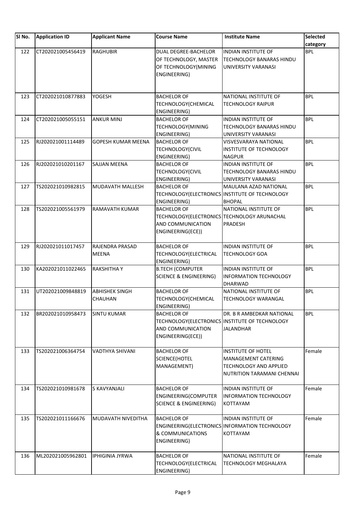| SI No. | <b>Application ID</b> | <b>Applicant Name</b>                   | <b>Course Name</b>                                                                                          | <b>Institute Name</b>                                                                                           | Selected<br>category |
|--------|-----------------------|-----------------------------------------|-------------------------------------------------------------------------------------------------------------|-----------------------------------------------------------------------------------------------------------------|----------------------|
| 122    | CT202021005456419     | <b>RAGHUBIR</b>                         | DUAL DEGREE-BACHELOR<br>OF TECHNOLOGY, MASTER<br>OF TECHNOLOGY (MINING<br>ENGINEERING)                      | <b>INDIAN INSTITUTE OF</b><br><b>TECHNOLOGY BANARAS HINDU</b><br>UNIVERSITY VARANASI                            | <b>BPL</b>           |
| 123    | CT202021010877883     | YOGESH                                  | <b>BACHELOR OF</b><br>TECHNOLOGY(CHEMICAL<br>ENGINEERING)                                                   | NATIONAL INSTITUTE OF<br><b>TECHNOLOGY RAIPUR</b>                                                               | <b>BPL</b>           |
| 124    | CT202021005055151     | <b>ANKUR MINJ</b>                       | <b>BACHELOR OF</b><br>TECHNOLOGY(MINING<br>ENGINEERING)                                                     | INDIAN INSTITUTE OF<br>TECHNOLOGY BANARAS HINDU<br>UNIVERSITY VARANASI                                          | <b>BPL</b>           |
| 125    | RJ202021001114489     | <b>GOPESH KUMAR MEENA</b>               | <b>BACHELOR OF</b><br><b>TECHNOLOGY(CIVIL</b><br>ENGINEERING)                                               | VISVESVARAYA NATIONAL<br>INSTITUTE OF TECHNOLOGY<br><b>NAGPUR</b>                                               | <b>BPL</b>           |
| 126    | RJ202021010201167     | <b>SAJJAN MEENA</b>                     | <b>BACHELOR OF</b><br>TECHNOLOGY(CIVIL<br>ENGINEERING)                                                      | <b>INDIAN INSTITUTE OF</b><br><b>TECHNOLOGY BANARAS HINDU</b><br>UNIVERSITY VARANASI                            | <b>BPL</b>           |
| 127    | TS202021010982815     | MUDAVATH MALLESH                        | <b>BACHELOR OF</b><br>ENGINEERING)                                                                          | MAULANA AZAD NATIONAL<br>TECHNOLOGY(ELECTRONICS INSTITUTE OF TECHNOLOGY<br><b>BHOPAL</b>                        | <b>BPL</b>           |
| 128    | TS202021005561979     | RAMAVATH KUMAR                          | <b>BACHELOR OF</b><br>TECHNOLOGY(ELECTRONICS TECHNOLOGY ARUNACHAL<br>AND COMMUNICATION<br>ENGINEERING(ECE)) | NATIONAL INSTITUTE OF<br>PRADESH                                                                                | <b>BPL</b>           |
| 129    | RJ202021011017457     | RAJENDRA PRASAD<br><b>MEENA</b>         | <b>BACHELOR OF</b><br>TECHNOLOGY(ELECTRICAL<br>ENGINEERING)                                                 | INDIAN INSTITUTE OF<br>TECHNOLOGY GOA                                                                           | <b>BPL</b>           |
| 130    | KA202021011022465     | <b>RAKSHITHA Y</b>                      | <b>B.TECH (COMPUTER</b><br><b>SCIENCE &amp; ENGINEERING)</b>                                                | <b>INDIAN INSTITUTE OF</b><br><b>INFORMATION TECHNOLOGY</b><br><b>DHARWAD</b>                                   | <b>BPL</b>           |
| 131    | UT202021009848819     | <b>ABHISHEK SINGH</b><br><b>CHAUHAN</b> | <b>BACHELOR OF</b><br>TECHNOLOGY(CHEMICAL<br>ENGINEERING)                                                   | NATIONAL INSTITUTE OF<br><b>TECHNOLOGY WARANGAL</b>                                                             | <b>BPL</b>           |
| 132    | BR202021010958473     | <b>SINTU KUMAR</b>                      | <b>BACHELOR OF</b><br>AND COMMUNICATION<br>ENGINEERING(ECE))                                                | DR. B R AMBEDKAR NATIONAL<br>TECHNOLOGY (ELECTRONICS INSTITUTE OF TECHNOLOGY<br><b>JALANDHAR</b>                | <b>BPL</b>           |
| 133    | TS202021006364754     | VADTHYA SHIVANI                         | <b>BACHELOR OF</b><br>SCIENCE(HOTEL<br>MANAGEMENT)                                                          | <b>INSTITUTE OF HOTEL</b><br>MANAGEMENT CATERING<br><b>TECHNOLOGY AND APPLIED</b><br>NUTRITION TARAMANI CHENNAI | Female               |
| 134    | TS202021010981678     | S KAVYANJALI                            | <b>BACHELOR OF</b><br>ENGINEERING(COMPUTER<br>SCIENCE & ENGINEERING)                                        | <b>INDIAN INSTITUTE OF</b><br><b>INFORMATION TECHNOLOGY</b><br>KOTTAYAM                                         | Female               |
| 135    | TS202021011166676     | MUDAVATH NIVEDITHA                      | <b>BACHELOR OF</b><br>& COMMUNICATIONS<br>ENGINEERING)                                                      | <b>INDIAN INSTITUTE OF</b><br>ENGINEERING(ELECTRONICS INFORMATION TECHNOLOGY<br>KOTTAYAM                        | Female               |
| 136    | ML202021005962801     | <b>IPHIGINIA JYRWA</b>                  | <b>BACHELOR OF</b><br>TECHNOLOGY(ELECTRICAL<br>ENGINEERING)                                                 | NATIONAL INSTITUTE OF<br><b>TECHNOLOGY MEGHALAYA</b>                                                            | Female               |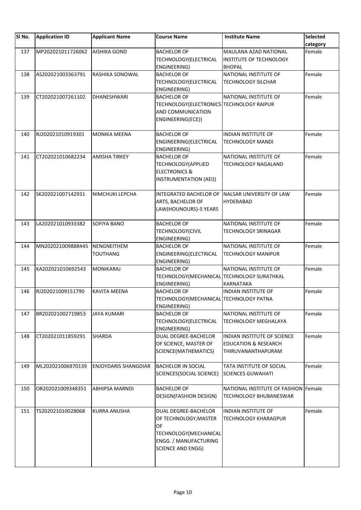| SI No. | <b>Application ID</b> | <b>Applicant Name</b>          | <b>Course Name</b>                                                                                                                 | <b>Institute Name</b>                                                                       | Selected<br>category |
|--------|-----------------------|--------------------------------|------------------------------------------------------------------------------------------------------------------------------------|---------------------------------------------------------------------------------------------|----------------------|
| 137    | MP202021011726062     | <b>AISHIKA GOND</b>            | <b>BACHELOR OF</b><br>TECHNOLOGY(ELECTRICAL<br>ENGINEERING)                                                                        | MAULANA AZAD NATIONAL<br><b>INSTITUTE OF TECHNOLOGY</b><br><b>BHOPAL</b>                    | Female               |
| 138    | AS202021003363791     | RASHIKA SONOWAL                | <b>BACHELOR OF</b><br>TECHNOLOGY(ELECTRICAL<br>ENGINEERING)                                                                        | NATIONAL INSTITUTE OF<br><b>TECHNOLOGY SILCHAR</b>                                          | Female               |
| 139    | CT202021007261102     | DHANESHWARI                    | <b>BACHELOR OF</b><br>TECHNOLOGY(ELECTRONICS TECHNOLOGY RAIPUR<br>AND COMMUNICATION<br>ENGINEERING(ECE))                           | NATIONAL INSTITUTE OF                                                                       | Female               |
| 140    | RJ202021010919301     | <b>MONIKA MEENA</b>            | <b>BACHELOR OF</b><br>ENGINEERING(ELECTRICAL<br>ENGINEERING)                                                                       | <b>INDIAN INSTITUTE OF</b><br><b>TECHNOLOGY MANDI</b>                                       | Female               |
| 141    | CT202021010682234     | <b>AMISHA TIRKEY</b>           | <b>BACHELOR OF</b><br>TECHNOLOGY(APPLIED<br><b>ELECTRONICS &amp;</b><br>INSTRUMENTATION (AEI))                                     | NATIONAL INSTITUTE OF<br><b>TECHNOLOGY NAGALAND</b>                                         | Female               |
| 142    | SK202021007142931     | NIMCHUKI LEPCHA                | <b>INTEGRATED BACHELOR OF</b><br>ARTS, BACHELOR OF<br>LAW(HOUNOURS)-5 YEARS                                                        | NALSAR UNIVERSITY OF LAW<br><b>HYDERABAD</b>                                                | Female               |
| 143    | LA202021010933382     | <b>SOFIYA BANO</b>             | <b>BACHELOR OF</b><br>TECHNOLOGY(CIVIL<br>ENGINEERING)                                                                             | NATIONAL INSTITUTE OF<br>TECHNOLOGY SRINAGAR                                                | Female               |
| 144    | MN202021009888445     | NENGNEITHEM<br><b>TOUTHANG</b> | <b>BACHELOR OF</b><br>ENGINEERING(ELECTRICAL<br>ENGINEERING)                                                                       | NATIONAL INSTITUTE OF<br><b>TECHNOLOGY MANIPUR</b>                                          | Female               |
| 145    | KA202021010692543     | <b>MONIKARAJ</b>               | <b>BACHELOR OF</b><br>TECHNOLOGY(MECHANICAL TECHNOLOGY SURATHKAL<br>ENGINEERING)                                                   | NATIONAL INSTITUTE OF<br><b>KARNATAKA</b>                                                   | Female               |
| 146    | RJ202021009151790     | <b>KAVITA MEENA</b>            | <b>BACHELOR OF</b><br>TECHNOLOGY (MECHANICAL TECHNOLOGY PATNA<br>ENGINEERING)                                                      | INDIAN INSTITUTE OF                                                                         | Female               |
| 147    | BR202021002719853     | <b>JAYA KUMARI</b>             | <b>BACHELOR OF</b><br><b>TECHNOLOGY (ELECTRICAL</b><br>ENGINEERING)                                                                | NATIONAL INSTITUTE OF<br><b>TECHNOLOGY MEGHALAYA</b>                                        | Female               |
| 148    | CT202021011859291     | <b>SHARDA</b>                  | DUAL DEGREE-BACHELOR<br>OF SCIENCE, MASTER OF<br>SCIENCE(MATHEMATICS)                                                              | <b>INDIAN INSTITUTE OF SCIENCE</b><br><b>EDUCATION &amp; RESEARCH</b><br>THIRUVANANTHAPURAM | Female               |
| 149    | ML202021006870139     | <b>ENJOYDARIS SHANGDIAR</b>    | <b>BACHELOR IN SOCIAL</b><br><b>SCIENCES(SOCIAL SCIENCE)</b>                                                                       | TATA INSTITUTE OF SOCIAL<br><b>SCIENCES GUWAHATI</b>                                        | Female               |
| 150    | OR202021009348351     | <b>ABHIPSA MARNDI</b>          | <b>BACHELOR OF</b><br>DESIGN(FASHION DESIGN)                                                                                       | NATIONAL INSTITUTE OF FASHION Female<br><b>TECHNOLOGY BHUBANESWAR</b>                       |                      |
| 151    | TS202021010028068     | <b>KURRA ANUSHA</b>            | DUAL DEGREE-BACHELOR<br>OF TECHNOLOGY, MASTER<br>OF<br>TECHNOLOGY (MECHANICAL<br>ENGG. / MANUFACTURING<br><b>SCIENCE AND ENGG)</b> | INDIAN INSTITUTE OF<br><b>TECHNOLOGY KHARAGPUR</b>                                          | Female               |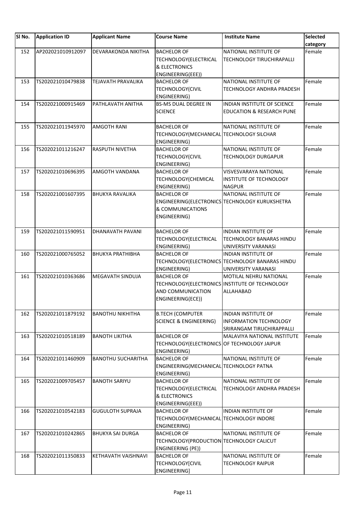| SI No. | <b>Application ID</b> | <b>Applicant Name</b>     | <b>Course Name</b>                          | <b>Institute Name</b>                           | <b>Selected</b> |
|--------|-----------------------|---------------------------|---------------------------------------------|-------------------------------------------------|-----------------|
|        |                       |                           |                                             |                                                 | category        |
| 152    | AP202021010912097     | DEVARAKONDA NIKITHA       | <b>BACHELOR OF</b>                          | NATIONAL INSTITUTE OF                           | Female          |
|        |                       |                           | TECHNOLOGY (ELECTRICAL                      | <b>TECHNOLOGY TIRUCHIRAPALLI</b>                |                 |
|        |                       |                           | <b>&amp; ELECTRONICS</b>                    |                                                 |                 |
|        |                       |                           | ENGINEERING(EEE))                           |                                                 |                 |
| 153    | TS202021010479838     | <b>TEJAVATH PRAVALIKA</b> | <b>BACHELOR OF</b>                          | NATIONAL INSTITUTE OF                           | Female          |
|        |                       |                           | <b>TECHNOLOGY(CIVIL</b>                     | <b>TECHNOLOGY ANDHRA PRADESH</b>                |                 |
|        |                       |                           | ENGINEERING)                                |                                                 |                 |
| 154    | TS202021000915469     | PATHLAVATH ANITHA         | <b>BS-MS DUAL DEGREE IN</b>                 | INDIAN INSTITUTE OF SCIENCE                     | Female          |
|        |                       |                           | <b>SCIENCE</b>                              | <b>EDUCATION &amp; RESEARCH PUNE</b>            |                 |
|        |                       |                           |                                             |                                                 |                 |
| 155    | TS202021011945970     | <b>AMGOTH RANI</b>        | <b>BACHELOR OF</b>                          | NATIONAL INSTITUTE OF                           | Female          |
|        |                       |                           | TECHNOLOGY (MECHANICAL TECHNOLOGY SILCHAR   |                                                 |                 |
|        |                       |                           |                                             |                                                 |                 |
|        |                       |                           | ENGINEERING)                                |                                                 |                 |
| 156    | TS202021011216247     | <b>RASPUTH NIVETHA</b>    | <b>BACHELOR OF</b>                          | NATIONAL INSTITUTE OF                           | Female          |
|        |                       |                           | TECHNOLOGY(CIVIL                            | <b>TECHNOLOGY DURGAPUR</b>                      |                 |
|        |                       |                           | ENGINEERING)                                |                                                 |                 |
| 157    | TS202021010696395     | <b>AMGOTH VANDANA</b>     | <b>BACHELOR OF</b>                          | VISVESVARAYA NATIONAL                           | Female          |
|        |                       |                           | TECHNOLOGY(CHEMICAL                         | INSTITUTE OF TECHNOLOGY                         |                 |
|        |                       |                           | ENGINEERING)                                | <b>NAGPUR</b>                                   |                 |
| 158    | TS202021001607395     | <b>BHUKYA RAVALIKA</b>    | <b>BACHELOR OF</b>                          | NATIONAL INSTITUTE OF                           | Female          |
|        |                       |                           |                                             | ENGINEERING(ELECTRONICS TECHNOLOGY KURUKSHETRA  |                 |
|        |                       |                           | & COMMUNICATIONS                            |                                                 |                 |
|        |                       |                           | ENGINEERING)                                |                                                 |                 |
|        |                       |                           |                                             |                                                 |                 |
| 159    | TS202021011590951     | <b>DHANAVATH PAVANI</b>   | <b>BACHELOR OF</b>                          | <b>INDIAN INSTITUTE OF</b>                      | Female          |
|        |                       |                           |                                             |                                                 |                 |
|        |                       |                           | TECHNOLOGY(ELECTRICAL                       | TECHNOLOGY BANARAS HINDU                        |                 |
|        |                       |                           | ENGINEERING)                                | UNIVERSITY VARANASI                             |                 |
| 160    | TS202021000765052     | <b>BHUKYA PRATHIBHA</b>   | <b>BACHELOR OF</b>                          | <b>INDIAN INSTITUTE OF</b>                      | Female          |
|        |                       |                           |                                             | TECHNOLOGY(ELECTRONICS TECHNOLOGY BANARAS HINDU |                 |
|        |                       |                           | ENGINEERING)                                | UNIVERSITY VARANASI                             |                 |
| 161    | TS202021010363686     | MEGAVATH SINDUJA          | <b>BACHELOR OF</b>                          | <b>MOTILAL NEHRU NATIONAL</b>                   | Female          |
|        |                       |                           |                                             | TECHNOLOGY(ELECTRONICS INSTITUTE OF TECHNOLOGY  |                 |
|        |                       |                           | AND COMMUNICATION                           | ALLAHABAD                                       |                 |
|        |                       |                           | ENGINEERING(ECE))                           |                                                 |                 |
|        |                       |                           |                                             |                                                 |                 |
| 162    | TS202021011879192     | <b>BANOTHU NIKHITHA</b>   | <b>B.TECH (COMPUTER</b>                     | <b>INDIAN INSTITUTE OF</b>                      | Female          |
|        |                       |                           | <b>SCIENCE &amp; ENGINEERING)</b>           | <b>INFORMATION TECHNOLOGY</b>                   |                 |
|        |                       |                           |                                             | <b>SRIRANGAM TIRUCHIRAPPALLI</b>                |                 |
| 163    | TS202021010518189     | <b>BANOTH LIKITHA</b>     | <b>BACHELOR OF</b>                          | <b>MALAVIYA NATIONAL INSTITUTE</b>              | Female          |
|        |                       |                           |                                             |                                                 |                 |
|        |                       |                           | TECHNOLOGY(ELECTRONICS OF TECHNOLOGY JAIPUR |                                                 |                 |
|        |                       |                           | ENGINEERING)                                |                                                 |                 |
| 164    | TS202021011460909     | <b>BANOTHU SUCHARITHA</b> | <b>BACHELOR OF</b>                          | NATIONAL INSTITUTE OF                           | Female          |
|        |                       |                           | ENGINEERING(MECHANICAL TECHNOLOGY PATNA     |                                                 |                 |
|        |                       |                           | ENGINEERING)                                |                                                 |                 |
| 165    | TS202021009705457     | <b>BANOTH SARIYU</b>      | <b>BACHELOR OF</b>                          | NATIONAL INSTITUTE OF                           | Female          |
|        |                       |                           | TECHNOLOGY (ELECTRICAL                      | <b>TECHNOLOGY ANDHRA PRADESH</b>                |                 |
|        |                       |                           | <b>&amp; ELECTRONICS</b>                    |                                                 |                 |
|        |                       |                           | ENGINEERING(EEE))                           |                                                 |                 |
| 166    | TS202021010542183     | <b>GUGULOTH SUPRAJA</b>   | <b>BACHELOR OF</b>                          | <b>INDIAN INSTITUTE OF</b>                      | Female          |
|        |                       |                           | TECHNOLOGY (MECHANICAL TECHNOLOGY INDORE    |                                                 |                 |
|        |                       |                           | ENGINEERING)                                |                                                 |                 |
|        |                       |                           |                                             |                                                 |                 |
| 167    | TS202021010242865     | <b>BHUKYA SAI DURGA</b>   | <b>BACHELOR OF</b>                          | NATIONAL INSTITUTE OF                           | Female          |
|        |                       |                           | TECHNOLOGY (PRODUCTION TECHNOLOGY CALICUT   |                                                 |                 |
|        |                       |                           | ENGINEERING (PE))                           |                                                 |                 |
| 168    | TS202021011350833     | KETHAVATH VAISHNAVI       | <b>BACHELOR OF</b>                          | NATIONAL INSTITUTE OF                           | Female          |
|        |                       |                           | TECHNOLOGY[CIVIL                            | <b>TECHNOLOGY RAIPUR</b>                        |                 |
|        |                       |                           | ENGINEERING]                                |                                                 |                 |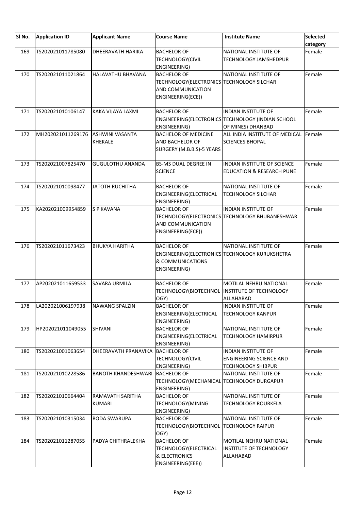| SI No. | <b>Application ID</b> | <b>Applicant Name</b>            | <b>Course Name</b>                         | <b>Institute Name</b>                             | Selected |
|--------|-----------------------|----------------------------------|--------------------------------------------|---------------------------------------------------|----------|
|        |                       |                                  |                                            |                                                   | category |
| 169    | TS202021011785080     | <b>DHEERAVATH HARIKA</b>         | <b>BACHELOR OF</b>                         | NATIONAL INSTITUTE OF                             | Female   |
|        |                       |                                  | TECHNOLOGY(CIVIL                           | <b>TECHNOLOGY JAMSHEDPUR</b>                      |          |
|        |                       |                                  | <b>ENGINEERING)</b>                        |                                                   |          |
| 170    | TS202021011021864     | HALAVATHU BHAVANA                | <b>BACHELOR OF</b>                         | NATIONAL INSTITUTE OF                             | Female   |
|        |                       |                                  | TECHNOLOGY(ELECTRONICS TECHNOLOGY SILCHAR  |                                                   |          |
|        |                       |                                  | AND COMMUNICATION                          |                                                   |          |
|        |                       |                                  | ENGINEERING(ECE))                          |                                                   |          |
| 171    | TS202021010106147     | KAKA VIJAYA LAXMI                | <b>BACHELOR OF</b>                         | INDIAN INSTITUTE OF                               | Female   |
|        |                       |                                  |                                            | ENGINEERING(ELECTRONICS TECHNOLOGY (INDIAN SCHOOL |          |
|        |                       |                                  | ENGINEERING)                               | OF MINES) DHANBAD                                 |          |
| 172    | MH202021011269176     | <b>ASHWINI VASANTA</b>           | <b>BACHELOR OF MEDICINE</b>                | ALL INDIA INSTITUTE OF MEDICAL                    | Female   |
|        |                       | <b>KHEKALE</b>                   | AND BACHELOR OF                            | <b>SCIENCES BHOPAL</b>                            |          |
|        |                       |                                  | SURGERY (M.B.B.S)-5 YEARS                  |                                                   |          |
| 173    | TS202021007825470     | <b>GUGULOTHU ANANDA</b>          | <b>BS-MS DUAL DEGREE IN</b>                | INDIAN INSTITUTE OF SCIENCE                       | Female   |
|        |                       |                                  | <b>SCIENCE</b>                             | <b>EDUCATION &amp; RESEARCH PUNE</b>              |          |
|        |                       |                                  |                                            |                                                   |          |
| 174    | TS202021010098477     | <b>JATOTH RUCHITHA</b>           | <b>BACHELOR OF</b>                         | NATIONAL INSTITUTE OF                             | Female   |
|        |                       |                                  | ENGINEERING(ELECTRICAL                     | <b>TECHNOLOGY SILCHAR</b>                         |          |
|        |                       |                                  | ENGINEERING)                               |                                                   |          |
| 175    | KA202021009954859     | <b>S P KAVANA</b>                | <b>BACHELOR OF</b>                         | INDIAN INSTITUTE OF                               | Female   |
|        |                       |                                  |                                            | TECHNOLOGY(ELECTRONICS TECHNOLOGY BHUBANESHWAR    |          |
|        |                       |                                  | AND COMMUNICATION                          |                                                   |          |
|        |                       |                                  | ENGINEERING(ECE))                          |                                                   |          |
| 176    | TS202021011673423     | <b>BHUKYA HARITHA</b>            | <b>BACHELOR OF</b>                         | NATIONAL INSTITUTE OF                             | Female   |
|        |                       |                                  |                                            | ENGINEERING(ELECTRONICS TECHNOLOGY KURUKSHETRA    |          |
|        |                       |                                  | & COMMUNICATIONS                           |                                                   |          |
|        |                       |                                  | ENGINEERING)                               |                                                   |          |
|        |                       |                                  |                                            |                                                   |          |
| 177    | AP202021011659533     | <b>SAVARA URMILA</b>             | <b>BACHELOR OF</b>                         | <b>MOTILAL NEHRU NATIONAL</b>                     | Female   |
|        |                       |                                  |                                            | TECHNOLOGY(BIOTECHNOL  INSTITUTE OF TECHNOLOGY    |          |
|        |                       |                                  | OGY)                                       | ALLAHABAD                                         |          |
| 178    | LA202021006197938     | NAWANG SPALZIN                   | <b>BACHELOR OF</b>                         | <b>INDIAN INSTITUTE OF</b>                        | Female   |
|        |                       |                                  | ENGINEERING(ELECTRICAL                     | <b>TECHNOLOGY KANPUR</b>                          |          |
| 179    | HP202021011049055     | SHIVANI                          | ENGINEERING)<br><b>BACHELOR OF</b>         | NATIONAL INSTITUTE OF                             | Female   |
|        |                       |                                  | ENGINEERING(ELECTRICAL                     | <b>TECHNOLOGY HAMIRPUR</b>                        |          |
|        |                       |                                  | ENGINEERING)                               |                                                   |          |
| 180    | TS202021001063654     | DHEERAVATH PRANAVIKA BACHELOR OF |                                            | INDIAN INSTITUTE OF                               | Female   |
|        |                       |                                  | <b>TECHNOLOGY(CIVIL</b>                    | <b>ENGINEERING SCIENCE AND</b>                    |          |
|        |                       |                                  | ENGINEERING)                               | <b>TECHNOLOGY SHIBPUR</b>                         |          |
| 181    | TS202021010228586     | BANOTH KHANDESHWARI BACHELOR OF  |                                            | NATIONAL INSTITUTE OF                             | Female   |
|        |                       |                                  | TECHNOLOGY (MECHANICAL TECHNOLOGY DURGAPUR |                                                   |          |
|        |                       |                                  | ENGINEERING)                               |                                                   |          |
| 182    | TS202021010664404     | <b>RAMAVATH SARITHA</b>          | <b>BACHELOR OF</b>                         | NATIONAL INSTITUTE OF                             | Female   |
|        |                       | <b>KUMARI</b>                    | TECHNOLOGY(MINING                          | <b>TECHNOLOGY ROURKELA</b>                        |          |
|        |                       |                                  | ENGINEERING)                               |                                                   |          |
| 183    | TS202021010315034     | <b>BODA SWARUPA</b>              | <b>BACHELOR OF</b>                         | NATIONAL INSTITUTE OF                             | Female   |
|        |                       |                                  | TECHNOLOGY(BIOTECHNOL                      | <b>TECHNOLOGY RAIPUR</b>                          |          |
|        |                       |                                  | OGY)                                       |                                                   |          |
| 184    | TS202021011287055     | PADYA CHITHRALEKHA               | <b>BACHELOR OF</b>                         | MOTILAL NEHRU NATIONAL                            | Female   |
|        |                       |                                  | TECHNOLOGY(ELECTRICAL                      | <b>INSTITUTE OF TECHNOLOGY</b>                    |          |
|        |                       |                                  | & ELECTRONICS                              | ALLAHABAD                                         |          |
|        |                       |                                  | ENGINEERING(EEE))                          |                                                   |          |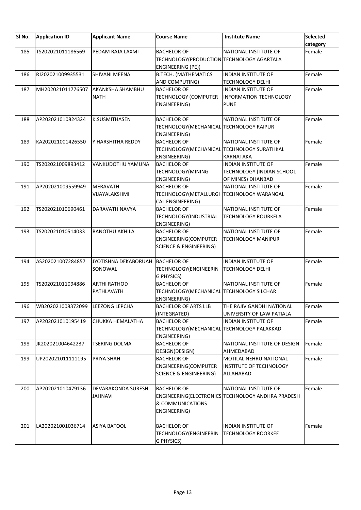| SI No. | <b>Application ID</b>            | <b>Applicant Name</b>             | <b>Course Name</b>                                                                     | <b>Institute Name</b>                                                        | Selected<br>category |
|--------|----------------------------------|-----------------------------------|----------------------------------------------------------------------------------------|------------------------------------------------------------------------------|----------------------|
| 185    | TS202021011186569                | PEDAM RAJA LAXMI                  | <b>BACHELOR OF</b><br>TECHNOLOGY(PRODUCTION TECHNOLOGY AGARTALA<br>ENGINEERING (PE))   | NATIONAL INSTITUTE OF                                                        | Female               |
| 186    | RJ202021009935531                | SHIVANI MEENA                     | <b>B.TECH. (MATHEMATICS</b><br>AND COMPUTING)                                          | INDIAN INSTITUTE OF<br><b>TECHNOLOGY DELHI</b>                               | Female               |
| 187    | MH202021011776507                | AKANKSHA SHAMBHU<br><b>NATH</b>   | <b>BACHELOR OF</b><br><b>TECHNOLOGY (COMPUTER</b><br>ENGINEERING)                      | INDIAN INSTITUTE OF<br><b>INFORMATION TECHNOLOGY</b><br><b>PUNE</b>          | Female               |
| 188    | AP202021010824324                | <b>K.SUSMITHASEN</b>              | <b>BACHELOR OF</b><br>TECHNOLOGY (MECHANICAL TECHNOLOGY RAIPUR<br>ENGINEERING)         | NATIONAL INSTITUTE OF                                                        | Female               |
| 189    | KA202021001426550                | Y HARSHITHA REDDY                 | <b>BACHELOR OF</b><br>TECHNOLOGY(MECHANICAL TECHNOLOGY SURATHKAL<br>ENGINEERING)       | NATIONAL INSTITUTE OF<br><b>KARNATAKA</b>                                    | Female               |
| 190    | TS202021009893412                | VANKUDOTHU YAMUNA                 | <b>BACHELOR OF</b><br><b>TECHNOLOGY(MINING</b><br>ENGINEERING)                         | <b>INDIAN INSTITUTE OF</b><br>TECHNOLOGY (INDIAN SCHOOL<br>OF MINES) DHANBAD | Female               |
| 191    | AP202021009559949                | <b>MERAVATH</b><br>VIJAYALAKSHMI  | <b>BACHELOR OF</b><br>TECHNOLOGY (METALLURGI   TECHNOLOGY WARANGAL<br>CAL ENGINEERING) | NATIONAL INSTITUTE OF                                                        | Female               |
| 192    | TS202021010690461                | <b>DARAVATH NAVYA</b>             | <b>BACHELOR OF</b><br>TECHNOLOGY(INDUSTRIAL<br>ENGINEERING)                            | NATIONAL INSTITUTE OF<br><b>TECHNOLOGY ROURKELA</b>                          | Female               |
| 193    | TS202021010514033                | <b>BANOTHU AKHILA</b>             | <b>BACHELOR OF</b><br>ENGINEERING(COMPUTER<br><b>SCIENCE &amp; ENGINEERING)</b>        | NATIONAL INSTITUTE OF<br><b>TECHNOLOGY MANIPUR</b>                           | Female               |
| 194    | AS202021007284857                | JYOTISHNA DEKABORUAH<br>SONOWAL   | <b>BACHELOR OF</b><br>TECHNOLOGY(ENGINEERIN<br>G PHYSICS)                              | INDIAN INSTITUTE OF<br><b>TECHNOLOGY DELHI</b>                               | Female               |
| 195    | TS202021011094886                | <b>ARTHI RATHOD</b><br>PATHLAVATH | <b>BACHELOR OF</b><br>TECHNOLOGY (MECHANICAL TECHNOLOGY SILCHAR<br>ENGINEERING)        | NATIONAL INSTITUTE OF                                                        | Female               |
| 196    | WB202021008372099 LEEZONG LEPCHA |                                   | <b>BACHELOR OF ARTS LLB</b><br>(INTEGRATED)                                            | THE RAJIV GANDHI NATIONAL<br>UNIVERSITY OF LAW PATIALA                       | Female               |
| 197    | AP202021010195419                | CHUKKA HEMALATHA                  | <b>BACHELOR OF</b><br>TECHNOLOGY(MECHANICAL TECHNOLOGY PALAKKAD<br>ENGINEERING)        | <b>INDIAN INSTITUTE OF</b>                                                   | Female               |
| 198    | JK202021004642237                | <b>TSERING DOLMA</b>              | <b>BACHELOR OF</b><br>DESIGN(DESIGN)                                                   | NATIONAL INSTITUTE OF DESIGN<br>AHMEDABAD                                    | Female               |
| 199    | UP202021011111195                | PRIYA SHAH                        | <b>BACHELOR OF</b><br>ENGINEERING(COMPUTER<br><b>SCIENCE &amp; ENGINEERING)</b>        | MOTILAL NEHRU NATIONAL<br><b>INSTITUTE OF TECHNOLOGY</b><br>ALLAHABAD        | Female               |
| 200    | AP202021010479136                | DEVARAKONDA SURESH<br>JAHNAVI     | <b>BACHELOR OF</b><br>& COMMUNICATIONS<br>ENGINEERING)                                 | NATIONAL INSTITUTE OF<br>ENGINEERING(ELECTRONICS TECHNOLOGY ANDHRA PRADESH   | Female               |
| 201    | LA202021001036714                | <b>ASIYA BATOOL</b>               | <b>BACHELOR OF</b><br>TECHNOLOGY(ENGINEERIN<br>G PHYSICS)                              | INDIAN INSTITUTE OF<br><b>TECHNOLOGY ROORKEE</b>                             | Female               |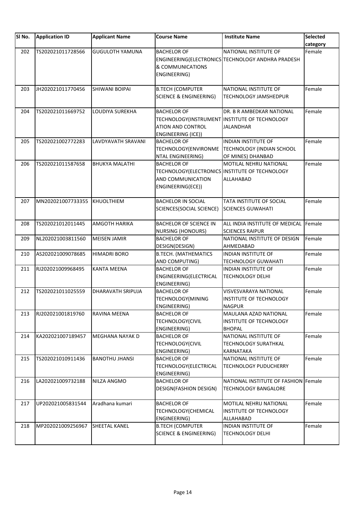| SI No. | <b>Application ID</b> | <b>Applicant Name</b>    | <b>Course Name</b>                                              | <b>Institute Name</b>                                                                          | Selected<br>category |
|--------|-----------------------|--------------------------|-----------------------------------------------------------------|------------------------------------------------------------------------------------------------|----------------------|
| 202    | TS202021011728566     | <b>GUGULOTH YAMUNA</b>   | <b>BACHELOR OF</b><br>& COMMUNICATIONS<br>ENGINEERING)          | NATIONAL INSTITUTE OF<br>ENGINEERING(ELECTRONICS TECHNOLOGY ANDHRA PRADESH                     | Female               |
| 203    | JH202021011770456     | <b>SHIWANI BOIPAI</b>    | <b>B.TECH (COMPUTER</b><br><b>SCIENCE &amp; ENGINEERING)</b>    | NATIONAL INSTITUTE OF<br><b>TECHNOLOGY JAMSHEDPUR</b>                                          | Female               |
| 204    | TS202021011669752     | LOUDIYA SUREKHA          | <b>BACHELOR OF</b><br>ATION AND CONTROL<br>ENGINEERING (ICE))   | DR. B R AMBEDKAR NATIONAL<br>TECHNOLOGY(INSTRUMENT INSTITUTE OF TECHNOLOGY<br><b>JALANDHAR</b> | Female               |
| 205    | TS202021002772283     | LAVDYAVATH SRAVANI       | <b>BACHELOR OF</b><br>TECHNOLOGY(ENVIRONME<br>NTAL ENGINEERING) | <b>INDIAN INSTITUTE OF</b><br>TECHNOLOGY (INDIAN SCHOOL<br>OF MINES) DHANBAD                   | Female               |
| 206    | TS202021011587658     | <b>BHUKYA MALATHI</b>    | <b>BACHELOR OF</b><br>AND COMMUNICATION<br>ENGINEERING(ECE))    | MOTILAL NEHRU NATIONAL<br>TECHNOLOGY(ELECTRONICS INSTITUTE OF TECHNOLOGY<br>ALLAHABAD          | Female               |
| 207    | MN202021007733355     | KHUOLTHIEM               | <b>BACHELOR IN SOCIAL</b><br>SCIENCES(SOCIAL SCIENCE)           | TATA INSTITUTE OF SOCIAL<br><b>SCIENCES GUWAHATI</b>                                           | Female               |
| 208    | TS202021012011445     | <b>AMGOTH HARIKA</b>     | <b>BACHELOR OF SCIENCE IN</b><br><b>NURSING (HONOURS)</b>       | ALL INDIA INSTITUTE OF MEDICAL<br><b>SCIENCES RAIPUR</b>                                       | Female               |
| 209    | NL202021003811560     | <b>MEISEN JAMIR</b>      | <b>BACHELOR OF</b><br>DESIGN(DESIGN)                            | NATIONAL INSTITUTE OF DESIGN<br>AHMEDABAD                                                      | Female               |
| 210    | AS202021009078685     | <b>HIMADRI BORO</b>      | <b>B.TECH. (MATHEMATICS</b><br>AND COMPUTING)                   | <b>INDIAN INSTITUTE OF</b><br><b>TECHNOLOGY GUWAHATI</b>                                       | Female               |
| 211    | RJ202021009968495     | <b>KANTA MEENA</b>       | <b>BACHELOR OF</b><br>ENGINEERING(ELECTRICAL<br>ENGINEERING)    | <b>INDIAN INSTITUTE OF</b><br><b>TECHNOLOGY DELHI</b>                                          | Female               |
| 212    | TS202021011025559     | <b>DHARAVATH SRIPUJA</b> | <b>BACHELOR OF</b><br><b>TECHNOLOGY (MINING</b><br>ENGINEERING) | VISVESVARAYA NATIONAL<br><b>INSTITUTE OF TECHNOLOGY</b><br><b>NAGPUR</b>                       | Female               |
| 213    | RJ202021001819760     | RAVINA MEENA             | <b>BACHELOR OF</b><br><b>TECHNOLOGY(CIVIL</b><br>ENGINEERING)   | MAULANA AZAD NATIONAL<br><b>INSTITUTE OF TECHNOLOGY</b><br><b>BHOPAL</b>                       | Female               |
| 214    | KA202021007189457     | <b>MEGHANA NAYAK D</b>   | <b>BACHELOR OF</b><br><b>TECHNOLOGY(CIVIL</b><br>ENGINEERING)   | NATIONAL INSTITUTE OF<br><b>TECHNOLOGY SURATHKAL</b><br>KARNATAKA                              | Female               |
| 215    | TS202021010911436     | <b>BANOTHU JHANSI</b>    | <b>BACHELOR OF</b><br>TECHNOLOGY(ELECTRICAL<br>ENGINEERING)     | NATIONAL INSTITUTE OF<br><b>TECHNOLOGY PUDUCHERRY</b>                                          | Female               |
| 216    | LA202021009732188     | NILZA ANGMO              | <b>BACHELOR OF</b><br>DESIGN(FASHION DESIGN)                    | NATIONAL INSTITUTE OF FASHION Female<br><b>TECHNOLOGY BANGALORE</b>                            |                      |
| 217    | UP202021005831544     | Aradhana kumari          | <b>BACHELOR OF</b><br>TECHNOLOGY(CHEMICAL<br>ENGINEERING)       | MOTILAL NEHRU NATIONAL<br><b>INSTITUTE OF TECHNOLOGY</b><br>ALLAHABAD                          | Female               |
| 218    | MP202021009256967     | <b>SHEETAL KANEL</b>     | <b>B.TECH (COMPUTER</b><br><b>SCIENCE &amp; ENGINEERING)</b>    | <b>INDIAN INSTITUTE OF</b><br><b>TECHNOLOGY DELHI</b>                                          | Female               |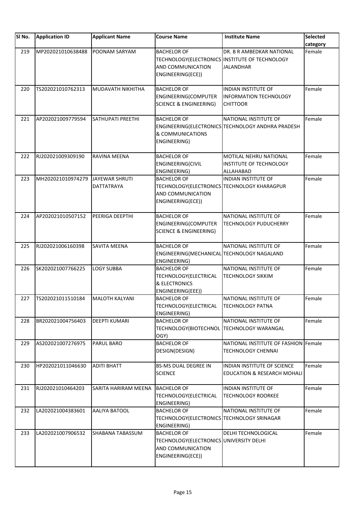| SI No. | <b>Application ID</b> | <b>Applicant Name</b>                      | <b>Course Name</b>                                                                                          | <b>Institute Name</b>                                                                           | <b>Selected</b><br>category |
|--------|-----------------------|--------------------------------------------|-------------------------------------------------------------------------------------------------------------|-------------------------------------------------------------------------------------------------|-----------------------------|
| 219    | MP202021010638488     | POONAM SARYAM                              | <b>BACHELOR OF</b><br>AND COMMUNICATION<br>ENGINEERING(ECE))                                                | DR. B R AMBEDKAR NATIONAL<br>TECHNOLOGY(ELECTRONICS INSTITUTE OF TECHNOLOGY<br><b>JALANDHAR</b> | Female                      |
| 220    | TS202021010762313     | MUDAVATH NIKHITHA                          | <b>BACHELOR OF</b><br>ENGINEERING(COMPUTER<br><b>SCIENCE &amp; ENGINEERING)</b>                             | <b>INDIAN INSTITUTE OF</b><br><b>INFORMATION TECHNOLOGY</b><br><b>CHITTOOR</b>                  | Female                      |
| 221    | AP202021009779594     | SATHUPATI PREETHI                          | <b>BACHELOR OF</b><br>& COMMUNICATIONS<br>ENGINEERING)                                                      | NATIONAL INSTITUTE OF<br>ENGINEERING(ELECTRONICS TECHNOLOGY ANDHRA PRADESH                      | Female                      |
| 222    | RJ202021009309190     | <b>RAVINA MEENA</b>                        | <b>BACHELOR OF</b><br>ENGINEERING(CIVIL<br>ENGINEERING)                                                     | MOTILAL NEHRU NATIONAL<br>INSTITUTE OF TECHNOLOGY<br>ALLAHABAD                                  | Female                      |
| 223    | MH202021010974279     | <b>JAYEWAR SHRUTI</b><br><b>DATTATRAYA</b> | <b>BACHELOR OF</b><br>TECHNOLOGY(ELECTRONICS TECHNOLOGY KHARAGPUR<br>AND COMMUNICATION<br>ENGINEERING(ECE)) | <b>INDIAN INSTITUTE OF</b>                                                                      | Female                      |
| 224    | AP202021010507152     | PEERIGA DEEPTHI                            | <b>BACHELOR OF</b><br>ENGINEERING(COMPUTER<br><b>SCIENCE &amp; ENGINEERING)</b>                             | NATIONAL INSTITUTE OF<br><b>TECHNOLOGY PUDUCHERRY</b>                                           | Female                      |
| 225    | RJ202021006160398     | SAVITA MEENA                               | <b>BACHELOR OF</b><br>ENGINEERING(MECHANICAL TECHNOLOGY NAGALAND<br>ENGINEERING)                            | NATIONAL INSTITUTE OF                                                                           | Female                      |
| 226    | SK202021007766225     | <b>LOGY SUBBA</b>                          | <b>BACHELOR OF</b><br>TECHNOLOGY(ELECTRICAL<br>& ELECTRONICS<br>ENGINEERING(EEE))                           | NATIONAL INSTITUTE OF<br><b>TECHNOLOGY SIKKIM</b>                                               | Female                      |
| 227    | TS202021011510184     | <b>MALOTH KALYANI</b>                      | <b>BACHELOR OF</b><br>TECHNOLOGY(ELECTRICAL<br>ENGINEERING)                                                 | NATIONAL INSTITUTE OF<br><b>TECHNOLOGY PATNA</b>                                                | Female                      |
| 228    | BR202021004756403     | <b>DEEPTI KUMARI</b>                       | <b>BACHELOR OF</b><br>TECHNOLOGY(BIOTECHNOL TECHNOLOGY WARANGAL<br>OGY)                                     | NATIONAL INSTITUTE OF                                                                           | Female                      |
| 229    | AS202021007276975     | <b>PARUL BARO</b>                          | <b>BACHELOR OF</b><br>DESIGN(DESIGN)                                                                        | NATIONAL INSTITUTE OF FASHION Female<br><b>TECHNOLOGY CHENNAI</b>                               |                             |
| 230    | HP202021011046630     | <b>ADITI BHATT</b>                         | <b>BS-MS DUAL DEGREE IN</b><br><b>SCIENCE</b>                                                               | <b>INDIAN INSTITUTE OF SCIENCE</b><br>EDUCATION & RESEARCH MOHALI                               | Female                      |
| 231    | RJ202021010464203     | SARITA HARIRAM MEENA                       | <b>BACHELOR OF</b><br>TECHNOLOGY(ELECTRICAL<br>ENGINEERING)                                                 | <b>INDIAN INSTITUTE OF</b><br><b>TECHNOLOGY ROORKEE</b>                                         | Female                      |
| 232    | LA202021004383601     | AALIYA BATOOL                              | <b>BACHELOR OF</b><br>TECHNOLOGY(ELECTRONICS TECHNOLOGY SRINAGAR<br>ENGINEERING)                            | NATIONAL INSTITUTE OF                                                                           | Female                      |
| 233    | LA202021007906532     | SHABANA TABASSUM                           | <b>BACHELOR OF</b><br>TECHNOLOGY(ELECTRONICS UNIVERSITY DELHI<br>AND COMMUNICATION<br>ENGINEERING(ECE))     | DELHI TECHNOLOGICAL                                                                             | Female                      |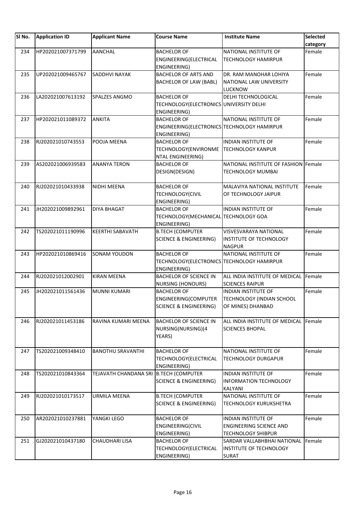| SI No. | <b>Application ID</b> | <b>Applicant Name</b>                  | <b>Course Name</b>                                                                | <b>Institute Name</b>                                                                     | Selected |
|--------|-----------------------|----------------------------------------|-----------------------------------------------------------------------------------|-------------------------------------------------------------------------------------------|----------|
|        |                       |                                        |                                                                                   |                                                                                           | category |
| 234    | HP202021007371799     | <b>AANCHAL</b>                         | <b>BACHELOR OF</b><br>ENGINEERING(ELECTRICAL<br><b>ENGINEERING)</b>               | NATIONAL INSTITUTE OF<br><b>TECHNOLOGY HAMIRPUR</b>                                       | Female   |
| 235    | UP202021009465767     | <b>SADDHVI NAYAK</b>                   | <b>BACHELOR OF ARTS AND</b><br><b>BACHELOR OF LAW (BABL)</b>                      | DR. RAM MANOHAR LOHIYA<br>NATIONAL LAW UNIVERSITY<br><b>LUCKNOW</b>                       | Female   |
| 236    | LA202021007613192     | <b>SPALZES ANGMO</b>                   | <b>BACHELOR OF</b><br>TECHNOLOGY (ELECTRONICS UNIVERSITY DELHI<br>ENGINEERING)    | <b>DELHI TECHNOLOGICAL</b>                                                                | Female   |
| 237    | HP202021011089372     | <b>ANKITA</b>                          | <b>BACHELOR OF</b><br>ENGINEERING(ELECTRONICS TECHNOLOGY HAMIRPUR<br>ENGINEERING) | NATIONAL INSTITUTE OF                                                                     | Female   |
| 238    | RJ202021010743553     | POOJA MEENA                            | <b>BACHELOR OF</b><br>TECHNOLOGY(ENVIRONME<br>NTAL ENGINEERING)                   | <b>INDIAN INSTITUTE OF</b><br><b>TECHNOLOGY KANPUR</b>                                    | Female   |
| 239    | AS202021006939583     | <b>ANANYA TERON</b>                    | <b>BACHELOR OF</b><br>DESIGN(DESIGN)                                              | NATIONAL INSTITUTE OF FASHION Female<br><b>TECHNOLOGY MUMBAI</b>                          |          |
| 240    | RJ202021010433938     | NIDHI MEENA                            | <b>BACHELOR OF</b><br>TECHNOLOGY(CIVIL<br>ENGINEERING)                            | MALAVIYA NATIONAL INSTITUTE<br>OF TECHNOLOGY JAIPUR                                       | Female   |
| 241    | JH202021009892961     | <b>DIYA BHAGAT</b>                     | <b>BACHELOR OF</b><br>TECHNOLOGY(MECHANICAL TECHNOLOGY GOA<br>ENGINEERING)        | <b>INDIAN INSTITUTE OF</b>                                                                | Female   |
| 242    | TS202021011190996     | <b>KEERTHI SABAVATH</b>                | <b>B.TECH (COMPUTER</b><br><b>SCIENCE &amp; ENGINEERING)</b>                      | VISVESVARAYA NATIONAL<br>INSTITUTE OF TECHNOLOGY<br><b>NAGPUR</b>                         | Female   |
| 243    | HP202021010869416     | SONAM YOUDON                           | <b>BACHELOR OF</b><br>TECHNOLOGY(ELECTRONICS TECHNOLOGY HAMIRPUR<br>ENGINEERING)  | NATIONAL INSTITUTE OF                                                                     | Female   |
| 244    | RJ202021012002901     | <b>KIRAN MEENA</b>                     | <b>BACHELOR OF SCIENCE IN</b><br><b>NURSING (HONOURS)</b>                         | ALL INDIA INSTITUTE OF MEDICAL<br><b>SCIENCES RAIPUR</b>                                  | Female   |
| 245    | JH202021011561436     | <b>MUNNI KUMARI</b>                    | <b>BACHELOR OF</b><br>ENGINEERING(COMPUTER<br><b>SCIENCE &amp; ENGINEERING)</b>   | <b>INDIAN INSTITUTE OF</b><br><b>TECHNOLOGY (INDIAN SCHOOL</b><br>OF MINES) DHANBAD       | Female   |
| 246    | RJ202021011453186     | RAVINA KUMARI MEENA                    | <b>BACHELOR OF SCIENCE IN</b><br>NURSING(NURSING)(4<br>YEARS)                     | ALL INDIA INSTITUTE OF MEDICAL<br><b>SCIENCES BHOPAL</b>                                  | Female   |
| 247    | TS202021009348410     | <b>BANOTHU SRAVANTHI</b>               | <b>BACHELOR OF</b><br>TECHNOLOGY (ELECTRICAL<br>ENGINEERING)                      | NATIONAL INSTITUTE OF<br><b>TECHNOLOGY DURGAPUR</b>                                       | Female   |
| 248    | TS202021010843364     | TEJAVATH CHANDANA SRI B.TECH (COMPUTER | <b>SCIENCE &amp; ENGINEERING)</b>                                                 | INDIAN INSTITUTE OF<br><b>INFORMATION TECHNOLOGY</b><br>KALYANI                           | Female   |
| 249    | RJ202021010173517     | URMILA MEENA                           | <b>B.TECH (COMPUTER</b><br><b>SCIENCE &amp; ENGINEERING)</b>                      | NATIONAL INSTITUTE OF<br><b>TECHNOLOGY KURUKSHETRA</b>                                    | Female   |
| 250    | AR202021010237881     | YANGKI LEGO                            | <b>BACHELOR OF</b><br>ENGINEERING(CIVIL<br>ENGINEERING)                           | <b>INDIAN INSTITUTE OF</b><br><b>ENGINEERING SCIENCE AND</b><br><b>TECHNOLOGY SHIBPUR</b> | Female   |
| 251    | GJ202021010437180     | CHAUDHARI LISA                         | <b>BACHELOR OF</b><br>TECHNOLOGY (ELECTRICAL<br>ENGINEERING)                      | SARDAR VALLABHBHAI NATIONAL<br><b>INSTITUTE OF TECHNOLOGY</b><br><b>SURAT</b>             | Female   |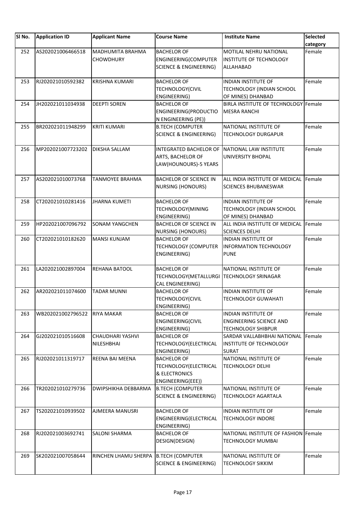| SI No. | <b>Application ID</b> | <b>Applicant Name</b>                 | <b>Course Name</b>                | <b>Institute Name</b>                | Selected |
|--------|-----------------------|---------------------------------------|-----------------------------------|--------------------------------------|----------|
|        |                       |                                       |                                   |                                      | category |
| 252    | AS202021006466518     | <b>MADHUMITA BRAHMA</b>               | <b>BACHELOR OF</b>                | MOTILAL NEHRU NATIONAL               | Female   |
|        |                       | <b>CHOWDHURY</b>                      | ENGINEERING(COMPUTER              | <b>INSTITUTE OF TECHNOLOGY</b>       |          |
|        |                       |                                       | <b>SCIENCE &amp; ENGINEERING)</b> | ALLAHABAD                            |          |
| 253    | RJ202021010592382     | <b>KRISHNA KUMARI</b>                 | <b>BACHELOR OF</b>                | <b>INDIAN INSTITUTE OF</b>           | Female   |
|        |                       |                                       | <b>TECHNOLOGY(CIVIL</b>           | TECHNOLOGY (INDIAN SCHOOL            |          |
|        |                       |                                       | ENGINEERING)                      | OF MINES) DHANBAD                    |          |
| 254    | JH202021011034938     | <b>DEEPTI SOREN</b>                   | <b>BACHELOR OF</b>                | BIRLA INSTITUTE OF TECHNOLOGY Female |          |
|        |                       |                                       | ENGINEERING(PRODUCTIO             | <b>MESRA RANCHI</b>                  |          |
|        |                       |                                       | N ENGINEERING (PE))               |                                      |          |
| 255    | BR202021011948299     | <b>KRITI KUMARI</b>                   | <b>B.TECH (COMPUTER</b>           | NATIONAL INSTITUTE OF                | Female   |
|        |                       |                                       | <b>SCIENCE &amp; ENGINEERING)</b> | <b>TECHNOLOGY DURGAPUR</b>           |          |
| 256    | MP202021007723202     | <b>DIKSHA SALLAM</b>                  | <b>INTEGRATED BACHELOR OF</b>     | NATIONAL LAW INSTITUTE               | Female   |
|        |                       |                                       | ARTS, BACHELOR OF                 | UNIVERSITY BHOPAL                    |          |
|        |                       |                                       | LAW(HOUNOURS)-5 YEARS             |                                      |          |
|        |                       |                                       |                                   |                                      |          |
| 257    | AS202021010073768     | <b>TANMOYEE BRAHMA</b>                | <b>BACHELOR OF SCIENCE IN</b>     | ALL INDIA INSTITUTE OF MEDICAL       | Female   |
|        |                       |                                       | <b>NURSING (HONOURS)</b>          | <b>SCIENCES BHUBANESWAR</b>          |          |
|        |                       |                                       |                                   |                                      |          |
| 258    | CT202021010281416     | <b>JHARNA KUMETI</b>                  | <b>BACHELOR OF</b>                | <b>INDIAN INSTITUTE OF</b>           | Female   |
|        |                       |                                       | <b>TECHNOLOGY(MINING</b>          | TECHNOLOGY (INDIAN SCHOOL            |          |
|        |                       |                                       | ENGINEERING)                      | OF MINES) DHANBAD                    |          |
| 259    | HP202021007096792     | <b>SONAM YANGCHEN</b>                 | <b>BACHELOR OF SCIENCE IN</b>     | ALL INDIA INSTITUTE OF MEDICAL       | Female   |
|        |                       |                                       | <b>NURSING (HONOURS)</b>          | <b>SCIENCES DELHI</b>                |          |
| 260    | CT202021010182620     | <b>MANSI KUNJAM</b>                   | <b>BACHELOR OF</b>                | <b>INDIAN INSTITUTE OF</b>           | Female   |
|        |                       |                                       | <b>TECHNOLOGY (COMPUTER</b>       | <b>INFORMATION TECHNOLOGY</b>        |          |
|        |                       |                                       | ENGINEERING)                      | <b>PUNE</b>                          |          |
| 261    | LA202021002897004     | <b>REHANA BATOOL</b>                  | <b>BACHELOR OF</b>                | NATIONAL INSTITUTE OF                | Female   |
|        |                       |                                       | TECHNOLOGY(METALLURGI             | <b>TECHNOLOGY SRINAGAR</b>           |          |
|        |                       |                                       | CAL ENGINEERING)                  |                                      |          |
| 262    | AR202021011074600     | <b>TADAR MUNNI</b>                    | <b>BACHELOR OF</b>                | <b>INDIAN INSTITUTE OF</b>           | Female   |
|        |                       |                                       | TECHNOLOGY(CIVIL                  | <b>TECHNOLOGY GUWAHATI</b>           |          |
|        |                       |                                       | ENGINEERING)                      |                                      |          |
| 263    | WB202021002796522     | RIYA MAKAR                            | <b>BACHELOR OF</b>                | <b>INDIAN INSTITUTE OF</b>           | Female   |
|        |                       |                                       | ENGINEERING(CIVIL                 | <b>ENGINEERING SCIENCE AND</b>       |          |
|        |                       |                                       | ENGINEERING)                      | <b>TECHNOLOGY SHIBPUR</b>            |          |
| 264    | GJ202021010516608     | <b>CHAUDHARI YASHVI</b>               | <b>BACHELOR OF</b>                | SARDAR VALLABHBHAI NATIONAL          | Female   |
|        |                       | NILESHBHAI                            | TECHNOLOGY (ELECTRICAL            | <b>INSTITUTE OF TECHNOLOGY</b>       |          |
|        |                       |                                       | ENGINEERING)                      | <b>SURAT</b>                         |          |
| 265    | RJ202021011319717     | REENA BAI MEENA                       | <b>BACHELOR OF</b>                | NATIONAL INSTITUTE OF                | Female   |
|        |                       |                                       | TECHNOLOGY (ELECTRICAL            | <b>TECHNOLOGY DELHI</b>              |          |
|        |                       |                                       | & ELECTRONICS                     |                                      |          |
|        |                       |                                       | ENGINEERING(EEE))                 |                                      |          |
| 266    | TR202021010279736     | <b>DWIPSHIKHA DEBBARMA</b>            | <b>B.TECH (COMPUTER</b>           | NATIONAL INSTITUTE OF                | Female   |
|        |                       |                                       | <b>SCIENCE &amp; ENGINEERING)</b> | <b>TECHNOLOGY AGARTALA</b>           |          |
| 267    | TS202021010939502     | <b>AJMEERA MANUSRI</b>                | <b>BACHELOR OF</b>                | <b>INDIAN INSTITUTE OF</b>           | Female   |
|        |                       |                                       | ENGINEERING(ELECTRICAL            | <b>TECHNOLOGY INDORE</b>             |          |
|        |                       |                                       | ENGINEERING)                      |                                      |          |
| 268    | RJ202021003692741     | <b>SALONI SHARMA</b>                  | <b>BACHELOR OF</b>                | NATIONAL INSTITUTE OF FASHION Female |          |
|        |                       |                                       | DESIGN(DESIGN)                    | TECHNOLOGY MUMBAI                    |          |
|        |                       |                                       |                                   |                                      |          |
| 269    | SK202021007058644     | RINCHEN LHAMU SHERPA B.TECH (COMPUTER |                                   | NATIONAL INSTITUTE OF                | Female   |
|        |                       |                                       | <b>SCIENCE &amp; ENGINEERING)</b> | <b>TECHNOLOGY SIKKIM</b>             |          |
|        |                       |                                       |                                   |                                      |          |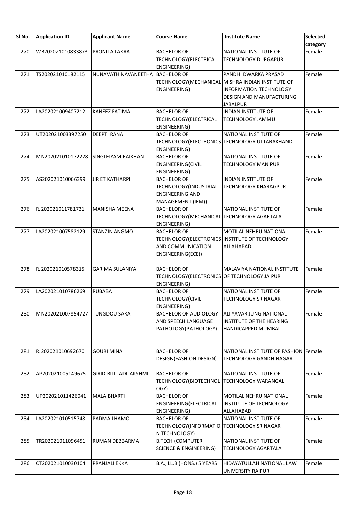| SI No. | <b>Application ID</b> | <b>Applicant Name</b>     | <b>Course Name</b>                                                                         | <b>Institute Name</b>                                                                                                                                    | <b>Selected</b><br>category |
|--------|-----------------------|---------------------------|--------------------------------------------------------------------------------------------|----------------------------------------------------------------------------------------------------------------------------------------------------------|-----------------------------|
| 270    | WB202021010833873     | PRONITA LAKRA             | <b>BACHELOR OF</b>                                                                         | NATIONAL INSTITUTE OF                                                                                                                                    | Female                      |
|        |                       |                           | TECHNOLOGY(ELECTRICAL<br>ENGINEERING)                                                      | <b>TECHNOLOGY DURGAPUR</b>                                                                                                                               |                             |
| 271    | TS202021010182115     | NUNAVATH NAVANEETHA       | <b>BACHELOR OF</b><br>ENGINEERING)                                                         | PANDHI DWARKA PRASAD<br>TECHNOLOGY(MECHANICAL MISHRA INDIAN INSTITUTE OF<br><b>INFORMATION TECHNOLOGY</b><br><b>DESIGN AND MANUFACTURING</b><br>JABALPUR | Female                      |
| 272    | LA202021009407212     | <b>KANEEZ FATIMA</b>      | <b>BACHELOR OF</b><br>TECHNOLOGY(ELECTRICAL<br>ENGINEERING)                                | <b>INDIAN INSTITUTE OF</b><br>TECHNOLOGY JAMMU                                                                                                           | Female                      |
| 273    | UT202021003397250     | <b>DEEPTI RANA</b>        | <b>BACHELOR OF</b><br>ENGINEERING)                                                         | NATIONAL INSTITUTE OF<br>TECHNOLOGY(ELECTRONICS TECHNOLOGY UTTARAKHAND                                                                                   | Female                      |
| 274    | MN202021010172228     | <b>SINGLEIYAM RAIKHAN</b> | <b>BACHELOR OF</b><br>ENGINEERING(CIVIL<br>ENGINEERING)                                    | NATIONAL INSTITUTE OF<br><b>TECHNOLOGY MANIPUR</b>                                                                                                       | Female                      |
| 275    | AS202021010066399     | <b>JIR ET KATHARPI</b>    | <b>BACHELOR OF</b><br>TECHNOLOGY(INDUSTRIAL<br><b>ENGINEERING AND</b><br>MANAGEMENT (IEM)) | <b>INDIAN INSTITUTE OF</b><br><b>TECHNOLOGY KHARAGPUR</b>                                                                                                | Female                      |
| 276    | RJ202021011781731     | <b>MANISHA MEENA</b>      | <b>BACHELOR OF</b><br>TECHNOLOGY(MECHANICAL TECHNOLOGY AGARTALA<br>ENGINEERING)            | NATIONAL INSTITUTE OF                                                                                                                                    | Female                      |
| 277    | LA202021007582129     | <b>STANZIN ANGMO</b>      | <b>BACHELOR OF</b><br>AND COMMUNICATION<br>ENGINEERING(ECE))                               | MOTILAL NEHRU NATIONAL<br>TECHNOLOGY(ELECTRONICS INSTITUTE OF TECHNOLOGY<br>ALLAHABAD                                                                    | Female                      |
| 278    | RJ202021010578315     | <b>GARIMA SULANIYA</b>    | <b>BACHELOR OF</b><br>TECHNOLOGY(ELECTRONICS OF TECHNOLOGY JAIPUR<br>ENGINEERING)          | MALAVIYA NATIONAL INSTITUTE                                                                                                                              | Female                      |
| 279    | LA202021010786269     | <b>RUBABA</b>             | <b>BACHELOR OF</b><br>TECHNOLOGY(CIVIL<br>ENGINEERING)                                     | NATIONAL INSTITUTE OF<br><b>TECHNOLOGY SRINAGAR</b>                                                                                                      | Female                      |
| 280    | MN202021007854727     | <b>TUNGDOU SAKA</b>       | BACHELOR OF AUDIOLOGY<br>AND SPEECH LANGUAGE<br>PATHOLOGY(PATHOLOGY)                       | <b>ALI YAVAR JUNG NATIONAL</b><br><b>INSTITUTE OF THE HEARING</b><br><b>HANDICAPPED MUMBAI</b>                                                           | Female                      |
| 281    | RJ202021010692670     | <b>GOURI MINA</b>         | <b>BACHELOR OF</b><br>DESIGN(FASHION DESIGN)                                               | NATIONAL INSTITUTE OF FASHION Female<br><b>TECHNOLOGY GANDHINAGAR</b>                                                                                    |                             |
| 282    | AP202021005149675     | GIRIDIBILLI ADILAKSHMI    | <b>BACHELOR OF</b><br>TECHNOLOGY(BIOTECHNOL TECHNOLOGY WARANGAL<br>OGY)                    | NATIONAL INSTITUTE OF                                                                                                                                    | Female                      |
| 283    | UP202021011426041     | <b>MALA BHARTI</b>        | <b>BACHELOR OF</b><br>ENGINEERING(ELECTRICAL<br>ENGINEERING)                               | MOTILAL NEHRU NATIONAL<br>INSTITUTE OF TECHNOLOGY<br>ALLAHABAD                                                                                           | Female                      |
| 284    | LA202021010515748     | PADMA LHAMO               | <b>BACHELOR OF</b><br>TECHNOLOGY(INFORMATIO TECHNOLOGY SRINAGAR<br>N TECHNOLOGY)           | NATIONAL INSTITUTE OF                                                                                                                                    | Female                      |
| 285    | TR202021011096451     | RUMAN DEBBARMA            | <b>B.TECH (COMPUTER</b><br><b>SCIENCE &amp; ENGINEERING)</b>                               | NATIONAL INSTITUTE OF<br>TECHNOLOGY AGARTALA                                                                                                             | Female                      |
| 286    | CT202021010030104     | PRANJALI EKKA             | B.A., LL.B (HONS.) 5 YEARS                                                                 | HIDAYATULLAH NATIONAL LAW<br>UNIVERSITY RAIPUR                                                                                                           | Female                      |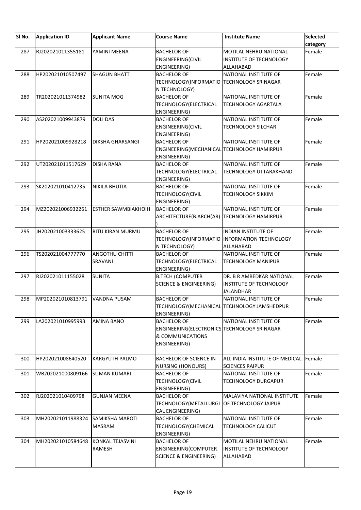| SI No. | <b>Application ID</b> | <b>Applicant Name</b>      | <b>Course Name</b>                                         | <b>Institute Name</b>                        | Selected |
|--------|-----------------------|----------------------------|------------------------------------------------------------|----------------------------------------------|----------|
|        |                       |                            |                                                            |                                              | category |
| 287    | RJ202021011355181     | YAMINI MEENA               | <b>BACHELOR OF</b>                                         | MOTILAL NEHRU NATIONAL                       | Female   |
|        |                       |                            | ENGINEERING(CIVIL                                          | INSTITUTE OF TECHNOLOGY                      |          |
|        |                       |                            | ENGINEERING)                                               | <b>ALLAHABAD</b>                             |          |
| 288    | HP202021010507497     | <b>SHAGUN BHATT</b>        | <b>BACHELOR OF</b>                                         | NATIONAL INSTITUTE OF                        | Female   |
|        |                       |                            | TECHNOLOGY(INFORMATIO TECHNOLOGY SRINAGAR                  |                                              |          |
|        |                       |                            | N TECHNOLOGY)                                              |                                              |          |
| 289    | TR202021011374982     | <b>SUNITA MOG</b>          | <b>BACHELOR OF</b>                                         | NATIONAL INSTITUTE OF                        | Female   |
|        |                       |                            | TECHNOLOGY(ELECTRICAL                                      | <b>TECHNOLOGY AGARTALA</b>                   |          |
|        |                       |                            | ENGINEERING)                                               |                                              |          |
| 290    | AS202021009943879     | <b>DOLI DAS</b>            | <b>BACHELOR OF</b>                                         | NATIONAL INSTITUTE OF                        | Female   |
|        |                       |                            | ENGINEERING(CIVIL                                          | <b>TECHNOLOGY SILCHAR</b>                    |          |
|        |                       |                            | ENGINEERING)                                               |                                              |          |
| 291    | HP202021009928218     | <b>DIKSHA GHARSANGI</b>    | <b>BACHELOR OF</b>                                         | NATIONAL INSTITUTE OF                        | Female   |
|        |                       |                            | ENGINEERING(MECHANICAL TECHNOLOGY HAMIRPUR<br>ENGINEERING) |                                              |          |
| 292    | UT202021011517629     | <b>DISHA RANA</b>          | <b>BACHELOR OF</b>                                         | NATIONAL INSTITUTE OF                        | Female   |
|        |                       |                            | TECHNOLOGY(ELECTRICAL                                      | <b>TECHNOLOGY UTTARAKHAND</b>                |          |
|        |                       |                            | ENGINEERING)                                               |                                              |          |
| 293    | SK202021010412735     | <b>NIKILA BHUTIA</b>       | <b>BACHELOR OF</b>                                         | NATIONAL INSTITUTE OF                        | Female   |
|        |                       |                            | TECHNOLOGY(CIVIL                                           | <b>TECHNOLOGY SIKKIM</b>                     |          |
|        |                       |                            | ENGINEERING)                                               |                                              |          |
| 294    | MZ202021006932261     | <b>ESTHER SAWMBIAKHOIH</b> | <b>BACHELOR OF</b>                                         | NATIONAL INSTITUTE OF                        | Female   |
|        |                       |                            | ARCHITECTURE(B.ARCH(AR) TECHNOLOGY HAMIRPUR                |                                              |          |
|        |                       |                            |                                                            |                                              |          |
| 295    | JH202021003333625     | RITU KIRAN MURMU           | <b>BACHELOR OF</b>                                         | INDIAN INSTITUTE OF                          | Female   |
|        |                       |                            |                                                            | TECHNOLOGY(INFORMATIO INFORMATION TECHNOLOGY |          |
|        |                       |                            | N TECHNOLOGY)                                              | ALLAHABAD                                    |          |
| 296    | TS202021004777770     | <b>ANGOTHU CHITTI</b>      | <b>BACHELOR OF</b>                                         | NATIONAL INSTITUTE OF                        | Female   |
|        |                       | SRAVANI                    | TECHNOLOGY(ELECTRICAL                                      | <b>TECHNOLOGY MANIPUR</b>                    |          |
|        |                       |                            | ENGINEERING)                                               |                                              |          |
| 297    | RJ202021011155028     | <b>SUNITA</b>              | <b>B.TECH (COMPUTER</b>                                    | DR. B R AMBEDKAR NATIONAL                    | Female   |
|        |                       |                            | <b>SCIENCE &amp; ENGINEERING)</b>                          | INSTITUTE OF TECHNOLOGY                      |          |
|        |                       |                            |                                                            | <b>JALANDHAR</b>                             |          |
| 298    | MP202021010813791     | <b>VANDNA PUSAM</b>        | <b>BACHELOR OF</b>                                         | NATIONAL INSTITUTE OF                        | Female   |
|        |                       |                            |                                                            | TECHNOLOGY(MECHANICAL TECHNOLOGY JAMSHEDPUR  |          |
|        |                       |                            | ENGINEERING)                                               |                                              |          |
| 299    | LA202021010995993     | <b>AMINA BANO</b>          | <b>BACHELOR OF</b>                                         | NATIONAL INSTITUTE OF                        | Female   |
|        |                       |                            | ENGINEERING(ELECTRONICS TECHNOLOGY SRINAGAR                |                                              |          |
|        |                       |                            | & COMMUNICATIONS                                           |                                              |          |
|        |                       |                            | ENGINEERING)                                               |                                              |          |
|        |                       |                            |                                                            |                                              |          |
| 300    | HP202021008640520     | <b>KARGYUTH PALMO</b>      | <b>BACHELOR OF SCIENCE IN</b>                              | ALL INDIA INSTITUTE OF MEDICAL               | Female   |
|        |                       |                            | <b>NURSING (HONOURS)</b>                                   | <b>SCIENCES RAIPUR</b>                       |          |
| 301    | WB202021000809166     | <b>SUMAN KUMARI</b>        | <b>BACHELOR OF</b>                                         | NATIONAL INSTITUTE OF                        | Female   |
|        |                       |                            | <b>TECHNOLOGY(CIVIL</b>                                    | <b>TECHNOLOGY DURGAPUR</b>                   |          |
|        |                       |                            | ENGINEERING)                                               |                                              |          |
| 302    | RJ202021010409798     | <b>GUNJAN MEENA</b>        | <b>BACHELOR OF</b>                                         | MALAVIYA NATIONAL INSTITUTE                  | Female   |
|        |                       |                            | TECHNOLOGY(METALLURGI                                      | <b>OF TECHNOLOGY JAIPUR</b>                  |          |
|        |                       |                            | CAL ENGINEERING)                                           |                                              |          |
| 303    | MH202021011988324     | <b>SAMIKSHA MAROTI</b>     | <b>BACHELOR OF</b>                                         | NATIONAL INSTITUTE OF                        | Female   |
|        |                       | <b>MASRAM</b>              | TECHNOLOGY(CHEMICAL                                        | <b>TECHNOLOGY CALICUT</b>                    |          |
|        |                       |                            | ENGINEERING)                                               |                                              |          |
| 304    | MH202021010584648     | KONKAL TEJASVINI           | <b>BACHELOR OF</b>                                         | <b>MOTILAL NEHRU NATIONAL</b>                | Female   |
|        |                       | RAMESH                     | ENGINEERING(COMPUTER                                       | INSTITUTE OF TECHNOLOGY                      |          |
|        |                       |                            | <b>SCIENCE &amp; ENGINEERING)</b>                          | ALLAHABAD                                    |          |
|        |                       |                            |                                                            |                                              |          |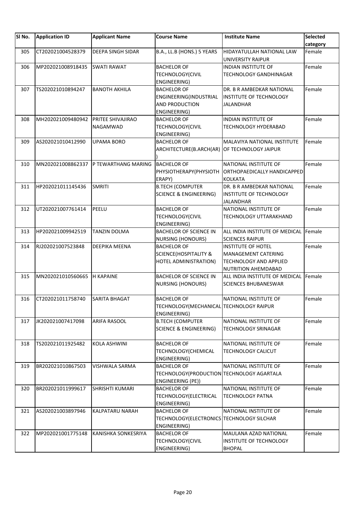| SI No. | <b>Application ID</b> | <b>Applicant Name</b>      | <b>Course Name</b>                           | <b>Institute Name</b>          | <b>Selected</b> |
|--------|-----------------------|----------------------------|----------------------------------------------|--------------------------------|-----------------|
|        |                       |                            |                                              |                                | category        |
| 305    | CT202021004528379     | <b>DEEPA SINGH SIDAR</b>   | B.A., LL.B (HONS.) 5 YEARS                   | HIDAYATULLAH NATIONAL LAW      | Female          |
|        |                       |                            |                                              | UNIVERSITY RAIPUR              |                 |
| 306    | MP202021008918435     | <b>SWATI RAWAT</b>         | <b>BACHELOR OF</b>                           | <b>INDIAN INSTITUTE OF</b>     | Female          |
|        |                       |                            | TECHNOLOGY(CIVIL                             | <b>TECHNOLOGY GANDHINAGAR</b>  |                 |
|        |                       |                            | ENGINEERING)                                 |                                |                 |
| 307    | TS202021010894247     | <b>BANOTH AKHILA</b>       | <b>BACHELOR OF</b>                           | DR. B R AMBEDKAR NATIONAL      | Female          |
|        |                       |                            | ENGINEERING(INDUSTRIAL                       | <b>INSTITUTE OF TECHNOLOGY</b> |                 |
|        |                       |                            | <b>AND PRODUCTION</b>                        | <b>JALANDHAR</b>               |                 |
|        |                       |                            | ENGINEERING)                                 |                                |                 |
| 308    | MH202021009480942     | <b>PRITEE SHIVAJIRAO</b>   | <b>BACHELOR OF</b>                           | <b>INDIAN INSTITUTE OF</b>     | Female          |
|        |                       | NAGAMWAD                   | TECHNOLOGY(CIVIL                             | TECHNOLOGY HYDERABAD           |                 |
|        |                       |                            | ENGINEERING)                                 |                                |                 |
| 309    | AS202021010412990     | <b>UPAMA BORO</b>          | <b>BACHELOR OF</b>                           | MALAVIYA NATIONAL INSTITUTE    | Female          |
|        |                       |                            | ARCHITECTURE(B.ARCH(AR) OF TECHNOLOGY JAIPUR |                                |                 |
|        |                       |                            |                                              |                                |                 |
| 310    | MN202021008862337     | P TEWARTHANG MARING        | <b>BACHELOR OF</b>                           | NATIONAL INSTITUTE OF          | Female          |
|        |                       |                            | PHYSIOTHERAPY(PHYSIOTH                       | ORTHOPAEDICALLY HANDICAPPED    |                 |
|        |                       |                            | ERAPY)                                       | <b>KOLKATA</b>                 |                 |
| 311    | HP202021011145436     | <b>SMRITI</b>              | <b>B.TECH (COMPUTER</b>                      | DR. B R AMBEDKAR NATIONAL      | Female          |
|        |                       |                            | <b>SCIENCE &amp; ENGINEERING)</b>            | INSTITUTE OF TECHNOLOGY        |                 |
|        |                       |                            |                                              | <b>JALANDHAR</b>               |                 |
|        |                       | PEELU                      |                                              | NATIONAL INSTITUTE OF          | Female          |
| 312    | UT202021007761414     |                            | <b>BACHELOR OF</b>                           |                                |                 |
|        |                       |                            | <b>TECHNOLOGY(CIVIL</b>                      | TECHNOLOGY UTTARAKHAND         |                 |
|        |                       |                            | ENGINEERING)                                 |                                |                 |
| 313    | HP202021009942519     | <b>TANZIN DOLMA</b>        | <b>BACHELOR OF SCIENCE IN</b>                | ALL INDIA INSTITUTE OF MEDICAL | Female          |
|        |                       |                            | <b>NURSING (HONOURS)</b>                     | <b>SCIENCES RAIPUR</b>         |                 |
| 314    | RJ202021007523848     | DEEPIKA MEENA              | <b>BACHELOR OF</b>                           | <b>INSTITUTE OF HOTEL</b>      | Female          |
|        |                       |                            | <b>SCIENCE(HOSPITALITY &amp;</b>             | MANAGEMENT CATERING            |                 |
|        |                       |                            | HOTEL ADMINISTRATION)                        | <b>TECHNOLOGY AND APPLIED</b>  |                 |
|        |                       |                            |                                              | <b>NUTRITION AHEMDABAD</b>     |                 |
| 315    | MN202021010560665     | <b>H KAPAINE</b>           | <b>BACHELOR OF SCIENCE IN</b>                | ALL INDIA INSTITUTE OF MEDICAL | Female          |
|        |                       |                            | <b>NURSING (HONOURS)</b>                     | <b>SCIENCES BHUBANESWAR</b>    |                 |
|        |                       |                            |                                              |                                |                 |
| 316    | CT202021011758740     | <b>SARITA BHAGAT</b>       | <b>BACHELOR OF</b>                           | NATIONAL INSTITUTE OF          | Female          |
|        |                       |                            | TECHNOLOGY (MECHANICAL TECHNOLOGY RAIPUR     |                                |                 |
|        |                       |                            | ENGINEERING)                                 |                                |                 |
| 317    | JK202021007417098     | ARIFA RASOOL               | <b>B.TECH (COMPUTER</b>                      | NATIONAL INSTITUTE OF          | Female          |
|        |                       |                            | <b>SCIENCE &amp; ENGINEERING)</b>            | <b>TECHNOLOGY SRINAGAR</b>     |                 |
|        |                       |                            |                                              |                                |                 |
| 318    | TS202021011925482     | <b>KOLA ASHWINI</b>        | <b>BACHELOR OF</b>                           | NATIONAL INSTITUTE OF          | Female          |
|        |                       |                            | TECHNOLOGY(CHEMICAL                          | TECHNOLOGY CALICUT             |                 |
|        |                       |                            | ENGINEERING)                                 |                                |                 |
| 319    | BR202021010867503     | VISHWALA SARMA             | <b>BACHELOR OF</b>                           | NATIONAL INSTITUTE OF          | Female          |
|        |                       |                            | TECHNOLOGY (PRODUCTION TECHNOLOGY AGARTALA   |                                |                 |
|        |                       |                            | <b>ENGINEERING (PE))</b>                     |                                |                 |
| 320    | BR202021011999617     | <b>SHRISHTI KUMARI</b>     | <b>BACHELOR OF</b>                           | NATIONAL INSTITUTE OF          | Female          |
|        |                       |                            | TECHNOLOGY (ELECTRICAL                       | TECHNOLOGY PATNA               |                 |
|        |                       |                            | ENGINEERING)                                 |                                |                 |
|        |                       |                            |                                              |                                |                 |
| 321    | AS202021003897946     | <b>KALPATARU NARAH</b>     | <b>BACHELOR OF</b>                           | NATIONAL INSTITUTE OF          | Female          |
|        |                       |                            | TECHNOLOGY(ELECTRONICS TECHNOLOGY SILCHAR    |                                |                 |
|        |                       |                            | ENGINEERING)                                 |                                |                 |
| 322    | MP202021001775148     | <b>KANISHKA SONKESRIYA</b> | <b>BACHELOR OF</b>                           | MAULANA AZAD NATIONAL          | Female          |
|        |                       |                            | TECHNOLOGY(CIVIL                             | INSTITUTE OF TECHNOLOGY        |                 |
|        |                       |                            | ENGINEERING)                                 | <b>BHOPAL</b>                  |                 |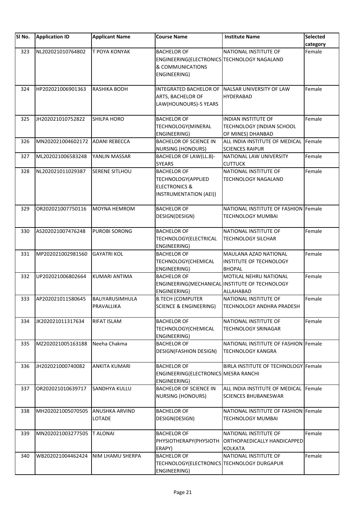| SI No. | <b>Application ID</b> | <b>Applicant Name</b> | <b>Course Name</b>                          | <b>Institute Name</b>                           | Selected |
|--------|-----------------------|-----------------------|---------------------------------------------|-------------------------------------------------|----------|
|        |                       |                       |                                             |                                                 | category |
| 323    | NL202021010764802     | T POYA KONYAK         | <b>BACHELOR OF</b>                          | NATIONAL INSTITUTE OF                           | Female   |
|        |                       |                       | ENGINEERING(ELECTRONICS TECHNOLOGY NAGALAND |                                                 |          |
|        |                       |                       | & COMMUNICATIONS                            |                                                 |          |
|        |                       |                       | ENGINEERING)                                |                                                 |          |
| 324    | HP202021006901363     | <b>RASHIKA BODH</b>   |                                             | INTEGRATED BACHELOR OF NALSAR UNIVERSITY OF LAW | Female   |
|        |                       |                       | ARTS, BACHELOR OF                           | <b>HYDERABAD</b>                                |          |
|        |                       |                       | LAW(HOUNOURS)-5 YEARS                       |                                                 |          |
| 325    | JH202021010752822     | <b>SHILPA HORO</b>    | <b>BACHELOR OF</b>                          | <b>INDIAN INSTITUTE OF</b>                      | Female   |
|        |                       |                       | TECHNOLOGY(MINERAL                          | TECHNOLOGY (INDIAN SCHOOL                       |          |
|        |                       |                       | ENGINEERING)                                | OF MINES) DHANBAD                               |          |
| 326    | MN202021004602172     | <b>ADANI REBECCA</b>  | <b>BACHELOR OF SCIENCE IN</b>               | ALL INDIA INSTITUTE OF MEDICAL                  | Female   |
|        |                       |                       | <b>NURSING (HONOURS)</b>                    | <b>SCIENCES RAIPUR</b>                          |          |
| 327    | ML202021006583248     | YANLIN MASSAR         | BACHELOR OF LAW(LL.B)-                      | NATIONAL LAW UNIVERSITY                         | Female   |
|        |                       |                       | 5YEARS                                      | <b>CUTTUCK</b>                                  |          |
| 328    | NL202021011029387     | SERENE SITLHOU        | <b>BACHELOR OF</b>                          | NATIONAL INSTITUTE OF                           | Female   |
|        |                       |                       | TECHNOLOGY(APPLIED                          | <b>TECHNOLOGY NAGALAND</b>                      |          |
|        |                       |                       | <b>ELECTRONICS &amp;</b>                    |                                                 |          |
|        |                       |                       | INSTRUMENTATION (AEI))                      |                                                 |          |
| 329    | OR202021007750116     | <b>MOYNA HEMROM</b>   | <b>BACHELOR OF</b>                          | NATIONAL INSTITUTE OF FASHION Female            |          |
|        |                       |                       | DESIGN(DESIGN)                              | <b>TECHNOLOGY MUMBAI</b>                        |          |
|        |                       |                       |                                             |                                                 |          |
| 330    | AS202021007476248     | PUROBI SORONG         | <b>BACHELOR OF</b>                          | NATIONAL INSTITUTE OF                           | Female   |
|        |                       |                       | TECHNOLOGY(ELECTRICAL                       | <b>TECHNOLOGY SILCHAR</b>                       |          |
|        |                       |                       | ENGINEERING)                                |                                                 |          |
| 331    | MP202021002981560     | <b>GAYATRI KOL</b>    | <b>BACHELOR OF</b>                          | MAULANA AZAD NATIONAL                           | Female   |
|        |                       |                       | TECHNOLOGY(CHEMICAL                         | INSTITUTE OF TECHNOLOGY                         |          |
|        |                       |                       | ENGINEERING)                                | <b>BHOPAL</b>                                   |          |
| 332    | UP202021006802664     | <b>KUMARI ANTIMA</b>  | <b>BACHELOR OF</b>                          | MOTILAL NEHRU NATIONAL                          | Female   |
|        |                       |                       |                                             | ENGINEERING(MECHANICAL INSTITUTE OF TECHNOLOGY  |          |
|        |                       |                       | ENGINEERING)                                | ALLAHABAD                                       |          |
| 333    | AP202021011580645     | BALIYARUSIMHULA       | <b>B.TECH (COMPUTER</b>                     | NATIONAL INSTITUTE OF                           | Female   |
|        |                       | PRAVALLIKA            | <b>SCIENCE &amp; ENGINEERING)</b>           | <b>TECHNOLOGY ANDHRA PRADESH</b>                |          |
| 334    | JK202021011317634     | RIFAT ISLAM           | <b>BACHELOR OF</b>                          | NATIONAL INSTITUTE OF                           | Female   |
|        |                       |                       | TECHNOLOGY(CHEMICAL                         | <b>TECHNOLOGY SRINAGAR</b>                      |          |
|        |                       |                       | ENGINEERING)                                |                                                 |          |
| 335    | MZ202021005163188     | Neeha Chakma          | <b>BACHELOR OF</b>                          | NATIONAL INSTITUTE OF FASHION Female            |          |
|        |                       |                       | DESIGN(FASHION DESIGN)                      | <b>TECHNOLOGY KANGRA</b>                        |          |
| 336    | JH202021000740082     | <b>ANKITA KUMARI</b>  | <b>BACHELOR OF</b>                          | BIRLA INSTITUTE OF TECHNOLOGY Female            |          |
|        |                       |                       | ENGINEERING(ELECTRONICS MESRA RANCHI        |                                                 |          |
|        |                       |                       | ENGINEERING)                                |                                                 |          |
| 337    | OR202021010639717     | <b>SANDHYA KULLU</b>  | <b>BACHELOR OF SCIENCE IN</b>               | ALL INDIA INSTITUTE OF MEDICAL                  | Female   |
|        |                       |                       | <b>NURSING (HONOURS)</b>                    | <b>SCIENCES BHUBANESWAR</b>                     |          |
|        |                       |                       |                                             |                                                 |          |
| 338    | MH202021005070505     | <b>ANUSHKA ARVIND</b> | <b>BACHELOR OF</b>                          | NATIONAL INSTITUTE OF FASHION Female            |          |
|        |                       | LOTADE                | DESIGN(DESIGN)                              | <b>TECHNOLOGY MUMBAI</b>                        |          |
| 339    | MN202021003277505     | <b>T ALONAI</b>       | <b>BACHELOR OF</b>                          | NATIONAL INSTITUTE OF                           | Female   |
|        |                       |                       | PHYSIOTHERAPY(PHYSIOTH                      | ORTHOPAEDICALLY HANDICAPPED                     |          |
|        |                       |                       | ERAPY)                                      | <b>KOLKATA</b>                                  |          |
| 340    | WB202021004462424     | NIM LHAMU SHERPA      | <b>BACHELOR OF</b>                          | NATIONAL INSTITUTE OF                           | Female   |
|        |                       |                       | TECHNOLOGY(ELECTRONICS TECHNOLOGY DURGAPUR  |                                                 |          |
|        |                       |                       | ENGINEERING)                                |                                                 |          |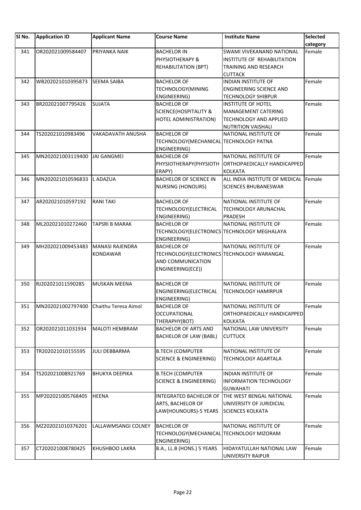| SI No. | <b>Application ID</b>                  | <b>Applicant Name</b>                     | <b>Course Name</b>                                                                                         | <b>Institute Name</b>                                                                                                 | Selected<br>category |
|--------|----------------------------------------|-------------------------------------------|------------------------------------------------------------------------------------------------------------|-----------------------------------------------------------------------------------------------------------------------|----------------------|
| 341    | OR202021009584407                      | PRIYANKA NAIK                             | <b>BACHELOR IN</b><br>PHYSIOTHERAPY &<br><b>REHABILITATION (BPT)</b>                                       | SWAMI VIVEKANAND NATIONAL<br>INSTITUTE OF REHABILITATION<br><b>TRAINING AND RESEARCH</b><br><b>CUTTACK</b>            | Female               |
| 342    | WB202021010395873                      | <b>SEEMA SAIBA</b>                        | <b>BACHELOR OF</b><br><b>TECHNOLOGY(MINING</b><br>ENGINEERING)                                             | <b>INDIAN INSTITUTE OF</b><br><b>ENGINEERING SCIENCE AND</b><br><b>TECHNOLOGY SHIBPUR</b>                             | Female               |
| 343    | BR202021007795426                      | <b>SUJATA</b>                             | <b>BACHELOR OF</b><br><b>SCIENCE(HOSPITALITY &amp;</b><br>HOTEL ADMINISTRATION)                            | <b>INSTITUTE OF HOTEL</b><br><b>MANAGEMENT CATERING</b><br><b>TECHNOLOGY AND APPLIED</b><br><b>NUTRITION VAISHALI</b> | Female               |
| 344    | TS202021010983496                      | VAKADAVATH ANUSHA                         | <b>BACHELOR OF</b><br>TECHNOLOGY (MECHANICAL TECHNOLOGY PATNA<br>ENGINEERING)                              | NATIONAL INSTITUTE OF                                                                                                 | Female               |
| 345    | MN202021003119400                      | <b>JAI GANGMEI</b>                        | <b>BACHELOR OF</b><br>PHYSIOTHERAPY(PHYSIOTH<br>ERAPY)                                                     | NATIONAL INSTITUTE OF<br>ORTHOPAEDICALLY HANDICAPPED<br><b>KOLKATA</b>                                                | Female               |
| 346    | MN202021010596833                      | L ADAZUA                                  | <b>BACHELOR OF SCIENCE IN</b><br><b>NURSING (HONOURS)</b>                                                  | ALL INDIA INSTITUTE OF MEDICAL<br><b>SCIENCES BHUBANESWAR</b>                                                         | Female               |
| 347    | AR202021010597192                      | <b>RANI TAKI</b>                          | <b>BACHELOR OF</b><br>TECHNOLOGY(ELECTRICAL<br>ENGINEERING)                                                | NATIONAL INSTITUTE OF<br><b>TECHNOLOGY ARUNACHAL</b><br>PRADESH                                                       | Female               |
| 348    | ML202021010272460                      | <b>TAPSRI B MARAK</b>                     | <b>BACHELOR OF</b><br>TECHNOLOGY (ELECTRONICS TECHNOLOGY MEGHALAYA<br>ENGINEERING)                         | NATIONAL INSTITUTE OF                                                                                                 | Female               |
| 349    | MH202021009453483                      | <b>MANASI RAJENDRA</b><br><b>KONDAWAR</b> | <b>BACHELOR OF</b><br>TECHNOLOGY(ELECTRONICS TECHNOLOGY WARANGAL<br>AND COMMUNICATION<br>ENGINEERING(ECE)) | NATIONAL INSTITUTE OF                                                                                                 | Female               |
| 350    | RJ202021011590285                      | <b>MUSKAN MEENA</b>                       | <b>BACHELOR OF</b><br>ENGINEERING(ELECTRICAL<br>ENGINEERING)                                               | NATIONAL INSTITUTE OF<br><b>TECHNOLOGY HAMIRPUR</b>                                                                   | Female               |
| 351    | MN202021002797400 Chaithu Teresa Aimol |                                           | <b>BACHELOR OF</b><br><b>OCCUPATIONAL</b><br>THERAPHY(BOT)                                                 | NATIONAL INSTITUTE OF<br>ORTHOPAEDICALLY HANDICAPPED<br><b>KOLKATA</b>                                                | Female               |
| 352    | OR202021011031934                      | <b>MALOTI HEMBRAM</b>                     | <b>BACHELOR OF ARTS AND</b><br><b>BACHELOR OF LAW (BABL)</b>                                               | NATIONAL LAW UNIVERSITY<br><b>CUTTUCK</b>                                                                             | Female               |
| 353    | TR202021010155595                      | JULI DEBBARMA                             | <b>B.TECH (COMPUTER</b><br><b>SCIENCE &amp; ENGINEERING)</b>                                               | NATIONAL INSTITUTE OF<br><b>TECHNOLOGY AGARTALA</b>                                                                   | Female               |
| 354    | TS202021008921769                      | <b>BHUKYA DEEPIKA</b>                     | <b>B.TECH (COMPUTER</b><br><b>SCIENCE &amp; ENGINEERING)</b>                                               | INDIAN INSTITUTE OF<br><b>INFORMATION TECHNOLOGY</b><br><b>GUWAHATI</b>                                               | Female               |
| 355    | MP202021005768405                      | <b>HEENA</b>                              | INTEGRATED BACHELOR OF<br>ARTS, BACHELOR OF<br>LAW(HOUNOURS)-5 YEARS                                       | <b>THE WEST BENGAL NATIONAL</b><br>UNIVERSITY OF JURIDICIAL<br><b>SCIENCES KOLKATA</b>                                | Female               |
| 356    | MZ202021010376201                      | LALLAWMSANGI COLNEY                       | <b>BACHELOR OF</b><br>TECHNOLOGY (MECHANICAL TECHNOLOGY MIZORAM<br>ENGINEERING)                            | NATIONAL INSTITUTE OF                                                                                                 | Female               |
| 357    | CT202021008780425                      | KHUSHBOO LAKRA                            | B.A., LL.B (HONS.) 5 YEARS                                                                                 | HIDAYATULLAH NATIONAL LAW<br>UNIVERSITY RAIPUR                                                                        | Female               |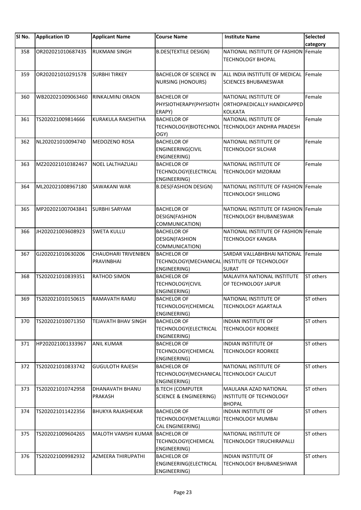| SI No. | <b>Application ID</b> | <b>Applicant Name</b>              | <b>Course Name</b>                                                             | <b>Institute Name</b>                                                                         | <b>Selected</b><br>category |
|--------|-----------------------|------------------------------------|--------------------------------------------------------------------------------|-----------------------------------------------------------------------------------------------|-----------------------------|
| 358    | OR202021010687435     | <b>RUKMANI SINGH</b>               | <b>B.DES(TEXTILE DESIGN)</b>                                                   | NATIONAL INSTITUTE OF FASHION Female<br><b>TECHNOLOGY BHOPAL</b>                              |                             |
| 359    | OR202021010291578     | <b>SURBHI TIRKEY</b>               | <b>BACHELOR OF SCIENCE IN</b><br><b>NURSING (HONOURS)</b>                      | ALL INDIA INSTITUTE OF MEDICAL<br><b>SCIENCES BHUBANESWAR</b>                                 | Female                      |
| 360    | WB202021009063460     | RINKALMINJ ORAON                   | <b>BACHELOR OF</b><br>PHYSIOTHERAPY(PHYSIOTH<br>ERAPY)                         | NATIONAL INSTITUTE OF<br>ORTHOPAEDICALLY HANDICAPPED<br><b>KOLKATA</b>                        | Female                      |
| 361    | TS202021009814666     | <b>KURAKULA RAKSHITHA</b>          | <b>BACHELOR OF</b><br>OGY)                                                     | NATIONAL INSTITUTE OF<br>TECHNOLOGY(BIOTECHNOL TECHNOLOGY ANDHRA PRADESH                      | Female                      |
| 362    | NL202021010094740     | MEDOZENO ROSA                      | <b>BACHELOR OF</b><br><b>ENGINEERING(CIVIL</b><br>ENGINEERING)                 | NATIONAL INSTITUTE OF<br><b>TECHNOLOGY SILCHAR</b>                                            | Female                      |
| 363    | MZ202021010382467     | <b>NOEL LALTHAZUALI</b>            | <b>BACHELOR OF</b><br>TECHNOLOGY(ELECTRICAL<br>ENGINEERING)                    | NATIONAL INSTITUTE OF<br><b>TECHNOLOGY MIZORAM</b>                                            | Female                      |
| 364    | ML202021008967180     | <b>SAWAKANI WAR</b>                | <b>B.DES(FASHION DESIGN)</b>                                                   | NATIONAL INSTITUTE OF FASHION Female<br><b>TECHNOLOGY SHILLONG</b>                            |                             |
| 365    | MP202021007043841     | <b>SURBHI SARYAM</b>               | <b>BACHELOR OF</b><br><b>DESIGN(FASHION</b><br>COMMUNICATION)                  | NATIONAL INSTITUTE OF FASHION Female<br><b>TECHNOLOGY BHUBANESWAR</b>                         |                             |
| 366    | JH202021003608923     | <b>SWETA KULLU</b>                 | <b>BACHELOR OF</b><br><b>DESIGN(FASHION</b><br>COMMUNICATION)                  | NATIONAL INSTITUTE OF FASHION Female<br><b>TECHNOLOGY KANGRA</b>                              |                             |
| 367    | GJ202021010630206     | CHAUDHARI TRIVENIBEN<br>PRAVINBHAI | <b>BACHELOR OF</b><br>ENGINEERING)                                             | SARDAR VALLABHBHAI NATIONAL<br>TECHNOLOGY (MECHANICAL INSTITUTE OF TECHNOLOGY<br><b>SURAT</b> | Female                      |
| 368    | TS202021010839351     | RATHOD SIMON                       | <b>BACHELOR OF</b><br>TECHNOLOGY(CIVIL<br>ENGINEERING)                         | <b>MALAVIYA NATIONAL INSTITUTE</b><br>OF TECHNOLOGY JAIPUR                                    | ST others                   |
| 369    | TS202021010150615     | RAMAVATH RAMU                      | <b>BACHELOR OF</b><br>TECHNOLOGY(CHEMICAL<br>ENGINEERING)                      | NATIONAL INSTITUTE OF<br><b>TECHNOLOGY AGARTALA</b>                                           | ST others                   |
| 370    | TS202021010071350     | <b>TEJAVATH BHAV SINGH</b>         | <b>BACHELOR OF</b><br>TECHNOLOGY (ELECTRICAL<br>ENGINEERING)                   | <b>INDIAN INSTITUTE OF</b><br><b>TECHNOLOGY ROORKEE</b>                                       | ST others                   |
| 371    | HP202021001333967     | <b>ANIL KUMAR</b>                  | <b>BACHELOR OF</b><br>TECHNOLOGY (CHEMICAL<br>ENGINEERING)                     | INDIAN INSTITUTE OF<br><b>TECHNOLOGY ROORKEE</b>                                              | ST others                   |
| 372    | TS202021010833742     | <b>GUGULOTH RAJESH</b>             | <b>BACHELOR OF</b><br>TECHNOLOGY(MECHANICAL TECHNOLOGY CALICUT<br>ENGINEERING) | NATIONAL INSTITUTE OF                                                                         | ST others                   |
| 373    | TS202021010742958     | DHANAVATH BHANU<br>PRAKASH         | <b>B.TECH (COMPUTER</b><br><b>SCIENCE &amp; ENGINEERING)</b>                   | MAULANA AZAD NATIONAL<br>INSTITUTE OF TECHNOLOGY<br><b>BHOPAL</b>                             | ST others                   |
| 374    | TS202021011422356     | BHUKYA RAJASHEKAR                  | <b>BACHELOR OF</b><br>TECHNOLOGY (METALLURGI<br>CAL ENGINEERING)               | <b>INDIAN INSTITUTE OF</b><br><b>TECHNOLOGY MUMBAI</b>                                        | ST others                   |
| 375    | TS202021009604265     | MALOTH VAMSHI KUMAR BACHELOR OF    | TECHNOLOGY(CHEMICAL<br>ENGINEERING)                                            | NATIONAL INSTITUTE OF<br><b>TECHNOLOGY TIRUCHIRAPALLI</b>                                     | ST others                   |
| 376    | TS202021009982932     | <b>AZMEERA THIRUPATHI</b>          | <b>BACHELOR OF</b><br>ENGINEERING(ELECTRICAL<br>ENGINEERING)                   | INDIAN INSTITUTE OF<br><b>TECHNOLOGY BHUBANESHWAR</b>                                         | ST others                   |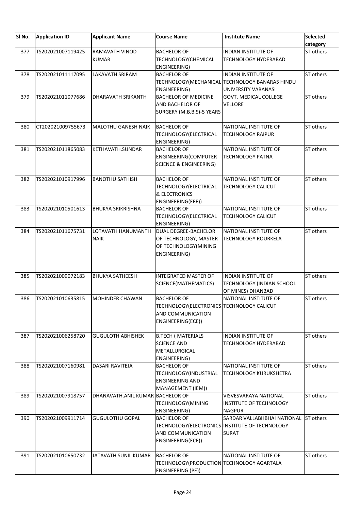| SI No. | <b>Application ID</b> | <b>Applicant Name</b>             | <b>Course Name</b>                                                                                        | <b>Institute Name</b>                                                                                | Selected<br>category |
|--------|-----------------------|-----------------------------------|-----------------------------------------------------------------------------------------------------------|------------------------------------------------------------------------------------------------------|----------------------|
| 377    | TS202021007119425     | RAMAVATH VINOD<br><b>KUMAR</b>    | <b>BACHELOR OF</b><br>TECHNOLOGY(CHEMICAL<br>ENGINEERING)                                                 | <b>INDIAN INSTITUTE OF</b><br><b>TECHNOLOGY HYDERABAD</b>                                            | ST others            |
| 378    | TS202021011117095     | LAKAVATH SRIRAM                   | <b>BACHELOR OF</b><br>ENGINEERING)                                                                        | <b>INDIAN INSTITUTE OF</b><br>TECHNOLOGY (MECHANICAL TECHNOLOGY BANARAS HINDU<br>UNIVERSITY VARANASI | ST others            |
| 379    | TS202021011077686     | DHARAVATH SRIKANTH                | <b>BACHELOR OF MEDICINE</b><br>AND BACHELOR OF<br>SURGERY (M.B.B.S)-5 YEARS                               | <b>GOVT. MEDICAL COLLEGE</b><br><b>VELLORE</b>                                                       | ST others            |
| 380    | CT202021009755673     | <b>MALOTHU GANESH NAIK</b>        | <b>BACHELOR OF</b><br>TECHNOLOGY (ELECTRICAL<br>ENGINEERING)                                              | NATIONAL INSTITUTE OF<br><b>TECHNOLOGY RAIPUR</b>                                                    | ST others            |
| 381    | TS202021011865083     | <b>KETHAVATH.SUNDAR</b>           | <b>BACHELOR OF</b><br>ENGINEERING(COMPUTER<br><b>SCIENCE &amp; ENGINEERING)</b>                           | NATIONAL INSTITUTE OF<br><b>TECHNOLOGY PATNA</b>                                                     | ST others            |
| 382    | TS202021010917996     | <b>BANOTHU SATHISH</b>            | <b>BACHELOR OF</b><br>TECHNOLOGY(ELECTRICAL<br>& ELECTRONICS<br>ENGINEERING(EEE))                         | NATIONAL INSTITUTE OF<br><b>TECHNOLOGY CALICUT</b>                                                   | ST others            |
| 383    | TS202021010501613     | <b>BHUKYA SRIKRISHNA</b>          | <b>BACHELOR OF</b><br>TECHNOLOGY(ELECTRICAL<br>ENGINEERING)                                               | NATIONAL INSTITUTE OF<br><b>TECHNOLOGY CALICUT</b>                                                   | ST others            |
| 384    | TS202021011675731     | LOTAVATH HANUMANTH<br><b>NAIK</b> | DUAL DEGREE-BACHELOR<br>OF TECHNOLOGY, MASTER<br>OF TECHNOLOGY (MINING<br>ENGINEERING)                    | NATIONAL INSTITUTE OF<br><b>TECHNOLOGY ROURKELA</b>                                                  | ST others            |
| 385    | TS202021009072183     | <b>BHUKYA SATHEESH</b>            | <b>INTEGRATED MASTER OF</b><br>SCIENCE(MATHEMATICS)                                                       | <b>INDIAN INSTITUTE OF</b><br><b>TECHNOLOGY (INDIAN SCHOOL</b><br>OF MINES) DHANBAD                  | ST others            |
| 386    | TS202021010635815     | <b>MOHINDER CHAWAN</b>            | <b>BACHELOR OF</b><br>TECHNOLOGY(ELECTRONICS TECHNOLOGY CALICUT<br>AND COMMUNICATION<br>ENGINEERING(ECE)) | NATIONAL INSTITUTE OF                                                                                | ST others            |
| 387    | TS202021006258720     | <b>GUGULOTH ABHISHEK</b>          | <b>B.TECH (MATERIALS</b><br><b>SCIENCE AND</b><br><b>METALLURGICAL</b><br><b>ENGINEERING)</b>             | <b>INDIAN INSTITUTE OF</b><br><b>TECHNOLOGY HYDERABAD</b>                                            | ST others            |
| 388    | TS202021007160981     | DASARI RAVITEJA                   | <b>BACHELOR OF</b><br>TECHNOLOGY(INDUSTRIAL<br><b>ENGINEERING AND</b><br>MANAGEMENT (IEM))                | NATIONAL INSTITUTE OF<br><b>TECHNOLOGY KURUKSHETRA</b>                                               | ST others            |
| 389    | TS202021007918757     | DHANAVATH.ANIL KUMAR BACHELOR OF  | TECHNOLOGY(MINING<br>ENGINEERING)                                                                         | VISVESVARAYA NATIONAL<br>INSTITUTE OF TECHNOLOGY<br><b>NAGPUR</b>                                    | ST others            |
| 390    | TS202021009911714     | <b>GUGULOTHU GOPAL</b>            | <b>BACHELOR OF</b><br>AND COMMUNICATION<br>ENGINEERING(ECE))                                              | SARDAR VALLABHBHAI NATIONAL<br>TECHNOLOGY(ELECTRONICS INSTITUTE OF TECHNOLOGY<br><b>SURAT</b>        | ST others            |
| 391    | TS202021010650732     | JATAVATH SUNIL KUMAR              | <b>BACHELOR OF</b><br>TECHNOLOGY (PRODUCTION TECHNOLOGY AGARTALA<br>ENGINEERING (PE))                     | NATIONAL INSTITUTE OF                                                                                | ST others            |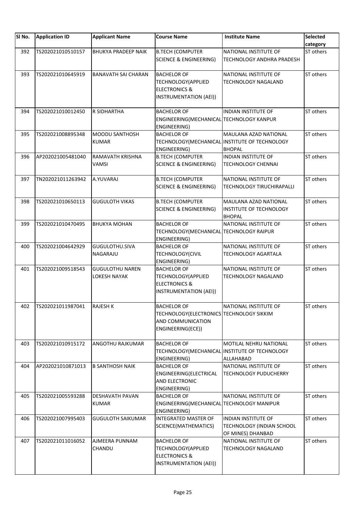| SI No. | <b>Application ID</b> | <b>Applicant Name</b>                  | <b>Course Name</b>                                                                                       | <b>Institute Name</b>                                                                        | Selected  |
|--------|-----------------------|----------------------------------------|----------------------------------------------------------------------------------------------------------|----------------------------------------------------------------------------------------------|-----------|
|        |                       |                                        |                                                                                                          |                                                                                              | category  |
| 392    | TS202021010510157     | <b>BHUKYA PRADEEP NAIK</b>             | <b>B.TECH (COMPUTER</b><br><b>SCIENCE &amp; ENGINEERING)</b>                                             | NATIONAL INSTITUTE OF<br>TECHNOLOGY ANDHRA PRADESH                                           | ST others |
| 393    | TS202021010645919     | <b>BANAVATH SAI CHARAN</b>             | <b>BACHELOR OF</b><br>TECHNOLOGY(APPLIED<br><b>ELECTRONICS &amp;</b><br>INSTRUMENTATION (AEI))           | NATIONAL INSTITUTE OF<br><b>TECHNOLOGY NAGALAND</b>                                          | ST others |
| 394    | TS202021010012450     | <b>R SIDHARTHA</b>                     | <b>BACHELOR OF</b><br>ENGINEERING(MECHANICAL TECHNOLOGY KANPUR<br>ENGINEERING)                           | INDIAN INSTITUTE OF                                                                          | ST others |
| 395    | TS202021008895348     | <b>MOODU SANTHOSH</b><br><b>KUMAR</b>  | <b>BACHELOR OF</b><br>ENGINEERING)                                                                       | MAULANA AZAD NATIONAL<br>TECHNOLOGY (MECHANICAL INSTITUTE OF TECHNOLOGY<br><b>BHOPAL</b>     | ST others |
| 396    | AP202021005481040     | RAMAVATH KRISHNA<br><b>VAMSI</b>       | <b>B.TECH (COMPUTER</b><br><b>SCIENCE &amp; ENGINEERING)</b>                                             | <b>INDIAN INSTITUTE OF</b><br><b>TECHNOLOGY CHENNAI</b>                                      | ST others |
| 397    | TN202021011263942     | A.YUVARAJ                              | <b>B.TECH (COMPUTER</b><br><b>SCIENCE &amp; ENGINEERING)</b>                                             | NATIONAL INSTITUTE OF<br>TECHNOLOGY TIRUCHIRAPALLI                                           | ST others |
| 398    | TS202021010650113     | <b>GUGULOTH VIKAS</b>                  | <b>B.TECH (COMPUTER</b><br><b>SCIENCE &amp; ENGINEERING)</b>                                             | MAULANA AZAD NATIONAL<br>INSTITUTE OF TECHNOLOGY<br><b>BHOPAL</b>                            | ST others |
| 399    | TS202021010470495     | <b>BHUKYA MOHAN</b>                    | <b>BACHELOR OF</b><br>TECHNOLOGY (MECHANICAL TECHNOLOGY RAIPUR<br>ENGINEERING)                           | NATIONAL INSTITUTE OF                                                                        | ST others |
| 400    | TS202021004642929     | GUGULOTHU.SIVA<br>NAGARAJU             | <b>BACHELOR OF</b><br><b>TECHNOLOGY(CIVIL</b><br>ENGINEERING)                                            | NATIONAL INSTITUTE OF<br><b>TECHNOLOGY AGARTALA</b>                                          | ST others |
| 401    | TS202021009518543     | <b>GUGULOTHU NAREN</b><br>LOKESH NAYAK | <b>BACHELOR OF</b><br>TECHNOLOGY(APPLIED<br><b>ELECTRONICS &amp;</b><br>INSTRUMENTATION (AEI))           | NATIONAL INSTITUTE OF<br>TECHNOLOGY NAGALAND                                                 | ST others |
| 402    | TS202021011987041     | <b>RAJESH K</b>                        | <b>BACHELOR OF</b><br>TECHNOLOGY(ELECTRONICS TECHNOLOGY SIKKIM<br>AND COMMUNICATION<br>ENGINEERING(ECE)) | NATIONAL INSTITUTE OF                                                                        | ST others |
| 403    | TS202021010915172     | <b>ANGOTHU RAJKUMAR</b>                | <b>BACHELOR OF</b><br>ENGINEERING)                                                                       | <b>MOTILAL NEHRU NATIONAL</b><br>TECHNOLOGY (MECHANICAL INSTITUTE OF TECHNOLOGY<br>ALLAHABAD | ST others |
| 404    | AP202021010871013     | <b>B SANTHOSH NAIK</b>                 | <b>BACHELOR OF</b><br>ENGINEERING(ELECTRICAL<br>AND ELECTRONIC<br>ENGINEERING)                           | NATIONAL INSTITUTE OF<br><b>TECHNOLOGY PUDUCHERRY</b>                                        | ST others |
| 405    | TS202021005593288     | <b>DESHAVATH PAVAN</b><br><b>KUMAR</b> | <b>BACHELOR OF</b><br>ENGINEERING(MECHANICAL TECHNOLOGY MANIPUR<br>ENGINEERING)                          | NATIONAL INSTITUTE OF                                                                        | ST others |
| 406    | TS202021007995403     | <b>GUGULOTH SAIKUMAR</b>               | <b>INTEGRATED MASTER OF</b><br>SCIENCE(MATHEMATICS)                                                      | INDIAN INSTITUTE OF<br>TECHNOLOGY (INDIAN SCHOOL<br>OF MINES) DHANBAD                        | ST others |
| 407    | TS202021011016052     | AJMEERA PUNNAM<br>CHANDU               | <b>BACHELOR OF</b><br>TECHNOLOGY(APPLIED<br><b>ELECTRONICS &amp;</b><br>INSTRUMENTATION (AEI))           | NATIONAL INSTITUTE OF<br><b>TECHNOLOGY NAGALAND</b>                                          | ST others |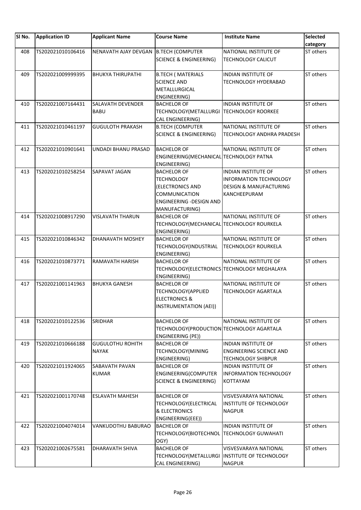| SI No. | <b>Application ID</b> | <b>Applicant Name</b>            | <b>Course Name</b>                                                                                                                | <b>Institute Name</b>                                                                                            | Selected  |
|--------|-----------------------|----------------------------------|-----------------------------------------------------------------------------------------------------------------------------------|------------------------------------------------------------------------------------------------------------------|-----------|
|        |                       |                                  |                                                                                                                                   |                                                                                                                  | category  |
| 408    | TS202021010106416     | NENAVATH AJAY DEVGAN             | <b>B.TECH (COMPUTER</b><br><b>SCIENCE &amp; ENGINEERING)</b>                                                                      | NATIONAL INSTITUTE OF<br><b>TECHNOLOGY CALICUT</b>                                                               | ST others |
| 409    | TS202021009999395     | <b>BHUKYA THIRUPATHI</b>         | <b>B.TECH (MATERIALS</b><br><b>SCIENCE AND</b><br>METALLURGICAL<br>ENGINEERING)                                                   | <b>INDIAN INSTITUTE OF</b><br>TECHNOLOGY HYDERABAD                                                               | ST others |
| 410    | TS202021007164431     | SALAVATH DEVENDER<br><b>BABU</b> | <b>BACHELOR OF</b><br>TECHNOLOGY(METALLURGI<br>CAL ENGINEERING)                                                                   | <b>INDIAN INSTITUTE OF</b><br><b>TECHNOLOGY ROORKEE</b>                                                          | ST others |
| 411    | TS202021010461197     | <b>GUGULOTH PRAKASH</b>          | <b>B.TECH (COMPUTER</b><br><b>SCIENCE &amp; ENGINEERING)</b>                                                                      | NATIONAL INSTITUTE OF<br>TECHNOLOGY ANDHRA PRADESH                                                               | ST others |
| 412    | TS202021010901641     | UNDADI BHANU PRASAD              | <b>BACHELOR OF</b><br>ENGINEERING(MECHANICAL TECHNOLOGY PATNA<br>ENGINEERING)                                                     | NATIONAL INSTITUTE OF                                                                                            | ST others |
| 413    | TS202021010258254     | SAPAVAT JAGAN                    | <b>BACHELOR OF</b><br><b>TECHNOLOGY</b><br>(ELECTRONICS AND<br><b>COMMUNICATION</b><br>ENGINEERING - DESIGN AND<br>MANUFACTURING) | <b>INDIAN INSTITUTE OF</b><br><b>INFORMATION TECHNOLOGY</b><br><b>DESIGN &amp; MANUFACTURING</b><br>KANCHEEPURAM | ST others |
| 414    | TS202021008917290     | <b>VISLAVATH THARUN</b>          | <b>BACHELOR OF</b><br>TECHNOLOGY (MECHANICAL TECHNOLOGY ROURKELA<br>ENGINEERING)                                                  | NATIONAL INSTITUTE OF                                                                                            | ST others |
| 415    | TS202021010846342     | DHANAVATH MOSHEY                 | <b>BACHELOR OF</b><br>TECHNOLOGY(INDUSTRIAL<br>ENGINEERING)                                                                       | NATIONAL INSTITUTE OF<br><b>TECHNOLOGY ROURKELA</b>                                                              | ST others |
| 416    | TS202021010873771     | RAMAVATH HARISH                  | <b>BACHELOR OF</b><br>TECHNOLOGY(ELECTRONICS TECHNOLOGY MEGHALAYA<br>ENGINEERING)                                                 | NATIONAL INSTITUTE OF                                                                                            | ST others |
| 417    | TS202021001141963     | <b>BHUKYA GANESH</b>             | <b>BACHELOR OF</b><br>TECHNOLOGY(APPLIED<br><b>ELECTRONICS &amp;</b><br>INSTRUMENTATION (AEI))                                    | NATIONAL INSTITUTE OF<br><b>TECHNOLOGY AGARTALA</b>                                                              | ST others |
| 418    | TS202021010122536     | SRIDHAR                          | <b>BACHELOR OF</b><br>TECHNOLOGY(PRODUCTION TECHNOLOGY AGARTALA<br><b>ENGINEERING (PE))</b>                                       | NATIONAL INSTITUTE OF                                                                                            | ST others |
| 419    | TS202021010666188     | <b>GUGULOTHU ROHITH</b><br>NAYAK | <b>BACHELOR OF</b><br>TECHNOLOGY(MINING<br>ENGINEERING)                                                                           | INDIAN INSTITUTE OF<br>ENGINEERING SCIENCE AND<br><b>TECHNOLOGY SHIBPUR</b>                                      | ST others |
| 420    | TS202021011924065     | SABAVATH PAVAN<br><b>KUMAR</b>   | <b>BACHELOR OF</b><br>ENGINEERING(COMPUTER<br><b>SCIENCE &amp; ENGINEERING)</b>                                                   | <b>INDIAN INSTITUTE OF</b><br><b>INFORMATION TECHNOLOGY</b><br>KOTTAYAM                                          | ST others |
| 421    | TS202021001170748     | <b>ESLAVATH MAHESH</b>           | <b>BACHELOR OF</b><br>TECHNOLOGY (ELECTRICAL<br>& ELECTRONICS<br>ENGINEERING(EEE))                                                | VISVESVARAYA NATIONAL<br><b>INSTITUTE OF TECHNOLOGY</b><br><b>NAGPUR</b>                                         | ST others |
| 422    | TS202021004074014     | VANKUDOTHU BABURAO               | <b>BACHELOR OF</b><br>TECHNOLOGY(BIOTECHNOL<br>OGY)                                                                               | <b>INDIAN INSTITUTE OF</b><br><b>TECHNOLOGY GUWAHATI</b>                                                         | ST others |
| 423    | TS202021002675581     | DHARAVATH SHIVA                  | <b>BACHELOR OF</b><br>CAL ENGINEERING)                                                                                            | VISVESVARAYA NATIONAL<br>TECHNOLOGY (METALLURGI   INSTITUTE OF TECHNOLOGY<br><b>NAGPUR</b>                       | ST others |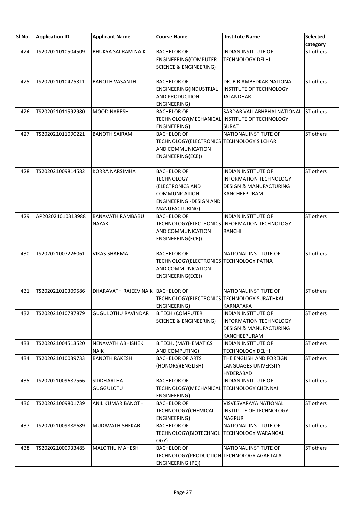| SI No. | <b>Application ID</b> | <b>Applicant Name</b>             | <b>Course Name</b>                          | <b>Institute Name</b>                          | <b>Selected</b> |
|--------|-----------------------|-----------------------------------|---------------------------------------------|------------------------------------------------|-----------------|
|        |                       |                                   |                                             |                                                | category        |
| 424    | TS202021010504509     | <b>BHUKYA SAI RAM NAIK</b>        | <b>BACHELOR OF</b>                          | <b>INDIAN INSTITUTE OF</b>                     | ST others       |
|        |                       |                                   | ENGINEERING(COMPUTER                        | <b>TECHNOLOGY DELHI</b>                        |                 |
|        |                       |                                   | <b>SCIENCE &amp; ENGINEERING)</b>           |                                                |                 |
|        |                       |                                   |                                             |                                                |                 |
| 425    | TS202021010475311     | <b>BANOTH VASANTH</b>             | <b>BACHELOR OF</b>                          | DR. B R AMBEDKAR NATIONAL                      | ST others       |
|        |                       |                                   | ENGINEERING(INDUSTRIAL                      | <b>INSTITUTE OF TECHNOLOGY</b>                 |                 |
|        |                       |                                   | AND PRODUCTION                              | <b>JALANDHAR</b>                               |                 |
|        |                       |                                   | ENGINEERING)                                |                                                |                 |
| 426    | TS202021011592980     | <b>MOOD NARESH</b>                | <b>BACHELOR OF</b>                          | SARDAR VALLABHBHAI NATIONAL                    | ST others       |
|        |                       |                                   |                                             | TECHNOLOGY (MECHANICAL INSTITUTE OF TECHNOLOGY |                 |
|        |                       |                                   | ENGINEERING)                                | <b>SURAT</b>                                   |                 |
| 427    | TS202021011090221     | <b>BANOTH SAIRAM</b>              | <b>BACHELOR OF</b>                          | NATIONAL INSTITUTE OF                          | ST others       |
|        |                       |                                   | TECHNOLOGY(ELECTRONICS TECHNOLOGY SILCHAR   |                                                |                 |
|        |                       |                                   | AND COMMUNICATION                           |                                                |                 |
|        |                       |                                   | ENGINEERING(ECE))                           |                                                |                 |
|        |                       |                                   |                                             |                                                |                 |
| 428    | TS202021009814582     | <b>KORRA NARSIMHA</b>             | <b>BACHELOR OF</b>                          | <b>INDIAN INSTITUTE OF</b>                     | ST others       |
|        |                       |                                   | <b>TECHNOLOGY</b>                           | <b>INFORMATION TECHNOLOGY</b>                  |                 |
|        |                       |                                   | (ELECTRONICS AND                            | <b>DESIGN &amp; MANUFACTURING</b>              |                 |
|        |                       |                                   | COMMUNICATION                               | KANCHEEPURAM                                   |                 |
|        |                       |                                   | ENGINEERING - DESIGN AND                    |                                                |                 |
|        |                       |                                   | MANUFACTURING)                              |                                                |                 |
| 429    | AP202021010318988     | <b>BANAVATH RAMBABU</b>           | <b>BACHELOR OF</b>                          | INDIAN INSTITUTE OF                            | ST others       |
|        |                       | <b>NAYAK</b>                      |                                             | TECHNOLOGY(ELECTRONICS INFORMATION TECHNOLOGY  |                 |
|        |                       |                                   | AND COMMUNICATION                           | <b>RANCHI</b>                                  |                 |
|        |                       |                                   | ENGINEERING(ECE))                           |                                                |                 |
|        |                       |                                   |                                             |                                                |                 |
| 430    | TS202021007226061     | <b>VIKAS SHARMA</b>               | <b>BACHELOR OF</b>                          | NATIONAL INSTITUTE OF                          | ST others       |
|        |                       |                                   | TECHNOLOGY(ELECTRONICS TECHNOLOGY PATNA     |                                                |                 |
|        |                       |                                   | AND COMMUNICATION                           |                                                |                 |
|        |                       |                                   | ENGINEERING(ECE))                           |                                                |                 |
|        |                       |                                   |                                             |                                                |                 |
| 431    | TS202021010309586     | DHARAVATH RAJEEV NAIK BACHELOR OF |                                             | NATIONAL INSTITUTE OF                          | ST others       |
|        |                       |                                   | TECHNOLOGY(ELECTRONICS TECHNOLOGY SURATHKAL |                                                |                 |
|        |                       |                                   | ENGINEERING)                                | <b>KARNATAKA</b>                               |                 |
| 432    | TS202021010787879     | <b>GUGULOTHU RAVINDAR</b>         | <b>B.TECH (COMPUTER</b>                     | <b>INDIAN INSTITUTE OF</b>                     | ST others       |
|        |                       |                                   | <b>SCIENCE &amp; ENGINEERING)</b>           | <b>INFORMATION TECHNOLOGY</b>                  |                 |
|        |                       |                                   |                                             | <b>DESIGN &amp; MANUFACTURING</b>              |                 |
|        |                       |                                   |                                             | KANCHEEPURAM                                   |                 |
| 433    | TS202021004513520     | <b>NENAVATH ABHISHEK</b>          | <b>B.TECH. (MATHEMATICS</b>                 | <b>INDIAN INSTITUTE OF</b>                     | ST others       |
|        |                       | <b>NAIK</b>                       | AND COMPUTING)                              | <b>TECHNOLOGY DELHI</b>                        |                 |
| 434    | TS202021010039733     | <b>BANOTH RAKESH</b>              | <b>BACHELOR OF ARTS</b>                     | THE ENGLISH AND FOREIGN                        | ST others       |
|        |                       |                                   | (HONORS)(ENGLISH)                           | <b>LANGUAGES UNIVERSITY</b>                    |                 |
|        |                       |                                   |                                             | <b>HYDERABAD</b>                               |                 |
| 435    | TS202021009687566     | <b>SIDDHARTHA</b>                 | <b>BACHELOR OF</b>                          | <b>INDIAN INSTITUTE OF</b>                     | ST others       |
|        |                       | <b>GUGGULOTU</b>                  | TECHNOLOGY (MECHANICAL TECHNOLOGY CHENNAI   |                                                |                 |
|        |                       |                                   | ENGINEERING)                                |                                                |                 |
| 436    | TS202021009801739     | ANIL KUMAR BANOTH                 | <b>BACHELOR OF</b>                          | <b>VISVESVARAYA NATIONAL</b>                   | ST others       |
|        |                       |                                   | TECHNOLOGY(CHEMICAL                         | INSTITUTE OF TECHNOLOGY                        |                 |
|        |                       |                                   | ENGINEERING)                                | <b>NAGPUR</b>                                  |                 |
| 437    | TS202021009888689     | <b>MUDAVATH SHEKAR</b>            | <b>BACHELOR OF</b>                          | NATIONAL INSTITUTE OF                          | ST others       |
|        |                       |                                   | TECHNOLOGY(BIOTECHNOL TECHNOLOGY WARANGAL   |                                                |                 |
|        |                       |                                   | OGY)                                        |                                                |                 |
| 438    | TS202021000933485     | <b>MALOTHU MAHESH</b>             | <b>BACHELOR OF</b>                          | NATIONAL INSTITUTE OF                          | ST others       |
|        |                       |                                   | TECHNOLOGY(PRODUCTION TECHNOLOGY AGARTALA   |                                                |                 |
|        |                       |                                   |                                             |                                                |                 |
|        |                       |                                   | ENGINEERING (PE))                           |                                                |                 |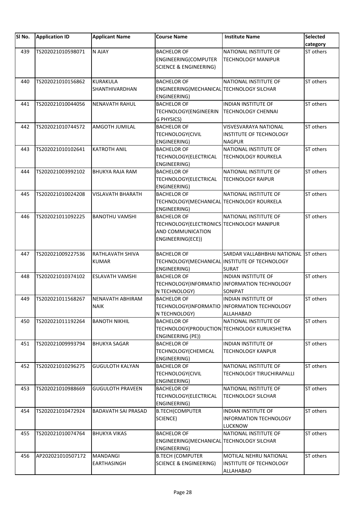| SI No. | <b>Application ID</b> | <b>Applicant Name</b>      | <b>Course Name</b>                        | <b>Institute Name</b>                          | Selected              |
|--------|-----------------------|----------------------------|-------------------------------------------|------------------------------------------------|-----------------------|
|        |                       | N AJAY                     |                                           |                                                | category<br>ST others |
| 439    | TS202021010598071     |                            | <b>BACHELOR OF</b>                        | NATIONAL INSTITUTE OF                          |                       |
|        |                       |                            | ENGINEERING(COMPUTER                      | <b>TECHNOLOGY MANIPUR</b>                      |                       |
|        |                       |                            | <b>SCIENCE &amp; ENGINEERING)</b>         |                                                |                       |
| 440    | TS202021010156862     | <b>KURAKULA</b>            | <b>BACHELOR OF</b>                        | NATIONAL INSTITUTE OF                          | ST others             |
|        |                       | <b>SHANTHIVARDHAN</b>      | ENGINEERING(MECHANICAL TECHNOLOGY SILCHAR |                                                |                       |
|        |                       |                            | ENGINEERING)                              |                                                |                       |
| 441    | TS202021010044056     | <b>NENAVATH RAHUL</b>      | <b>BACHELOR OF</b>                        | <b>INDIAN INSTITUTE OF</b>                     | ST others             |
|        |                       |                            | TECHNOLOGY(ENGINEERIN                     | <b>TECHNOLOGY CHENNAI</b>                      |                       |
|        |                       |                            | G PHYSICS)                                |                                                |                       |
| 442    | TS202021010744572     | AMGOTH JUMILAL             | <b>BACHELOR OF</b>                        | VISVESVARAYA NATIONAL                          | ST others             |
|        |                       |                            | TECHNOLOGY(CIVIL                          | INSTITUTE OF TECHNOLOGY                        |                       |
|        |                       |                            | ENGINEERING)                              | <b>NAGPUR</b>                                  |                       |
| 443    | TS202021010102641     | <b>KATROTH ANIL</b>        | <b>BACHELOR OF</b>                        | NATIONAL INSTITUTE OF                          | ST others             |
|        |                       |                            | TECHNOLOGY(ELECTRICAL<br>ENGINEERING)     | <b>TECHNOLOGY ROURKELA</b>                     |                       |
| 444    | TS202021003992102     | <b>BHUKYA RAJA RAM</b>     | <b>BACHELOR OF</b>                        | NATIONAL INSTITUTE OF                          | ST others             |
|        |                       |                            | TECHNOLOGY(ELECTRICAL                     | <b>TECHNOLOGY RAIPUR</b>                       |                       |
|        |                       |                            | ENGINEERING)                              |                                                |                       |
| 445    | TS202021010024208     | <b>VISLAVATH BHARATH</b>   | <b>BACHELOR OF</b>                        | NATIONAL INSTITUTE OF                          | ST others             |
|        |                       |                            | TECHNOLOGY(MECHANICAL TECHNOLOGY ROURKELA |                                                |                       |
|        |                       |                            | ENGINEERING)                              |                                                |                       |
| 446    | TS202021011092225     | <b>BANOTHU VAMSHI</b>      | <b>BACHELOR OF</b>                        | NATIONAL INSTITUTE OF                          | ST others             |
|        |                       |                            | TECHNOLOGY(ELECTRONICS TECHNOLOGY MANIPUR |                                                |                       |
|        |                       |                            | AND COMMUNICATION                         |                                                |                       |
|        |                       |                            | ENGINEERING(ECE))                         |                                                |                       |
|        |                       |                            |                                           |                                                |                       |
| 447    | TS202021009227536     | RATHLAVATH SHIVA           | <b>BACHELOR OF</b>                        | SARDAR VALLABHBHAI NATIONAL                    | ST others             |
|        |                       | <b>KUMAR</b>               |                                           | TECHNOLOGY (MECHANICAL INSTITUTE OF TECHNOLOGY |                       |
| 448    | TS202021010374102     | <b>ESLAVATH VAMSHI</b>     | ENGINEERING)<br><b>BACHELOR OF</b>        | <b>SURAT</b><br><b>INDIAN INSTITUTE OF</b>     | ST others             |
|        |                       |                            |                                           | TECHNOLOGY(INFORMATIO INFORMATION TECHNOLOGY   |                       |
|        |                       |                            | N TECHNOLOGY)                             | <b>SONIPAT</b>                                 |                       |
| 449    | TS202021011568267     | <b>NENAVATH ABHIRAM</b>    | <b>BACHELOR OF</b>                        | INDIAN INSTITUTE OF                            | ST others             |
|        |                       | <b>NAIK</b>                |                                           | TECHNOLOGY(INFORMATIO INFORMATION TECHNOLOGY   |                       |
|        |                       |                            | N TECHNOLOGY)                             | <b>ALLAHABAD</b>                               |                       |
| 450    | TS202021011192264     | <b>BANOTH NIKHIL</b>       | <b>BACHELOR OF</b>                        | NATIONAL INSTITUTE OF                          | ST others             |
|        |                       |                            |                                           | TECHNOLOGY(PRODUCTION TECHNOLOGY KURUKSHETRA   |                       |
|        |                       |                            | ENGINEERING (PE))                         |                                                |                       |
| 451    | TS202021009993794     | <b>BHUKYA SAGAR</b>        | <b>BACHELOR OF</b>                        | <b>INDIAN INSTITUTE OF</b>                     | ST others             |
|        |                       |                            | TECHNOLOGY(CHEMICAL                       | <b>TECHNOLOGY KANPUR</b>                       |                       |
|        |                       |                            | ENGINEERING)                              |                                                |                       |
| 452    | TS202021010296275     | <b>GUGULOTH KALYAN</b>     | <b>BACHELOR OF</b>                        | NATIONAL INSTITUTE OF                          | ST others             |
|        |                       |                            | <b>TECHNOLOGY(CIVIL</b>                   | TECHNOLOGY TIRUCHIRAPALLI                      |                       |
|        |                       |                            | ENGINEERING)                              |                                                |                       |
| 453    | TS202021010988669     | <b>GUGULOTH PRAVEEN</b>    | BACHELOR OF                               | NATIONAL INSTITUTE OF                          | ST others             |
|        |                       |                            | TECHNOLOGY(ELECTRICAL                     | <b>TECHNOLOGY SILCHAR</b>                      |                       |
| 454    | TS202021010472924     | <b>BADAVATH SAI PRASAD</b> | ENGINEERING)<br><b>B.TECH(COMPUTER</b>    | <b>INDIAN INSTITUTE OF</b>                     | ST others             |
|        |                       |                            | SCIENCE)                                  | <b>INFORMATION TECHNOLOGY</b>                  |                       |
|        |                       |                            |                                           | <b>LUCKNOW</b>                                 |                       |
| 455    | TS202021010074764     | <b>BHUKYA VIKAS</b>        | <b>BACHELOR OF</b>                        | NATIONAL INSTITUTE OF                          | ST others             |
|        |                       |                            | ENGINEERING(MECHANICAL TECHNOLOGY SILCHAR |                                                |                       |
|        |                       |                            | ENGINEERING)                              |                                                |                       |
| 456    | AP202021010507172     | <b>MANDANGI</b>            | <b>B.TECH (COMPUTER</b>                   | MOTILAL NEHRU NATIONAL                         | ST others             |
|        |                       | EARTHASINGH                | <b>SCIENCE &amp; ENGINEERING)</b>         | INSTITUTE OF TECHNOLOGY                        |                       |
|        |                       |                            |                                           | ALLAHABAD                                      |                       |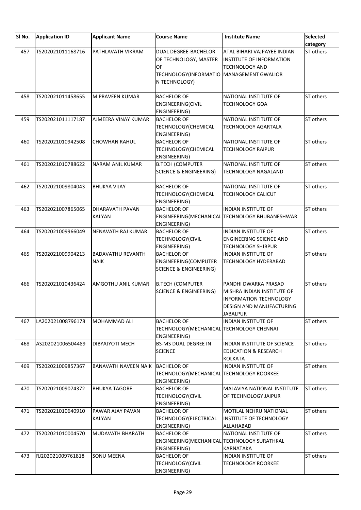| SI <sub>No.</sub> | <b>Application ID</b> | <b>Applicant Name</b>                   | <b>Course Name</b>                                                                                               | <b>Institute Name</b>                                                                                                                            | <b>Selected</b><br>category |
|-------------------|-----------------------|-----------------------------------------|------------------------------------------------------------------------------------------------------------------|--------------------------------------------------------------------------------------------------------------------------------------------------|-----------------------------|
| 457               | TS202021011168716     | PATHLAVATH VIKRAM                       | DUAL DEGREE-BACHELOR<br>OF TECHNOLOGY, MASTER<br>OF<br>TECHNOLOGY(INFORMATIO MANAGEMENT GWALIOR<br>N TECHNOLOGY) | ATAL BIHARI VAJPAYEE INDIAN<br><b>INSTITUTE OF INFORMATION</b><br><b>TECHNOLOGY AND</b>                                                          | ST others                   |
| 458               | TS202021011458655     | M PRAVEEN KUMAR                         | <b>BACHELOR OF</b><br>ENGINEERING(CIVIL<br>ENGINEERING)                                                          | NATIONAL INSTITUTE OF<br><b>TECHNOLOGY GOA</b>                                                                                                   | ST others                   |
| 459               | TS202021011117187     | AJMEERA VINAY KUMAR                     | <b>BACHELOR OF</b><br>TECHNOLOGY(CHEMICAL<br>ENGINEERING)                                                        | NATIONAL INSTITUTE OF<br><b>TECHNOLOGY AGARTALA</b>                                                                                              | ST others                   |
| 460               | TS202021010942508     | CHOWHAN RAHUL                           | <b>BACHELOR OF</b><br>TECHNOLOGY(CHEMICAL<br>ENGINEERING)                                                        | NATIONAL INSTITUTE OF<br><b>TECHNOLOGY RAIPUR</b>                                                                                                | ST others                   |
| 461               | TS202021010788622     | <b>NARAM ANIL KUMAR</b>                 | <b>B.TECH (COMPUTER</b><br><b>SCIENCE &amp; ENGINEERING)</b>                                                     | NATIONAL INSTITUTE OF<br><b>TECHNOLOGY NAGALAND</b>                                                                                              | ST others                   |
| 462               | TS202021009804043     | <b>BHUKYA VIJAY</b>                     | <b>BACHELOR OF</b><br>TECHNOLOGY(CHEMICAL<br>ENGINEERING)                                                        | NATIONAL INSTITUTE OF<br><b>TECHNOLOGY CALICUT</b>                                                                                               | ST others                   |
| 463               | TS202021007865065     | <b>DHARAVATH PAVAN</b><br><b>KALYAN</b> | <b>BACHELOR OF</b><br>ENGINEERING)                                                                               | INDIAN INSTITUTE OF<br>ENGINEERING(MECHANICAL TECHNOLOGY BHUBANESHWAR                                                                            | ST others                   |
| 464               | TS202021009966049     | NENAVATH RAJ KUMAR                      | <b>BACHELOR OF</b><br>TECHNOLOGY(CIVIL<br>ENGINEERING)                                                           | INDIAN INSTITUTE OF<br><b>ENGINEERING SCIENCE AND</b><br><b>TECHNOLOGY SHIBPUR</b>                                                               | ST others                   |
| 465               | TS202021009904213     | <b>BADAVATHU REVANTH</b><br><b>NAIK</b> | <b>BACHELOR OF</b><br>ENGINEERING(COMPUTER<br><b>SCIENCE &amp; ENGINEERING)</b>                                  | <b>INDIAN INSTITUTE OF</b><br><b>TECHNOLOGY HYDERABAD</b>                                                                                        | ST others                   |
| 466               | TS202021010436424     | AMGOTHU ANIL KUMAR                      | <b>B.TECH (COMPUTER</b><br><b>SCIENCE &amp; ENGINEERING)</b>                                                     | PANDHI DWARKA PRASAD<br><b>MISHRA INDIAN INSTITUTE OF</b><br><b>INFORMATION TECHNOLOGY</b><br><b>DESIGN AND MANUFACTURING</b><br><b>JABALPUR</b> | ST others                   |
| 467               | LA202021008796178     | <b>MOHAMMAD ALI</b>                     | <b>BACHELOR OF</b><br>TECHNOLOGY (MECHANICAL TECHNOLOGY CHENNAI<br>ENGINEERING)                                  | <b>INDIAN INSTITUTE OF</b>                                                                                                                       | ST others                   |
| 468               | AS202021006504489     | <b>DIBYAJYOTI MECH</b>                  | <b>BS-MS DUAL DEGREE IN</b><br><b>SCIENCE</b>                                                                    | <b>INDIAN INSTITUTE OF SCIENCE</b><br><b>EDUCATION &amp; RESEARCH</b><br><b>KOLKATA</b>                                                          | ST others                   |
| 469               | TS202021009857367     | BANAVATH NAVEEN NAIK                    | <b>BACHELOR OF</b><br>TECHNOLOGY (MECHANICAL TECHNOLOGY ROORKEE<br>ENGINEERING)                                  | INDIAN INSTITUTE OF                                                                                                                              | ST others                   |
| 470               | TS202021009074372     | <b>BHUKYA TAGORE</b>                    | <b>BACHELOR OF</b><br><b>TECHNOLOGY(CIVIL</b><br>ENGINEERING)                                                    | MALAVIYA NATIONAL INSTITUTE<br>OF TECHNOLOGY JAIPUR                                                                                              | ST others                   |
| 471               | TS202021010640910     | PAWAR AJAY PAVAN<br>KALYAN              | <b>BACHELOR OF</b><br>TECHNOLOGY (ELECTRICAL<br>ENGINEERING)                                                     | MOTILAL NEHRU NATIONAL<br><b>INSTITUTE OF TECHNOLOGY</b><br>ALLAHABAD                                                                            | ST others                   |
| 472               | TS202021010004570     | <b>MUDAVATH BHARATH</b>                 | <b>BACHELOR OF</b><br>ENGINEERING(MECHANICAL TECHNOLOGY SURATHKAL<br>ENGINEERING)                                | NATIONAL INSTITUTE OF<br><b>KARNATAKA</b>                                                                                                        | ST others                   |
| 473               | RJ202021009761818     | <b>SONU MEENA</b>                       | <b>BACHELOR OF</b><br><b>TECHNOLOGY(CIVIL</b><br>ENGINEERING)                                                    | INDIAN INSTITUTE OF<br><b>TECHNOLOGY ROORKEE</b>                                                                                                 | ST others                   |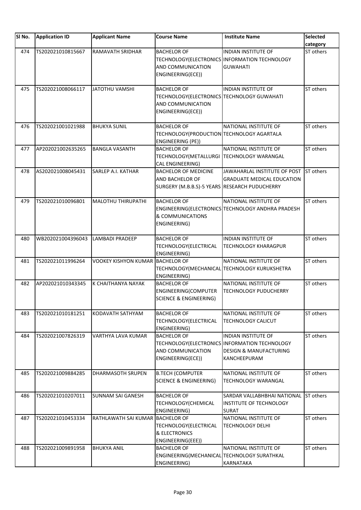| SI No. | <b>Application ID</b> | <b>Applicant Name</b>            | <b>Course Name</b>                                                                                          | <b>Institute Name</b>                                                                                                     | Selected<br>category |
|--------|-----------------------|----------------------------------|-------------------------------------------------------------------------------------------------------------|---------------------------------------------------------------------------------------------------------------------------|----------------------|
| 474    | TS202021010815667     | RAMAVATH SRIDHAR                 | <b>BACHELOR OF</b><br>AND COMMUNICATION<br>ENGINEERING(ECE))                                                | INDIAN INSTITUTE OF<br>TECHNOLOGY(ELECTRONICS INFORMATION TECHNOLOGY<br><b>GUWAHATI</b>                                   | ST others            |
| 475    | TS202021008066117     | JATOTHU VAMSHI                   | <b>BACHELOR OF</b><br>TECHNOLOGY (ELECTRONICS TECHNOLOGY GUWAHATI<br>AND COMMUNICATION<br>ENGINEERING(ECE)) | <b>INDIAN INSTITUTE OF</b>                                                                                                | ST others            |
| 476    | TS202021001021988     | <b>BHUKYA SUNIL</b>              | <b>BACHELOR OF</b><br>TECHNOLOGY (PRODUCTION TECHNOLOGY AGARTALA<br>ENGINEERING (PE))                       | NATIONAL INSTITUTE OF                                                                                                     | ST others            |
| 477    | AP202021002635265     | <b>BANGLA VASANTH</b>            | <b>BACHELOR OF</b><br>TECHNOLOGY(METALLURGI<br><b>CAL ENGINEERING)</b>                                      | NATIONAL INSTITUTE OF<br><b>TECHNOLOGY WARANGAL</b>                                                                       | ST others            |
| 478    | AS202021008045431     | <b>SARLEP A.I. KATHAR</b>        | <b>BACHELOR OF MEDICINE</b><br><b>AND BACHELOR OF</b><br>SURGERY (M.B.B.S)-5 YEARS RESEARCH PUDUCHERRY      | JAWAHARLAL INSTITUTE OF POST<br><b>GRADUATE MEDICAL EDUCATION</b>                                                         | <b>ST</b> others     |
| 479    | TS202021010096801     | <b>MALOTHU THIRUPATHI</b>        | <b>BACHELOR OF</b><br>& COMMUNICATIONS<br>ENGINEERING)                                                      | NATIONAL INSTITUTE OF<br>ENGINEERING(ELECTRONICS TECHNOLOGY ANDHRA PRADESH                                                | ST others            |
| 480    | WB202021004396043     | <b>LAMBADI PRADEEP</b>           | <b>BACHELOR OF</b><br>TECHNOLOGY(ELECTRICAL<br><b>ENGINEERING)</b>                                          | <b>INDIAN INSTITUTE OF</b><br><b>TECHNOLOGY KHARAGPUR</b>                                                                 | ST others            |
| 481    | TS202021011996264     | VOOKEY KISHYON KUMAR BACHELOR OF | ENGINEERING)                                                                                                | NATIONAL INSTITUTE OF<br>TECHNOLOGY (MECHANICAL TECHNOLOGY KURUKSHETRA                                                    | ST others            |
| 482    | AP202021010343345     | K CHAITHANYA NAYAK               | <b>BACHELOR OF</b><br>ENGINEERING(COMPUTER<br><b>SCIENCE &amp; ENGINEERING)</b>                             | NATIONAL INSTITUTE OF<br><b>TECHNOLOGY PUDUCHERRY</b>                                                                     | ST others            |
| 483    | TS202021010181251     | KODAVATH SATHYAM                 | <b>BACHELOR OF</b><br>TECHNOLOGY(ELECTRICAL<br>ENGINEERING)                                                 | NATIONAL INSTITUTE OF<br><b>TECHNOLOGY CALICUT</b>                                                                        | ST others            |
| 484    | TS202021007826319     | <b>VARTHYA LAVA KUMAR</b>        | <b>BACHELOR OF</b><br>AND COMMUNICATION<br>ENGINEERING(ECE))                                                | INDIAN INSTITUTE OF<br>TECHNOLOGY(ELECTRONICS INFORMATION TECHNOLOGY<br><b>DESIGN &amp; MANUFACTURING</b><br>KANCHEEPURAM | ST others            |
| 485    | TS202021009884285     | DHARMASOTH SRUPEN                | <b>B.TECH (COMPUTER</b><br><b>SCIENCE &amp; ENGINEERING)</b>                                                | NATIONAL INSTITUTE OF<br>TECHNOLOGY WARANGAL                                                                              | ST others            |
| 486    | TS202021010207011     | <b>SUNNAM SAI GANESH</b>         | <b>BACHELOR OF</b><br>TECHNOLOGY(CHEMICAL<br>ENGINEERING)                                                   | SARDAR VALLABHBHAI NATIONAL<br><b>INSTITUTE OF TECHNOLOGY</b><br><b>SURAT</b>                                             | <b>ST</b> others     |
| 487    | TS202021010453334     | RATHLAWATH SAI KUMAR BACHELOR OF | TECHNOLOGY (ELECTRICAL<br>& ELECTRONICS<br>ENGINEERING(EEE))                                                | NATIONAL INSTITUTE OF<br><b>TECHNOLOGY DELHI</b>                                                                          | ST others            |
| 488    | TS202021009891958     | <b>BHUKYA ANIL</b>               | <b>BACHELOR OF</b><br>ENGINEERING(MECHANICAL TECHNOLOGY SURATHKAL<br>ENGINEERING)                           | NATIONAL INSTITUTE OF<br>KARNATAKA                                                                                        | ST others            |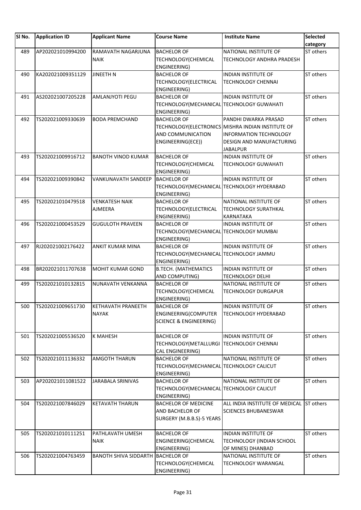|                                                                                                                                                     | category  |
|-----------------------------------------------------------------------------------------------------------------------------------------------------|-----------|
| 489<br>AP202021010994200<br>RAMAVATH NAGARJUNA<br><b>BACHELOR OF</b><br>NATIONAL INSTITUTE OF                                                       | ST others |
| <b>NAIK</b><br>TECHNOLOGY(CHEMICAL<br>TECHNOLOGY ANDHRA PRADESH<br>ENGINEERING)                                                                     |           |
| <b>JINEETH N</b><br>INDIAN INSTITUTE OF<br>490<br>KA202021009351129<br><b>BACHELOR OF</b>                                                           | ST others |
| TECHNOLOGY(ELECTRICAL<br><b>TECHNOLOGY CHENNAI</b><br>ENGINEERING)                                                                                  |           |
| <b>AMLANJYOTI PEGU</b><br><b>INDIAN INSTITUTE OF</b><br>491<br>AS202021007205228<br><b>BACHELOR OF</b>                                              | ST others |
| TECHNOLOGY(MECHANICAL TECHNOLOGY GUWAHATI                                                                                                           |           |
| ENGINEERING)                                                                                                                                        |           |
| TS202021009330639<br><b>BODA PREMCHAND</b><br>PANDHI DWARKA PRASAD<br>492<br><b>BACHELOR OF</b>                                                     | ST others |
| TECHNOLOGY (ELECTRONICS MISHRA INDIAN INSTITUTE OF                                                                                                  |           |
| AND COMMUNICATION<br>INFORMATION TECHNOLOGY                                                                                                         |           |
| ENGINEERING(ECE))<br>DESIGN AND MANUFACTURING                                                                                                       |           |
| <b>JABALPUR</b>                                                                                                                                     |           |
| <b>INDIAN INSTITUTE OF</b><br>493<br>TS202021009916712<br><b>BANOTH VINOD KUMAR</b><br><b>BACHELOR OF</b>                                           | ST others |
| TECHNOLOGY(CHEMICAL<br>TECHNOLOGY GUWAHATI                                                                                                          |           |
| ENGINEERING)                                                                                                                                        |           |
| TS202021009390842<br><b>VANKUNAVATH SANDEEP</b><br><b>BACHELOR OF</b><br><b>INDIAN INSTITUTE OF</b><br>494                                          | ST others |
| TECHNOLOGY (MECHANICAL TECHNOLOGY HYDERABAD                                                                                                         |           |
| ENGINEERING)                                                                                                                                        |           |
| TS202021010479518<br><b>VENKATESH NAIK</b><br>NATIONAL INSTITUTE OF<br>495<br><b>BACHELOR OF</b>                                                    | ST others |
| <b>AJMEERA</b><br>TECHNOLOGY(ELECTRICAL<br><b>TECHNOLOGY SURATHKAL</b>                                                                              |           |
| ENGINEERING)<br>KARNATAKA                                                                                                                           |           |
| TS202021000453529<br><b>GUGULOTH PRAVEEN</b><br>496<br><b>BACHELOR OF</b><br><b>INDIAN INSTITUTE OF</b><br>TECHNOLOGY (MECHANICAL TECHNOLOGY MUMBAI | ST others |
| ENGINEERING)                                                                                                                                        |           |
| RJ202021002176422<br><b>ANKIT KUMAR MINA</b><br><b>INDIAN INSTITUTE OF</b><br>497<br><b>BACHELOR OF</b>                                             | ST others |
| TECHNOLOGY (MECHANICAL TECHNOLOGY JAMMU                                                                                                             |           |
| ENGINEERING)                                                                                                                                        |           |
| <b>INDIAN INSTITUTE OF</b><br>BR202021011707638<br><b>MOHIT KUMAR GOND</b><br><b>B.TECH. (MATHEMATICS</b><br>498                                    | ST others |
| AND COMPUTING)<br><b>TECHNOLOGY DELHI</b>                                                                                                           |           |
| 499<br>TS202021010132815<br>NUNAVATH VENKANNA<br><b>BACHELOR OF</b><br>NATIONAL INSTITUTE OF                                                        | ST others |
| TECHNOLOGY(CHEMICAL<br><b>TECHNOLOGY DURGAPUR</b>                                                                                                   |           |
| ENGINEERING)                                                                                                                                        |           |
| TS202021009651730<br><b>KETHAVATH PRANEETH</b><br><b>BACHELOR OF</b><br>INDIAN INSTITUTE OF<br>500                                                  | ST others |
| <b>NAYAK</b><br>ENGINEERING(COMPUTER<br><b>TECHNOLOGY HYDERABAD</b>                                                                                 |           |
| <b>SCIENCE &amp; ENGINEERING)</b>                                                                                                                   |           |
| 501<br>TS202021005536520<br><b>K MAHESH</b><br><b>BACHELOR OF</b><br><b>INDIAN INSTITUTE OF</b>                                                     | ST others |
| TECHNOLOGY (METALLURGI TECHNOLOGY CHENNAI                                                                                                           |           |
| CAL ENGINEERING)                                                                                                                                    |           |
| NATIONAL INSTITUTE OF<br>502<br>TS202021011136332<br><b>AMGOTH THARUN</b><br><b>BACHELOR OF</b>                                                     | ST others |
| TECHNOLOGY (MECHANICAL TECHNOLOGY CALICUT                                                                                                           |           |
| ENGINEERING)                                                                                                                                        |           |
| AP202021011081522<br>JARABALA SRINIVAS<br>NATIONAL INSTITUTE OF<br>503<br><b>BACHELOR OF</b>                                                        | ST others |
| TECHNOLOGY (MECHANICAL TECHNOLOGY CALICUT                                                                                                           |           |
| ENGINEERING)                                                                                                                                        |           |
| 504<br>TS202021007846029<br><b>KETAVATH THARUN</b><br><b>BACHELOR OF MEDICINE</b><br>ALL INDIA INSTITUTE OF MEDICAL                                 | ST others |
| AND BACHELOR OF<br><b>SCIENCES BHUBANESWAR</b>                                                                                                      |           |
| SURGERY (M.B.B.S)-5 YEARS                                                                                                                           |           |
|                                                                                                                                                     |           |
| <b>INDIAN INSTITUTE OF</b><br>505<br>TS202021010111251<br>PATHLAVATH UMESH<br><b>BACHELOR OF</b>                                                    | ST others |
| <b>NAIK</b><br>ENGINEERING(CHEMICAL<br>TECHNOLOGY (INDIAN SCHOOL                                                                                    |           |
| ENGINEERING)<br>OF MINES) DHANBAD<br>TS202021004763459<br><b>BANOTH SHIVA SIDDARTH BACHELOR OF</b><br>506<br>NATIONAL INSTITUTE OF                  | ST others |
| <b>TECHNOLOGY WARANGAL</b><br>TECHNOLOGY(CHEMICAL                                                                                                   |           |
| ENGINEERING)                                                                                                                                        |           |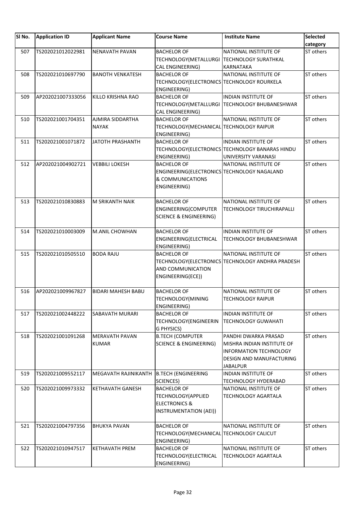| SI No. | <b>Application ID</b> | <b>Applicant Name</b>                 | <b>Course Name</b>                                                                                    | <b>Institute Name</b>                                                                                                              | <b>Selected</b><br>category |
|--------|-----------------------|---------------------------------------|-------------------------------------------------------------------------------------------------------|------------------------------------------------------------------------------------------------------------------------------------|-----------------------------|
| 507    | TS202021012022981     | <b>NENAVATH PAVAN</b>                 | <b>BACHELOR OF</b><br>TECHNOLOGY(METALLURGI<br>CAL ENGINEERING)                                       | NATIONAL INSTITUTE OF<br><b>TECHNOLOGY SURATHKAL</b><br>KARNATAKA                                                                  | ST others                   |
| 508    | TS202021010697790     | <b>BANOTH VENKATESH</b>               | <b>BACHELOR OF</b><br>TECHNOLOGY(ELECTRONICS TECHNOLOGY ROURKELA<br>ENGINEERING)                      | NATIONAL INSTITUTE OF                                                                                                              | ST others                   |
| 509    | AP202021007333056     | KILLO KRISHNA RAO                     | <b>BACHELOR OF</b><br>CAL ENGINEERING)                                                                | <b>INDIAN INSTITUTE OF</b><br>TECHNOLOGY(METALLURGI TECHNOLOGY BHUBANESHWAR                                                        | ST others                   |
| 510    | TS202021001704351     | AJMIRA SIDDARTHA<br><b>NAYAK</b>      | <b>BACHELOR OF</b><br>TECHNOLOGY (MECHANICAL TECHNOLOGY RAIPUR<br>ENGINEERING)                        | NATIONAL INSTITUTE OF                                                                                                              | ST others                   |
| 511    | TS202021001071872     | JATOTH PRASHANTH                      | <b>BACHELOR OF</b><br>ENGINEERING)                                                                    | INDIAN INSTITUTE OF<br>TECHNOLOGY(ELECTRONICS TECHNOLOGY BANARAS HINDU<br>UNIVERSITY VARANASI                                      | ST others                   |
| 512    | AP202021004902721     | <b>VEBBILI LOKESH</b>                 | <b>BACHELOR OF</b><br>ENGINEERING(ELECTRONICS TECHNOLOGY NAGALAND<br>& COMMUNICATIONS<br>ENGINEERING) | NATIONAL INSTITUTE OF                                                                                                              | ST others                   |
| 513    | TS202021010830883     | M SRIKANTH NAIK                       | <b>BACHELOR OF</b><br>ENGINEERING(COMPUTER<br><b>SCIENCE &amp; ENGINEERING)</b>                       | NATIONAL INSTITUTE OF<br><b>TECHNOLOGY TIRUCHIRAPALLI</b>                                                                          | ST others                   |
| 514    | TS202021010003009     | M.ANIL CHOWHAN                        | <b>BACHELOR OF</b><br>ENGINEERING(ELECTRICAL<br>ENGINEERING)                                          | INDIAN INSTITUTE OF<br><b>TECHNOLOGY BHUBANESHWAR</b>                                                                              | ST others                   |
| 515    | TS202021010505510     | <b>BODA RAJU</b>                      | <b>BACHELOR OF</b><br>AND COMMUNICATION<br>ENGINEERING(ECE))                                          | NATIONAL INSTITUTE OF<br>TECHNOLOGY(ELECTRONICS TECHNOLOGY ANDHRA PRADESH                                                          | ST others                   |
| 516    | AP202021009967827     | <b>BIDARI MAHESH BABU</b>             | <b>BACHELOR OF</b><br><b>TECHNOLOGY(MINING</b><br>ENGINEERING)                                        | NATIONAL INSTITUTE OF<br><b>TECHNOLOGY RAIPUR</b>                                                                                  | ST others                   |
| 517    | TS202021002448222     | <b>SABAVATH MURARI</b>                | <b>BACHELOR OF</b><br>TECHNOLOGY(ENGINEERIN<br>G PHYSICS)                                             | <b>INDIAN INSTITUTE OF</b><br><b>TECHNOLOGY GUWAHATI</b>                                                                           | ST others                   |
| 518    | TS202021001091268     | <b>MERAVATH PAVAN</b><br><b>KUMAR</b> | <b>B.TECH (COMPUTER</b><br><b>SCIENCE &amp; ENGINEERING)</b>                                          | PANDHI DWARKA PRASAD<br>MISHRA INDIAN INSTITUTE OF<br><b>INFORMATION TECHNOLOGY</b><br>DESIGN AND MANUFACTURING<br><b>JABALPUR</b> | ST others                   |
| 519    | TS202021009552117     | MEGAVATH RAJINIKANTH                  | <b>B.TECH (ENGINEERING</b><br>SCIENCES)                                                               | INDIAN INSTITUTE OF<br><b>TECHNOLOGY HYDERABAD</b>                                                                                 | ST others                   |
| 520    | TS202021009973332     | <b>KETHAVATH GANESH</b>               | <b>BACHELOR OF</b><br><b>TECHNOLOGY(APPLIED</b><br><b>ELECTRONICS &amp;</b><br>INSTRUMENTATION (AEI)) | NATIONAL INSTITUTE OF<br>TECHNOLOGY AGARTALA                                                                                       | ST others                   |
| 521    | TS202021004797356     | <b>BHUKYA PAVAN</b>                   | <b>BACHELOR OF</b><br>TECHNOLOGY (MECHANICAL TECHNOLOGY CALICUT<br>ENGINEERING)                       | NATIONAL INSTITUTE OF                                                                                                              | ST others                   |
| 522    | TS202021010947517     | <b>KETHAVATH PREM</b>                 | <b>BACHELOR OF</b><br>TECHNOLOGY (ELECTRICAL<br>ENGINEERING)                                          | NATIONAL INSTITUTE OF<br><b>TECHNOLOGY AGARTALA</b>                                                                                | ST others                   |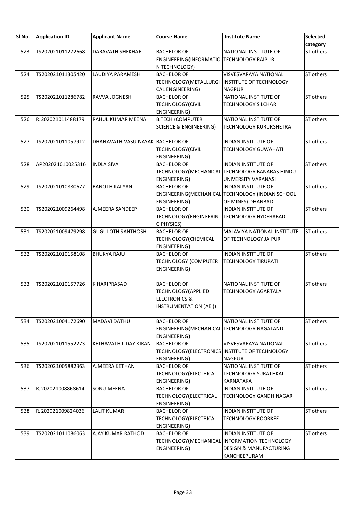| SI No. | <b>Application ID</b> | <b>Applicant Name</b>            | <b>Course Name</b>                                                                             | <b>Institute Name</b>                                                                                                           | <b>Selected</b><br>category |
|--------|-----------------------|----------------------------------|------------------------------------------------------------------------------------------------|---------------------------------------------------------------------------------------------------------------------------------|-----------------------------|
| 523    | TS202021011272668     | DARAVATH SHEKHAR                 | <b>BACHELOR OF</b><br>ENGINEERING(INFORMATIO TECHNOLOGY RAIPUR<br>N TECHNOLOGY)                | NATIONAL INSTITUTE OF                                                                                                           | ST others                   |
| 524    | TS202021011305420     | LAUDIYA PARAMESH                 | <b>BACHELOR OF</b><br>CAL ENGINEERING)                                                         | VISVESVARAYA NATIONAL<br>TECHNOLOGY (METALLURGI   INSTITUTE OF TECHNOLOGY<br><b>NAGPUR</b>                                      | ST others                   |
| 525    | TS202021011286782     | RAVVA JOGNESH                    | <b>BACHELOR OF</b><br><b>TECHNOLOGY(CIVIL</b><br>ENGINEERING)                                  | NATIONAL INSTITUTE OF<br>TECHNOLOGY SILCHAR                                                                                     | ST others                   |
| 526    | RJ202021011488179     | RAHUL KUMAR MEENA                | <b>B.TECH (COMPUTER</b><br><b>SCIENCE &amp; ENGINEERING)</b>                                   | NATIONAL INSTITUTE OF<br>TECHNOLOGY KURUKSHETRA                                                                                 | ST others                   |
| 527    | TS202021011057912     | DHANAVATH VASU NAYAK BACHELOR OF | TECHNOLOGY(CIVIL<br>ENGINEERING)                                                               | <b>INDIAN INSTITUTE OF</b><br><b>TECHNOLOGY GUWAHATI</b>                                                                        | ST others                   |
| 528    | AP202021010025316     | <b>INDLA SIVA</b>                | <b>BACHELOR OF</b><br>ENGINEERING)                                                             | <b>INDIAN INSTITUTE OF</b><br>TECHNOLOGY (MECHANICAL TECHNOLOGY BANARAS HINDU<br>UNIVERSITY VARANASI                            | ST others                   |
| 529    | TS202021010880677     | <b>BANOTH KALYAN</b>             | <b>BACHELOR OF</b><br>ENGINEERING)                                                             | <b>INDIAN INSTITUTE OF</b><br>ENGINEERING(MECHANICAL TECHNOLOGY (INDIAN SCHOOL<br>OF MINES) DHANBAD                             | ST others                   |
| 530    | TS202021009264498     | AJMEERA SANDEEP                  | <b>BACHELOR OF</b><br>TECHNOLOGY(ENGINEERIN<br>G PHYSICS)                                      | <b>INDIAN INSTITUTE OF</b><br><b>TECHNOLOGY HYDERABAD</b>                                                                       | ST others                   |
| 531    | TS202021009479298     | <b>GUGULOTH SANTHOSH</b>         | <b>BACHELOR OF</b><br>TECHNOLOGY(CHEMICAL<br>ENGINEERING)                                      | MALAVIYA NATIONAL INSTITUTE<br>OF TECHNOLOGY JAIPUR                                                                             | ST others                   |
| 532    | TS202021010158108     | <b>BHUKYA RAJU</b>               | <b>BACHELOR OF</b><br><b>TECHNOLOGY (COMPUTER</b><br>ENGINEERING)                              | <b>INDIAN INSTITUTE OF</b><br><b>TECHNOLOGY TIRUPATI</b>                                                                        | ST others                   |
| 533    | TS202021010157726     | <b>K HARIPRASAD</b>              | <b>BACHELOR OF</b><br>TECHNOLOGY(APPLIED<br><b>ELECTRONICS &amp;</b><br>INSTRUMENTATION (AEI)) | NATIONAL INSTITUTE OF<br><b>TECHNOLOGY AGARTALA</b>                                                                             | ST others                   |
| 534    | TS202021004172690     | MADAVI DATHU                     | <b>BACHELOR OF</b><br>ENGINEERING(MECHANICAL TECHNOLOGY NAGALAND<br>ENGINEERING)               | NATIONAL INSTITUTE OF                                                                                                           | ST others                   |
| 535    | TS202021011552273     | KETHAVATH UDAY KIRAN             | <b>BACHELOR OF</b><br>ENGINEERING)                                                             | <b>VISVESVARAYA NATIONAL</b><br>TECHNOLOGY (ELECTRONICS INSTITUTE OF TECHNOLOGY<br><b>NAGPUR</b>                                | ST others                   |
| 536    | TS202021005882363     | AJMEERA KETHAN                   | <b>BACHELOR OF</b><br>TECHNOLOGY(ELECTRICAL<br>ENGINEERING)                                    | NATIONAL INSTITUTE OF<br><b>TECHNOLOGY SURATHKAL</b><br>KARNATAKA                                                               | ST others                   |
| 537    | RJ202021008868614     | <b>SONU MEENA</b>                | <b>BACHELOR OF</b><br>TECHNOLOGY (ELECTRICAL<br>ENGINEERING)                                   | <b>INDIAN INSTITUTE OF</b><br>TECHNOLOGY GANDHINAGAR                                                                            | ST others                   |
| 538    | RJ202021009824036     | <b>LALIT KUMAR</b>               | <b>BACHELOR OF</b><br>TECHNOLOGY(ELECTRICAL<br>ENGINEERING)                                    | <b>INDIAN INSTITUTE OF</b><br><b>TECHNOLOGY ROORKEE</b>                                                                         | ST others                   |
| 539    | TS202021011086063     | <b>AJAY KUMAR RATHOD</b>         | <b>BACHELOR OF</b><br>ENGINEERING)                                                             | <b>INDIAN INSTITUTE OF</b><br>TECHNOLOGY(MECHANICAL INFORMATION TECHNOLOGY<br><b>DESIGN &amp; MANUFACTURING</b><br>KANCHEEPURAM | ST others                   |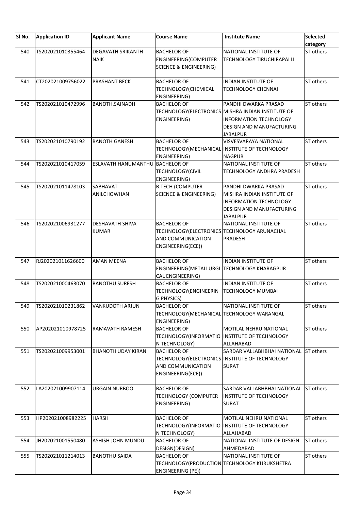| SI No. | <b>Application ID</b> | <b>Applicant Name</b>      | <b>Course Name</b>                          | <b>Institute Name</b>                             | Selected  |
|--------|-----------------------|----------------------------|---------------------------------------------|---------------------------------------------------|-----------|
|        |                       |                            |                                             |                                                   | category  |
| 540    | TS202021010355464     | <b>DEGAVATH SRIKANTH</b>   | <b>BACHELOR OF</b>                          | NATIONAL INSTITUTE OF                             | ST others |
|        |                       | <b>NAIK</b>                | ENGINEERING(COMPUTER                        | <b>TECHNOLOGY TIRUCHIRAPALLI</b>                  |           |
|        |                       |                            | <b>SCIENCE &amp; ENGINEERING)</b>           |                                                   |           |
| 541    | CT202021009756022     | PRASHANT BECK              | <b>BACHELOR OF</b>                          | INDIAN INSTITUTE OF                               | ST others |
|        |                       |                            | TECHNOLOGY(CHEMICAL                         | <b>TECHNOLOGY CHENNAI</b>                         |           |
|        |                       |                            | ENGINEERING)                                |                                                   |           |
| 542    | TS202021010472996     | <b>BANOTH.SAINADH</b>      | <b>BACHELOR OF</b>                          | PANDHI DWARKA PRASAD                              | ST others |
|        |                       |                            |                                             | TECHNOLOGY(ELECTRONICS MISHRA INDIAN INSTITUTE OF |           |
|        |                       |                            | ENGINEERING)                                | <b>INFORMATION TECHNOLOGY</b>                     |           |
|        |                       |                            |                                             | <b>DESIGN AND MANUFACTURING</b>                   |           |
|        |                       |                            |                                             | <b>JABALPUR</b>                                   |           |
| 543    | TS202021010790192     | <b>BANOTH GANESH</b>       | <b>BACHELOR OF</b>                          | <b>VISVESVARAYA NATIONAL</b>                      | ST others |
|        |                       |                            |                                             | TECHNOLOGY (MECHANICAL INSTITUTE OF TECHNOLOGY    |           |
|        |                       |                            | ENGINEERING)                                | <b>NAGPUR</b>                                     |           |
| 544    | TS202021010417059     | <b>ESLAVATH HANUMANTHU</b> | <b>BACHELOR OF</b>                          | NATIONAL INSTITUTE OF                             | ST others |
|        |                       |                            | TECHNOLOGY(CIVIL                            | <b>TECHNOLOGY ANDHRA PRADESH</b>                  |           |
|        |                       |                            | ENGINEERING)                                |                                                   |           |
| 545    | TS202021011478103     | SABHAVAT                   | <b>B.TECH (COMPUTER</b>                     | PANDHI DWARKA PRASAD                              | ST others |
|        |                       | ANILCHOWHAN                | <b>SCIENCE &amp; ENGINEERING)</b>           | MISHRA INDIAN INSTITUTE OF                        |           |
|        |                       |                            |                                             | <b>INFORMATION TECHNOLOGY</b>                     |           |
|        |                       |                            |                                             | DESIGN AND MANUFACTURING                          |           |
|        |                       |                            |                                             | <b>JABALPUR</b>                                   |           |
| 546    | TS202021006931277     | <b>DESHAVATH SHIVA</b>     | <b>BACHELOR OF</b>                          | NATIONAL INSTITUTE OF                             | ST others |
|        |                       | <b>KUMAR</b>               | TECHNOLOGY(ELECTRONICS TECHNOLOGY ARUNACHAL |                                                   |           |
|        |                       |                            | AND COMMUNICATION                           | PRADESH                                           |           |
|        |                       |                            | ENGINEERING(ECE))                           |                                                   |           |
|        |                       |                            |                                             |                                                   |           |
| 547    | RJ202021011626600     | <b>AMAN MEENA</b>          | <b>BACHELOR OF</b>                          | INDIAN INSTITUTE OF                               | ST others |
|        |                       |                            | ENGINEERING(METALLURGI TECHNOLOGY KHARAGPUR |                                                   |           |
|        |                       |                            | CAL ENGINEERING)                            |                                                   |           |
| 548    | TS202021000463070     | <b>BANOTHU SURESH</b>      | <b>BACHELOR OF</b>                          | <b>INDIAN INSTITUTE OF</b>                        | ST others |
|        |                       |                            | TECHNOLOGY(ENGINEERIN                       | <b>TECHNOLOGY MUMBAI</b>                          |           |
|        |                       |                            | <b>G PHYSICS)</b>                           |                                                   |           |
| 549    | TS202021010231862     | <b>VANKUDOTH ARJUN</b>     | <b>BACHELOR OF</b>                          | NATIONAL INSTITUTE OF                             | ST others |
|        |                       |                            | TECHNOLOGY (MECHANICAL TECHNOLOGY WARANGAL  |                                                   |           |
| 550    | AP202021010978725     | RAMAVATH RAMESH            | ENGINEERING)<br><b>BACHELOR OF</b>          | MOTILAL NEHRU NATIONAL                            | ST others |
|        |                       |                            |                                             | TECHNOLOGY(INFORMATIO INSTITUTE OF TECHNOLOGY     |           |
|        |                       |                            | N TECHNOLOGY)                               | <b>ALLAHABAD</b>                                  |           |
| 551    | TS202021009953001     | <b>BHANOTH UDAY KIRAN</b>  | <b>BACHELOR OF</b>                          | SARDAR VALLABHBHAI NATIONAL                       | ST others |
|        |                       |                            |                                             | TECHNOLOGY (ELECTRONICS INSTITUTE OF TECHNOLOGY   |           |
|        |                       |                            | AND COMMUNICATION                           | <b>SURAT</b>                                      |           |
|        |                       |                            | ENGINEERING(ECE))                           |                                                   |           |
|        |                       |                            |                                             |                                                   |           |
| 552    | LA202021009907114     | <b>URGAIN NURBOO</b>       | <b>BACHELOR OF</b>                          | SARDAR VALLABHBHAI NATIONAL                       | ST others |
|        |                       |                            | <b>TECHNOLOGY (COMPUTER</b>                 | INSTITUTE OF TECHNOLOGY                           |           |
|        |                       |                            | ENGINEERING)                                | <b>SURAT</b>                                      |           |
|        |                       |                            |                                             |                                                   |           |
| 553    | HP202021008982225     | <b>HARSH</b>               | <b>BACHELOR OF</b>                          | MOTILAL NEHRU NATIONAL                            | ST others |
|        |                       |                            |                                             | TECHNOLOGY(INFORMATIO INSTITUTE OF TECHNOLOGY     |           |
|        |                       |                            | N TECHNOLOGY)                               | ALLAHABAD                                         |           |
| 554    | JH202021001550480     | ASHISH JOHN MUNDU          | <b>BACHELOR OF</b>                          | NATIONAL INSTITUTE OF DESIGN                      | ST others |
|        |                       |                            | DESIGN(DESIGN)                              | AHMEDABAD                                         |           |
| 555    | TS202021011214013     | <b>BANOTHU SAIDA</b>       | <b>BACHELOR OF</b>                          | NATIONAL INSTITUTE OF                             | ST others |
|        |                       |                            |                                             | TECHNOLOGY(PRODUCTION TECHNOLOGY KURUKSHETRA      |           |
|        |                       |                            | ENGINEERING (PE))                           |                                                   |           |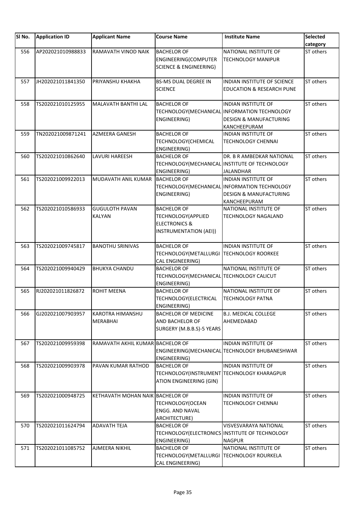| SI No. | <b>Application ID</b> | <b>Applicant Name</b>                  | <b>Course Name</b>                                                                                    | <b>Institute Name</b>                                                                                                                   | <b>Selected</b><br>category |
|--------|-----------------------|----------------------------------------|-------------------------------------------------------------------------------------------------------|-----------------------------------------------------------------------------------------------------------------------------------------|-----------------------------|
| 556    | AP202021010988833     | RAMAVATH VINOD NAIK                    | <b>BACHELOR OF</b><br>ENGINEERING(COMPUTER<br><b>SCIENCE &amp; ENGINEERING)</b>                       | NATIONAL INSTITUTE OF<br><b>TECHNOLOGY MANIPUR</b>                                                                                      | ST others                   |
| 557    | JH202021011841350     | PRIYANSHU KHAKHA                       | <b>BS-MS DUAL DEGREE IN</b><br><b>SCIENCE</b>                                                         | INDIAN INSTITUTE OF SCIENCE<br><b>EDUCATION &amp; RESEARCH PUNE</b>                                                                     | ST others                   |
| 558    | TS202021010125955     | <b>MALAVATH BANTHI LAL</b>             | <b>BACHELOR OF</b><br>ENGINEERING)                                                                    | <b>INDIAN INSTITUTE OF</b><br>TECHNOLOGY (MECHANICAL INFORMATION TECHNOLOGY<br><b>DESIGN &amp; MANUFACTURING</b><br>KANCHEEPURAM        | ST others                   |
| 559    | TN202021009871241     | AZMEERA GANESH                         | <b>BACHELOR OF</b><br>TECHNOLOGY(CHEMICAL<br>ENGINEERING)                                             | <b>INDIAN INSTITUTE OF</b><br><b>TECHNOLOGY CHENNAI</b>                                                                                 | ST others                   |
| 560    | TS202021010862640     | LAVURI HAREESH                         | <b>BACHELOR OF</b><br>ENGINEERING)                                                                    | DR. B R AMBEDKAR NATIONAL<br>TECHNOLOGY (MECHANICAL INSTITUTE OF TECHNOLOGY<br><b>JALANDHAR</b>                                         | ST others                   |
| 561    | TS202021009922013     | MUDAVATH ANIL KUMAR                    | <b>BACHELOR OF</b><br>ENGINEERING)                                                                    | <b>INDIAN INSTITUTE OF</b><br>TECHNOLOGY (MECHANICAL INFORMATION TECHNOLOGY<br><b>DESIGN &amp; MANUFACTURING</b><br><b>KANCHEEPURAM</b> | ST others                   |
| 562    | TS202021010586933     | <b>GUGULOTH PAVAN</b><br><b>KALYAN</b> | <b>BACHELOR OF</b><br><b>TECHNOLOGY(APPLIED</b><br><b>ELECTRONICS &amp;</b><br>INSTRUMENTATION (AEI)) | NATIONAL INSTITUTE OF<br><b>TECHNOLOGY NAGALAND</b>                                                                                     | ST others                   |
| 563    | TS202021009745817     | <b>BANOTHU SRINIVAS</b>                | <b>BACHELOR OF</b><br>TECHNOLOGY (METALLURGI<br>CAL ENGINEERING)                                      | <b>INDIAN INSTITUTE OF</b><br><b>TECHNOLOGY ROORKEE</b>                                                                                 | ST others                   |
| 564    | TS202021009940429     | <b>BHUKYA CHANDU</b>                   | <b>BACHELOR OF</b><br>TECHNOLOGY(MECHANICAL TECHNOLOGY CALICUT<br>ENGINEERING)                        | NATIONAL INSTITUTE OF                                                                                                                   | ST others                   |
| 565    | RJ202021011826872     | ROHIT MEENA                            | <b>BACHELOR OF</b><br>TECHNOLOGY(ELECTRICAL<br>ENGINEERING)                                           | NATIONAL INSTITUTE OF<br><b>TECHNOLOGY PATNA</b>                                                                                        | ST others                   |
| 566    | GJ202021007903957     | <b>KAROTRA HIMANSHU</b><br>MERABHAI    | <b>BACHELOR OF MEDICINE</b><br><b>AND BACHELOR OF</b><br>SURGERY (M.B.B.S)-5 YEARS                    | <b>B.J. MEDICAL COLLEGE</b><br>AHEMEDABAD                                                                                               | ST others                   |
| 567    | TS202021009959398     | RAMAVATH AKHIL KUMAR BACHELOR OF       | ENGINEERING)                                                                                          | <b>INDIAN INSTITUTE OF</b><br>ENGINEERING(MECHANICAL TECHNOLOGY BHUBANESHWAR                                                            | ST others                   |
| 568    | TS202021009903978     | PAVAN KUMAR RATHOD                     | <b>BACHELOR OF</b><br>TECHNOLOGY(INSTRUMENT TECHNOLOGY KHARAGPUR<br>ATION ENGINEERING (GIN)           | <b>INDIAN INSTITUTE OF</b>                                                                                                              | ST others                   |
| 569    | TS202021000948725     | KETHAVATH MOHAN NAIK BACHELOR OF       | TECHNOLOGY (OCEAN<br><b>ENGG. AND NAVAL</b><br>ARCHITECTURE)                                          | INDIAN INSTITUTE OF<br><b>TECHNOLOGY CHENNAI</b>                                                                                        | ST others                   |
| 570    | TS202021011624794     | <b>ADAVATH TEJA</b>                    | <b>BACHELOR OF</b><br>ENGINEERING)                                                                    | VISVESVARAYA NATIONAL<br>TECHNOLOGY(ELECTRONICS INSTITUTE OF TECHNOLOGY<br><b>NAGPUR</b>                                                | ST others                   |
| 571    | TS202021011085752     | <b>AJMEERA NIKHIL</b>                  | <b>BACHELOR OF</b><br>TECHNOLOGY(METALLURGI TECHNOLOGY ROURKELA<br>CAL ENGINEERING)                   | NATIONAL INSTITUTE OF                                                                                                                   | ST others                   |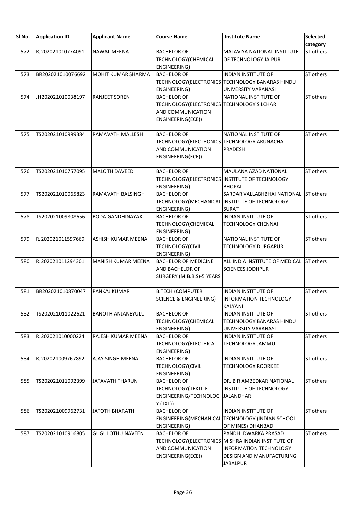| SI No. | <b>Application ID</b> | <b>Applicant Name</b>    | <b>Course Name</b>                                                                                          | <b>Institute Name</b>                                                                                                                               | Selected<br>category |
|--------|-----------------------|--------------------------|-------------------------------------------------------------------------------------------------------------|-----------------------------------------------------------------------------------------------------------------------------------------------------|----------------------|
| 572    | RJ202021010774091     | <b>NAWAL MEENA</b>       | <b>BACHELOR OF</b><br>TECHNOLOGY(CHEMICAL<br>ENGINEERING)                                                   | MALAVIYA NATIONAL INSTITUTE<br>OF TECHNOLOGY JAIPUR                                                                                                 | ST others            |
| 573    | BR202021010076692     | MOHIT KUMAR SHARMA       | <b>BACHELOR OF</b><br>ENGINEERING)                                                                          | <b>INDIAN INSTITUTE OF</b><br>TECHNOLOGY (ELECTRONICS TECHNOLOGY BANARAS HINDU<br>UNIVERSITY VARANASI                                               | ST others            |
| 574    | JH202021010038197     | <b>RANJEET SOREN</b>     | <b>BACHELOR OF</b><br>TECHNOLOGY(ELECTRONICS TECHNOLOGY SILCHAR<br>AND COMMUNICATION<br>ENGINEERING(ECE))   | NATIONAL INSTITUTE OF                                                                                                                               | ST others            |
| 575    | TS202021010999384     | RAMAVATH MALLESH         | <b>BACHELOR OF</b><br>TECHNOLOGY(ELECTRONICS TECHNOLOGY ARUNACHAL<br>AND COMMUNICATION<br>ENGINEERING(ECE)) | NATIONAL INSTITUTE OF<br>PRADESH                                                                                                                    | ST others            |
| 576    | TS202021010757095     | <b>MALOTH DAVEED</b>     | <b>BACHELOR OF</b><br>ENGINEERING)                                                                          | MAULANA AZAD NATIONAL<br>TECHNOLOGY(ELECTRONICS INSTITUTE OF TECHNOLOGY<br><b>BHOPAL</b>                                                            | ST others            |
| 577    | TS202021010065823     | RAMAVATH BALSINGH        | <b>BACHELOR OF</b><br>ENGINEERING)                                                                          | SARDAR VALLABHBHAI NATIONAL<br>TECHNOLOGY (MECHANICAL INSTITUTE OF TECHNOLOGY<br><b>SURAT</b>                                                       | ST others            |
| 578    | TS202021009808656     | <b>BODA GANDHINAYAK</b>  | <b>BACHELOR OF</b><br>TECHNOLOGY(CHEMICAL<br>ENGINEERING)                                                   | <b>INDIAN INSTITUTE OF</b><br><b>TECHNOLOGY CHENNAI</b>                                                                                             | ST others            |
| 579    | RJ202021011597669     | ASHISH KUMAR MEENA       | <b>BACHELOR OF</b><br><b>TECHNOLOGY(CIVIL</b><br>ENGINEERING)                                               | NATIONAL INSTITUTE OF<br>TECHNOLOGY DURGAPUR                                                                                                        | ST others            |
| 580    | RJ202021011294301     | MANISH KUMAR MEENA       | <b>BACHELOR OF MEDICINE</b><br>AND BACHELOR OF<br>SURGERY (M.B.B.S)-5 YEARS                                 | ALL INDIA INSTITUTE OF MEDICAL<br><b>SCIENCES JODHPUR</b>                                                                                           | ST others            |
| 581    | BR202021010870047     | PANKAJ KUMAR             | <b>B.TECH (COMPUTER</b><br><b>SCIENCE &amp; ENGINEERING)</b>                                                | <b>INDIAN INSTITUTE OF</b><br><b>INFORMATION TECHNOLOGY</b><br><b>KALYANI</b>                                                                       | ST others            |
| 582    | TS202021011022621     | <b>BANOTH ANJANEYULU</b> | <b>BACHELOR OF</b><br>TECHNOLOGY(CHEMICAL<br>ENGINEERING)                                                   | INDIAN INSTITUTE OF<br><b>TECHNOLOGY BANARAS HINDU</b><br>UNIVERSITY VARANASI                                                                       | ST others            |
| 583    | RJ202021010000224     | RAJESH KUMAR MEENA       | <b>BACHELOR OF</b><br>TECHNOLOGY (ELECTRICAL<br>ENGINEERING)                                                | INDIAN INSTITUTE OF<br><b>TECHNOLOGY JAMMU</b>                                                                                                      | ST others            |
| 584    | RJ202021009767892     | <b>AJAY SINGH MEENA</b>  | <b>BACHELOR OF</b><br><b>TECHNOLOGY(CIVIL</b><br>ENGINEERING)                                               | <b>INDIAN INSTITUTE OF</b><br><b>TECHNOLOGY ROORKEE</b>                                                                                             | ST others            |
| 585    | TS202021011092399     | <b>JATAVATH THARUN</b>   | <b>BACHELOR OF</b><br><b>TECHNOLOGY(TEXTILE</b><br>ENGINEERING/TECHNOLOG<br>Y(TXT)                          | DR. B R AMBEDKAR NATIONAL<br>INSTITUTE OF TECHNOLOGY<br><b>JALANDHAR</b>                                                                            | ST others            |
| 586    | TS202021009962731     | JATOTH BHARATH           | <b>BACHELOR OF</b><br>ENGINEERING)                                                                          | <b>INDIAN INSTITUTE OF</b><br>ENGINEERING(MECHANICAL TECHNOLOGY (INDIAN SCHOOL<br>OF MINES) DHANBAD                                                 | ST others            |
| 587    | TS202021010916805     | <b>GUGULOTHU NAVEEN</b>  | <b>BACHELOR OF</b><br>AND COMMUNICATION<br>ENGINEERING(ECE))                                                | PANDHI DWARKA PRASAD<br>TECHNOLOGY (ELECTRONICS MISHRA INDIAN INSTITUTE OF<br>INFORMATION TECHNOLOGY<br>DESIGN AND MANUFACTURING<br><b>JABALPUR</b> | ST others            |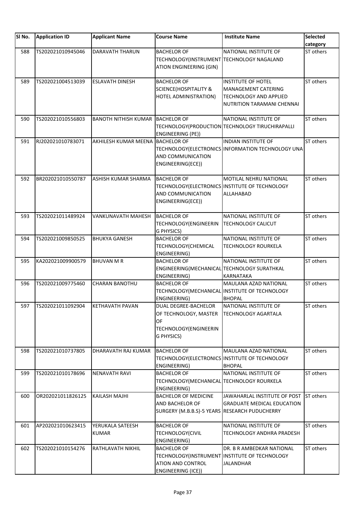| SI No. | <b>Application ID</b> | <b>Applicant Name</b>            | <b>Course Name</b>                                                                         | <b>Institute Name</b>                             | <b>Selected</b> |
|--------|-----------------------|----------------------------------|--------------------------------------------------------------------------------------------|---------------------------------------------------|-----------------|
|        |                       |                                  |                                                                                            |                                                   | category        |
| 588    | TS202021010945046     | DARAVATH THARUN                  | <b>BACHELOR OF</b><br>TECHNOLOGY(INSTRUMENT TECHNOLOGY NAGALAND<br>ATION ENGINEERING (GIN) | NATIONAL INSTITUTE OF                             | ST others       |
| 589    | TS202021004513039     | <b>ESLAVATH DINESH</b>           | <b>BACHELOR OF</b>                                                                         | <b>INSTITUTE OF HOTEL</b>                         | ST others       |
|        |                       |                                  | <b>SCIENCE(HOSPITALITY &amp;</b>                                                           | MANAGEMENT CATERING                               |                 |
|        |                       |                                  | HOTEL ADMINISTRATION)                                                                      | <b>TECHNOLOGY AND APPLIED</b>                     |                 |
|        |                       |                                  |                                                                                            | NUTRITION TARAMANI CHENNAI                        |                 |
| 590    | TS202021010556803     | BANOTH NITHISH KUMAR BACHELOR OF |                                                                                            | NATIONAL INSTITUTE OF                             | ST others       |
|        |                       |                                  | <b>ENGINEERING (PE))</b>                                                                   | TECHNOLOGY(PRODUCTION TECHNOLOGY TIRUCHIRAPALLI   |                 |
| 591    | RJ202021010783071     | AKHILESH KUMAR MEENA             | <b>BACHELOR OF</b>                                                                         | <b>INDIAN INSTITUTE OF</b>                        | ST others       |
|        |                       |                                  |                                                                                            | TECHNOLOGY(ELECTRONICS INFORMATION TECHNOLOGY UNA |                 |
|        |                       |                                  | AND COMMUNICATION                                                                          |                                                   |                 |
|        |                       |                                  | ENGINEERING(ECE))                                                                          |                                                   |                 |
| 592    | BR202021010550787     | ASHISH KUMAR SHARMA              | <b>BACHELOR OF</b>                                                                         | MOTILAL NEHRU NATIONAL                            | ST others       |
|        |                       |                                  |                                                                                            | TECHNOLOGY(ELECTRONICS INSTITUTE OF TECHNOLOGY    |                 |
|        |                       |                                  | AND COMMUNICATION                                                                          | ALLAHABAD                                         |                 |
|        |                       |                                  | ENGINEERING(ECE))                                                                          |                                                   |                 |
| 593    | TS202021011489924     | VANKUNAVATH MAHESH               | <b>BACHELOR OF</b>                                                                         | NATIONAL INSTITUTE OF                             | ST others       |
|        |                       |                                  | TECHNOLOGY(ENGINEERIN                                                                      | TECHNOLOGY CALICUT                                |                 |
|        |                       |                                  | G PHYSICS)                                                                                 |                                                   |                 |
| 594    | TS202021009850525     | <b>BHUKYA GANESH</b>             | <b>BACHELOR OF</b>                                                                         | NATIONAL INSTITUTE OF                             | ST others       |
|        |                       |                                  | TECHNOLOGY(CHEMICAL                                                                        | TECHNOLOGY ROURKELA                               |                 |
|        |                       |                                  | ENGINEERING)                                                                               |                                                   |                 |
| 595    | KA202021009900579     | <b>BHUVAN M R</b>                | <b>BACHELOR OF</b>                                                                         | NATIONAL INSTITUTE OF                             | ST others       |
|        |                       |                                  | ENGINEERING(MECHANICAL TECHNOLOGY SURATHKAL                                                |                                                   |                 |
|        |                       |                                  | ENGINEERING)                                                                               | KARNATAKA                                         |                 |
| 596    | TS202021009775460     | <b>CHARAN BANOTHU</b>            | <b>BACHELOR OF</b>                                                                         | MAULANA AZAD NATIONAL                             | ST others       |
|        |                       |                                  |                                                                                            | TECHNOLOGY(MECHANICAL INSTITUTE OF TECHNOLOGY     |                 |
|        |                       |                                  | ENGINEERING)                                                                               | <b>BHOPAL</b>                                     |                 |
| 597    | TS202021011092904     | <b>KETHAVATH PAVAN</b>           | DUAL DEGREE-BACHELOR                                                                       | NATIONAL INSTITUTE OF                             | ST others       |
|        |                       |                                  | OF TECHNOLOGY, MASTER                                                                      | <b>TECHNOLOGY AGARTALA</b>                        |                 |
|        |                       |                                  | <b>OF</b>                                                                                  |                                                   |                 |
|        |                       |                                  | TECHNOLOGY(ENGINEERIN<br>G PHYSICS)                                                        |                                                   |                 |
|        |                       |                                  |                                                                                            |                                                   |                 |
| 598    | TS202021010737805     | DHARAVATH RAJ KUMAR              | <b>BACHELOR OF</b>                                                                         | MAULANA AZAD NATIONAL                             | ST others       |
|        |                       |                                  |                                                                                            | TECHNOLOGY(ELECTRONICS INSTITUTE OF TECHNOLOGY    |                 |
|        |                       |                                  | ENGINEERING)                                                                               | <b>BHOPAL</b>                                     |                 |
| 599    | TS202021010178696     | <b>NENAVATH RAVI</b>             | <b>BACHELOR OF</b>                                                                         | NATIONAL INSTITUTE OF                             | ST others       |
|        |                       |                                  | TECHNOLOGY (MECHANICAL TECHNOLOGY ROURKELA                                                 |                                                   |                 |
|        |                       |                                  | ENGINEERING)                                                                               |                                                   |                 |
| 600    | OR202021011826125     | KAILASH MAJHI                    | <b>BACHELOR OF MEDICINE</b>                                                                | JAWAHARLAL INSTITUTE OF POST                      | ST others       |
|        |                       |                                  | AND BACHELOR OF                                                                            | <b>GRADUATE MEDICAL EDUCATION</b>                 |                 |
|        |                       |                                  | SURGERY (M.B.B.S)-5 YEARS RESEARCH PUDUCHERRY                                              |                                                   |                 |
| 601    | AP202021010623415     | YERUKALA SATEESH                 | <b>BACHELOR OF</b>                                                                         | NATIONAL INSTITUTE OF                             | ST others       |
|        |                       | <b>KUMAR</b>                     | TECHNOLOGY(CIVIL                                                                           | TECHNOLOGY ANDHRA PRADESH                         |                 |
|        |                       |                                  | <b>ENGINEERING)</b>                                                                        |                                                   |                 |
| 602    | TS202021010154276     | RATHLAVATH NIKHIL                | <b>BACHELOR OF</b>                                                                         | DR. B R AMBEDKAR NATIONAL                         | ST others       |
|        |                       |                                  |                                                                                            | TECHNOLOGY(INSTRUMENT INSTITUTE OF TECHNOLOGY     |                 |
|        |                       |                                  | ATION AND CONTROL                                                                          | <b>JALANDHAR</b>                                  |                 |
|        |                       |                                  | ENGINEERING (ICE))                                                                         |                                                   |                 |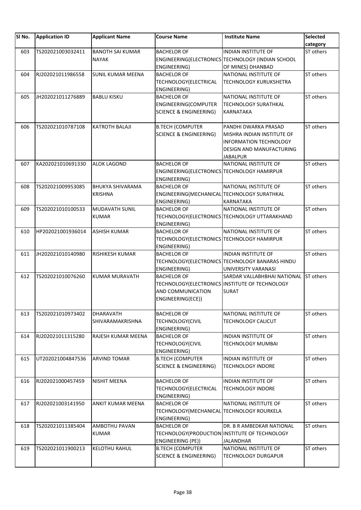| SI No. | <b>Application ID</b> | <b>Applicant Name</b>   | <b>Course Name</b>                          | <b>Institute Name</b>                              | <b>Selected</b> |
|--------|-----------------------|-------------------------|---------------------------------------------|----------------------------------------------------|-----------------|
|        |                       |                         |                                             |                                                    | category        |
| 603    | TS202021003032411     | <b>BANOTH SAI KUMAR</b> | <b>BACHELOR OF</b>                          | <b>INDIAN INSTITUTE OF</b>                         | ST others       |
|        |                       | <b>NAYAK</b>            |                                             | ENGINEERING(ELECTRONICS TECHNOLOGY (INDIAN SCHOOL  |                 |
|        |                       |                         | ENGINEERING)                                | OF MINES) DHANBAD                                  |                 |
| 604    | RJ202021011986558     | SUNIL KUMAR MEENA       | <b>BACHELOR OF</b>                          | NATIONAL INSTITUTE OF                              | ST others       |
|        |                       |                         | TECHNOLOGY (ELECTRICAL<br>ENGINEERING)      | <b>TECHNOLOGY KURUKSHETRA</b>                      |                 |
| 605    | JH202021011276889     | <b>BABLU KISKU</b>      | <b>BACHELOR OF</b>                          | NATIONAL INSTITUTE OF                              | ST others       |
|        |                       |                         | ENGINEERING(COMPUTER                        | <b>TECHNOLOGY SURATHKAL</b>                        |                 |
|        |                       |                         | <b>SCIENCE &amp; ENGINEERING)</b>           | <b>KARNATAKA</b>                                   |                 |
| 606    | TS202021010787108     | KATROTH BALAJI          | <b>B.TECH (COMPUTER</b>                     | PANDHI DWARKA PRASAD                               | ST others       |
|        |                       |                         | <b>SCIENCE &amp; ENGINEERING)</b>           | MISHRA INDIAN INSTITUTE OF                         |                 |
|        |                       |                         |                                             | INFORMATION TECHNOLOGY                             |                 |
|        |                       |                         |                                             | DESIGN AND MANUFACTURING                           |                 |
|        |                       |                         |                                             | <b>JABALPUR</b>                                    |                 |
| 607    | KA202021010691330     | <b>ALOK LAGOND</b>      | <b>BACHELOR OF</b>                          | NATIONAL INSTITUTE OF                              | ST others       |
|        |                       |                         | ENGINEERING(ELECTRONICS TECHNOLOGY HAMIRPUR |                                                    |                 |
|        |                       |                         | ENGINEERING)                                |                                                    |                 |
| 608    | TS202021009953085     | <b>BHUKYA SHIVARAMA</b> | <b>BACHELOR OF</b>                          | NATIONAL INSTITUTE OF                              | ST others       |
|        |                       | <b>KRISHNA</b>          | ENGINEERING(MECHANICAL TECHNOLOGY SURATHKAL |                                                    |                 |
|        |                       |                         | ENGINEERING)                                | KARNATAKA                                          |                 |
| 609    | TS202021010100533     | <b>MUDAVATH SUNIL</b>   | <b>BACHELOR OF</b>                          | NATIONAL INSTITUTE OF                              | ST others       |
|        |                       | <b>KUMAR</b>            |                                             | TECHNOLOGY(ELECTRONICS TECHNOLOGY UTTARAKHAND      |                 |
|        |                       |                         | ENGINEERING)                                |                                                    |                 |
| 610    | HP202021001936014     | <b>ASHISH KUMAR</b>     | <b>BACHELOR OF</b>                          | NATIONAL INSTITUTE OF                              | ST others       |
|        |                       |                         | TECHNOLOGY(ELECTRONICS TECHNOLOGY HAMIRPUR  |                                                    |                 |
|        |                       |                         | ENGINEERING)                                |                                                    |                 |
| 611    | JH202021010140980     | RISHIKESH KUMAR         | <b>BACHELOR OF</b>                          | <b>INDIAN INSTITUTE OF</b>                         | ST others       |
|        |                       |                         |                                             | TECHNOLOGY(ELECTRONICS TECHNOLOGY BANARAS HINDU    |                 |
| 612    | TS202021010076260     | <b>KUMAR MURAVATH</b>   | ENGINEERING)<br><b>BACHELOR OF</b>          | UNIVERSITY VARANASI<br>SARDAR VALLABHBHAI NATIONAL | ST others       |
|        |                       |                         |                                             | TECHNOLOGY(ELECTRONICS INSTITUTE OF TECHNOLOGY     |                 |
|        |                       |                         | AND COMMUNICATION                           | <b>SURAT</b>                                       |                 |
|        |                       |                         | ENGINEERING(ECE))                           |                                                    |                 |
|        |                       |                         |                                             |                                                    |                 |
| 613    | TS202021010973402     | DHARAVATH               | <b>BACHELOR OF</b>                          | NATIONAL INSTITUTE OF                              | ST others       |
|        |                       | SHIVARAMAKRISHNA        | <b>TECHNOLOGY(CIVIL</b>                     | <b>TECHNOLOGY CALICUT</b>                          |                 |
|        |                       |                         | ENGINEERING)                                |                                                    |                 |
| 614    | RJ202021011315280     | RAJESH KUMAR MEENA      | <b>BACHELOR OF</b>                          | <b>INDIAN INSTITUTE OF</b>                         | ST others       |
|        |                       |                         | <b>TECHNOLOGY(CIVIL</b>                     | <b>TECHNOLOGY MUMBAI</b>                           |                 |
|        |                       |                         | ENGINEERING)                                |                                                    |                 |
| 615    | UT202021004847536     | ARVIND TOMAR            | <b>B.TECH (COMPUTER</b>                     | <b>INDIAN INSTITUTE OF</b>                         | ST others       |
|        |                       |                         | <b>SCIENCE &amp; ENGINEERING)</b>           | <b>TECHNOLOGY INDORE</b>                           |                 |
|        |                       |                         |                                             |                                                    |                 |
| 616    | RJ202021000457459     | <b>NISHIT MEENA</b>     | <b>BACHELOR OF</b>                          | <b>INDIAN INSTITUTE OF</b>                         | ST others       |
|        |                       |                         | TECHNOLOGY (ELECTRICAL                      | <b>TECHNOLOGY INDORE</b>                           |                 |
|        |                       |                         | ENGINEERING)                                |                                                    |                 |
| 617    | RJ202021003141950     | ANKIT KUMAR MEENA       | <b>BACHELOR OF</b>                          | NATIONAL INSTITUTE OF                              | ST others       |
|        |                       |                         | TECHNOLOGY(MECHANICAL TECHNOLOGY ROURKELA   |                                                    |                 |
|        |                       |                         | ENGINEERING)                                |                                                    |                 |
| 618    | TS202021011385404     | AMBOTHU PAVAN           | <b>BACHELOR OF</b>                          | DR. B R AMBEDKAR NATIONAL                          | ST others       |
|        |                       | <b>KUMAR</b>            |                                             | TECHNOLOGY (PRODUCTION INSTITUTE OF TECHNOLOGY     |                 |
|        |                       |                         | ENGINEERING (PE))                           | <b>JALANDHAR</b>                                   |                 |
| 619    | TS202021011900213     | <b>KELOTHU RAHUL</b>    | <b>B.TECH (COMPUTER</b>                     | NATIONAL INSTITUTE OF                              | ST others       |
|        |                       |                         | <b>SCIENCE &amp; ENGINEERING)</b>           | <b>TECHNOLOGY DURGAPUR</b>                         |                 |
|        |                       |                         |                                             |                                                    |                 |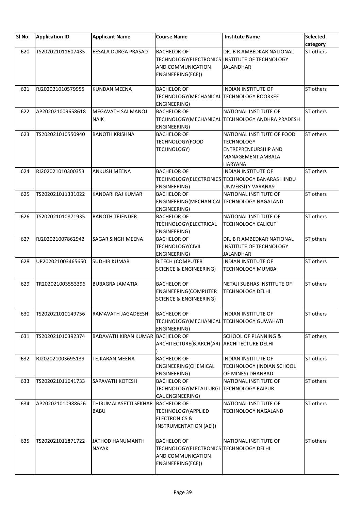| SI No. | <b>Application ID</b> | <b>Applicant Name</b>                            | <b>Course Name</b>                                                                                      | <b>Institute Name</b>                                                                                                 | Selected<br>category |
|--------|-----------------------|--------------------------------------------------|---------------------------------------------------------------------------------------------------------|-----------------------------------------------------------------------------------------------------------------------|----------------------|
| 620    | TS202021011607435     | EESALA DURGA PRASAD                              | <b>BACHELOR OF</b><br>AND COMMUNICATION<br>ENGINEERING(ECE))                                            | DR. B R AMBEDKAR NATIONAL<br>TECHNOLOGY(ELECTRONICS INSTITUTE OF TECHNOLOGY<br>JALANDHAR                              | ST others            |
| 621    | RJ202021010579955     | <b>KUNDAN MEENA</b>                              | <b>BACHELOR OF</b><br>TECHNOLOGY (MECHANICAL TECHNOLOGY ROORKEE<br>ENGINEERING)                         | <b>INDIAN INSTITUTE OF</b>                                                                                            | ST others            |
| 622    | AP202021009658618     | MEGAVATH SAI MANOJ<br><b>NAIK</b>                | <b>BACHELOR OF</b><br>ENGINEERING)                                                                      | NATIONAL INSTITUTE OF<br>TECHNOLOGY(MECHANICAL TECHNOLOGY ANDHRA PRADESH                                              | ST others            |
| 623    | TS202021010550940     | <b>BANOTH KRISHNA</b>                            | <b>BACHELOR OF</b><br>TECHNOLOGY(FOOD<br><b>TECHNOLOGY)</b>                                             | NATIONAL INSTITUTE OF FOOD<br><b>TECHNOLOGY</b><br><b>ENTREPRENEURSHIP AND</b><br>MANAGEMENT AMBALA<br><b>HARYANA</b> | ST others            |
| 624    | RJ202021010300353     | <b>ANKUSH MEENA</b>                              | <b>BACHELOR OF</b><br>ENGINEERING)                                                                      | <b>INDIAN INSTITUTE OF</b><br>TECHNOLOGY (ELECTRONICS TECHNOLOGY BANARAS HINDU<br>UNIVERSITY VARANASI                 | ST others            |
| 625    | TS202021011331022     | KANDARI RAJ KUMAR                                | <b>BACHELOR OF</b><br>ENGINEERING(MECHANICAL TECHNOLOGY NAGALAND<br>ENGINEERING)                        | NATIONAL INSTITUTE OF                                                                                                 | ST others            |
| 626    | TS202021010871935     | <b>BANOTH TEJENDER</b>                           | <b>BACHELOR OF</b><br>TECHNOLOGY (ELECTRICAL<br>ENGINEERING)                                            | NATIONAL INSTITUTE OF<br>TECHNOLOGY CALICUT                                                                           | ST others            |
| 627    | RJ202021007862942     | SAGAR SINGH MEENA                                | <b>BACHELOR OF</b><br><b>TECHNOLOGY(CIVIL</b><br>ENGINEERING)                                           | DR. B R AMBEDKAR NATIONAL<br>INSTITUTE OF TECHNOLOGY<br>JALANDHAR                                                     | ST others            |
| 628    | UP202021003465650     | <b>SUDHIR KUMAR</b>                              | <b>B.TECH (COMPUTER</b><br><b>SCIENCE &amp; ENGINEERING)</b>                                            | <b>INDIAN INSTITUTE OF</b><br>TECHNOLOGY MUMBAI                                                                       | ST others            |
| 629    | TR202021003553396     | <b>BUBAGRA JAMATIA</b>                           | <b>BACHELOR OF</b><br>ENGINEERING(COMPUTER<br><b>SCIENCE &amp; ENGINEERING)</b>                         | <b>NETAJI SUBHAS INSTITUTE OF</b><br><b>TECHNOLOGY DELHI</b>                                                          | ST others            |
| 630    | TS202021010149756     | RAMAVATH JAGADEESH                               | <b>BACHELOR OF</b><br>TECHNOLOGY(MECHANICAL TECHNOLOGY GUWAHATI<br>ENGINEERING)                         | <b>INDIAN INSTITUTE OF</b>                                                                                            | ST others            |
| 631    | TS202021010392374     | <b>BADAVATH KIRAN KUMAR BACHELOR OF</b>          | ARCHITECTURE(B.ARCH(AR) ARCHITECTURE DELHI                                                              | <b>SCHOOL OF PLANNING &amp;</b>                                                                                       | ST others            |
| 632    | RJ202021003695139     | <b>TEJKARAN MEENA</b>                            | <b>BACHELOR OF</b><br>ENGINEERING(CHEMICAL<br>ENGINEERING)                                              | <b>INDIAN INSTITUTE OF</b><br>TECHNOLOGY (INDIAN SCHOOL<br>OF MINES) DHANBAD                                          | ST others            |
| 633    | TS202021011641733     | <b>SAPAVATH KOTESH</b>                           | <b>BACHELOR OF</b><br>TECHNOLOGY (METALLURGI<br><b>CAL ENGINEERING)</b>                                 | NATIONAL INSTITUTE OF<br><b>TECHNOLOGY RAIPUR</b>                                                                     | ST others            |
| 634    | AP202021010988626     | THIRUMALASETTI SEKHAR BACHELOR OF<br><b>BABU</b> | <b>TECHNOLOGY(APPLIED</b><br><b>ELECTRONICS &amp;</b><br>INSTRUMENTATION (AEI))                         | NATIONAL INSTITUTE OF<br>TECHNOLOGY NAGALAND                                                                          | ST others            |
| 635    | TS202021011871722     | JATHOD HANUMANTH<br><b>NAYAK</b>                 | <b>BACHELOR OF</b><br>TECHNOLOGY(ELECTRONICS TECHNOLOGY DELHI<br>AND COMMUNICATION<br>ENGINEERING(ECE)) | NATIONAL INSTITUTE OF                                                                                                 | ST others            |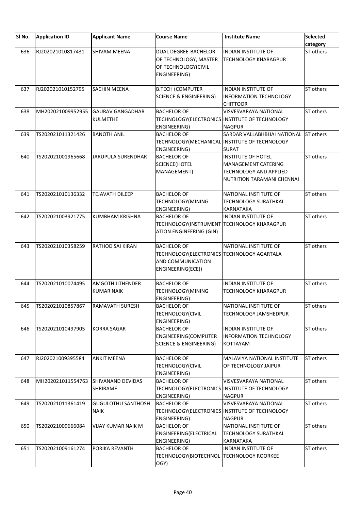| SI <sub>No.</sub> | <b>Application ID</b> | <b>Applicant Name</b>                      | <b>Course Name</b>                                                                                         | <b>Institute Name</b>                                                                                           | <b>Selected</b><br>category |
|-------------------|-----------------------|--------------------------------------------|------------------------------------------------------------------------------------------------------------|-----------------------------------------------------------------------------------------------------------------|-----------------------------|
| 636               | RJ202021010817431     | <b>SHIVAM MEENA</b>                        | <b>DUAL DEGREE-BACHELOR</b><br>OF TECHNOLOGY, MASTER<br>OF TECHNOLOGY(CIVIL<br>ENGINEERING)                | INDIAN INSTITUTE OF<br><b>TECHNOLOGY KHARAGPUR</b>                                                              | ST others                   |
| 637               | RJ202021010152795     | <b>SACHIN MEENA</b>                        | <b>B.TECH (COMPUTER</b><br><b>SCIENCE &amp; ENGINEERING)</b>                                               | INDIAN INSTITUTE OF<br><b>INFORMATION TECHNOLOGY</b><br><b>CHITTOOR</b>                                         | ST others                   |
| 638               | MH202021009952955     | <b>GAURAV GANGADHAR</b><br><b>KULMETHE</b> | <b>BACHELOR OF</b><br>ENGINEERING)                                                                         | <b>VISVESVARAYA NATIONAL</b><br>TECHNOLOGY(ELECTRONICS INSTITUTE OF TECHNOLOGY<br><b>NAGPUR</b>                 | ST others                   |
| 639               | TS202021011321426     | <b>BANOTH ANIL</b>                         | <b>BACHELOR OF</b><br>ENGINEERING)                                                                         | <b>SARDAR VALLABHBHAI NATIONAL</b><br>TECHNOLOGY(MECHANICAL INSTITUTE OF TECHNOLOGY<br><b>SURAT</b>             | ST others                   |
| 640               | TS202021001965668     | JARUPULA SURENDHAR                         | <b>BACHELOR OF</b><br><b>SCIENCE(HOTEL</b><br>MANAGEMENT)                                                  | <b>INSTITUTE OF HOTEL</b><br>MANAGEMENT CATERING<br><b>TECHNOLOGY AND APPLIED</b><br>NUTRITION TARAMANI CHENNAI | ST others                   |
| 641               | TS202021010136332     | <b>TEJAVATH DILEEP</b>                     | <b>BACHELOR OF</b><br><b>TECHNOLOGY(MINING</b><br>ENGINEERING)                                             | NATIONAL INSTITUTE OF<br><b>TECHNOLOGY SURATHKAL</b><br><b>KARNATAKA</b>                                        | ST others                   |
| 642               | TS202021003921775     | <b>KUMBHAM KRISHNA</b>                     | <b>BACHELOR OF</b><br>TECHNOLOGY(INSTRUMENT TECHNOLOGY KHARAGPUR<br>ATION ENGINEERING (GIN)                | <b>INDIAN INSTITUTE OF</b>                                                                                      | ST others                   |
| 643               | TS202021010358259     | RATHOD SAI KIRAN                           | <b>BACHELOR OF</b><br>TECHNOLOGY(ELECTRONICS TECHNOLOGY AGARTALA<br>AND COMMUNICATION<br>ENGINEERING(ECE)) | NATIONAL INSTITUTE OF                                                                                           | ST others                   |
| 644               | TS202021010074495     | AMGOTH JITHENDER<br><b>KUMAR NAIK</b>      | <b>BACHELOR OF</b><br>TECHNOLOGY(MINING<br>ENGINEERING)                                                    | <b>INDIAN INSTITUTE OF</b><br><b>TECHNOLOGY KHARAGPUR</b>                                                       | ST others                   |
| 645               | TS202021010857867     | <b>RAMAVATH SURESH</b>                     | <b>BACHELOR OF</b><br>TECHNOLOGY(CIVIL<br>ENGINEERING)                                                     | NATIONAL INSTITUTE OF<br><b>TECHNOLOGY JAMSHEDPUR</b>                                                           | ST others                   |
| 646               | TS202021010497905     | <b>KORRA SAGAR</b>                         | <b>BACHELOR OF</b><br>ENGINEERING(COMPUTER<br><b>SCIENCE &amp; ENGINEERING)</b>                            | INDIAN INSTITUTE OF<br><b>INFORMATION TECHNOLOGY</b><br><b>KOTTAYAM</b>                                         | ST others                   |
| 647               | RJ202021009395584     | <b>ANKIT MEENA</b>                         | <b>BACHELOR OF</b><br>TECHNOLOGY(CIVIL<br>ENGINEERING)                                                     | MALAVIYA NATIONAL INSTITUTE<br>OF TECHNOLOGY JAIPUR                                                             | ST others                   |
| 648               | MH202021011554763     | <b>SHIVANAND DEVIDAS</b><br>SHRIRAME       | BACHELOR OF<br>ENGINEERING)                                                                                | <b>VISVESVARAYA NATIONAL</b><br>TECHNOLOGY(ELECTRONICS INSTITUTE OF TECHNOLOGY<br><b>NAGPUR</b>                 | ST others                   |
| 649               | TS202021011361419     | <b>GUGULOTHU SANTHOSH</b><br><b>NAIK</b>   | <b>BACHELOR OF</b><br>ENGINEERING)                                                                         | <b>VISVESVARAYA NATIONAL</b><br>TECHNOLOGY(ELECTRONICS INSTITUTE OF TECHNOLOGY<br><b>NAGPUR</b>                 | ST others                   |
| 650               | TS202021009666084     | VIJAY KUMAR NAIK M                         | <b>BACHELOR OF</b><br>ENGINEERING(ELECTRICAL<br>ENGINEERING)                                               | NATIONAL INSTITUTE OF<br><b>TECHNOLOGY SURATHKAL</b><br>KARNATAKA                                               | ST others                   |
| 651               | TS202021009161274     | PORIKA REVANTH                             | <b>BACHELOR OF</b><br>TECHNOLOGY(BIOTECHNOL TECHNOLOGY ROORKEE<br>OGY)                                     | INDIAN INSTITUTE OF                                                                                             | ST others                   |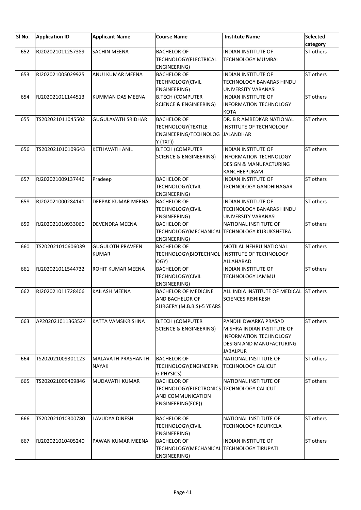| SI No. | <b>Application ID</b> | <b>Applicant Name</b>     | <b>Course Name</b>                        | <b>Institute Name</b>                         | Selected  |
|--------|-----------------------|---------------------------|-------------------------------------------|-----------------------------------------------|-----------|
|        | RJ202021011257389     |                           |                                           | <b>INDIAN INSTITUTE OF</b>                    | category  |
| 652    |                       | <b>SACHIN MEENA</b>       | <b>BACHELOR OF</b>                        |                                               | ST others |
|        |                       |                           | TECHNOLOGY(ELECTRICAL<br>ENGINEERING)     | <b>TECHNOLOGY MUMBAI</b>                      |           |
| 653    | RJ202021005029925     | ANUJ KUMAR MEENA          | <b>BACHELOR OF</b>                        | INDIAN INSTITUTE OF                           | ST others |
|        |                       |                           | TECHNOLOGY(CIVIL                          | TECHNOLOGY BANARAS HINDU                      |           |
|        |                       |                           | ENGINEERING)                              | UNIVERSITY VARANASI                           |           |
| 654    | RJ202021011144513     | <b>KUMMAN DAS MEENA</b>   | <b>B.TECH (COMPUTER</b>                   | <b>INDIAN INSTITUTE OF</b>                    | ST others |
|        |                       |                           | <b>SCIENCE &amp; ENGINEERING)</b>         | <b>INFORMATION TECHNOLOGY</b>                 |           |
|        |                       |                           |                                           | <b>KOTA</b>                                   |           |
| 655    | TS202021011045502     | <b>GUGULAVATH SRIDHAR</b> | <b>BACHELOR OF</b>                        | DR. B R AMBEDKAR NATIONAL                     | ST others |
|        |                       |                           | TECHNOLOGY(TEXTILE                        | INSTITUTE OF TECHNOLOGY                       |           |
|        |                       |                           | ENGINEERING/TECHNOLOG                     | <b>JALANDHAR</b>                              |           |
|        |                       |                           | Y(TXT)                                    |                                               |           |
| 656    | TS202021010109643     | <b>KETHAVATH ANIL</b>     | <b>B.TECH (COMPUTER</b>                   | INDIAN INSTITUTE OF                           | ST others |
|        |                       |                           | <b>SCIENCE &amp; ENGINEERING)</b>         | <b>INFORMATION TECHNOLOGY</b>                 |           |
|        |                       |                           |                                           | <b>DESIGN &amp; MANUFACTURING</b>             |           |
|        |                       |                           |                                           | KANCHEEPURAM                                  |           |
| 657    | RJ202021009137446     | Pradeep                   | <b>BACHELOR OF</b>                        | INDIAN INSTITUTE OF                           | ST others |
|        |                       |                           | <b>TECHNOLOGY(CIVIL</b>                   | <b>TECHNOLOGY GANDHINAGAR</b>                 |           |
|        |                       |                           | ENGINEERING)                              |                                               |           |
| 658    | RJ202021000284141     | DEEPAK KUMAR MEENA        | <b>BACHELOR OF</b>                        | INDIAN INSTITUTE OF                           | ST others |
|        |                       |                           | <b>TECHNOLOGY(CIVIL</b>                   | <b>TECHNOLOGY BANARAS HINDU</b>               |           |
|        |                       |                           | ENGINEERING)                              | UNIVERSITY VARANASI                           |           |
| 659    | RJ202021010933060     | <b>DEVENDRA MEENA</b>     | <b>BACHELOR OF</b>                        | NATIONAL INSTITUTE OF                         | ST others |
|        |                       |                           |                                           | TECHNOLOGY(MECHANICAL TECHNOLOGY KURUKSHETRA  |           |
|        |                       |                           | ENGINEERING)                              |                                               |           |
| 660    | TS202021010606039     | <b>GUGULOTH PRAVEEN</b>   | <b>BACHELOR OF</b>                        | MOTILAL NEHRU NATIONAL                        | ST others |
|        |                       | <b>KUMAR</b>              |                                           | TECHNOLOGY(BIOTECHNOL INSTITUTE OF TECHNOLOGY |           |
|        |                       |                           | OGY)                                      | ALLAHABAD                                     |           |
| 661    | RJ202021011544732     | ROHIT KUMAR MEENA         | <b>BACHELOR OF</b>                        | <b>INDIAN INSTITUTE OF</b>                    | ST others |
|        |                       |                           | TECHNOLOGY(CIVIL                          | TECHNOLOGY JAMMU                              |           |
|        |                       |                           | ENGINEERING)                              |                                               |           |
| 662    | RJ202021011728406     | <b>KAILASH MEENA</b>      | <b>BACHELOR OF MEDICINE</b>               | ALL INDIA INSTITUTE OF MEDICAL                | ST others |
|        |                       |                           | AND BACHELOR OF                           | <b>SCIENCES RISHIKESH</b>                     |           |
|        |                       |                           | SURGERY (M.B.B.S)-5 YEARS                 |                                               |           |
| 663    | AP202021011363524     | KATTA VAMSIKRISHNA        | <b>B.TECH (COMPUTER</b>                   | PANDHI DWARKA PRASAD                          | ST others |
|        |                       |                           | <b>SCIENCE &amp; ENGINEERING)</b>         | MISHRA INDIAN INSTITUTE OF                    |           |
|        |                       |                           |                                           | <b>INFORMATION TECHNOLOGY</b>                 |           |
|        |                       |                           |                                           | DESIGN AND MANUFACTURING                      |           |
|        |                       |                           |                                           | <b>JABALPUR</b>                               |           |
| 664    | TS202021009301123     | <b>MALAVATH PRASHANTH</b> | <b>BACHELOR OF</b>                        | NATIONAL INSTITUTE OF                         | ST others |
|        |                       | <b>NAYAK</b>              | TECHNOLOGY(ENGINEERIN                     | <b>TECHNOLOGY CALICUT</b>                     |           |
|        |                       |                           | G PHYSICS)                                |                                               |           |
| 665    | TS202021009409846     | <b>MUDAVATH KUMAR</b>     | <b>BACHELOR OF</b>                        | NATIONAL INSTITUTE OF                         | ST others |
|        |                       |                           | TECHNOLOGY(ELECTRONICS TECHNOLOGY CALICUT |                                               |           |
|        |                       |                           | AND COMMUNICATION                         |                                               |           |
|        |                       |                           | ENGINEERING(ECE))                         |                                               |           |
| 666    | TS202021010300780     | LAVUDYA DINESH            | <b>BACHELOR OF</b>                        | NATIONAL INSTITUTE OF                         | ST others |
|        |                       |                           | TECHNOLOGY(CIVIL                          | <b>TECHNOLOGY ROURKELA</b>                    |           |
|        |                       |                           | ENGINEERING)                              |                                               |           |
| 667    | RJ202021010405240     | PAWAN KUMAR MEENA         | <b>BACHELOR OF</b>                        | INDIAN INSTITUTE OF                           | ST others |
|        |                       |                           | TECHNOLOGY(MECHANICAL TECHNOLOGY TIRUPATI |                                               |           |
|        |                       |                           | ENGINEERING)                              |                                               |           |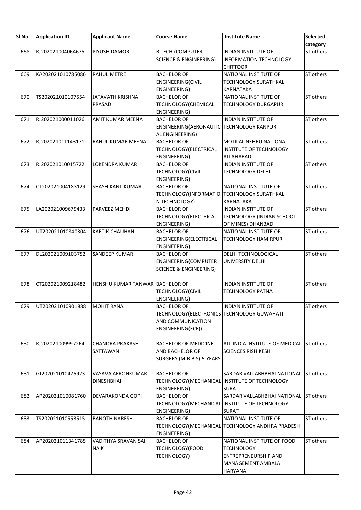| SI No. | <b>Application ID</b> | <b>Applicant Name</b>                  | <b>Course Name</b>                         | <b>Institute Name</b>                            | Selected<br>category |
|--------|-----------------------|----------------------------------------|--------------------------------------------|--------------------------------------------------|----------------------|
| 668    | RJ202021004064675     | PIYUSH DAMOR                           | <b>B.TECH (COMPUTER</b>                    | <b>INDIAN INSTITUTE OF</b>                       | ST others            |
|        |                       |                                        | <b>SCIENCE &amp; ENGINEERING)</b>          | <b>INFORMATION TECHNOLOGY</b>                    |                      |
|        |                       |                                        |                                            | <b>CHITTOOR</b>                                  |                      |
| 669    | KA202021010785086     | <b>RAHUL METRE</b>                     | <b>BACHELOR OF</b>                         | NATIONAL INSTITUTE OF                            | ST others            |
|        |                       |                                        | ENGINEERING(CIVIL                          | <b>TECHNOLOGY SURATHKAL</b>                      |                      |
|        |                       |                                        | ENGINEERING)                               | KARNATAKA                                        |                      |
| 670    | TS202021010107554     | JATAVATH KRISHNA                       | <b>BACHELOR OF</b>                         | NATIONAL INSTITUTE OF                            | ST others            |
|        |                       | <b>PRASAD</b>                          | TECHNOLOGY(CHEMICAL                        | <b>TECHNOLOGY DURGAPUR</b>                       |                      |
|        |                       |                                        | ENGINEERING)                               |                                                  |                      |
| 671    | RJ202021000011026     | <b>AMIT KUMAR MEENA</b>                | <b>BACHELOR OF</b>                         | <b>INDIAN INSTITUTE OF</b>                       | ST others            |
|        |                       |                                        | ENGINEERING(AERONAUTIC TECHNOLOGY KANPUR   |                                                  |                      |
|        |                       |                                        | AL ENGINEERING)                            |                                                  |                      |
| 672    | RJ202021011143171     | <b>RAHUL KUMAR MEENA</b>               | <b>BACHELOR OF</b>                         | MOTILAL NEHRU NATIONAL                           | ST others            |
|        |                       |                                        | TECHNOLOGY(ELECTRICAL                      | <b>INSTITUTE OF TECHNOLOGY</b>                   |                      |
|        |                       |                                        | ENGINEERING)                               | ALLAHABAD                                        |                      |
| 673    | RJ202021010015722     | <b>LOKENDRA KUMAR</b>                  | <b>BACHELOR OF</b>                         | <b>INDIAN INSTITUTE OF</b>                       | ST others            |
|        |                       |                                        | <b>TECHNOLOGY(CIVIL</b>                    | <b>TECHNOLOGY DELHI</b>                          |                      |
|        |                       |                                        | ENGINEERING)                               |                                                  |                      |
| 674    | CT202021004183129     | <b>SHASHIKANT KUMAR</b>                | <b>BACHELOR OF</b>                         | NATIONAL INSTITUTE OF                            | ST others            |
|        |                       |                                        | TECHNOLOGY(INFORMATIO TECHNOLOGY SURATHKAL |                                                  |                      |
|        |                       |                                        | N TECHNOLOGY)<br><b>BACHELOR OF</b>        | <b>KARNATAKA</b>                                 | ST others            |
| 675    | LA202021009679433     | PARVEEZ MEHDI                          |                                            | INDIAN INSTITUTE OF                              |                      |
|        |                       |                                        | TECHNOLOGY (ELECTRICAL<br>ENGINEERING)     | TECHNOLOGY (INDIAN SCHOOL<br>OF MINES) DHANBAD   |                      |
| 676    | UT202021010840304     | <b>KARTIK CHAUHAN</b>                  | <b>BACHELOR OF</b>                         | NATIONAL INSTITUTE OF                            | ST others            |
|        |                       |                                        | ENGINEERING(ELECTRICAL                     | <b>TECHNOLOGY HAMIRPUR</b>                       |                      |
|        |                       |                                        | ENGINEERING)                               |                                                  |                      |
| 677    | DL202021009103752     | <b>SANDEEP KUMAR</b>                   | BACHELOR OF                                | DELHI TECHNOLOGICAL                              | ST others            |
|        |                       |                                        | ENGINEERING(COMPUTER                       | UNIVERSITY DELHI                                 |                      |
|        |                       |                                        | <b>SCIENCE &amp; ENGINEERING)</b>          |                                                  |                      |
|        |                       |                                        |                                            |                                                  |                      |
| 678    | CT202021009218482     | <b>HENSHU KUMAR TANWAR BACHELOR OF</b> |                                            | <b>INDIAN INSTITUTE OF</b>                       | ST others            |
|        |                       |                                        | TECHNOLOGY(CIVIL                           | <b>TECHNOLOGY PATNA</b>                          |                      |
|        |                       |                                        | ENGINEERING)                               |                                                  |                      |
| 679    | UT202021010901888     | <b>MOHIT RANA</b>                      | <b>BACHELOR OF</b>                         | INDIAN INSTITUTE OF                              | ST others            |
|        |                       |                                        | TECHNOLOGY(ELECTRONICS TECHNOLOGY GUWAHATI |                                                  |                      |
|        |                       |                                        | AND COMMUNICATION                          |                                                  |                      |
|        |                       |                                        | ENGINEERING(ECE))                          |                                                  |                      |
|        |                       |                                        |                                            |                                                  |                      |
| 680    | RJ202021009997264     | <b>CHANDRA PRAKASH</b>                 | <b>BACHELOR OF MEDICINE</b>                | ALL INDIA INSTITUTE OF MEDICAL ST others         |                      |
|        |                       | SATTAWAN                               | AND BACHELOR OF                            | <b>SCIENCES RISHIKESH</b>                        |                      |
|        |                       |                                        | SURGERY (M.B.B.S)-5 YEARS                  |                                                  |                      |
| 681    | GJ202021010475923     | VASAVA AERONKUMAR                      | <b>BACHELOR OF</b>                         | SARDAR VALLABHBHAI NATIONAL                      | ST others            |
|        |                       | <b>DINESHBHAI</b>                      |                                            | TECHNOLOGY (MECHANICAL INSTITUTE OF TECHNOLOGY   |                      |
|        |                       |                                        | ENGINEERING)                               | <b>SURAT</b>                                     |                      |
| 682    | AP202021010081760     | DEVARAKONDA GOPI                       | BACHELOR OF                                | SARDAR VALLABHBHAI NATIONAL                      | ST others            |
|        |                       |                                        |                                            | TECHNOLOGY (MECHANICAL INSTITUTE OF TECHNOLOGY   |                      |
|        |                       |                                        | ENGINEERING)                               | <b>SURAT</b>                                     |                      |
| 683    | TS202021010553515     | <b>BANOTH NARESH</b>                   | <b>BACHELOR OF</b>                         | NATIONAL INSTITUTE OF                            | ST others            |
|        |                       |                                        |                                            | TECHNOLOGY (MECHANICAL TECHNOLOGY ANDHRA PRADESH |                      |
|        |                       |                                        | ENGINEERING)                               |                                                  |                      |
| 684    | AP202021011341785     | VADITHYA SRAVAN SAI                    | <b>BACHELOR OF</b>                         | NATIONAL INSTITUTE OF FOOD                       | ST others            |
|        |                       | <b>NAIK</b>                            | TECHNOLOGY(FOOD                            | <b>TECHNOLOGY</b>                                |                      |
|        |                       |                                        | TECHNOLOGY)                                | ENTREPRENEURSHIP AND                             |                      |
|        |                       |                                        |                                            | MANAGEMENT AMBALA                                |                      |
|        |                       |                                        |                                            | HARYANA                                          |                      |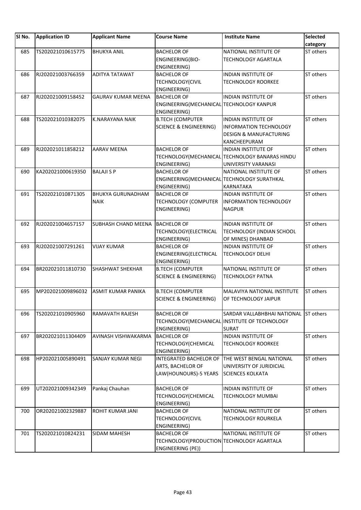| TS202021010615775<br><b>BHUKYA ANIL</b><br><b>BACHELOR OF</b><br>NATIONAL INSTITUTE OF<br>685<br>ST others<br>ENGINEERING(BIO-<br><b>TECHNOLOGY AGARTALA</b><br>ENGINEERING)<br>ADITYA TATAWAT<br><b>INDIAN INSTITUTE OF</b><br>686<br>RJ202021003766359<br><b>BACHELOR OF</b><br>ST others<br>TECHNOLOGY(CIVIL<br><b>TECHNOLOGY ROORKEE</b><br>ENGINEERING)<br><b>GAURAV KUMAR MEENA</b><br><b>BACHELOR OF</b><br><b>INDIAN INSTITUTE OF</b><br>ST others<br>687<br>RJ202021009158452<br>ENGINEERING(MECHANICAL TECHNOLOGY KANPUR<br>ENGINEERING)<br>TS202021010382075<br>K.NARAYANA NAIK<br><b>B.TECH (COMPUTER</b><br><b>INDIAN INSTITUTE OF</b><br>ST others<br>688<br><b>SCIENCE &amp; ENGINEERING)</b><br>INFORMATION TECHNOLOGY<br><b>DESIGN &amp; MANUFACTURING</b><br>KANCHEEPURAM<br>ST others<br>689<br>RJ202021011858212<br>AARAV MEENA<br><b>BACHELOR OF</b><br><b>INDIAN INSTITUTE OF</b><br>TECHNOLOGY (MECHANICAL TECHNOLOGY BANARAS HINDU<br>ENGINEERING)<br>UNIVERSITY VARANASI<br>KA202021000619350<br><b>BALAJI S P</b><br><b>BACHELOR OF</b><br>ST others<br>690<br>NATIONAL INSTITUTE OF<br>ENGINEERING(MECHANICAL TECHNOLOGY SURATHKAL<br>ENGINEERING)<br><b>KARNATAKA</b><br>TS202021010871305<br><b>BHUKYA GURUNADHAM</b><br><b>INDIAN INSTITUTE OF</b><br>ST others<br>691<br><b>BACHELOR OF</b><br><b>NAIK</b><br><b>TECHNOLOGY (COMPUTER</b><br><b>INFORMATION TECHNOLOGY</b><br>ENGINEERING)<br><b>NAGPUR</b><br>RJ202021004657157<br>SUBHASH CHAND MEENA<br><b>BACHELOR OF</b><br>ST others<br>692<br><b>INDIAN INSTITUTE OF</b><br>TECHNOLOGY (INDIAN SCHOOL<br>TECHNOLOGY(ELECTRICAL<br>ENGINEERING)<br>OF MINES) DHANBAD<br><b>VIJAY KUMAR</b><br>ST others<br>693<br>RJ202021007291261<br><b>BACHELOR OF</b><br><b>INDIAN INSTITUTE OF</b><br>ENGINEERING(ELECTRICAL<br><b>TECHNOLOGY DELHI</b><br>ENGINEERING)<br>694<br>BR202021011810730<br><b>SHASHWAT SHEKHAR</b><br><b>B.TECH (COMPUTER</b><br>NATIONAL INSTITUTE OF<br>ST others<br><b>SCIENCE &amp; ENGINEERING)</b><br><b>TECHNOLOGY PATNA</b><br>MP202021009896032<br><b>ASMIT KUMAR PANIKA</b><br><b>B.TECH (COMPUTER</b><br>MALAVIYA NATIONAL INSTITUTE<br>ST others<br>695<br><b>SCIENCE &amp; ENGINEERING)</b><br>OF TECHNOLOGY JAIPUR<br>696<br>SARDAR VALLABHBHAI NATIONAL<br>TS202021010905960<br>RAMAVATH RAJESH<br><b>BACHELOR OF</b><br><b>ST</b> others<br>TECHNOLOGY (MECHANICAL INSTITUTE OF TECHNOLOGY<br><b>ENGINEERING)</b><br><b>SURAT</b><br><b>INDIAN INSTITUTE OF</b><br>ST others<br>697<br>BR202021011304409<br>AVINASH VISHWAKARMA<br><b>BACHELOR OF</b><br>TECHNOLOGY (CHEMICAL<br><b>TECHNOLOGY ROORKEE</b><br>ENGINEERING)<br>INTEGRATED BACHELOR OF<br>ST others<br>698<br>HP202021005890491<br>SANJAY KUMAR NEGI<br><b>THE WEST BENGAL NATIONAL</b><br>ARTS, BACHELOR OF<br>UNIVERSITY OF JURIDICIAL<br>LAW(HOUNOURS)-5 YEARS<br><b>SCIENCES KOLKATA</b><br>Pankaj Chauhan<br>699<br><b>BACHELOR OF</b><br><b>INDIAN INSTITUTE OF</b><br>ST others<br>UT202021009342349<br>TECHNOLOGY(CHEMICAL<br><b>TECHNOLOGY MUMBAI</b><br>ENGINEERING)<br>NATIONAL INSTITUTE OF<br>ST others<br>700<br>OR202021002329887<br><b>ROHIT KUMAR JANI</b><br><b>BACHELOR OF</b><br>TECHNOLOGY(CIVIL<br><b>TECHNOLOGY ROURKELA</b><br>ENGINEERING)<br>SIDAM MAHESH<br>NATIONAL INSTITUTE OF<br>ST others<br>701<br>TS202021010824231<br><b>BACHELOR OF</b><br>TECHNOLOGY (PRODUCTION TECHNOLOGY AGARTALA<br>ENGINEERING (PE)) | SI No. | <b>Application ID</b> | <b>Applicant Name</b> | <b>Course Name</b> | <b>Institute Name</b> | <b>Selected</b><br>category |
|------------------------------------------------------------------------------------------------------------------------------------------------------------------------------------------------------------------------------------------------------------------------------------------------------------------------------------------------------------------------------------------------------------------------------------------------------------------------------------------------------------------------------------------------------------------------------------------------------------------------------------------------------------------------------------------------------------------------------------------------------------------------------------------------------------------------------------------------------------------------------------------------------------------------------------------------------------------------------------------------------------------------------------------------------------------------------------------------------------------------------------------------------------------------------------------------------------------------------------------------------------------------------------------------------------------------------------------------------------------------------------------------------------------------------------------------------------------------------------------------------------------------------------------------------------------------------------------------------------------------------------------------------------------------------------------------------------------------------------------------------------------------------------------------------------------------------------------------------------------------------------------------------------------------------------------------------------------------------------------------------------------------------------------------------------------------------------------------------------------------------------------------------------------------------------------------------------------------------------------------------------------------------------------------------------------------------------------------------------------------------------------------------------------------------------------------------------------------------------------------------------------------------------------------------------------------------------------------------------------------------------------------------------------------------------------------------------------------------------------------------------------------------------------------------------------------------------------------------------------------------------------------------------------------------------------------------------------------------------------------------------------------------------------------------------------------------------------------------------------------------------------------------------------------------------------------------------------------------------------------------------------------------------------------------------------------------------------------------------------------------------------------------------------------------------|--------|-----------------------|-----------------------|--------------------|-----------------------|-----------------------------|
|                                                                                                                                                                                                                                                                                                                                                                                                                                                                                                                                                                                                                                                                                                                                                                                                                                                                                                                                                                                                                                                                                                                                                                                                                                                                                                                                                                                                                                                                                                                                                                                                                                                                                                                                                                                                                                                                                                                                                                                                                                                                                                                                                                                                                                                                                                                                                                                                                                                                                                                                                                                                                                                                                                                                                                                                                                                                                                                                                                                                                                                                                                                                                                                                                                                                                                                                                                                                                                    |        |                       |                       |                    |                       |                             |
|                                                                                                                                                                                                                                                                                                                                                                                                                                                                                                                                                                                                                                                                                                                                                                                                                                                                                                                                                                                                                                                                                                                                                                                                                                                                                                                                                                                                                                                                                                                                                                                                                                                                                                                                                                                                                                                                                                                                                                                                                                                                                                                                                                                                                                                                                                                                                                                                                                                                                                                                                                                                                                                                                                                                                                                                                                                                                                                                                                                                                                                                                                                                                                                                                                                                                                                                                                                                                                    |        |                       |                       |                    |                       |                             |
|                                                                                                                                                                                                                                                                                                                                                                                                                                                                                                                                                                                                                                                                                                                                                                                                                                                                                                                                                                                                                                                                                                                                                                                                                                                                                                                                                                                                                                                                                                                                                                                                                                                                                                                                                                                                                                                                                                                                                                                                                                                                                                                                                                                                                                                                                                                                                                                                                                                                                                                                                                                                                                                                                                                                                                                                                                                                                                                                                                                                                                                                                                                                                                                                                                                                                                                                                                                                                                    |        |                       |                       |                    |                       |                             |
|                                                                                                                                                                                                                                                                                                                                                                                                                                                                                                                                                                                                                                                                                                                                                                                                                                                                                                                                                                                                                                                                                                                                                                                                                                                                                                                                                                                                                                                                                                                                                                                                                                                                                                                                                                                                                                                                                                                                                                                                                                                                                                                                                                                                                                                                                                                                                                                                                                                                                                                                                                                                                                                                                                                                                                                                                                                                                                                                                                                                                                                                                                                                                                                                                                                                                                                                                                                                                                    |        |                       |                       |                    |                       |                             |
|                                                                                                                                                                                                                                                                                                                                                                                                                                                                                                                                                                                                                                                                                                                                                                                                                                                                                                                                                                                                                                                                                                                                                                                                                                                                                                                                                                                                                                                                                                                                                                                                                                                                                                                                                                                                                                                                                                                                                                                                                                                                                                                                                                                                                                                                                                                                                                                                                                                                                                                                                                                                                                                                                                                                                                                                                                                                                                                                                                                                                                                                                                                                                                                                                                                                                                                                                                                                                                    |        |                       |                       |                    |                       |                             |
|                                                                                                                                                                                                                                                                                                                                                                                                                                                                                                                                                                                                                                                                                                                                                                                                                                                                                                                                                                                                                                                                                                                                                                                                                                                                                                                                                                                                                                                                                                                                                                                                                                                                                                                                                                                                                                                                                                                                                                                                                                                                                                                                                                                                                                                                                                                                                                                                                                                                                                                                                                                                                                                                                                                                                                                                                                                                                                                                                                                                                                                                                                                                                                                                                                                                                                                                                                                                                                    |        |                       |                       |                    |                       |                             |
|                                                                                                                                                                                                                                                                                                                                                                                                                                                                                                                                                                                                                                                                                                                                                                                                                                                                                                                                                                                                                                                                                                                                                                                                                                                                                                                                                                                                                                                                                                                                                                                                                                                                                                                                                                                                                                                                                                                                                                                                                                                                                                                                                                                                                                                                                                                                                                                                                                                                                                                                                                                                                                                                                                                                                                                                                                                                                                                                                                                                                                                                                                                                                                                                                                                                                                                                                                                                                                    |        |                       |                       |                    |                       |                             |
|                                                                                                                                                                                                                                                                                                                                                                                                                                                                                                                                                                                                                                                                                                                                                                                                                                                                                                                                                                                                                                                                                                                                                                                                                                                                                                                                                                                                                                                                                                                                                                                                                                                                                                                                                                                                                                                                                                                                                                                                                                                                                                                                                                                                                                                                                                                                                                                                                                                                                                                                                                                                                                                                                                                                                                                                                                                                                                                                                                                                                                                                                                                                                                                                                                                                                                                                                                                                                                    |        |                       |                       |                    |                       |                             |
|                                                                                                                                                                                                                                                                                                                                                                                                                                                                                                                                                                                                                                                                                                                                                                                                                                                                                                                                                                                                                                                                                                                                                                                                                                                                                                                                                                                                                                                                                                                                                                                                                                                                                                                                                                                                                                                                                                                                                                                                                                                                                                                                                                                                                                                                                                                                                                                                                                                                                                                                                                                                                                                                                                                                                                                                                                                                                                                                                                                                                                                                                                                                                                                                                                                                                                                                                                                                                                    |        |                       |                       |                    |                       |                             |
|                                                                                                                                                                                                                                                                                                                                                                                                                                                                                                                                                                                                                                                                                                                                                                                                                                                                                                                                                                                                                                                                                                                                                                                                                                                                                                                                                                                                                                                                                                                                                                                                                                                                                                                                                                                                                                                                                                                                                                                                                                                                                                                                                                                                                                                                                                                                                                                                                                                                                                                                                                                                                                                                                                                                                                                                                                                                                                                                                                                                                                                                                                                                                                                                                                                                                                                                                                                                                                    |        |                       |                       |                    |                       |                             |
|                                                                                                                                                                                                                                                                                                                                                                                                                                                                                                                                                                                                                                                                                                                                                                                                                                                                                                                                                                                                                                                                                                                                                                                                                                                                                                                                                                                                                                                                                                                                                                                                                                                                                                                                                                                                                                                                                                                                                                                                                                                                                                                                                                                                                                                                                                                                                                                                                                                                                                                                                                                                                                                                                                                                                                                                                                                                                                                                                                                                                                                                                                                                                                                                                                                                                                                                                                                                                                    |        |                       |                       |                    |                       |                             |
|                                                                                                                                                                                                                                                                                                                                                                                                                                                                                                                                                                                                                                                                                                                                                                                                                                                                                                                                                                                                                                                                                                                                                                                                                                                                                                                                                                                                                                                                                                                                                                                                                                                                                                                                                                                                                                                                                                                                                                                                                                                                                                                                                                                                                                                                                                                                                                                                                                                                                                                                                                                                                                                                                                                                                                                                                                                                                                                                                                                                                                                                                                                                                                                                                                                                                                                                                                                                                                    |        |                       |                       |                    |                       |                             |
|                                                                                                                                                                                                                                                                                                                                                                                                                                                                                                                                                                                                                                                                                                                                                                                                                                                                                                                                                                                                                                                                                                                                                                                                                                                                                                                                                                                                                                                                                                                                                                                                                                                                                                                                                                                                                                                                                                                                                                                                                                                                                                                                                                                                                                                                                                                                                                                                                                                                                                                                                                                                                                                                                                                                                                                                                                                                                                                                                                                                                                                                                                                                                                                                                                                                                                                                                                                                                                    |        |                       |                       |                    |                       |                             |
|                                                                                                                                                                                                                                                                                                                                                                                                                                                                                                                                                                                                                                                                                                                                                                                                                                                                                                                                                                                                                                                                                                                                                                                                                                                                                                                                                                                                                                                                                                                                                                                                                                                                                                                                                                                                                                                                                                                                                                                                                                                                                                                                                                                                                                                                                                                                                                                                                                                                                                                                                                                                                                                                                                                                                                                                                                                                                                                                                                                                                                                                                                                                                                                                                                                                                                                                                                                                                                    |        |                       |                       |                    |                       |                             |
|                                                                                                                                                                                                                                                                                                                                                                                                                                                                                                                                                                                                                                                                                                                                                                                                                                                                                                                                                                                                                                                                                                                                                                                                                                                                                                                                                                                                                                                                                                                                                                                                                                                                                                                                                                                                                                                                                                                                                                                                                                                                                                                                                                                                                                                                                                                                                                                                                                                                                                                                                                                                                                                                                                                                                                                                                                                                                                                                                                                                                                                                                                                                                                                                                                                                                                                                                                                                                                    |        |                       |                       |                    |                       |                             |
|                                                                                                                                                                                                                                                                                                                                                                                                                                                                                                                                                                                                                                                                                                                                                                                                                                                                                                                                                                                                                                                                                                                                                                                                                                                                                                                                                                                                                                                                                                                                                                                                                                                                                                                                                                                                                                                                                                                                                                                                                                                                                                                                                                                                                                                                                                                                                                                                                                                                                                                                                                                                                                                                                                                                                                                                                                                                                                                                                                                                                                                                                                                                                                                                                                                                                                                                                                                                                                    |        |                       |                       |                    |                       |                             |
|                                                                                                                                                                                                                                                                                                                                                                                                                                                                                                                                                                                                                                                                                                                                                                                                                                                                                                                                                                                                                                                                                                                                                                                                                                                                                                                                                                                                                                                                                                                                                                                                                                                                                                                                                                                                                                                                                                                                                                                                                                                                                                                                                                                                                                                                                                                                                                                                                                                                                                                                                                                                                                                                                                                                                                                                                                                                                                                                                                                                                                                                                                                                                                                                                                                                                                                                                                                                                                    |        |                       |                       |                    |                       |                             |
|                                                                                                                                                                                                                                                                                                                                                                                                                                                                                                                                                                                                                                                                                                                                                                                                                                                                                                                                                                                                                                                                                                                                                                                                                                                                                                                                                                                                                                                                                                                                                                                                                                                                                                                                                                                                                                                                                                                                                                                                                                                                                                                                                                                                                                                                                                                                                                                                                                                                                                                                                                                                                                                                                                                                                                                                                                                                                                                                                                                                                                                                                                                                                                                                                                                                                                                                                                                                                                    |        |                       |                       |                    |                       |                             |
|                                                                                                                                                                                                                                                                                                                                                                                                                                                                                                                                                                                                                                                                                                                                                                                                                                                                                                                                                                                                                                                                                                                                                                                                                                                                                                                                                                                                                                                                                                                                                                                                                                                                                                                                                                                                                                                                                                                                                                                                                                                                                                                                                                                                                                                                                                                                                                                                                                                                                                                                                                                                                                                                                                                                                                                                                                                                                                                                                                                                                                                                                                                                                                                                                                                                                                                                                                                                                                    |        |                       |                       |                    |                       |                             |
|                                                                                                                                                                                                                                                                                                                                                                                                                                                                                                                                                                                                                                                                                                                                                                                                                                                                                                                                                                                                                                                                                                                                                                                                                                                                                                                                                                                                                                                                                                                                                                                                                                                                                                                                                                                                                                                                                                                                                                                                                                                                                                                                                                                                                                                                                                                                                                                                                                                                                                                                                                                                                                                                                                                                                                                                                                                                                                                                                                                                                                                                                                                                                                                                                                                                                                                                                                                                                                    |        |                       |                       |                    |                       |                             |
|                                                                                                                                                                                                                                                                                                                                                                                                                                                                                                                                                                                                                                                                                                                                                                                                                                                                                                                                                                                                                                                                                                                                                                                                                                                                                                                                                                                                                                                                                                                                                                                                                                                                                                                                                                                                                                                                                                                                                                                                                                                                                                                                                                                                                                                                                                                                                                                                                                                                                                                                                                                                                                                                                                                                                                                                                                                                                                                                                                                                                                                                                                                                                                                                                                                                                                                                                                                                                                    |        |                       |                       |                    |                       |                             |
|                                                                                                                                                                                                                                                                                                                                                                                                                                                                                                                                                                                                                                                                                                                                                                                                                                                                                                                                                                                                                                                                                                                                                                                                                                                                                                                                                                                                                                                                                                                                                                                                                                                                                                                                                                                                                                                                                                                                                                                                                                                                                                                                                                                                                                                                                                                                                                                                                                                                                                                                                                                                                                                                                                                                                                                                                                                                                                                                                                                                                                                                                                                                                                                                                                                                                                                                                                                                                                    |        |                       |                       |                    |                       |                             |
|                                                                                                                                                                                                                                                                                                                                                                                                                                                                                                                                                                                                                                                                                                                                                                                                                                                                                                                                                                                                                                                                                                                                                                                                                                                                                                                                                                                                                                                                                                                                                                                                                                                                                                                                                                                                                                                                                                                                                                                                                                                                                                                                                                                                                                                                                                                                                                                                                                                                                                                                                                                                                                                                                                                                                                                                                                                                                                                                                                                                                                                                                                                                                                                                                                                                                                                                                                                                                                    |        |                       |                       |                    |                       |                             |
|                                                                                                                                                                                                                                                                                                                                                                                                                                                                                                                                                                                                                                                                                                                                                                                                                                                                                                                                                                                                                                                                                                                                                                                                                                                                                                                                                                                                                                                                                                                                                                                                                                                                                                                                                                                                                                                                                                                                                                                                                                                                                                                                                                                                                                                                                                                                                                                                                                                                                                                                                                                                                                                                                                                                                                                                                                                                                                                                                                                                                                                                                                                                                                                                                                                                                                                                                                                                                                    |        |                       |                       |                    |                       |                             |
|                                                                                                                                                                                                                                                                                                                                                                                                                                                                                                                                                                                                                                                                                                                                                                                                                                                                                                                                                                                                                                                                                                                                                                                                                                                                                                                                                                                                                                                                                                                                                                                                                                                                                                                                                                                                                                                                                                                                                                                                                                                                                                                                                                                                                                                                                                                                                                                                                                                                                                                                                                                                                                                                                                                                                                                                                                                                                                                                                                                                                                                                                                                                                                                                                                                                                                                                                                                                                                    |        |                       |                       |                    |                       |                             |
|                                                                                                                                                                                                                                                                                                                                                                                                                                                                                                                                                                                                                                                                                                                                                                                                                                                                                                                                                                                                                                                                                                                                                                                                                                                                                                                                                                                                                                                                                                                                                                                                                                                                                                                                                                                                                                                                                                                                                                                                                                                                                                                                                                                                                                                                                                                                                                                                                                                                                                                                                                                                                                                                                                                                                                                                                                                                                                                                                                                                                                                                                                                                                                                                                                                                                                                                                                                                                                    |        |                       |                       |                    |                       |                             |
|                                                                                                                                                                                                                                                                                                                                                                                                                                                                                                                                                                                                                                                                                                                                                                                                                                                                                                                                                                                                                                                                                                                                                                                                                                                                                                                                                                                                                                                                                                                                                                                                                                                                                                                                                                                                                                                                                                                                                                                                                                                                                                                                                                                                                                                                                                                                                                                                                                                                                                                                                                                                                                                                                                                                                                                                                                                                                                                                                                                                                                                                                                                                                                                                                                                                                                                                                                                                                                    |        |                       |                       |                    |                       |                             |
|                                                                                                                                                                                                                                                                                                                                                                                                                                                                                                                                                                                                                                                                                                                                                                                                                                                                                                                                                                                                                                                                                                                                                                                                                                                                                                                                                                                                                                                                                                                                                                                                                                                                                                                                                                                                                                                                                                                                                                                                                                                                                                                                                                                                                                                                                                                                                                                                                                                                                                                                                                                                                                                                                                                                                                                                                                                                                                                                                                                                                                                                                                                                                                                                                                                                                                                                                                                                                                    |        |                       |                       |                    |                       |                             |
|                                                                                                                                                                                                                                                                                                                                                                                                                                                                                                                                                                                                                                                                                                                                                                                                                                                                                                                                                                                                                                                                                                                                                                                                                                                                                                                                                                                                                                                                                                                                                                                                                                                                                                                                                                                                                                                                                                                                                                                                                                                                                                                                                                                                                                                                                                                                                                                                                                                                                                                                                                                                                                                                                                                                                                                                                                                                                                                                                                                                                                                                                                                                                                                                                                                                                                                                                                                                                                    |        |                       |                       |                    |                       |                             |
|                                                                                                                                                                                                                                                                                                                                                                                                                                                                                                                                                                                                                                                                                                                                                                                                                                                                                                                                                                                                                                                                                                                                                                                                                                                                                                                                                                                                                                                                                                                                                                                                                                                                                                                                                                                                                                                                                                                                                                                                                                                                                                                                                                                                                                                                                                                                                                                                                                                                                                                                                                                                                                                                                                                                                                                                                                                                                                                                                                                                                                                                                                                                                                                                                                                                                                                                                                                                                                    |        |                       |                       |                    |                       |                             |
|                                                                                                                                                                                                                                                                                                                                                                                                                                                                                                                                                                                                                                                                                                                                                                                                                                                                                                                                                                                                                                                                                                                                                                                                                                                                                                                                                                                                                                                                                                                                                                                                                                                                                                                                                                                                                                                                                                                                                                                                                                                                                                                                                                                                                                                                                                                                                                                                                                                                                                                                                                                                                                                                                                                                                                                                                                                                                                                                                                                                                                                                                                                                                                                                                                                                                                                                                                                                                                    |        |                       |                       |                    |                       |                             |
|                                                                                                                                                                                                                                                                                                                                                                                                                                                                                                                                                                                                                                                                                                                                                                                                                                                                                                                                                                                                                                                                                                                                                                                                                                                                                                                                                                                                                                                                                                                                                                                                                                                                                                                                                                                                                                                                                                                                                                                                                                                                                                                                                                                                                                                                                                                                                                                                                                                                                                                                                                                                                                                                                                                                                                                                                                                                                                                                                                                                                                                                                                                                                                                                                                                                                                                                                                                                                                    |        |                       |                       |                    |                       |                             |
|                                                                                                                                                                                                                                                                                                                                                                                                                                                                                                                                                                                                                                                                                                                                                                                                                                                                                                                                                                                                                                                                                                                                                                                                                                                                                                                                                                                                                                                                                                                                                                                                                                                                                                                                                                                                                                                                                                                                                                                                                                                                                                                                                                                                                                                                                                                                                                                                                                                                                                                                                                                                                                                                                                                                                                                                                                                                                                                                                                                                                                                                                                                                                                                                                                                                                                                                                                                                                                    |        |                       |                       |                    |                       |                             |
|                                                                                                                                                                                                                                                                                                                                                                                                                                                                                                                                                                                                                                                                                                                                                                                                                                                                                                                                                                                                                                                                                                                                                                                                                                                                                                                                                                                                                                                                                                                                                                                                                                                                                                                                                                                                                                                                                                                                                                                                                                                                                                                                                                                                                                                                                                                                                                                                                                                                                                                                                                                                                                                                                                                                                                                                                                                                                                                                                                                                                                                                                                                                                                                                                                                                                                                                                                                                                                    |        |                       |                       |                    |                       |                             |
|                                                                                                                                                                                                                                                                                                                                                                                                                                                                                                                                                                                                                                                                                                                                                                                                                                                                                                                                                                                                                                                                                                                                                                                                                                                                                                                                                                                                                                                                                                                                                                                                                                                                                                                                                                                                                                                                                                                                                                                                                                                                                                                                                                                                                                                                                                                                                                                                                                                                                                                                                                                                                                                                                                                                                                                                                                                                                                                                                                                                                                                                                                                                                                                                                                                                                                                                                                                                                                    |        |                       |                       |                    |                       |                             |
|                                                                                                                                                                                                                                                                                                                                                                                                                                                                                                                                                                                                                                                                                                                                                                                                                                                                                                                                                                                                                                                                                                                                                                                                                                                                                                                                                                                                                                                                                                                                                                                                                                                                                                                                                                                                                                                                                                                                                                                                                                                                                                                                                                                                                                                                                                                                                                                                                                                                                                                                                                                                                                                                                                                                                                                                                                                                                                                                                                                                                                                                                                                                                                                                                                                                                                                                                                                                                                    |        |                       |                       |                    |                       |                             |
|                                                                                                                                                                                                                                                                                                                                                                                                                                                                                                                                                                                                                                                                                                                                                                                                                                                                                                                                                                                                                                                                                                                                                                                                                                                                                                                                                                                                                                                                                                                                                                                                                                                                                                                                                                                                                                                                                                                                                                                                                                                                                                                                                                                                                                                                                                                                                                                                                                                                                                                                                                                                                                                                                                                                                                                                                                                                                                                                                                                                                                                                                                                                                                                                                                                                                                                                                                                                                                    |        |                       |                       |                    |                       |                             |
|                                                                                                                                                                                                                                                                                                                                                                                                                                                                                                                                                                                                                                                                                                                                                                                                                                                                                                                                                                                                                                                                                                                                                                                                                                                                                                                                                                                                                                                                                                                                                                                                                                                                                                                                                                                                                                                                                                                                                                                                                                                                                                                                                                                                                                                                                                                                                                                                                                                                                                                                                                                                                                                                                                                                                                                                                                                                                                                                                                                                                                                                                                                                                                                                                                                                                                                                                                                                                                    |        |                       |                       |                    |                       |                             |
|                                                                                                                                                                                                                                                                                                                                                                                                                                                                                                                                                                                                                                                                                                                                                                                                                                                                                                                                                                                                                                                                                                                                                                                                                                                                                                                                                                                                                                                                                                                                                                                                                                                                                                                                                                                                                                                                                                                                                                                                                                                                                                                                                                                                                                                                                                                                                                                                                                                                                                                                                                                                                                                                                                                                                                                                                                                                                                                                                                                                                                                                                                                                                                                                                                                                                                                                                                                                                                    |        |                       |                       |                    |                       |                             |
|                                                                                                                                                                                                                                                                                                                                                                                                                                                                                                                                                                                                                                                                                                                                                                                                                                                                                                                                                                                                                                                                                                                                                                                                                                                                                                                                                                                                                                                                                                                                                                                                                                                                                                                                                                                                                                                                                                                                                                                                                                                                                                                                                                                                                                                                                                                                                                                                                                                                                                                                                                                                                                                                                                                                                                                                                                                                                                                                                                                                                                                                                                                                                                                                                                                                                                                                                                                                                                    |        |                       |                       |                    |                       |                             |
|                                                                                                                                                                                                                                                                                                                                                                                                                                                                                                                                                                                                                                                                                                                                                                                                                                                                                                                                                                                                                                                                                                                                                                                                                                                                                                                                                                                                                                                                                                                                                                                                                                                                                                                                                                                                                                                                                                                                                                                                                                                                                                                                                                                                                                                                                                                                                                                                                                                                                                                                                                                                                                                                                                                                                                                                                                                                                                                                                                                                                                                                                                                                                                                                                                                                                                                                                                                                                                    |        |                       |                       |                    |                       |                             |
|                                                                                                                                                                                                                                                                                                                                                                                                                                                                                                                                                                                                                                                                                                                                                                                                                                                                                                                                                                                                                                                                                                                                                                                                                                                                                                                                                                                                                                                                                                                                                                                                                                                                                                                                                                                                                                                                                                                                                                                                                                                                                                                                                                                                                                                                                                                                                                                                                                                                                                                                                                                                                                                                                                                                                                                                                                                                                                                                                                                                                                                                                                                                                                                                                                                                                                                                                                                                                                    |        |                       |                       |                    |                       |                             |
|                                                                                                                                                                                                                                                                                                                                                                                                                                                                                                                                                                                                                                                                                                                                                                                                                                                                                                                                                                                                                                                                                                                                                                                                                                                                                                                                                                                                                                                                                                                                                                                                                                                                                                                                                                                                                                                                                                                                                                                                                                                                                                                                                                                                                                                                                                                                                                                                                                                                                                                                                                                                                                                                                                                                                                                                                                                                                                                                                                                                                                                                                                                                                                                                                                                                                                                                                                                                                                    |        |                       |                       |                    |                       |                             |
|                                                                                                                                                                                                                                                                                                                                                                                                                                                                                                                                                                                                                                                                                                                                                                                                                                                                                                                                                                                                                                                                                                                                                                                                                                                                                                                                                                                                                                                                                                                                                                                                                                                                                                                                                                                                                                                                                                                                                                                                                                                                                                                                                                                                                                                                                                                                                                                                                                                                                                                                                                                                                                                                                                                                                                                                                                                                                                                                                                                                                                                                                                                                                                                                                                                                                                                                                                                                                                    |        |                       |                       |                    |                       |                             |
|                                                                                                                                                                                                                                                                                                                                                                                                                                                                                                                                                                                                                                                                                                                                                                                                                                                                                                                                                                                                                                                                                                                                                                                                                                                                                                                                                                                                                                                                                                                                                                                                                                                                                                                                                                                                                                                                                                                                                                                                                                                                                                                                                                                                                                                                                                                                                                                                                                                                                                                                                                                                                                                                                                                                                                                                                                                                                                                                                                                                                                                                                                                                                                                                                                                                                                                                                                                                                                    |        |                       |                       |                    |                       |                             |
|                                                                                                                                                                                                                                                                                                                                                                                                                                                                                                                                                                                                                                                                                                                                                                                                                                                                                                                                                                                                                                                                                                                                                                                                                                                                                                                                                                                                                                                                                                                                                                                                                                                                                                                                                                                                                                                                                                                                                                                                                                                                                                                                                                                                                                                                                                                                                                                                                                                                                                                                                                                                                                                                                                                                                                                                                                                                                                                                                                                                                                                                                                                                                                                                                                                                                                                                                                                                                                    |        |                       |                       |                    |                       |                             |
|                                                                                                                                                                                                                                                                                                                                                                                                                                                                                                                                                                                                                                                                                                                                                                                                                                                                                                                                                                                                                                                                                                                                                                                                                                                                                                                                                                                                                                                                                                                                                                                                                                                                                                                                                                                                                                                                                                                                                                                                                                                                                                                                                                                                                                                                                                                                                                                                                                                                                                                                                                                                                                                                                                                                                                                                                                                                                                                                                                                                                                                                                                                                                                                                                                                                                                                                                                                                                                    |        |                       |                       |                    |                       |                             |
|                                                                                                                                                                                                                                                                                                                                                                                                                                                                                                                                                                                                                                                                                                                                                                                                                                                                                                                                                                                                                                                                                                                                                                                                                                                                                                                                                                                                                                                                                                                                                                                                                                                                                                                                                                                                                                                                                                                                                                                                                                                                                                                                                                                                                                                                                                                                                                                                                                                                                                                                                                                                                                                                                                                                                                                                                                                                                                                                                                                                                                                                                                                                                                                                                                                                                                                                                                                                                                    |        |                       |                       |                    |                       |                             |
|                                                                                                                                                                                                                                                                                                                                                                                                                                                                                                                                                                                                                                                                                                                                                                                                                                                                                                                                                                                                                                                                                                                                                                                                                                                                                                                                                                                                                                                                                                                                                                                                                                                                                                                                                                                                                                                                                                                                                                                                                                                                                                                                                                                                                                                                                                                                                                                                                                                                                                                                                                                                                                                                                                                                                                                                                                                                                                                                                                                                                                                                                                                                                                                                                                                                                                                                                                                                                                    |        |                       |                       |                    |                       |                             |
|                                                                                                                                                                                                                                                                                                                                                                                                                                                                                                                                                                                                                                                                                                                                                                                                                                                                                                                                                                                                                                                                                                                                                                                                                                                                                                                                                                                                                                                                                                                                                                                                                                                                                                                                                                                                                                                                                                                                                                                                                                                                                                                                                                                                                                                                                                                                                                                                                                                                                                                                                                                                                                                                                                                                                                                                                                                                                                                                                                                                                                                                                                                                                                                                                                                                                                                                                                                                                                    |        |                       |                       |                    |                       |                             |
|                                                                                                                                                                                                                                                                                                                                                                                                                                                                                                                                                                                                                                                                                                                                                                                                                                                                                                                                                                                                                                                                                                                                                                                                                                                                                                                                                                                                                                                                                                                                                                                                                                                                                                                                                                                                                                                                                                                                                                                                                                                                                                                                                                                                                                                                                                                                                                                                                                                                                                                                                                                                                                                                                                                                                                                                                                                                                                                                                                                                                                                                                                                                                                                                                                                                                                                                                                                                                                    |        |                       |                       |                    |                       |                             |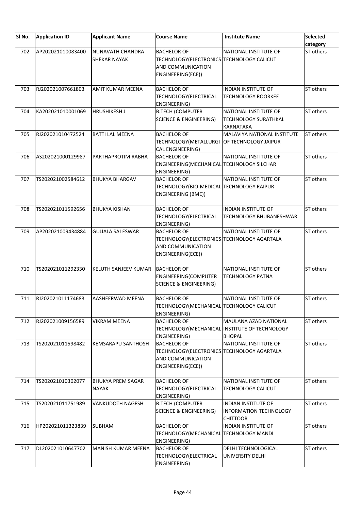| SI <sub>No.</sub> | <b>Application ID</b> | <b>Applicant Name</b>                   | <b>Course Name</b>                                                                                         | <b>Institute Name</b>                                                                   | Selected<br>category |
|-------------------|-----------------------|-----------------------------------------|------------------------------------------------------------------------------------------------------------|-----------------------------------------------------------------------------------------|----------------------|
| 702               | AP202021010083400     | NUNAVATH CHANDRA<br><b>SHEKAR NAYAK</b> | <b>BACHELOR OF</b><br>TECHNOLOGY(ELECTRONICS TECHNOLOGY CALICUT<br>AND COMMUNICATION<br>ENGINEERING(ECE))  | NATIONAL INSTITUTE OF                                                                   | ST others            |
| 703               | RJ202021007661803     | <b>AMIT KUMAR MEENA</b>                 | <b>BACHELOR OF</b><br>TECHNOLOGY(ELECTRICAL<br>ENGINEERING)                                                | <b>INDIAN INSTITUTE OF</b><br><b>TECHNOLOGY ROORKEE</b>                                 | ST others            |
| 704               | KA202021010001069     | <b>HRUSHIKESH J</b>                     | <b>B.TECH (COMPUTER</b><br><b>SCIENCE &amp; ENGINEERING)</b>                                               | NATIONAL INSTITUTE OF<br><b>TECHNOLOGY SURATHKAL</b><br><b>KARNATAKA</b>                | ST others            |
| 705               | RJ202021010472524     | <b>BATTI LAL MEENA</b>                  | <b>BACHELOR OF</b><br>TECHNOLOGY (METALLURGI OF TECHNOLOGY JAIPUR<br>CAL ENGINEERING)                      | MALAVIYA NATIONAL INSTITUTE                                                             | ST others            |
| 706               | AS202021000129987     | PARTHAPROTIM RABHA                      | <b>BACHELOR OF</b><br>ENGINEERING(MECHANICAL TECHNOLOGY SILCHAR<br>ENGINEERING)                            | NATIONAL INSTITUTE OF                                                                   | ST others            |
| 707               | TS202021002584612     | <b>BHUKYA BHARGAV</b>                   | <b>BACHELOR OF</b><br>TECHNOLOGY(BIO-MEDICAL TECHNOLOGY RAIPUR<br>ENGINEERING (BME))                       | NATIONAL INSTITUTE OF                                                                   | ST others            |
| 708               | TS202021011592656     | <b>BHUKYA KISHAN</b>                    | <b>BACHELOR OF</b><br>TECHNOLOGY (ELECTRICAL<br>ENGINEERING)                                               | INDIAN INSTITUTE OF<br><b>TECHNOLOGY BHUBANESHWAR</b>                                   | ST others            |
| 709               | AP202021009434884     | <b>GUJJALA SAI ESWAR</b>                | <b>BACHELOR OF</b><br>TECHNOLOGY(ELECTRONICS TECHNOLOGY AGARTALA<br>AND COMMUNICATION<br>ENGINEERING(ECE)) | NATIONAL INSTITUTE OF                                                                   | ST others            |
| 710               | TS202021011292330     | KELUTH SANJEEV KUMAR                    | <b>BACHELOR OF</b><br>ENGINEERING(COMPUTER<br><b>SCIENCE &amp; ENGINEERING)</b>                            | NATIONAL INSTITUTE OF<br><b>TECHNOLOGY PATNA</b>                                        | ST others            |
| 711               | RJ202021011174683     | AASHEERWAD MEENA                        | <b>BACHELOR OF</b><br>TECHNOLOGY (MECHANICAL TECHNOLOGY CALICUT<br>ENGINEERING)                            | NATIONAL INSTITUTE OF                                                                   | ST others            |
| 712               | RJ202021009156589     | <b>VIKRAM MEENA</b>                     | <b>BACHELOR OF</b><br>ENGINEERING)                                                                         | MAULANA AZAD NATIONAL<br>TECHNOLOGY(MECHANICAL INSTITUTE OF TECHNOLOGY<br><b>BHOPAL</b> | ST others            |
| 713               | TS202021011598482     | KEMSARAPU SANTHOSH                      | <b>BACHELOR OF</b><br>TECHNOLOGY(ELECTRONICS TECHNOLOGY AGARTALA<br>AND COMMUNICATION<br>ENGINEERING(ECE)) | NATIONAL INSTITUTE OF                                                                   | ST others            |
| 714               | TS202021010302077     | <b>BHUKYA PREM SAGAR</b><br>NAYAK       | <b>BACHELOR OF</b><br>TECHNOLOGY (ELECTRICAL<br>ENGINEERING)                                               | NATIONAL INSTITUTE OF<br><b>TECHNOLOGY CALICUT</b>                                      | ST others            |
| 715               | TS202021011751989     | VANKUDOTH NAGESH                        | <b>B.TECH (COMPUTER</b><br><b>SCIENCE &amp; ENGINEERING)</b>                                               | INDIAN INSTITUTE OF<br><b>INFORMATION TECHNOLOGY</b><br><b>CHITTOOR</b>                 | ST others            |
| 716               | HP202021011323839     | SUBHAM                                  | <b>BACHELOR OF</b><br>TECHNOLOGY (MECHANICAL TECHNOLOGY MANDI<br>ENGINEERING)                              | <b>INDIAN INSTITUTE OF</b>                                                              | ST others            |
| 717               | DL202021010647702     | <b>MANISH KUMAR MEENA</b>               | <b>BACHELOR OF</b><br>TECHNOLOGY (ELECTRICAL<br>ENGINEERING)                                               | <b>DELHI TECHNOLOGICAL</b><br>UNIVERSITY DELHI                                          | ST others            |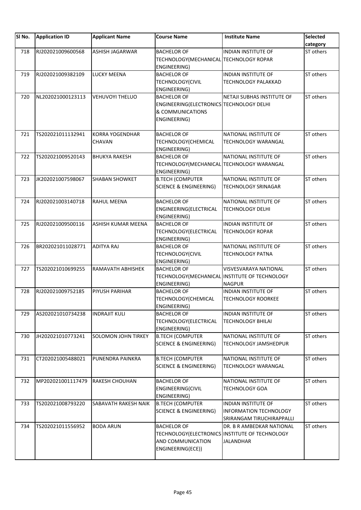| SI No. | <b>Application ID</b> | <b>Applicant Name</b>            | <b>Course Name</b>                                                                                 | <b>Institute Name</b>                                                                          | Selected<br>category |
|--------|-----------------------|----------------------------------|----------------------------------------------------------------------------------------------------|------------------------------------------------------------------------------------------------|----------------------|
| 718    | RJ202021009600568     | <b>ASHISH JAGARWAR</b>           | <b>BACHELOR OF</b><br>TECHNOLOGY (MECHANICAL TECHNOLOGY ROPAR<br>ENGINEERING)                      | <b>INDIAN INSTITUTE OF</b>                                                                     | ST others            |
| 719    | RJ202021009382109     | <b>LUCKY MEENA</b>               | <b>BACHELOR OF</b><br>TECHNOLOGY(CIVIL<br>ENGINEERING)                                             | INDIAN INSTITUTE OF<br><b>TECHNOLOGY PALAKKAD</b>                                              | ST others            |
| 720    | NL202021000123113     | <b>VEHUVOYI THELUO</b>           | <b>BACHELOR OF</b><br>ENGINEERING(ELECTRONICS TECHNOLOGY DELHI<br>& COMMUNICATIONS<br>ENGINEERING) | NETAJI SUBHAS INSTITUTE OF                                                                     | ST others            |
| 721    | TS202021011132941     | <b>KORRA YOGENDHAR</b><br>CHAVAN | <b>BACHELOR OF</b><br>TECHNOLOGY(CHEMICAL<br>ENGINEERING)                                          | NATIONAL INSTITUTE OF<br><b>TECHNOLOGY WARANGAL</b>                                            | ST others            |
| 722    | TS202021009520143     | <b>BHUKYA RAKESH</b>             | <b>BACHELOR OF</b><br>TECHNOLOGY (MECHANICAL TECHNOLOGY WARANGAL<br>ENGINEERING)                   | NATIONAL INSTITUTE OF                                                                          | ST others            |
| 723    | JK202021007598067     | <b>SHABAN SHOWKET</b>            | <b>B.TECH (COMPUTER</b><br><b>SCIENCE &amp; ENGINEERING)</b>                                       | NATIONAL INSTITUTE OF<br><b>TECHNOLOGY SRINAGAR</b>                                            | ST others            |
| 724    | RJ202021003140718     | <b>RAHUL MEENA</b>               | <b>BACHELOR OF</b><br>ENGINEERING(ELECTRICAL<br>ENGINEERING)                                       | NATIONAL INSTITUTE OF<br><b>TECHNOLOGY DELHI</b>                                               | ST others            |
| 725    | RJ202021009500116     | ASHISH KUMAR MEENA               | <b>BACHELOR OF</b><br>TECHNOLOGY(ELECTRICAL<br>ENGINEERING)                                        | <b>INDIAN INSTITUTE OF</b><br><b>TECHNOLOGY ROPAR</b>                                          | ST others            |
| 726    | BR202021011028771     | <b>ADITYA RAJ</b>                | <b>BACHELOR OF</b><br><b>TECHNOLOGY(CIVIL</b><br>ENGINEERING)                                      | NATIONAL INSTITUTE OF<br><b>TECHNOLOGY PATNA</b>                                               | ST others            |
| 727    | TS202021010699255     | <b>RAMAVATH ABHISHEK</b>         | <b>BACHELOR OF</b><br>ENGINEERING)                                                                 | <b>VISVESVARAYA NATIONAL</b><br>TECHNOLOGY(MECHANICAL INSTITUTE OF TECHNOLOGY<br><b>NAGPUR</b> | ST others            |
| 728    | RJ202021009752185     | <b>PIYUSH PARIHAR</b>            | <b>BACHELOR OF</b><br>TECHNOLOGY(CHEMICAL<br>ENGINEERING)                                          | <b>INDIAN INSTITUTE OF</b><br><b>TECHNOLOGY ROORKEE</b>                                        | ST others            |
| 729    | AS202021010734238     | <b>INDRAJIT KULI</b>             | <b>BACHELOR OF</b><br>TECHNOLOGY(ELECTRICAL<br>ENGINEERING)                                        | <b>INDIAN INSTITUTE OF</b><br><b>TECHNOLOGY BHILAI</b>                                         | ST others            |
| 730    | JH202021010773241     | SOLOMON JOHN TIRKEY              | <b>B.TECH (COMPUTER</b><br><b>SCIENCE &amp; ENGINEERING)</b>                                       | NATIONAL INSTITUTE OF<br>TECHNOLOGY JAMSHEDPUR                                                 | ST others            |
| 731    | CT202021005488021     | PUNENDRA PAINKRA                 | <b>B.TECH (COMPUTER</b><br><b>SCIENCE &amp; ENGINEERING)</b>                                       | NATIONAL INSTITUTE OF<br>TECHNOLOGY WARANGAL                                                   | ST others            |
| 732    | MP202021001117479     | <b>RAKESH CHOUHAN</b>            | <b>BACHELOR OF</b><br><b>ENGINEERING(CIVIL</b><br>ENGINEERING)                                     | NATIONAL INSTITUTE OF<br><b>TECHNOLOGY GOA</b>                                                 | ST others            |
| 733    | TS202021008793220     | SABAVATH RAKESH NAIK             | <b>B.TECH (COMPUTER</b><br><b>SCIENCE &amp; ENGINEERING)</b>                                       | INDIAN INSTITUTE OF<br><b>INFORMATION TECHNOLOGY</b><br>SRIRANGAM TIRUCHIRAPPALLI              | ST others            |
| 734    | TS202021011556952     | <b>BODA ARUN</b>                 | <b>BACHELOR OF</b><br>AND COMMUNICATION<br>ENGINEERING(ECE))                                       | DR. B R AMBEDKAR NATIONAL<br>TECHNOLOGY(ELECTRONICS INSTITUTE OF TECHNOLOGY<br>JALANDHAR       | ST others            |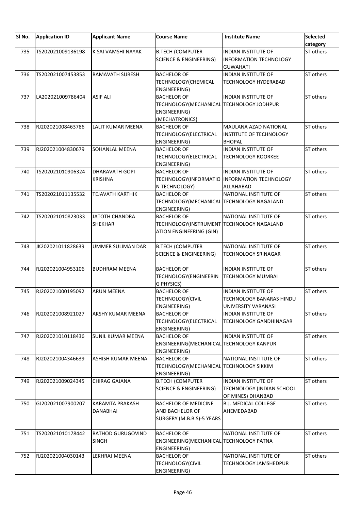| SI No. | <b>Application ID</b> | <b>Applicant Name</b>    | <b>Course Name</b>                        | <b>Institute Name</b>                        | Selected  |
|--------|-----------------------|--------------------------|-------------------------------------------|----------------------------------------------|-----------|
|        |                       |                          |                                           |                                              | category  |
| 735    | TS202021009136198     | K SAI VAMSHI NAYAK       | <b>B.TECH (COMPUTER</b>                   | <b>INDIAN INSTITUTE OF</b>                   | ST others |
|        |                       |                          | <b>SCIENCE &amp; ENGINEERING)</b>         | <b>INFORMATION TECHNOLOGY</b>                |           |
|        |                       |                          |                                           | <b>GUWAHATI</b>                              |           |
| 736    | TS202021007453853     | <b>RAMAVATH SURESH</b>   | <b>BACHELOR OF</b>                        | INDIAN INSTITUTE OF                          | ST others |
|        |                       |                          | TECHNOLOGY(CHEMICAL                       | <b>TECHNOLOGY HYDERABAD</b>                  |           |
|        |                       |                          | ENGINEERING)                              |                                              |           |
| 737    | LA202021009786404     | <b>ASIF ALI</b>          | <b>BACHELOR OF</b>                        | <b>INDIAN INSTITUTE OF</b>                   | ST others |
|        |                       |                          | TECHNOLOGY(MECHANICAL TECHNOLOGY JODHPUR  |                                              |           |
|        |                       |                          | ENGINEERING)                              |                                              |           |
|        |                       |                          | (MECHATRONICS)                            |                                              |           |
| 738    | RJ202021008463786     | LALIT KUMAR MEENA        | <b>BACHELOR OF</b>                        | MAULANA AZAD NATIONAL                        | ST others |
|        |                       |                          | TECHNOLOGY(ELECTRICAL                     | INSTITUTE OF TECHNOLOGY                      |           |
|        |                       |                          | ENGINEERING)                              | <b>BHOPAL</b>                                |           |
| 739    | RJ202021004830679     | SOHANLAL MEENA           | <b>BACHELOR OF</b>                        | INDIAN INSTITUTE OF                          | ST others |
|        |                       |                          | TECHNOLOGY(ELECTRICAL                     | <b>TECHNOLOGY ROORKEE</b>                    |           |
|        |                       |                          | ENGINEERING)                              |                                              |           |
| 740    | TS202021010906324     | <b>DHARAVATH GOPI</b>    | <b>BACHELOR OF</b>                        | INDIAN INSTITUTE OF                          | ST others |
|        |                       | <b>KRISHNA</b>           |                                           | TECHNOLOGY(INFORMATIO INFORMATION TECHNOLOGY |           |
|        |                       |                          | N TECHNOLOGY)                             | <b>ALLAHABAD</b>                             |           |
| 741    | TS202021011135532     | <b>TEJAVATH KARTHIK</b>  | <b>BACHELOR OF</b>                        | NATIONAL INSTITUTE OF                        | ST others |
|        |                       |                          | TECHNOLOGY(MECHANICAL TECHNOLOGY NAGALAND |                                              |           |
|        |                       |                          | ENGINEERING)                              |                                              |           |
| 742    | TS202021010823033     | JATOTH CHANDRA           | <b>BACHELOR OF</b>                        | NATIONAL INSTITUTE OF                        | ST others |
|        |                       | <b>SHEKHAR</b>           | TECHNOLOGY(INSTRUMENT TECHNOLOGY NAGALAND |                                              |           |
|        |                       |                          | ATION ENGINEERING (GIN)                   |                                              |           |
|        |                       |                          |                                           |                                              |           |
| 743    | JK202021011828639     | UMMER SULIMAN DAR        | <b>B.TECH (COMPUTER</b>                   | NATIONAL INSTITUTE OF                        | ST others |
|        |                       |                          | <b>SCIENCE &amp; ENGINEERING)</b>         | TECHNOLOGY SRINAGAR                          |           |
|        |                       |                          |                                           |                                              |           |
| 744    | RJ202021004953106     | <b>BUDHRAM MEENA</b>     | <b>BACHELOR OF</b>                        | <b>INDIAN INSTITUTE OF</b>                   | ST others |
|        |                       |                          | TECHNOLOGY(ENGINEERIN                     | <b>TECHNOLOGY MUMBAI</b>                     |           |
|        |                       |                          | G PHYSICS)                                |                                              |           |
| 745    | RJ202021000195092     | <b>ARUN MEENA</b>        | <b>BACHELOR OF</b>                        | INDIAN INSTITUTE OF                          | ST others |
|        |                       |                          | TECHNOLOGY(CIVIL                          | TECHNOLOGY BANARAS HINDU                     |           |
|        |                       |                          | ENGINEERING)                              | UNIVERSITY VARANASI                          |           |
| 746    | RJ202021008921027     | <b>AKSHY KUMAR MEENA</b> | <b>BACHELOR OF</b>                        | <b>INDIAN INSTITUTE OF</b>                   | ST others |
|        |                       |                          | TECHNOLOGY(ELECTRICAL                     | TECHNOLOGY GANDHINAGAR                       |           |
|        |                       |                          | ENGINEERING)                              |                                              |           |
| 747    | RJ202021010118436     | <b>SUNIL KUMAR MEENA</b> | <b>BACHELOR OF</b>                        | <b>INDIAN INSTITUTE OF</b>                   | ST others |
|        |                       |                          | ENGINEERING(MECHANICAL TECHNOLOGY KANPUR  |                                              |           |
|        |                       |                          | <b>ENGINEERING)</b>                       |                                              |           |
| 748    | RJ202021004346639     | ASHISH KUMAR MEENA       | <b>BACHELOR OF</b>                        | NATIONAL INSTITUTE OF                        | ST others |
|        |                       |                          | TECHNOLOGY(MECHANICAL TECHNOLOGY SIKKIM   |                                              |           |
|        |                       |                          | ENGINEERING)                              |                                              |           |
| 749    | RJ202021009024345     | CHIRAG GAJANA            | <b>B.TECH (COMPUTER</b>                   | <b>INDIAN INSTITUTE OF</b>                   | ST others |
|        |                       |                          | <b>SCIENCE &amp; ENGINEERING)</b>         | TECHNOLOGY (INDIAN SCHOOL                    |           |
|        |                       |                          |                                           | OF MINES) DHANBAD                            |           |
| 750    | GJ202021007900207     | KARAMTA PRAKASH          | <b>BACHELOR OF MEDICINE</b>               | <b>B.J. MEDICAL COLLEGE</b>                  | ST others |
|        |                       | DANABHAI                 | AND BACHELOR OF                           | AHEMEDABAD                                   |           |
|        |                       |                          |                                           |                                              |           |
|        |                       |                          | SURGERY (M.B.B.S)-5 YEARS                 |                                              |           |
| 751    | TS202021010178442     | <b>RATHOD GURUGOVIND</b> | <b>BACHELOR OF</b>                        | NATIONAL INSTITUTE OF                        | ST others |
|        |                       | <b>SINGH</b>             | ENGINEERING(MECHANICAL TECHNOLOGY PATNA   |                                              |           |
|        |                       |                          | ENGINEERING)                              |                                              |           |
| 752    | RJ202021004030143     | LEKHRAJ MEENA            | <b>BACHELOR OF</b>                        | NATIONAL INSTITUTE OF                        | ST others |
|        |                       |                          |                                           | <b>TECHNOLOGY JAMSHEDPUR</b>                 |           |
|        |                       |                          | <b>TECHNOLOGY(CIVIL</b><br>ENGINEERING)   |                                              |           |
|        |                       |                          |                                           |                                              |           |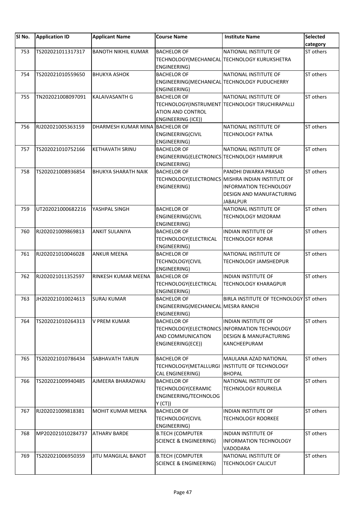| SI No. | <b>Application ID</b> | <b>Applicant Name</b>           | <b>Course Name</b>                                          | <b>Institute Name</b>                             | <b>Selected</b><br>category |
|--------|-----------------------|---------------------------------|-------------------------------------------------------------|---------------------------------------------------|-----------------------------|
| 753    | TS202021011317317     | <b>BANOTH NIKHIL KUMAR</b>      | <b>BACHELOR OF</b>                                          | NATIONAL INSTITUTE OF                             | ST others                   |
|        |                       |                                 | ENGINEERING)                                                | TECHNOLOGY(MECHANICAL TECHNOLOGY KURUKSHETRA      |                             |
| 754    | TS202021010559650     | <b>BHUKYA ASHOK</b>             | <b>BACHELOR OF</b>                                          | NATIONAL INSTITUTE OF                             | ST others                   |
|        |                       |                                 | ENGINEERING)                                                | ENGINEERING(MECHANICAL TECHNOLOGY PUDUCHERRY      |                             |
| 755    | TN202021008097091     | KALAIVASANTH G                  | <b>BACHELOR OF</b>                                          | NATIONAL INSTITUTE OF                             | ST others                   |
|        |                       |                                 |                                                             | TECHNOLOGY(INSTRUMENT TECHNOLOGY TIRUCHIRAPALLI   |                             |
|        |                       |                                 | ATION AND CONTROL                                           |                                                   |                             |
|        |                       |                                 | ENGINEERING (ICE))                                          |                                                   |                             |
| 756    | RJ202021005363159     | DHARMESH KUMAR MINA BACHELOR OF |                                                             | NATIONAL INSTITUTE OF                             | ST others                   |
|        |                       |                                 | ENGINEERING(CIVIL<br>ENGINEERING)                           | <b>TECHNOLOGY PATNA</b>                           |                             |
| 757    | TS202021010752166     | KETHAVATH SRINU                 | <b>BACHELOR OF</b>                                          | NATIONAL INSTITUTE OF                             | ST others                   |
|        |                       |                                 | ENGINEERING(ELECTRONICS TECHNOLOGY HAMIRPUR<br>ENGINEERING) |                                                   |                             |
| 758    | TS202021008936854     | <b>BHUKYA SHARATH NAIK</b>      | <b>BACHELOR OF</b>                                          | PANDHI DWARKA PRASAD                              | ST others                   |
|        |                       |                                 |                                                             | TECHNOLOGY(ELECTRONICS MISHRA INDIAN INSTITUTE OF |                             |
|        |                       |                                 | ENGINEERING)                                                | <b>INFORMATION TECHNOLOGY</b>                     |                             |
|        |                       |                                 |                                                             | DESIGN AND MANUFACTURING                          |                             |
|        |                       |                                 |                                                             | <b>JABALPUR</b>                                   |                             |
| 759    | UT202021000682216     | YASHPAL SINGH                   | <b>BACHELOR OF</b>                                          | NATIONAL INSTITUTE OF                             | ST others                   |
|        |                       |                                 | ENGINEERING(CIVIL                                           | <b>TECHNOLOGY MIZORAM</b>                         |                             |
|        |                       |                                 | ENGINEERING)                                                |                                                   |                             |
| 760    | RJ202021009869813     | <b>ANKIT SULANIYA</b>           | <b>BACHELOR OF</b>                                          | <b>INDIAN INSTITUTE OF</b>                        | ST others                   |
|        |                       |                                 | TECHNOLOGY(ELECTRICAL                                       | <b>TECHNOLOGY ROPAR</b>                           |                             |
|        |                       |                                 | ENGINEERING)                                                |                                                   |                             |
| 761    | RJ202021010046028     | <b>ANKUR MEENA</b>              | <b>BACHELOR OF</b>                                          | NATIONAL INSTITUTE OF                             | ST others                   |
|        |                       |                                 | <b>TECHNOLOGY(CIVIL</b>                                     | TECHNOLOGY JAMSHEDPUR                             |                             |
|        |                       |                                 | ENGINEERING)                                                |                                                   |                             |
| 762    | RJ202021011352597     | RINKESH KUMAR MEENA             | <b>BACHELOR OF</b>                                          | <b>INDIAN INSTITUTE OF</b>                        | ST others                   |
|        |                       |                                 | TECHNOLOGY(ELECTRICAL<br>ENGINEERING)                       | <b>TECHNOLOGY KHARAGPUR</b>                       |                             |
| 763    | JH202021010024613     | <b>SURAJ KUMAR</b>              | <b>BACHELOR OF</b>                                          | BIRLA INSTITUTE OF TECHNOLOGY ST others           |                             |
|        |                       |                                 | ENGINEERING(MECHANICAL MESRA RANCHI                         |                                                   |                             |
|        |                       |                                 | ENGINEERING)                                                |                                                   |                             |
| 764    | TS202021010264313     | V PREM KUMAR                    | <b>BACHELOR OF</b>                                          | <b>INDIAN INSTITUTE OF</b>                        | ST others                   |
|        |                       |                                 |                                                             | TECHNOLOGY(ELECTRONICS INFORMATION TECHNOLOGY     |                             |
|        |                       |                                 | AND COMMUNICATION                                           | <b>DESIGN &amp; MANUFACTURING</b>                 |                             |
|        |                       |                                 | ENGINEERING(ECE))                                           | KANCHEEPURAM                                      |                             |
|        |                       |                                 |                                                             |                                                   |                             |
| 765    | TS202021010786434     | SABHAVATH TARUN                 | <b>BACHELOR OF</b>                                          | MAULANA AZAD NATIONAL                             | ST others                   |
|        |                       |                                 | TECHNOLOGY (METALLURGI                                      | <b>INSTITUTE OF TECHNOLOGY</b>                    |                             |
|        |                       |                                 | CAL ENGINEERING)                                            | <b>BHOPAL</b>                                     |                             |
| 766    | TS202021009940485     | AJMEERA BHARADWAJ               | <b>BACHELOR OF</b>                                          | NATIONAL INSTITUTE OF                             | ST others                   |
|        |                       |                                 | TECHNOLOGY(CERAMIC                                          | TECHNOLOGY ROURKELA                               |                             |
|        |                       |                                 | ENGINEERING/TECHNOLOG                                       |                                                   |                             |
|        |                       |                                 | Y(CT)                                                       |                                                   |                             |
| 767    | RJ202021009818381     | MOHIT KUMAR MEENA               | <b>BACHELOR OF</b>                                          | INDIAN INSTITUTE OF                               | ST others                   |
|        |                       |                                 | <b>TECHNOLOGY(CIVIL</b>                                     | <b>TECHNOLOGY ROORKEE</b>                         |                             |
|        |                       |                                 | ENGINEERING)                                                |                                                   |                             |
| 768    | MP202021010284737     | <b>ATHARV BARDE</b>             | <b>B.TECH (COMPUTER</b>                                     | <b>INDIAN INSTITUTE OF</b>                        | ST others                   |
|        |                       |                                 | <b>SCIENCE &amp; ENGINEERING)</b>                           | <b>INFORMATION TECHNOLOGY</b>                     |                             |
|        |                       |                                 |                                                             | VADODARA                                          |                             |
| 769    | TS202021006950359     | JITU MANGILAL BANOT             | <b>B.TECH (COMPUTER</b>                                     | NATIONAL INSTITUTE OF                             | ST others                   |
|        |                       |                                 | <b>SCIENCE &amp; ENGINEERING)</b>                           | <b>TECHNOLOGY CALICUT</b>                         |                             |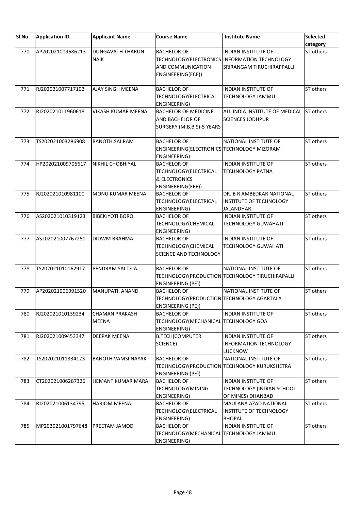| SI No. | <b>Application ID</b> | <b>Applicant Name</b>                  | <b>Course Name</b>                                                                   | <b>Institute Name</b>                                                                             | Selected<br>category |
|--------|-----------------------|----------------------------------------|--------------------------------------------------------------------------------------|---------------------------------------------------------------------------------------------------|----------------------|
| 770    | AP202021009686213     | <b>DUNGAVATH THARUN</b><br><b>NAIK</b> | <b>BACHELOR OF</b><br>AND COMMUNICATION<br>ENGINEERING(ECE))                         | INDIAN INSTITUTE OF<br>TECHNOLOGY(ELECTRONICS INFORMATION TECHNOLOGY<br>SRIRANGAM TIRUCHIRAPPALLI | ST others            |
| 771    | RJ202021007717102     | <b>AJAY SINGH MEENA</b>                | <b>BACHELOR OF</b><br>TECHNOLOGY(ELECTRICAL<br>ENGINEERING)                          | INDIAN INSTITUTE OF<br><b>TECHNOLOGY JAMMU</b>                                                    | ST others            |
| 772    | RJ202021011960618     | <b>VIKASH KUMAR MEENA</b>              | <b>BACHELOR OF MEDICINE</b><br>AND BACHELOR OF<br>SURGERY (M.B.B.S)-5 YEARS          | ALL INDIA INSTITUTE OF MEDICAL<br><b>SCIENCES JODHPUR</b>                                         | <b>ST</b> others     |
| 773    | TS202021003286908     | <b>BANOTH.SAI RAM</b>                  | <b>BACHELOR OF</b><br>ENGINEERING(ELECTRONICS TECHNOLOGY MIZORAM<br>ENGINEERING)     | NATIONAL INSTITUTE OF                                                                             | ST others            |
| 774    | HP202021009706617     | <b>NIKHIL CHOBHIYAL</b>                | <b>BACHELOR OF</b><br>TECHNOLOGY(ELECTRICAL<br>& ELECTRONICS<br>ENGINEERING(EEE))    | <b>INDIAN INSTITUTE OF</b><br><b>TECHNOLOGY PATNA</b>                                             | ST others            |
| 775    | RJ202021010981100     | MONU KUMAR MEENA                       | <b>BACHELOR OF</b><br>TECHNOLOGY(ELECTRICAL<br>ENGINEERING)                          | DR. B R AMBEDKAR NATIONAL<br><b>INSTITUTE OF TECHNOLOGY</b><br><b>JALANDHAR</b>                   | ST others            |
| 776    | AS202021010319123     | <b>BIBEKJYOTI BORO</b>                 | <b>BACHELOR OF</b><br>TECHNOLOGY(CHEMICAL<br>ENGINEERING)                            | INDIAN INSTITUTE OF<br><b>TECHNOLOGY GUWAHATI</b>                                                 | ST others            |
| 777    | AS202021007767250     | <b>DIDWM BRAHMA</b>                    | <b>BACHELOR OF</b><br>TECHNOLOGY(CHEMICAL<br>SCIENCE AND TECHNOLOGY                  | <b>INDIAN INSTITUTE OF</b><br><b>TECHNOLOGY GUWAHATI</b>                                          | ST others            |
| 778    | TS202021010162917     | PENDRAM SAI TEJA                       | <b>BACHELOR OF</b><br>ENGINEERING (PE))                                              | NATIONAL INSTITUTE OF<br>TECHNOLOGY(PRODUCTION TECHNOLOGY TIRUCHIRAPALLI                          | ST others            |
| 779    | AP202021006991520     | MANUPATI. ANAND                        | <b>BACHELOR OF</b><br>TECHNOLOGY(PRODUCTION TECHNOLOGY AGARTALA<br>ENGINEERING (PE)) | NATIONAL INSTITUTE OF                                                                             | ST others            |
| 780    | RJ202021010139234     | <b>CHAMAN PRAKASH</b><br><b>MEENA</b>  | <b>BACHELOR OF</b><br>TECHNOLOGY(MECHANICAL TECHNOLOGY GOA<br><b>ENGINEERING)</b>    | <b>INDIAN INSTITUTE OF</b>                                                                        | ST others            |
| 781    | RJ202021009453347     | <b>DEEPAK MEENA</b>                    | <b>B.TECH(COMPUTER</b><br>SCIENCE)                                                   | INDIAN INSTITUTE OF<br><b>INFORMATION TECHNOLOGY</b><br><b>LUCKNOW</b>                            | ST others            |
| 782    | TS202021011334123     | <b>BANOTH VAMSI NAYAK</b>              | <b>BACHELOR OF</b><br><b>ENGINEERING (PE))</b>                                       | NATIONAL INSTITUTE OF<br>TECHNOLOGY(PRODUCTION TECHNOLOGY KURUKSHETRA                             | ST others            |
| 783    | CT202021006287326     | HEMANT KUMAR MARAI                     | <b>BACHELOR OF</b><br>TECHNOLOGY(MINING<br>ENGINEERING)                              | INDIAN INSTITUTE OF<br>TECHNOLOGY (INDIAN SCHOOL<br>OF MINES) DHANBAD                             | ST others            |
| 784    | RJ202021006134795     | <b>HARIOM MEENA</b>                    | <b>BACHELOR OF</b><br>TECHNOLOGY(ELECTRICAL<br>ENGINEERING)                          | MAULANA AZAD NATIONAL<br>INSTITUTE OF TECHNOLOGY<br><b>BHOPAL</b>                                 | ST others            |
| 785    | MP202021001797648     | <b>PREETAM JAMOD</b>                   | <b>BACHELOR OF</b><br>TECHNOLOGY(MECHANICAL TECHNOLOGY JAMMU<br>ENGINEERING)         | INDIAN INSTITUTE OF                                                                               | ST others            |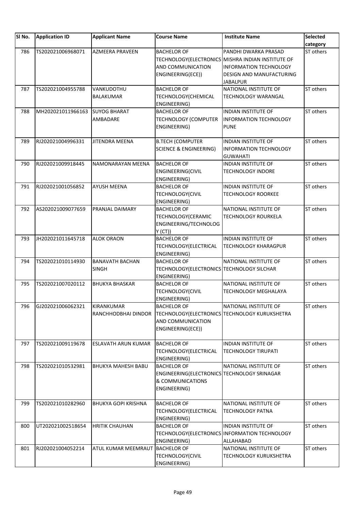| SI No. | <b>Application ID</b> | <b>Applicant Name</b>                  | <b>Course Name</b>                                                                                    | <b>Institute Name</b>                                                                                                                              | Selected<br>category |
|--------|-----------------------|----------------------------------------|-------------------------------------------------------------------------------------------------------|----------------------------------------------------------------------------------------------------------------------------------------------------|----------------------|
| 786    | TS202021006968071     | AZMEERA PRAVEEN                        | <b>BACHELOR OF</b><br>AND COMMUNICATION<br>ENGINEERING(ECE))                                          | PANDHI DWARKA PRASAD<br>TECHNOLOGY(ELECTRONICS MISHRA INDIAN INSTITUTE OF<br><b>INFORMATION TECHNOLOGY</b><br>DESIGN AND MANUFACTURING<br>JABALPUR | ST others            |
| 787    | TS202021004955788     | VANKUDOTHU<br><b>BALAKUMAR</b>         | <b>BACHELOR OF</b><br>TECHNOLOGY(CHEMICAL<br>ENGINEERING)                                             | NATIONAL INSTITUTE OF<br>TECHNOLOGY WARANGAL                                                                                                       | ST others            |
| 788    | MH202021011966163     | <b>SUYOG BHARAT</b><br>AMBADARE        | <b>BACHELOR OF</b><br><b>TECHNOLOGY (COMPUTER</b><br>ENGINEERING)                                     | <b>INDIAN INSTITUTE OF</b><br><b>INFORMATION TECHNOLOGY</b><br><b>PUNE</b>                                                                         | ST others            |
| 789    | RJ202021004996331     | JITENDRA MEENA                         | <b>B.TECH (COMPUTER</b><br><b>SCIENCE &amp; ENGINEERING)</b>                                          | INDIAN INSTITUTE OF<br><b>INFORMATION TECHNOLOGY</b><br><b>GUWAHATI</b>                                                                            | ST others            |
| 790    | RJ202021009918445     | NAMONARAYAN MEENA                      | <b>BACHELOR OF</b><br>ENGINEERING(CIVIL<br>ENGINEERING)                                               | INDIAN INSTITUTE OF<br><b>TECHNOLOGY INDORE</b>                                                                                                    | ST others            |
| 791    | RJ202021001056852     | <b>AYUSH MEENA</b>                     | <b>BACHELOR OF</b><br><b>TECHNOLOGY(CIVIL</b><br>ENGINEERING)                                         | INDIAN INSTITUTE OF<br><b>TECHNOLOGY ROORKEE</b>                                                                                                   | ST others            |
| 792    | AS202021009077659     | PRANJAL DAIMARY                        | <b>BACHELOR OF</b><br>TECHNOLOGY(CERAMIC<br>ENGINEERING/TECHNOLOG<br>Y(CT))                           | NATIONAL INSTITUTE OF<br><b>TECHNOLOGY ROURKELA</b>                                                                                                | ST others            |
| 793    | JH202021011645718     | <b>ALOK ORAON</b>                      | <b>BACHELOR OF</b><br>TECHNOLOGY(ELECTRICAL<br>ENGINEERING)                                           | INDIAN INSTITUTE OF<br>TECHNOLOGY KHARAGPUR                                                                                                        | ST others            |
| 794    | TS202021010114930     | <b>BANAVATH BACHAN</b><br><b>SINGH</b> | <b>BACHELOR OF</b><br>TECHNOLOGY(ELECTRONICS TECHNOLOGY SILCHAR<br>ENGINEERING)                       | NATIONAL INSTITUTE OF                                                                                                                              | ST others            |
| 795    | TS202021007020112     | <b>BHUKYA BHASKAR</b>                  | <b>BACHELOR OF</b><br>TECHNOLOGY(CIVIL<br>ENGINEERING)                                                | NATIONAL INSTITUTE OF<br>TECHNOLOGY MEGHALAYA                                                                                                      | ST others            |
| 796    | GJ202021006062321     | KIRANKUMAR<br>RANCHHODBHAI DINDOR      | <b>BACHELOR OF</b><br>AND COMMUNICATION<br>ENGINEERING(ECE))                                          | NATIONAL INSTITUTE OF<br>TECHNOLOGY(ELECTRONICS TECHNOLOGY KURUKSHETRA                                                                             | ST others            |
| 797    | TS202021009119678     | <b>ESLAVATH ARUN KUMAR</b>             | <b>BACHELOR OF</b><br>TECHNOLOGY(ELECTRICAL<br>ENGINEERING)                                           | INDIAN INSTITUTE OF<br><b>TECHNOLOGY TIRUPATI</b>                                                                                                  | ST others            |
| 798    | TS202021010532981     | <b>BHUKYA MAHESH BABU</b>              | <b>BACHELOR OF</b><br>ENGINEERING(ELECTRONICS TECHNOLOGY SRINAGAR<br>& COMMUNICATIONS<br>ENGINEERING) | NATIONAL INSTITUTE OF                                                                                                                              | ST others            |
| 799    | TS202021010282960     | <b>BHUKYA GOPI KRISHNA</b>             | <b>BACHELOR OF</b><br>TECHNOLOGY(ELECTRICAL<br>ENGINEERING)                                           | NATIONAL INSTITUTE OF<br><b>TECHNOLOGY PATNA</b>                                                                                                   | ST others            |
| 800    | UT202021002518654     | <b>HRITIK CHAUHAN</b>                  | <b>BACHELOR OF</b><br>ENGINEERING)                                                                    | INDIAN INSTITUTE OF<br>TECHNOLOGY(ELECTRONICS INFORMATION TECHNOLOGY<br>ALLAHABAD                                                                  | ST others            |
| 801    | RJ202021004052214     | ATUL KUMAR MEEMRAUT BACHELOR OF        | TECHNOLOGY(CIVIL<br>ENGINEERING)                                                                      | NATIONAL INSTITUTE OF<br>TECHNOLOGY KURUKSHETRA                                                                                                    | ST others            |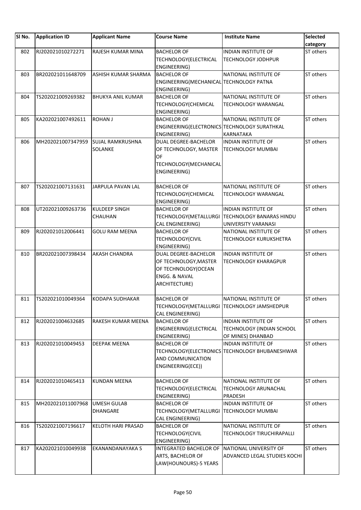| SI No. | <b>Application ID</b> | <b>Applicant Name</b>    | <b>Course Name</b>                           | <b>Institute Name</b>                           | Selected<br>category |
|--------|-----------------------|--------------------------|----------------------------------------------|-------------------------------------------------|----------------------|
| 802    | RJ202021010272271     | RAJESH KUMAR MINA        | <b>BACHELOR OF</b>                           | <b>INDIAN INSTITUTE OF</b>                      | ST others            |
|        |                       |                          | TECHNOLOGY(ELECTRICAL                        | <b>TECHNOLOGY JODHPUR</b>                       |                      |
|        |                       |                          | ENGINEERING)                                 |                                                 |                      |
| 803    | BR202021011648709     | ASHISH KUMAR SHARMA      | <b>BACHELOR OF</b>                           | NATIONAL INSTITUTE OF                           | ST others            |
|        |                       |                          | ENGINEERING(MECHANICAL TECHNOLOGY PATNA      |                                                 |                      |
|        |                       |                          | ENGINEERING)                                 |                                                 |                      |
| 804    | TS202021009269382     | <b>BHUKYA ANIL KUMAR</b> | <b>BACHELOR OF</b>                           | NATIONAL INSTITUTE OF                           | ST others            |
|        |                       |                          | TECHNOLOGY(CHEMICAL                          | <b>TECHNOLOGY WARANGAL</b>                      |                      |
|        |                       |                          | ENGINEERING)                                 |                                                 |                      |
| 805    | KA202021007492611     | <b>ROHAN J</b>           | <b>BACHELOR OF</b>                           | NATIONAL INSTITUTE OF                           | ST others            |
|        |                       |                          | ENGINEERING(ELECTRONICS TECHNOLOGY SURATHKAL |                                                 |                      |
|        |                       |                          | ENGINEERING)                                 | <b>KARNATAKA</b>                                |                      |
| 806    | MH202021007347959     | <b>SUJAL RAMKRUSHNA</b>  | DUAL DEGREE-BACHELOR                         | INDIAN INSTITUTE OF                             | ST others            |
|        |                       | SOLANKE                  | OF TECHNOLOGY, MASTER                        | <b>TECHNOLOGY MUMBAI</b>                        |                      |
|        |                       |                          | OF                                           |                                                 |                      |
|        |                       |                          | TECHNOLOGY (MECHANICAL                       |                                                 |                      |
|        |                       |                          | ENGINEERING)                                 |                                                 |                      |
|        |                       |                          |                                              |                                                 |                      |
| 807    | TS202021007131631     | JARPULA PAVAN LAL        | <b>BACHELOR OF</b>                           | NATIONAL INSTITUTE OF                           | ST others            |
|        |                       |                          | TECHNOLOGY(CHEMICAL                          | <b>TECHNOLOGY WARANGAL</b>                      |                      |
|        |                       |                          | ENGINEERING)                                 |                                                 |                      |
| 808    | UT202021009263736     | <b>KULDEEP SINGH</b>     | <b>BACHELOR OF</b>                           | INDIAN INSTITUTE OF                             | ST others            |
|        |                       | CHAUHAN                  |                                              | TECHNOLOGY (METALLURGI TECHNOLOGY BANARAS HINDU |                      |
|        |                       |                          | CAL ENGINEERING)                             | UNIVERSITY VARANASI                             |                      |
| 809    | RJ202021012006441     | <b>GOLU RAM MEENA</b>    | <b>BACHELOR OF</b>                           | NATIONAL INSTITUTE OF                           | ST others            |
|        |                       |                          | TECHNOLOGY(CIVIL                             | <b>TECHNOLOGY KURUKSHETRA</b>                   |                      |
|        |                       |                          | ENGINEERING)                                 |                                                 |                      |
| 810    | BR202021007398434     | <b>AKASH CHANDRA</b>     | <b>DUAL DEGREE-BACHELOR</b>                  | <b>INDIAN INSTITUTE OF</b>                      | ST others            |
|        |                       |                          | OF TECHNOLOGY, MASTER                        | <b>TECHNOLOGY KHARAGPUR</b>                     |                      |
|        |                       |                          | OF TECHNOLOGY (OCEAN                         |                                                 |                      |
|        |                       |                          | ENGG. & NAVAL                                |                                                 |                      |
|        |                       |                          | ARCHITECTURE)                                |                                                 |                      |
| 811    | TS202021010049364     | <b>KODAPA SUDHAKAR</b>   | <b>BACHELOR OF</b>                           | NATIONAL INSTITUTE OF                           | ST others            |
|        |                       |                          |                                              | TECHNOLOGY(METALLURGI TECHNOLOGY JAMSHEDPUR     |                      |
|        |                       |                          | CAL ENGINEERING)                             |                                                 |                      |
| 812    | RJ202021004632685     | RAKESH KUMAR MEENA       | <b>BACHELOR OF</b>                           | INDIAN INSTITUTE OF                             | ST others            |
|        |                       |                          | ENGINEERING(ELECTRICAL                       | TECHNOLOGY (INDIAN SCHOOL                       |                      |
|        |                       |                          | ENGINEERING)                                 | OF MINES) DHANBAD                               |                      |
| 813    | RJ202021010049453     | DEEPAK MEENA             | <b>BACHELOR OF</b>                           | INDIAN INSTITUTE OF                             | ST others            |
|        |                       |                          |                                              | TECHNOLOGY(ELECTRONICS TECHNOLOGY BHUBANESHWAR  |                      |
|        |                       |                          | AND COMMUNICATION                            |                                                 |                      |
|        |                       |                          | ENGINEERING(ECE))                            |                                                 |                      |
|        |                       |                          |                                              |                                                 |                      |
| 814    | RJ202021010465413     | <b>KUNDAN MEENA</b>      | <b>BACHELOR OF</b>                           | NATIONAL INSTITUTE OF                           | ST others            |
|        |                       |                          | TECHNOLOGY(ELECTRICAL                        | <b>TECHNOLOGY ARUNACHAL</b>                     |                      |
|        |                       |                          | ENGINEERING)                                 | PRADESH                                         |                      |
| 815    | MH202021011007968     | <b>UMESH GULAB</b>       | <b>BACHELOR OF</b>                           | INDIAN INSTITUTE OF                             | ST others            |
|        |                       | DHANGARE                 | TECHNOLOGY(METALLURGI                        | <b>TECHNOLOGY MUMBAI</b>                        |                      |
|        |                       |                          | CAL ENGINEERING)                             |                                                 |                      |
| 816    | TS202021007196617     | KELOTH HARI PRASAD       | <b>BACHELOR OF</b>                           | NATIONAL INSTITUTE OF                           | ST others            |
|        |                       |                          | TECHNOLOGY(CIVIL                             | TECHNOLOGY TIRUCHIRAPALLI                       |                      |
|        |                       |                          | ENGINEERING)                                 |                                                 |                      |
| 817    | KA202021010049938     | EKANANDANAYAKA S         | <b>INTEGRATED BACHELOR OF</b>                | NATIONAL UNIVERSITY OF                          | ST others            |
|        |                       |                          | ARTS, BACHELOR OF                            | ADVANCED LEGAL STUDIES KOCHI                    |                      |
|        |                       |                          | LAW(HOUNOURS)-5 YEARS                        |                                                 |                      |
|        |                       |                          |                                              |                                                 |                      |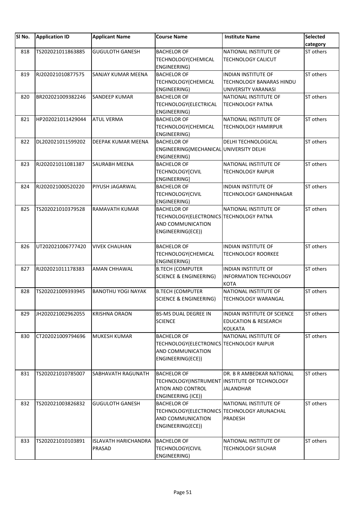| SI No. | <b>Application ID</b> | <b>Applicant Name</b>                 | <b>Course Name</b>                                                                                          | <b>Institute Name</b>                                                                   | <b>Selected</b><br>category |
|--------|-----------------------|---------------------------------------|-------------------------------------------------------------------------------------------------------------|-----------------------------------------------------------------------------------------|-----------------------------|
| 818    | TS202021011863885     | <b>GUGULOTH GANESH</b>                | <b>BACHELOR OF</b><br>TECHNOLOGY(CHEMICAL<br>ENGINEERING)                                                   | NATIONAL INSTITUTE OF<br><b>TECHNOLOGY CALICUT</b>                                      | ST others                   |
| 819    | RJ202021010877575     | SANJAY KUMAR MEENA                    | <b>BACHELOR OF</b><br>TECHNOLOGY(CHEMICAL<br>ENGINEERING)                                                   | <b>INDIAN INSTITUTE OF</b><br>TECHNOLOGY BANARAS HINDU<br>UNIVERSITY VARANASI           | ST others                   |
| 820    | BR202021009382246     | <b>SANDEEP KUMAR</b>                  | <b>BACHELOR OF</b><br>TECHNOLOGY(ELECTRICAL<br>ENGINEERING)                                                 | NATIONAL INSTITUTE OF<br><b>TECHNOLOGY PATNA</b>                                        | ST others                   |
| 821    | HP202021011429044     | <b>ATUL VERMA</b>                     | <b>BACHELOR OF</b><br>TECHNOLOGY(CHEMICAL<br>ENGINEERING)                                                   | NATIONAL INSTITUTE OF<br>TECHNOLOGY HAMIRPUR                                            | ST others                   |
| 822    | DL202021011599202     | DEEPAK KUMAR MEENA                    | <b>BACHELOR OF</b><br>ENGINEERING(MECHANICAL UNIVERSITY DELHI<br>ENGINEERING)                               | DELHI TECHNOLOGICAL                                                                     | ST others                   |
| 823    | RJ202021011081387     | <b>SAURABH MEENA</b>                  | <b>BACHELOR OF</b><br>TECHNOLOGY[CIVIL<br>ENGINEERING]                                                      | NATIONAL INSTITUTE OF<br><b>TECHNOLOGY RAIPUR</b>                                       | ST others                   |
| 824    | RJ202021000520220     | PIYUSH JAGARWAL                       | <b>BACHELOR OF</b><br><b>TECHNOLOGY(CIVIL</b><br>ENGINEERING)                                               | <b>INDIAN INSTITUTE OF</b><br>TECHNOLOGY GANDHINAGAR                                    | ST others                   |
| 825    | TS202021010379528     | RAMAVATH KUMAR                        | <b>BACHELOR OF</b><br>TECHNOLOGY(ELECTRONICS TECHNOLOGY PATNA<br>AND COMMUNICATION<br>ENGINEERING(ECE))     | NATIONAL INSTITUTE OF                                                                   | ST others                   |
| 826    | UT202021006777420     | <b>VIVEK CHAUHAN</b>                  | <b>BACHELOR OF</b><br>TECHNOLOGY(CHEMICAL<br>ENGINEERING)                                                   | <b>INDIAN INSTITUTE OF</b><br><b>TECHNOLOGY ROORKEE</b>                                 | ST others                   |
| 827    | RJ202021011178383     | <b>AMAN CHHAWAL</b>                   | <b>B.TECH (COMPUTER</b><br><b>SCIENCE &amp; ENGINEERING)</b>                                                | <b>INDIAN INSTITUTE OF</b><br><b>INFORMATION TECHNOLOGY</b><br><b>KOTA</b>              | ST others                   |
| 828    | TS202021009393945     | <b>BANOTHU YOGI NAYAK</b>             | <b>B.TECH (COMPUTER</b><br><b>SCIENCE &amp; ENGINEERING)</b>                                                | NATIONAL INSTITUTE OF<br><b>TECHNOLOGY WARANGAL</b>                                     | ST others                   |
| 829    | JH202021002962055     | <b>KRISHNA ORAON</b>                  | <b>BS-MS DUAL DEGREE IN</b><br><b>SCIENCE</b>                                                               | <b>INDIAN INSTITUTE OF SCIENCE</b><br><b>EDUCATION &amp; RESEARCH</b><br><b>KOLKATA</b> | ST others                   |
| 830    | CT202021009794696     | <b>MUKESH KUMAR</b>                   | <b>BACHELOR OF</b><br>TECHNOLOGY(ELECTRONICS TECHNOLOGY RAIPUR<br>AND COMMUNICATION<br>ENGINEERING(ECE))    | NATIONAL INSTITUTE OF                                                                   | ST others                   |
| 831    | TS202021010785007     | SABHAVATH RAGUNATH                    | <b>BACHELOR OF</b><br>ATION AND CONTROL<br>ENGINEERING (ICE))                                               | DR. B R AMBEDKAR NATIONAL<br>TECHNOLOGY(INSTRUMENT INSTITUTE OF TECHNOLOGY<br>JALANDHAR | ST others                   |
| 832    | TS202021003826832     | <b>GUGULOTH GANESH</b>                | <b>BACHELOR OF</b><br>TECHNOLOGY(ELECTRONICS TECHNOLOGY ARUNACHAL<br>AND COMMUNICATION<br>ENGINEERING(ECE)) | NATIONAL INSTITUTE OF<br><b>PRADESH</b>                                                 | ST others                   |
| 833    | TS202021010103891     | <b>ISLAVATH HARICHANDRA</b><br>PRASAD | <b>BACHELOR OF</b><br><b>TECHNOLOGY(CIVIL</b><br>ENGINEERING)                                               | NATIONAL INSTITUTE OF<br><b>TECHNOLOGY SILCHAR</b>                                      | ST others                   |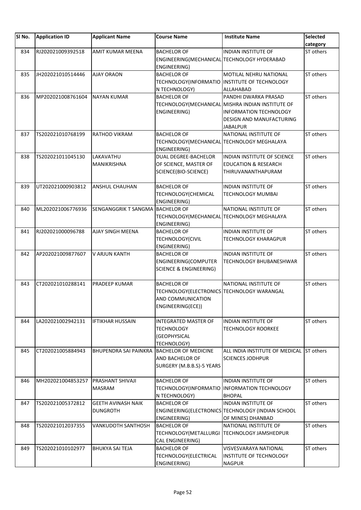| SI No. | <b>Application ID</b> | <b>Applicant Name</b>                      | <b>Course Name</b>                          | <b>Institute Name</b>                             | Selected  |
|--------|-----------------------|--------------------------------------------|---------------------------------------------|---------------------------------------------------|-----------|
|        |                       |                                            |                                             |                                                   | category  |
| 834    | RJ202021009392518     | <b>AMIT KUMAR MEENA</b>                    | <b>BACHELOR OF</b>                          | <b>INDIAN INSTITUTE OF</b>                        | ST others |
|        |                       |                                            | ENGINEERING(MECHANICAL TECHNOLOGY HYDERABAD |                                                   |           |
|        |                       |                                            | ENGINEERING)                                |                                                   |           |
| 835    | JH202021010514446     | <b>AJAY ORAON</b>                          | <b>BACHELOR OF</b>                          | MOTILAL NEHRU NATIONAL                            | ST others |
|        |                       |                                            |                                             | TECHNOLOGY(INFORMATIO INSTITUTE OF TECHNOLOGY     |           |
|        |                       |                                            | N TECHNOLOGY)                               | ALLAHABAD                                         |           |
| 836    | MP202021008761604     | <b>NAYAN KUMAR</b>                         | <b>BACHELOR OF</b>                          | PANDHI DWARKA PRASAD                              | ST others |
|        |                       |                                            |                                             | TECHNOLOGY (MECHANICAL MISHRA INDIAN INSTITUTE OF |           |
|        |                       |                                            | ENGINEERING)                                | <b>INFORMATION TECHNOLOGY</b>                     |           |
|        |                       |                                            |                                             | DESIGN AND MANUFACTURING                          |           |
|        |                       |                                            |                                             | <b>JABALPUR</b>                                   |           |
| 837    | TS202021010768199     | <b>RATHOD VIKRAM</b>                       | <b>BACHELOR OF</b>                          | NATIONAL INSTITUTE OF                             | ST others |
|        |                       |                                            | TECHNOLOGY(MECHANICAL TECHNOLOGY MEGHALAYA  |                                                   |           |
| 838    | TS202021011045130     | LAKAVATHU                                  | ENGINEERING)<br>DUAL DEGREE-BACHELOR        | <b>INDIAN INSTITUTE OF SCIENCE</b>                | ST others |
|        |                       | <b>MANIKRISHNA</b>                         | OF SCIENCE, MASTER OF                       | <b>EDUCATION &amp; RESEARCH</b>                   |           |
|        |                       |                                            | SCIENCE(BIO-SCIENCE)                        | <b>THIRUVANANTHAPURAM</b>                         |           |
|        |                       |                                            |                                             |                                                   |           |
| 839    | UT202021000903812     | ANSHUL CHAUHAN                             | <b>BACHELOR OF</b>                          | <b>INDIAN INSTITUTE OF</b>                        | ST others |
|        |                       |                                            | TECHNOLOGY(CHEMICAL                         | <b>TECHNOLOGY MUMBAI</b>                          |           |
|        |                       |                                            | ENGINEERING)                                |                                                   |           |
| 840    | ML202021006776936     | SENGANGGRIK T SANGMA BACHELOR OF           |                                             | NATIONAL INSTITUTE OF                             | ST others |
|        |                       |                                            | TECHNOLOGY(MECHANICAL TECHNOLOGY MEGHALAYA  |                                                   |           |
|        |                       |                                            | ENGINEERING)                                |                                                   |           |
| 841    | RJ202021000096788     | AJAY SINGH MEENA                           | <b>BACHELOR OF</b>                          | <b>INDIAN INSTITUTE OF</b>                        | ST others |
|        |                       |                                            | <b>TECHNOLOGY(CIVIL</b>                     | <b>TECHNOLOGY KHARAGPUR</b>                       |           |
|        |                       |                                            | ENGINEERING)                                |                                                   |           |
| 842    | AP202021009877607     | V ARJUN KANTH                              | <b>BACHELOR OF</b>                          | INDIAN INSTITUTE OF                               | ST others |
|        |                       |                                            | ENGINEERING(COMPUTER                        | TECHNOLOGY BHUBANESHWAR                           |           |
|        |                       |                                            | <b>SCIENCE &amp; ENGINEERING)</b>           |                                                   |           |
|        |                       |                                            |                                             |                                                   |           |
| 843    | CT202021010288141     | <b>PRADEEP KUMAR</b>                       | <b>BACHELOR OF</b>                          | NATIONAL INSTITUTE OF                             | ST others |
|        |                       |                                            | TECHNOLOGY(ELECTRONICS TECHNOLOGY WARANGAL  |                                                   |           |
|        |                       |                                            | AND COMMUNICATION                           |                                                   |           |
|        |                       |                                            | ENGINEERING(ECE))                           |                                                   |           |
| 844    | LA202021002942131     | <b>IFTIKHAR HUSSAIN</b>                    | <b>INTEGRATED MASTER OF</b>                 | <b>INDIAN INSTITUTE OF</b>                        | ST others |
|        |                       |                                            | TECHNOLOGY                                  | <b>TECHNOLOGY ROORKEE</b>                         |           |
|        |                       |                                            | <b>(GEOPHYSICAL</b>                         |                                                   |           |
|        |                       |                                            | TECHNOLOGY)                                 |                                                   |           |
| 845    | CT202021005884943     | BHUPENDRA SAI PAINKRA BACHELOR OF MEDICINE |                                             | ALL INDIA INSTITUTE OF MEDICAL ST others          |           |
|        |                       |                                            | AND BACHELOR OF                             | <b>SCIENCES JODHPUR</b>                           |           |
|        |                       |                                            | SURGERY (M.B.B.S)-5 YEARS                   |                                                   |           |
|        |                       |                                            |                                             |                                                   |           |
| 846    | MH202021004853257     | <b>PRASHANT SHIVAJI</b>                    | <b>BACHELOR OF</b>                          | <b>INDIAN INSTITUTE OF</b>                        | ST others |
|        |                       | <b>MASRAM</b>                              |                                             | TECHNOLOGY(INFORMATIO INFORMATION TECHNOLOGY      |           |
|        |                       |                                            | N TECHNOLOGY)                               | <b>BHOPAL</b>                                     |           |
| 847    | TS202021005372812     | <b>GEETH AVINASH NAIK</b>                  | <b>BACHELOR OF</b>                          | INDIAN INSTITUTE OF                               | ST others |
|        |                       | <b>DUNGROTH</b>                            |                                             | ENGINEERING(ELECTRONICS TECHNOLOGY (INDIAN SCHOOL |           |
|        |                       |                                            | ENGINEERING)                                | OF MINES) DHANBAD                                 |           |
| 848    | TS202021012037355     | VANKUDOTH SANTHOSH                         | <b>BACHELOR OF</b>                          | NATIONAL INSTITUTE OF                             | ST others |
|        |                       |                                            | TECHNOLOGY(METALLURGI                       | <b>TECHNOLOGY JAMSHEDPUR</b>                      |           |
|        |                       |                                            | CAL ENGINEERING)                            |                                                   |           |
| 849    | TS202021010102977     | <b>BHUKYA SAI TEJA</b>                     | <b>BACHELOR OF</b>                          | VISVESVARAYA NATIONAL                             | ST others |
|        |                       |                                            | TECHNOLOGY(ELECTRICAL                       | INSTITUTE OF TECHNOLOGY                           |           |
|        |                       |                                            | ENGINEERING)                                | <b>NAGPUR</b>                                     |           |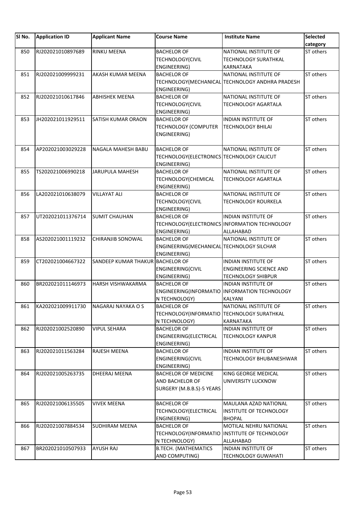| SI No. | <b>Application ID</b> | <b>Applicant Name</b>            | <b>Course Name</b>                         | <b>Institute Name</b>                           | <b>Selected</b><br>category |
|--------|-----------------------|----------------------------------|--------------------------------------------|-------------------------------------------------|-----------------------------|
| 850    | RJ202021010897689     | RINKU MEENA                      | <b>BACHELOR OF</b>                         | NATIONAL INSTITUTE OF                           | ST others                   |
|        |                       |                                  | TECHNOLOGY(CIVIL                           | <b>TECHNOLOGY SURATHKAL</b>                     |                             |
|        |                       |                                  | ENGINEERING)                               | KARNATAKA                                       |                             |
| 851    | RJ202021009999231     | AKASH KUMAR MEENA                | <b>BACHELOR OF</b>                         | NATIONAL INSTITUTE OF                           | ST others                   |
|        |                       |                                  |                                            | TECHNOLOGY(MECHANICAL TECHNOLOGY ANDHRA PRADESH |                             |
|        |                       |                                  | ENGINEERING)                               |                                                 |                             |
| 852    | RJ202021010617846     | <b>ABHISHEK MEENA</b>            | <b>BACHELOR OF</b>                         | NATIONAL INSTITUTE OF                           | ST others                   |
|        |                       |                                  | <b>TECHNOLOGY(CIVIL</b>                    | TECHNOLOGY AGARTALA                             |                             |
|        |                       |                                  | ENGINEERING)                               |                                                 |                             |
| 853    | JH202021011929511     | SATISH KUMAR ORAON               | <b>BACHELOR OF</b>                         | <b>INDIAN INSTITUTE OF</b>                      | ST others                   |
|        |                       |                                  | <b>TECHNOLOGY (COMPUTER</b>                | TECHNOLOGY BHILAI                               |                             |
|        |                       |                                  | ENGINEERING)                               |                                                 |                             |
| 854    | AP202021003029228     | NAGALA MAHESH BABU               | <b>BACHELOR OF</b>                         | NATIONAL INSTITUTE OF                           | ST others                   |
|        |                       |                                  | TECHNOLOGY(ELECTRONICS TECHNOLOGY CALICUT  |                                                 |                             |
|        |                       |                                  | ENGINEERING)                               |                                                 |                             |
| 855    | TS202021006990218     | JARUPULA MAHESH                  | <b>BACHELOR OF</b>                         | NATIONAL INSTITUTE OF                           | ST others                   |
|        |                       |                                  | TECHNOLOGY(CHEMICAL                        | <b>TECHNOLOGY AGARTALA</b>                      |                             |
|        |                       |                                  | ENGINEERING)                               |                                                 |                             |
| 856    | LA202021010638079     | <b>VILLAYAT ALI</b>              | <b>BACHELOR OF</b>                         | NATIONAL INSTITUTE OF                           | ST others                   |
|        |                       |                                  | <b>TECHNOLOGY(CIVIL</b>                    | <b>TECHNOLOGY ROURKELA</b>                      |                             |
|        |                       |                                  | ENGINEERING)                               |                                                 |                             |
| 857    | UT202021011376714     | <b>SUMIT CHAUHAN</b>             | <b>BACHELOR OF</b>                         | <b>INDIAN INSTITUTE OF</b>                      | ST others                   |
|        |                       |                                  |                                            | TECHNOLOGY(ELECTRONICS INFORMATION TECHNOLOGY   |                             |
|        |                       |                                  | ENGINEERING)                               | ALLAHABAD                                       |                             |
| 858    | AS202021001119232     | CHIRANJIB SONOWAL                | <b>BACHELOR OF</b>                         | NATIONAL INSTITUTE OF                           | ST others                   |
|        |                       |                                  | ENGINEERING(MECHANICAL TECHNOLOGY SILCHAR  |                                                 |                             |
|        |                       |                                  | ENGINEERING)                               |                                                 |                             |
| 859    | CT202021004667322     | SANDEEP KUMAR THAKUR BACHELOR OF |                                            | <b>INDIAN INSTITUTE OF</b>                      | ST others                   |
|        |                       |                                  | ENGINEERING(CIVIL                          | <b>ENGINEERING SCIENCE AND</b>                  |                             |
|        |                       |                                  | ENGINEERING)                               | <b>TECHNOLOGY SHIBPUR</b>                       |                             |
| 860    | BR202021011146973     | HARSH VISHWAKARMA                | <b>BACHELOR OF</b>                         | <b>INDIAN INSTITUTE OF</b>                      | ST others                   |
|        |                       |                                  |                                            | ENGINEERING(INFORMATIO INFORMATION TECHNOLOGY   |                             |
|        |                       |                                  | N TECHNOLOGY)                              | KALYANI                                         |                             |
| 861    | KA202021009911730     | NAGARAJ NAYAKA O S               | <b>BACHELOR OF</b>                         | NATIONAL INSTITUTE OF                           | ST others                   |
|        |                       |                                  | TECHNOLOGY(INFORMATIO TECHNOLOGY SURATHKAL |                                                 |                             |
|        |                       |                                  | N TECHNOLOGY)                              | KARNATAKA                                       |                             |
| 862    | RJ202021002520890     | <b>VIPUL SEHARA</b>              | <b>BACHELOR OF</b>                         | <b>INDIAN INSTITUTE OF</b>                      | ST others                   |
|        |                       |                                  | ENGINEERING(ELECTRICAL<br>ENGINEERING)     | <b>TECHNOLOGY KANPUR</b>                        |                             |
| 863    | RJ202021011563284     | RAJESH MEENA                     | <b>BACHELOR OF</b>                         | <b>INDIAN INSTITUTE OF</b>                      | ST others                   |
|        |                       |                                  | <b>ENGINEERING(CIVIL</b>                   | TECHNOLOGY BHUBANESHWAR                         |                             |
|        |                       |                                  | ENGINEERING)                               |                                                 |                             |
| 864    | RJ202021005263735     | DHEERAJ MEENA                    | <b>BACHELOR OF MEDICINE</b>                | KING GEORGE MEDICAL                             | ST others                   |
|        |                       |                                  | AND BACHELOR OF                            | UNIVERSITY LUCKNOW                              |                             |
|        |                       |                                  | SURGERY (M.B.B.S)-5 YEARS                  |                                                 |                             |
|        |                       |                                  |                                            |                                                 |                             |
| 865    | RJ202021006135505     | <b>VIVEK MEENA</b>               | <b>BACHELOR OF</b>                         | MAULANA AZAD NATIONAL                           | ST others                   |
|        |                       |                                  | TECHNOLOGY(ELECTRICAL                      | <b>INSTITUTE OF TECHNOLOGY</b>                  |                             |
|        |                       |                                  | ENGINEERING)                               | <b>BHOPAL</b>                                   |                             |
| 866    | RJ202021007884534     | <b>SUDHIRAM MEENA</b>            | <b>BACHELOR OF</b>                         | MOTILAL NEHRU NATIONAL                          | ST others                   |
|        |                       |                                  |                                            | TECHNOLOGY(INFORMATIO INSTITUTE OF TECHNOLOGY   |                             |
|        |                       |                                  | N TECHNOLOGY)                              | ALLAHABAD                                       |                             |
| 867    | BR202021010507933     | <b>AYUSH RAJ</b>                 | <b>B.TECH. (MATHEMATICS</b>                | <b>INDIAN INSTITUTE OF</b>                      | ST others                   |
|        |                       |                                  | AND COMPUTING)                             | <b>TECHNOLOGY GUWAHATI</b>                      |                             |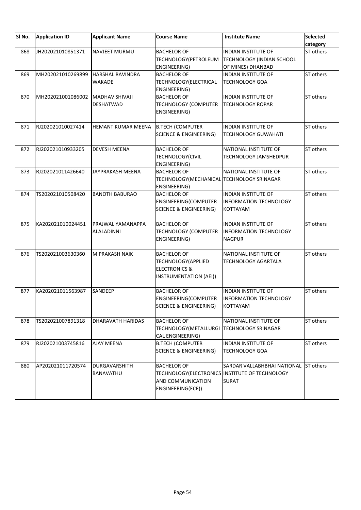| SI <sub>No.</sub> | <b>Application ID</b> | <b>Applicant Name</b>                  | <b>Course Name</b>                                                                             | <b>Institute Name</b>                                                                          | Selected<br>category |
|-------------------|-----------------------|----------------------------------------|------------------------------------------------------------------------------------------------|------------------------------------------------------------------------------------------------|----------------------|
| 868               | JH202021010851371     | NAVJEET MURMU                          | <b>BACHELOR OF</b><br>TECHNOLOGY(PETROLEUM<br>ENGINEERING)                                     | <b>INDIAN INSTITUTE OF</b><br>TECHNOLOGY (INDIAN SCHOOL<br>OF MINES) DHANBAD                   | ST others            |
| 869               | MH202021010269899     | <b>HARSHAL RAVINDRA</b><br>WAKADE      | <b>BACHELOR OF</b><br>TECHNOLOGY(ELECTRICAL<br>ENGINEERING)                                    | <b>INDIAN INSTITUTE OF</b><br><b>TECHNOLOGY GOA</b>                                            | ST others            |
| 870               | MH202021001086002     | <b>MADHAV SHIVAJI</b><br>DESHATWAD     | <b>BACHELOR OF</b><br><b>TECHNOLOGY (COMPUTER</b><br>ENGINEERING)                              | <b>INDIAN INSTITUTE OF</b><br><b>TECHNOLOGY ROPAR</b>                                          | ST others            |
| 871               | RJ202021010027414     | HEMANT KUMAR MEENA                     | <b>B.TECH (COMPUTER</b><br><b>SCIENCE &amp; ENGINEERING)</b>                                   | <b>INDIAN INSTITUTE OF</b><br><b>TECHNOLOGY GUWAHATI</b>                                       | ST others            |
| 872               | RJ202021010933205     | <b>DEVESH MEENA</b>                    | <b>BACHELOR OF</b><br>TECHNOLOGY(CIVIL<br>ENGINEERING)                                         | NATIONAL INSTITUTE OF<br><b>TECHNOLOGY JAMSHEDPUR</b>                                          | ST others            |
| 873               | RJ202021011426640     | JAYPRAKASH MEENA                       | <b>BACHELOR OF</b><br>TECHNOLOGY(MECHANICAL TECHNOLOGY SRINAGAR<br>ENGINEERING)                | NATIONAL INSTITUTE OF                                                                          | ST others            |
| 874               | TS202021010508420     | <b>BANOTH BABURAO</b>                  | <b>BACHELOR OF</b><br>ENGINEERING(COMPUTER<br><b>SCIENCE &amp; ENGINEERING)</b>                | INDIAN INSTITUTE OF<br><b>INFORMATION TECHNOLOGY</b><br>KOTTAYAM                               | ST others            |
| 875               | KA202021010024451     | PRAJWAL YAMANAPPA<br><b>ALALADINNI</b> | <b>BACHELOR OF</b><br><b>TECHNOLOGY (COMPUTER</b><br>ENGINEERING)                              | <b>INDIAN INSTITUTE OF</b><br><b>INFORMATION TECHNOLOGY</b><br><b>NAGPUR</b>                   | ST others            |
| 876               | TS202021003630360     | M PRAKASH NAIK                         | <b>BACHELOR OF</b><br>TECHNOLOGY(APPLIED<br><b>ELECTRONICS &amp;</b><br>INSTRUMENTATION (AEI)) | NATIONAL INSTITUTE OF<br><b>TECHNOLOGY AGARTALA</b>                                            | ST others            |
| 877               | KA202021011563987     | SANDEEP                                | <b>BACHELOR OF</b><br>ENGINEERING(COMPUTER<br>SCIENCE & ENGINEERING)                           | <b>INDIAN INSTITUTE OF</b><br><b>INFORMATION TECHNOLOGY</b><br>KOTTAYAM                        | ST others            |
| 878               | TS202021007891318     | <b>DHARAVATH HARIDAS</b>               | <b>BACHELOR OF</b><br>TECHNOLOGY (METALLURGI<br>CAL ENGINEERING)                               | NATIONAL INSTITUTE OF<br><b>TECHNOLOGY SRINAGAR</b>                                            | ST others            |
| 879               | RJ202021003745816     | <b>AJAY MEENA</b>                      | <b>B.TECH (COMPUTER</b><br><b>SCIENCE &amp; ENGINEERING)</b>                                   | <b>INDIAN INSTITUTE OF</b><br><b>TECHNOLOGY GOA</b>                                            | ST others            |
| 880               | AP202021011720574     | DURGAVARSHITH<br>BANAVATHU             | <b>BACHELOR OF</b><br>AND COMMUNICATION<br>ENGINEERING(ECE))                                   | SARDAR VALLABHBHAI NATIONAL<br>TECHNOLOGY (ELECTRONICS INSTITUTE OF TECHNOLOGY<br><b>SURAT</b> | ST others            |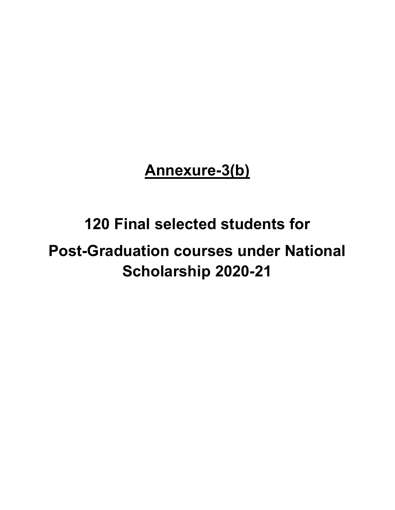## Annexure-3(b)

## 120 Final selected students for Post-Graduation courses under National Scholarship 2020-21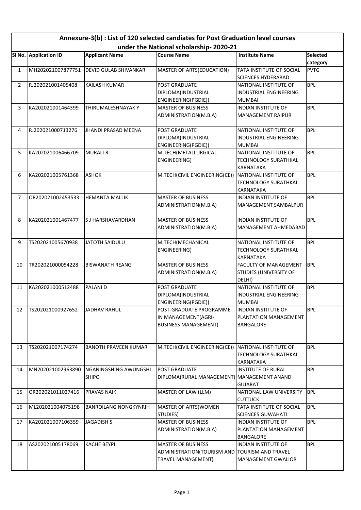|                | Annexure-3(b) : List of 120 selected candiates for Post Graduation level courses<br>under the National scholarship-2020-21 |                                       |                                                                                                         |                                                                         |                         |  |  |  |
|----------------|----------------------------------------------------------------------------------------------------------------------------|---------------------------------------|---------------------------------------------------------------------------------------------------------|-------------------------------------------------------------------------|-------------------------|--|--|--|
|                | SI No. Application ID                                                                                                      | <b>Applicant Name</b>                 | <b>Course Name</b>                                                                                      | <b>Institute Name</b>                                                   | <b>Selected</b>         |  |  |  |
| $\mathbf{1}$   | MH202021007877751                                                                                                          | <b>DEVID GULAB SHIVANKAR</b>          | MASTER OF ARTS(EDUCATION)                                                                               | TATA INSTITUTE OF SOCIAL<br><b>SCIENCES HYDERABAD</b>                   | category<br><b>PVTG</b> |  |  |  |
| $\overline{2}$ | RJ202021001405408                                                                                                          | KAILASH KUMAR                         | <b>POST GRADUATE</b><br>DIPLOMA(INDUSTRIAL<br>ENGINEERING(PGDIE))                                       | NATIONAL INSTITUTE OF<br>INDUSTRIAL ENGINEERING<br><b>MUMBAI</b>        | <b>BPL</b>              |  |  |  |
| 3              | KA202021001464399                                                                                                          | THIRUMALESHNAYAK Y                    | <b>MASTER OF BUSINESS</b><br>ADMINISTRATION(M.B.A)                                                      | <b>INDIAN INSTITUTE OF</b><br><b>MANAGEMENT RAIPUR</b>                  | <b>BPL</b>              |  |  |  |
| 4              | RJ202021000713276                                                                                                          | <b>JHANDI PRASAD MEENA</b>            | <b>POST GRADUATE</b><br>DIPLOMA(INDUSTRIAL<br>ENGINEERING(PGDIE))                                       | NATIONAL INSTITUTE OF<br><b>INDUSTRIAL ENGINEERING</b><br><b>MUMBAI</b> | <b>BPL</b>              |  |  |  |
| 5              | KA202021006466709                                                                                                          | <b>MURALI R</b>                       | M.TECH(METALLURGICAL<br>ENGINEERING)                                                                    | NATIONAL INSTITUTE OF<br>TECHNOLOGY SURATHKAL<br><b>KARNATAKA</b>       | <b>BPL</b>              |  |  |  |
| 6              | KA202021005761368                                                                                                          | <b>ASHOK</b>                          | M.TECH(CIVIL ENGINEERING(CE))                                                                           | NATIONAL INSTITUTE OF<br><b>TECHNOLOGY SURATHKAL</b><br>KARNATAKA       | <b>BPL</b>              |  |  |  |
| $\overline{7}$ | OR202021002453533                                                                                                          | <b>HEMANTA MALLIK</b>                 | <b>MASTER OF BUSINESS</b><br>ADMINISTRATION(M.B.A)                                                      | <b>INDIAN INSTITUTE OF</b><br>MANAGEMENT SAMBALPUR                      | <b>BPL</b>              |  |  |  |
| 8              | KA202021001467477                                                                                                          | S J HARSHAVARDHAN                     | <b>MASTER OF BUSINESS</b><br>ADMINISTRATION(M.B.A)                                                      | <b>INDIAN INSTITUTE OF</b><br>MANAGEMENT AHMEDABAD                      | <b>BPL</b>              |  |  |  |
| 9              | TS202021005670938                                                                                                          | JATOTH SAIDULU                        | M.TECH(MECHANICAL<br>ENGINEERING)                                                                       | NATIONAL INSTITUTE OF<br><b>TECHNOLOGY SURATHKAL</b><br>KARNATAKA       | <b>BPL</b>              |  |  |  |
| 10             | TR202021000054228                                                                                                          | <b>BISWANATH REANG</b>                | <b>MASTER OF BUSINESS</b><br>ADMINISTRATION(M.B.A)                                                      | <b>FACULTY OF MANAGEMENT</b><br>STUDIES (UNIVERSITY OF<br>DELHI)        | <b>BPL</b>              |  |  |  |
| 11             | KA202021000512488                                                                                                          | PALANI D                              | <b>POST GRADUATE</b><br>DIPLOMA(INDUSTRIAL<br>ENGINEERING(PGDIE))                                       | NATIONAL INSTITUTE OF<br>INDUSTRIAL ENGINEERING<br><b>MUMBAI</b>        | <b>BPL</b>              |  |  |  |
| 12             | TS202021000927652                                                                                                          | <b>JADHAV RAHUL</b>                   | POST-GRADUATE PROGRAMME<br>IN MANAGEMENT(AGRI-<br><b>BUSINESS MANAGEMENT)</b>                           | INDIAN INSTITUTE OF<br>PLANTATION MANAGEMENT<br>BANGALORE               | <b>BPL</b>              |  |  |  |
| 13             | TS202021007174274                                                                                                          | <b>BANOTH PRAVEEN KUMAR</b>           | M.TECH(CIVIL ENGINEERING(CE))                                                                           | NATIONAL INSTITUTE OF<br><b>TECHNOLOGY SURATHKAL</b><br>KARNATAKA       | <b>BPL</b>              |  |  |  |
| 14             | MN202021002963890                                                                                                          | NGANINGSHING AWUNGSHI<br><b>SHIPO</b> | <b>POST GRADUATE</b><br>DIPLOMA(RURAL MANAGEMENT) MANAGEMENT ANAND                                      | <b>INSTITUTE OF RURAL</b><br><b>GUJARAT</b>                             | <b>BPL</b>              |  |  |  |
| 15             | OR202021011027416                                                                                                          | <b>PRAVAS NAIK</b>                    | MASTER OF LAW (LLM)                                                                                     | NATIONAL LAW UNIVERSITY<br><b>CUTTUCK</b>                               | <b>BPL</b>              |  |  |  |
| 16             | ML202021004075198                                                                                                          | <b>BANROILANG NONGKYNRIH</b>          | MASTER OF ARTS(WOMEN<br>STUDIES)                                                                        | TATA INSTITUTE OF SOCIAL<br><b>SCIENCES GUWAHATI</b>                    | <b>BPL</b>              |  |  |  |
| 17             | KA202021007106359                                                                                                          | <b>JAGADISH S</b>                     | <b>MASTER OF BUSINESS</b><br>ADMINISTRATION(M.B.A)                                                      | INDIAN INSTITUTE OF<br>PLANTATION MANAGEMENT<br>BANGALORE               | <b>BPL</b>              |  |  |  |
| 18             | AS202021005178069                                                                                                          | <b>KACHE BEYPI</b>                    | <b>MASTER OF BUSINESS</b><br>ADMINISTRATION(TOURISM AND TOURISM AND TRAVEL<br><b>TRAVEL MANAGEMENT)</b> | <b>INDIAN INSTITUTE OF</b><br>MANAGEMENT GWALIOR                        | <b>BPL</b>              |  |  |  |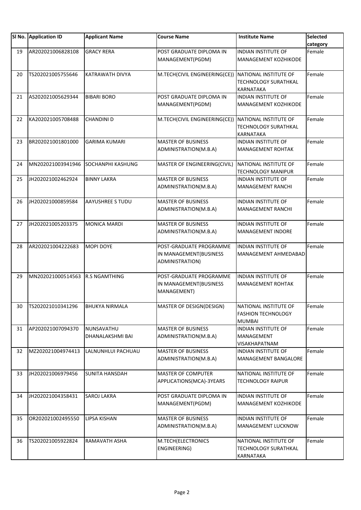|    | SI No. Application ID | <b>Applicant Name</b>          | <b>Course Name</b>                                                   | <b>Institute Name</b>                                                    | Selected<br>category |
|----|-----------------------|--------------------------------|----------------------------------------------------------------------|--------------------------------------------------------------------------|----------------------|
| 19 | AR202021006828108     | <b>GRACY RERA</b>              | POST GRADUATE DIPLOMA IN<br>MANAGEMENT(PGDM)                         | <b>INDIAN INSTITUTE OF</b><br>MANAGEMENT KOZHIKODE                       | Female               |
| 20 | TS202021005755646     | KATRAWATH DIVYA                | M.TECH(CIVIL ENGINEERING(CE))                                        | NATIONAL INSTITUTE OF<br><b>TECHNOLOGY SURATHKAL</b><br>KARNATAKA        | Female               |
| 21 | AS202021005629344     | <b>BIBARI BORO</b>             | POST GRADUATE DIPLOMA IN<br>MANAGEMENT(PGDM)                         | <b>INDIAN INSTITUTE OF</b><br>MANAGEMENT KOZHIKODE                       | Female               |
| 22 | KA202021005708488     | <b>CHANDINI D</b>              | M.TECH(CIVIL ENGINEERING(CE))                                        | NATIONAL INSTITUTE OF<br><b>TECHNOLOGY SURATHKAL</b><br><b>KARNATAKA</b> | Female               |
| 23 | BR202021001801000     | <b>GARIMA KUMARI</b>           | <b>MASTER OF BUSINESS</b><br>ADMINISTRATION(M.B.A)                   | <b>INDIAN INSTITUTE OF</b><br><b>MANAGEMENT ROHTAK</b>                   | Female               |
| 24 | MN202021003941946     | SOCHANPHI KASHUNG              | MASTER OF ENGINEERING(CIVIL)                                         | NATIONAL INSTITUTE OF<br><b>TECHNOLOGY MANIPUR</b>                       | Female               |
| 25 | JH202021002462924     | <b>BINNY LAKRA</b>             | <b>MASTER OF BUSINESS</b><br>ADMINISTRATION(M.B.A)                   | <b>INDIAN INSTITUTE OF</b><br><b>MANAGEMENT RANCHI</b>                   | Female               |
| 26 | JH202021000859584     | <b>AAYUSHREE S TUDU</b>        | <b>MASTER OF BUSINESS</b><br>ADMINISTRATION(M.B.A)                   | <b>INDIAN INSTITUTE OF</b><br><b>MANAGEMENT RANCHI</b>                   | Female               |
| 27 | JH202021005203375     | <b>MONICA MARDI</b>            | <b>MASTER OF BUSINESS</b><br>ADMINISTRATION(M.B.A)                   | <b>INDIAN INSTITUTE OF</b><br><b>MANAGEMENT INDORE</b>                   | Female               |
| 28 | AR202021004222683     | MOPI DOYE                      | POST-GRADUATE PROGRAMME<br>IN MANAGEMENT(BUSINESS<br>ADMINISTRATION) | <b>INDIAN INSTITUTE OF</b><br><b>MANAGEMENT AHMEDABAD</b>                | Female               |
| 29 | MN202021000514563     | <b>R.S NGAMTHING</b>           | POST-GRADUATE PROGRAMME<br>IN MANAGEMENT(BUSINESS<br>MANAGEMENT)     | <b>INDIAN INSTITUTE OF</b><br><b>MANAGEMENT ROHTAK</b>                   | Female               |
| 30 | TS202021010341296     | <b>BHUKYA NIRMALA</b>          | MASTER OF DESIGN(DESIGN)                                             | NATIONAL INSTITUTE OF<br><b>FASHION TECHNOLOGY</b><br><b>MUMBAI</b>      | Female               |
| 31 | AP202021007094370     | NUNSAVATHU<br>DHANALAKSHMI BAI | <b>MASTER OF BUSINESS</b><br>ADMINISTRATION(M.B.A)                   | <b>INDIAN INSTITUTE OF</b><br>MANAGEMENT<br>VISAKHAPATNAM                | Female               |
| 32 | MZ202021004974413     | LALNUNHLUI PACHUAU             | <b>MASTER OF BUSINESS</b><br>ADMINISTRATION(M.B.A)                   | <b>INDIAN INSTITUTE OF</b><br>MANAGEMENT BANGALORE                       | Female               |
| 33 | JH202021006979456     | SUNITA HANSDAH                 | <b>MASTER OF COMPUTER</b><br>APPLICATIONS(MCA)-3YEARS                | NATIONAL INSTITUTE OF<br><b>TECHNOLOGY RAIPUR</b>                        | Female               |
| 34 | JH202021004358431     | SAROJ LAKRA                    | POST GRADUATE DIPLOMA IN<br>MANAGEMENT(PGDM)                         | <b>INDIAN INSTITUTE OF</b><br>MANAGEMENT KOZHIKODE                       | Female               |
| 35 | OR202021002495550     | LIPSA KISHAN                   | <b>MASTER OF BUSINESS</b><br>ADMINISTRATION(M.B.A)                   | <b>INDIAN INSTITUTE OF</b><br><b>MANAGEMENT LUCKNOW</b>                  | Female               |
| 36 | TS202021005922824     | RAMAVATH ASHA                  | M.TECH(ELECTRONICS<br>ENGINEERING)                                   | NATIONAL INSTITUTE OF<br><b>TECHNOLOGY SURATHKAL</b><br>KARNATAKA        | Female               |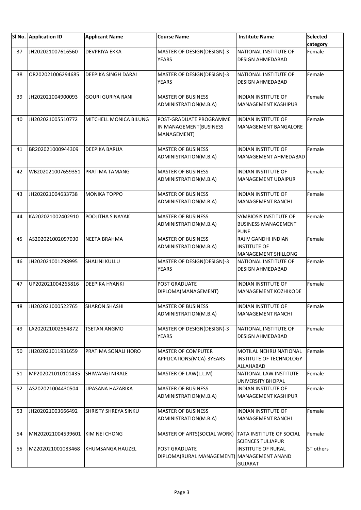|    | SI No. Application ID | <b>Applicant Name</b>      | <b>Course Name</b>                                                 | <b>Institute Name</b>                                               | <b>Selected</b><br>category |
|----|-----------------------|----------------------------|--------------------------------------------------------------------|---------------------------------------------------------------------|-----------------------------|
| 37 | JH202021007616560     | <b>DEVPRIYA EKKA</b>       | MASTER OF DESIGN(DESIGN)-3<br><b>YEARS</b>                         | NATIONAL INSTITUTE OF<br><b>DESIGN AHMEDABAD</b>                    | Female                      |
| 38 | OR202021006294685     | <b>DEEPIKA SINGH DARAI</b> | MASTER OF DESIGN(DESIGN)-3<br><b>YEARS</b>                         | NATIONAL INSTITUTE OF<br><b>DESIGN AHMEDABAD</b>                    | Female                      |
| 39 | JH202021004900093     | <b>GOURI GURIYA RANI</b>   | <b>MASTER OF BUSINESS</b><br>ADMINISTRATION(M.B.A)                 | <b>INDIAN INSTITUTE OF</b><br><b>MANAGEMENT KASHIPUR</b>            | Female                      |
| 40 | JH202021005510772     | MITCHELL MONICA BILUNG     | POST-GRADUATE PROGRAMME<br>IN MANAGEMENT(BUSINESS<br>MANAGEMENT)   | <b>INDIAN INSTITUTE OF</b><br>MANAGEMENT BANGALORE                  | Female                      |
| 41 | BR202021000944309     | <b>DEEPIKA BARUA</b>       | <b>MASTER OF BUSINESS</b><br>ADMINISTRATION(M.B.A)                 | <b>INDIAN INSTITUTE OF</b><br><b>MANAGEMENT AHMEDABAD</b>           | Female                      |
| 42 | WB202021007659351     | PRATIMA TAMANG             | <b>MASTER OF BUSINESS</b><br>ADMINISTRATION(M.B.A)                 | <b>INDIAN INSTITUTE OF</b><br><b>MANAGEMENT UDAIPUR</b>             | Female                      |
| 43 | JH202021004633738     | <b>MONIKA TOPPO</b>        | <b>MASTER OF BUSINESS</b><br>ADMINISTRATION(M.B.A)                 | <b>INDIAN INSTITUTE OF</b><br><b>MANAGEMENT RANCHI</b>              | Female                      |
| 44 | KA202021002402910     | POOJITHA S NAYAK           | <b>MASTER OF BUSINESS</b><br>ADMINISTRATION(M.B.A)                 | SYMBIOSIS INSTITUTE OF<br><b>BUSINESS MANAGEMENT</b><br><b>PUNE</b> | Female                      |
| 45 | AS202021002097030     | <b>NEETA BRAHMA</b>        | <b>MASTER OF BUSINESS</b><br>ADMINISTRATION(M.B.A)                 | RAJIV GANDHI INDIAN<br>INSTITUTE OF<br><b>MANAGEMENT SHILLONG</b>   | Female                      |
| 46 | JH202021001298995     | <b>SHALINI KULLU</b>       | MASTER OF DESIGN(DESIGN)-3<br><b>YEARS</b>                         | NATIONAL INSTITUTE OF<br><b>DESIGN AHMEDABAD</b>                    | Female                      |
| 47 | UP202021004265816     | <b>DEEPIKA HYANKI</b>      | <b>POST GRADUATE</b><br>DIPLOMA(MANAGEMENT)                        | <b>INDIAN INSTITUTE OF</b><br>MANAGEMENT KOZHIKODE                  | Female                      |
| 48 | JH202021000522765     | <b>SHARON SHASHI</b>       | <b>MASTER OF BUSINESS</b><br>ADMINISTRATION(M.B.A)                 | <b>INDIAN INSTITUTE OF</b><br><b>MANAGEMENT RANCHI</b>              | Female                      |
| 49 | LA202021002564872     | <b>TSETAN ANGMO</b>        | MASTER OF DESIGN(DESIGN)-3<br><b>YEARS</b>                         | NATIONAL INSTITUTE OF<br><b>DESIGN AHMEDABAD</b>                    | Female                      |
| 50 | JH202021011931659     | PRATIMA SONALI HORO        | <b>MASTER OF COMPUTER</b><br>APPLICATIONS(MCA)-3YEARS              | MOTILAL NEHRU NATIONAL<br>INSTITUTE OF TECHNOLOGY<br>ALLAHABAD      | Female                      |
| 51 | MP202021010101435     | SHIWANGI NIRALE            | MASTER OF LAW(L.L.M)                                               | NATIONAL LAW INSTITUTE<br>UNIVERSITY BHOPAL                         | Female                      |
| 52 | AS202021004430504     | UPASANA HAZARIKA           | <b>MASTER OF BUSINESS</b><br>ADMINISTRATION(M.B.A)                 | INDIAN INSTITUTE OF<br>MANAGEMENT KASHIPUR                          | Female                      |
| 53 | JH202021003666492     | SHRISTY SHREYA SINKU       | <b>MASTER OF BUSINESS</b><br>ADMINISTRATION(M.B.A)                 | <b>INDIAN INSTITUTE OF</b><br><b>MANAGEMENT RANCHI</b>              | Female                      |
| 54 | MN202021004599601     | <b>KIM NEI CHONG</b>       | MASTER OF ARTS(SOCIAL WORK)                                        | TATA INSTITUTE OF SOCIAL<br><b>SCIENCES TULJAPUR</b>                | Female                      |
| 55 | MZ202021001083468     | KHUMSANGA HAUZEL           | <b>POST GRADUATE</b><br>DIPLOMA(RURAL MANAGEMENT) MANAGEMENT ANAND | <b>INSTITUTE OF RURAL</b><br><b>GUJARAT</b>                         | ST others                   |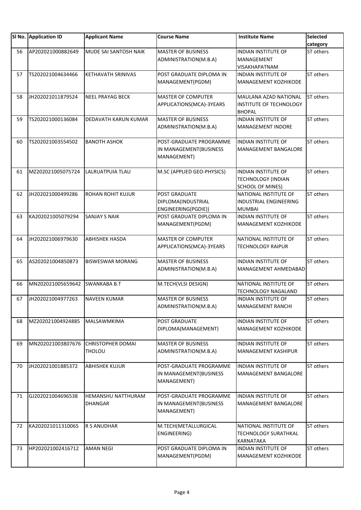|    | SI No. Application ID | <b>Applicant Name</b>       | <b>Course Name</b>         | <b>Institute Name</b>         | <b>Selected</b><br>category |
|----|-----------------------|-----------------------------|----------------------------|-------------------------------|-----------------------------|
|    |                       |                             |                            |                               |                             |
| 56 | AP202021000882649     | MUDE SAI SANTOSH NAIK       | <b>MASTER OF BUSINESS</b>  | <b>INDIAN INSTITUTE OF</b>    | ST others                   |
|    |                       |                             | ADMINISTRATION(M.B.A)      | MANAGEMENT                    |                             |
|    |                       |                             |                            | VISAKHAPATNAM                 |                             |
| 57 | TS202021004634466     | <b>KETHAVATH SRINIVAS</b>   | POST GRADUATE DIPLOMA IN   | <b>INDIAN INSTITUTE OF</b>    | ST others                   |
|    |                       |                             | MANAGEMENT(PGDM)           | MANAGEMENT KOZHIKODE          |                             |
|    |                       |                             |                            |                               |                             |
| 58 | JH202021011879524     | <b>NEEL PRAYAG BECK</b>     | <b>MASTER OF COMPUTER</b>  | MAULANA AZAD NATIONAL         | ST others                   |
|    |                       |                             | APPLICATIONS(MCA)-3YEARS   | INSTITUTE OF TECHNOLOGY       |                             |
|    |                       |                             |                            | <b>BHOPAL</b>                 |                             |
| 59 | TS202021000136084     | <b>DEDAVATH KARUN KUMAR</b> | <b>MASTER OF BUSINESS</b>  | <b>INDIAN INSTITUTE OF</b>    | ST others                   |
|    |                       |                             | ADMINISTRATION(M.B.A)      | MANAGEMENT INDORE             |                             |
|    |                       |                             |                            |                               |                             |
| 60 | TS202021003554502     | <b>BANOTH ASHOK</b>         | POST-GRADUATE PROGRAMME    | <b>INDIAN INSTITUTE OF</b>    | ST others                   |
|    |                       |                             | IN MANAGEMENT(BUSINESS     | <b>MANAGEMENT BANGALORE</b>   |                             |
|    |                       |                             | MANAGEMENT)                |                               |                             |
|    |                       |                             |                            |                               |                             |
| 61 | MZ202021005075724     | <b>LALRUATPUIA TLAU</b>     | M.SC (APPLIED GEO-PHYSICS) | <b>INDIAN INSTITUTE OF</b>    | ST others                   |
|    |                       |                             |                            | <b>TECHNOLOGY (INDIAN</b>     |                             |
|    |                       |                             |                            |                               |                             |
|    |                       |                             |                            | <b>SCHOOL OF MINES)</b>       | ST others                   |
| 62 | JH202021000499286     | <b>ROHAN ROHIT KUJUR</b>    | POST GRADUATE              | NATIONAL INSTITUTE OF         |                             |
|    |                       |                             | DIPLOMA(INDUSTRIAL         | <b>INDUSTRIAL ENGINEERING</b> |                             |
|    |                       |                             | ENGINEERING(PGDIE))        | <b>MUMBAI</b>                 |                             |
| 63 | KA202021005079294     | <b>SANJAY S NAIK</b>        | POST GRADUATE DIPLOMA IN   | <b>INDIAN INSTITUTE OF</b>    | ST others                   |
|    |                       |                             | MANAGEMENT(PGDM)           | MANAGEMENT KOZHIKODE          |                             |
|    |                       |                             |                            |                               |                             |
| 64 | JH202021006979630     | <b>ABHISHEK HASDA</b>       | <b>MASTER OF COMPUTER</b>  | NATIONAL INSTITUTE OF         | ST others                   |
|    |                       |                             | APPLICATIONS(MCA)-3YEARS   | <b>TECHNOLOGY RAIPUR</b>      |                             |
|    |                       |                             |                            |                               |                             |
| 65 | AS202021004850873     | <b>BISWESWAR MORANG</b>     | <b>MASTER OF BUSINESS</b>  | <b>INDIAN INSTITUTE OF</b>    | ST others                   |
|    |                       |                             | ADMINISTRATION(M.B.A)      | MANAGEMENT AHMEDABAD          |                             |
|    |                       |                             |                            |                               |                             |
| 66 | MN202021005659642     | <b>SWANKABA B.T</b>         | M.TECH(VLSI DESIGN)        | NATIONAL INSTITUTE OF         | ST others                   |
|    |                       |                             |                            | TECHNOLOGY NAGALAND           |                             |
| 67 | JH202021004977263     | <b>NAVEEN KUMAR</b>         | <b>MASTER OF BUSINESS</b>  | <b>INDIAN INSTITUTE OF</b>    | ST others                   |
|    |                       |                             | ADMINISTRATION(M.B.A)      | <b>MANAGEMENT RANCHI</b>      |                             |
|    |                       |                             |                            |                               |                             |
| 68 | MZ202021004924885     | MALSAWMKIMA                 | <b>POST GRADUATE</b>       | <b>INDIAN INSTITUTE OF</b>    | ST others                   |
|    |                       |                             | DIPLOMA(MANAGEMENT)        | <b>MANAGEMENT KOZHIKODE</b>   |                             |
|    |                       |                             |                            |                               |                             |
| 69 | MN202021003807676     | <b>CHRISTOPHER DOMAI</b>    | <b>MASTER OF BUSINESS</b>  | <b>INDIAN INSTITUTE OF</b>    | ST others                   |
|    |                       | <b>THOLOU</b>               | ADMINISTRATION(M.B.A)      | MANAGEMENT KASHIPUR           |                             |
|    |                       |                             |                            |                               |                             |
| 70 | JH202021001885372     | <b>ABHISHEK KUJUR</b>       | POST-GRADUATE PROGRAMME    | INDIAN INSTITUTE OF           | ST others                   |
|    |                       |                             | IN MANAGEMENT (BUSINESS    | MANAGEMENT BANGALORE          |                             |
|    |                       |                             |                            |                               |                             |
|    |                       |                             | MANAGEMENT)                |                               |                             |
|    |                       |                             |                            |                               |                             |
| 71 | GJ202021004696538     | HEMANSHU NATTHURAM          | POST-GRADUATE PROGRAMME    | <b>INDIAN INSTITUTE OF</b>    | ST others                   |
|    |                       | <b>DHANGAR</b>              | IN MANAGEMENT(BUSINESS     | <b>MANAGEMENT BANGALORE</b>   |                             |
|    |                       |                             | MANAGEMENT)                |                               |                             |
|    |                       |                             |                            |                               |                             |
| 72 | KA202021011310065     | <b>R S ANUDHAR</b>          | M.TECH(METALLURGICAL       | NATIONAL INSTITUTE OF         | ST others                   |
|    |                       |                             | ENGINEERING)               | TECHNOLOGY SURATHKAL          |                             |
|    |                       |                             |                            | <b>KARNATAKA</b>              |                             |
| 73 | HP202021002416712     | <b>AMAN NEGI</b>            | POST GRADUATE DIPLOMA IN   | <b>INDIAN INSTITUTE OF</b>    | ST others                   |
|    |                       |                             | MANAGEMENT(PGDM)           | <b>MANAGEMENT KOZHIKODE</b>   |                             |
|    |                       |                             |                            |                               |                             |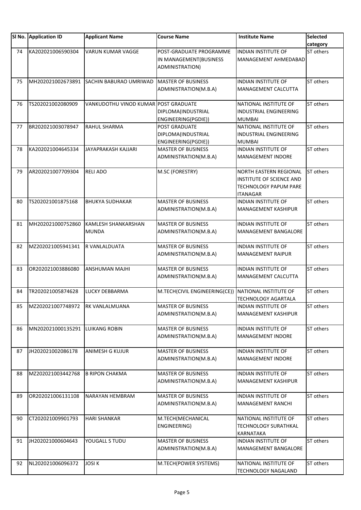|    | SI No. Application ID | <b>Applicant Name</b>                      | <b>Course Name</b>                                                   | <b>Institute Name</b>                                                                                        | <b>Selected</b> |
|----|-----------------------|--------------------------------------------|----------------------------------------------------------------------|--------------------------------------------------------------------------------------------------------------|-----------------|
|    |                       |                                            |                                                                      |                                                                                                              | category        |
| 74 | KA202021006590304     | <b>VARUN KUMAR VAGGE</b>                   | POST-GRADUATE PROGRAMME<br>IN MANAGEMENT(BUSINESS<br>ADMINISTRATION) | <b>INDIAN INSTITUTE OF</b><br><b>MANAGEMENT AHMEDABAD</b>                                                    | ST others       |
| 75 | MH202021002673891     | SACHIN BABURAO UMRIWAD                     | <b>MASTER OF BUSINESS</b><br>ADMINISTRATION(M.B.A)                   | <b>INDIAN INSTITUTE OF</b><br>MANAGEMENT CALCUTTA                                                            | ST others       |
| 76 | TS202021002080909     | VANKUDOTHU VINOD KUMAR POST GRADUATE       | DIPLOMA(INDUSTRIAL<br>ENGINEERING(PGDIE))                            | NATIONAL INSTITUTE OF<br><b>INDUSTRIAL ENGINEERING</b><br><b>MUMBAI</b>                                      | ST others       |
| 77 | BR202021003078947     | RAHUL SHARMA                               | <b>POST GRADUATE</b><br>DIPLOMA(INDUSTRIAL<br>ENGINEERING(PGDIE))    | NATIONAL INSTITUTE OF<br><b>INDUSTRIAL ENGINEERING</b><br><b>MUMBAI</b>                                      | ST others       |
| 78 | KA202021004645334     | JAYAPRAKASH KAJJARI                        | <b>MASTER OF BUSINESS</b><br>ADMINISTRATION(M.B.A)                   | <b>INDIAN INSTITUTE OF</b><br><b>MANAGEMENT INDORE</b>                                                       | ST others       |
| 79 | AR202021007709304     | <b>RELI ADO</b>                            | M.SC (FORESTRY)                                                      | NORTH EASTERN REGIONAL<br><b>INSTITUTE OF SCIENCE AND</b><br><b>TECHNOLOGY PAPUM PARE</b><br><b>ITANAGAR</b> | ST others       |
| 80 | TS202021001875168     | <b>BHUKYA SUDHAKAR</b>                     | <b>MASTER OF BUSINESS</b><br>ADMINISTRATION(M.B.A)                   | <b>INDIAN INSTITUTE OF</b><br><b>MANAGEMENT KASHIPUR</b>                                                     | ST others       |
| 81 | MH202021000752860     | <b>KAMLESH SHANKARSHAN</b><br><b>MUNDA</b> | <b>MASTER OF BUSINESS</b><br>ADMINISTRATION(M.B.A)                   | <b>INDIAN INSTITUTE OF</b><br>MANAGEMENT BANGALORE                                                           | ST others       |
| 82 | MZ202021005941341     | R VANLALDUATA                              | <b>MASTER OF BUSINESS</b><br>ADMINISTRATION(M.B.A)                   | <b>INDIAN INSTITUTE OF</b><br><b>MANAGEMENT RAIPUR</b>                                                       | ST others       |
| 83 | OR202021003886080     | <b>ANSHUMAN MAJHI</b>                      | <b>MASTER OF BUSINESS</b><br>ADMINISTRATION(M.B.A)                   | <b>INDIAN INSTITUTE OF</b><br>MANAGEMENT CALCUTTA                                                            | ST others       |
| 84 | TR202021005874628     | LUCKY DEBBARMA                             | M.TECH(CIVIL ENGINEERING(CE))                                        | NATIONAL INSTITUTE OF<br>TECHNOLOGY AGARTALA                                                                 | ST others       |
| 85 | MZ202021007748972     | RK VANLALMUANA                             | <b>MASTER OF BUSINESS</b><br>ADMINISTRATION(M.B.A)                   | <b>INDIAN INSTITUTE OF</b><br><b>MANAGEMENT KASHIPUR</b>                                                     | ST others       |
| 86 | MN202021000135291     | <b>LUIKANG ROBIN</b>                       | <b>MASTER OF BUSINESS</b><br>ADMINISTRATION(M.B.A)                   | <b>INDIAN INSTITUTE OF</b><br><b>MANAGEMENT INDORE</b>                                                       | ST others       |
| 87 | JH202021002086178     | <b>ANIMESH G KUJUR</b>                     | <b>MASTER OF BUSINESS</b><br>ADMINISTRATION(M.B.A)                   | <b>INDIAN INSTITUTE OF</b><br><b>MANAGEMENT INDORE</b>                                                       | ST others       |
| 88 | MZ202021003442768     | <b>B RIPON CHAKMA</b>                      | <b>MASTER OF BUSINESS</b><br>ADMINISTRATION(M.B.A)                   | INDIAN INSTITUTE OF<br>MANAGEMENT KASHIPUR                                                                   | ST others       |
| 89 | OR202021006131108     | NARAYAN HEMBRAM                            | <b>MASTER OF BUSINESS</b><br>ADMINISTRATION(M.B.A)                   | <b>INDIAN INSTITUTE OF</b><br>MANAGEMENT RANCHI                                                              | ST others       |
| 90 | CT202021009901793     | <b>HARI SHANKAR</b>                        | M.TECH(MECHANICAL<br>ENGINEERING)                                    | NATIONAL INSTITUTE OF<br><b>TECHNOLOGY SURATHKAL</b><br>KARNATAKA                                            | ST others       |
| 91 | JH202021000604643     | YOUGALL S TUDU                             | <b>MASTER OF BUSINESS</b><br>ADMINISTRATION(M.B.A)                   | <b>INDIAN INSTITUTE OF</b><br>MANAGEMENT BANGALORE                                                           | ST others       |
| 92 | NL202021006096372     | <b>JOSIK</b>                               | M.TECH(POWER SYSTEMS)                                                | NATIONAL INSTITUTE OF<br>TECHNOLOGY NAGALAND                                                                 | ST others       |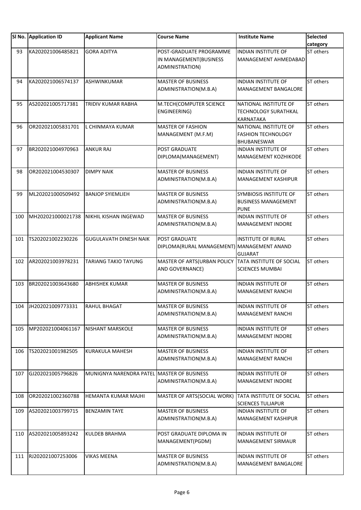|     | SI No. Application ID | <b>Applicant Name</b>         | <b>Course Name</b>                                                   | <b>Institute Name</b>                                                    | Selected<br>category |
|-----|-----------------------|-------------------------------|----------------------------------------------------------------------|--------------------------------------------------------------------------|----------------------|
| 93  | KA202021006485821     | <b>GORA ADITYA</b>            | POST-GRADUATE PROGRAMME<br>IN MANAGEMENT(BUSINESS<br>ADMINISTRATION) | <b>INDIAN INSTITUTE OF</b><br>MANAGEMENT AHMEDABAD                       | ST others            |
| 94  | KA202021006574137     | ASHWINKUMAR                   | <b>MASTER OF BUSINESS</b><br>ADMINISTRATION(M.B.A)                   | <b>INDIAN INSTITUTE OF</b><br><b>MANAGEMENT BANGALORE</b>                | ST others            |
| 95  | AS202021005717381     | TRIDIV KUMAR RABHA            | M.TECH(COMPUTER SCIENCE<br>ENGINEERING)                              | NATIONAL INSTITUTE OF<br><b>TECHNOLOGY SURATHKAL</b><br><b>KARNATAKA</b> | ST others            |
| 96  | OR202021005831701     | L CHINMAYA KUMAR              | <b>MASTER OF FASHION</b><br>MANAGEMENT (M.F.M)                       | NATIONAL INSTITUTE OF<br><b>FASHION TECHNOLOGY</b><br><b>BHUBANESWAR</b> | ST others            |
| 97  | BR202021004970963     | <b>ANKUR RAJ</b>              | <b>POST GRADUATE</b><br>DIPLOMA(MANAGEMENT)                          | INDIAN INSTITUTE OF<br>MANAGEMENT KOZHIKODE                              | ST others            |
| 98  | OR202021004530307     | <b>DIMPY NAIK</b>             | <b>MASTER OF BUSINESS</b><br>ADMINISTRATION(M.B.A)                   | <b>INDIAN INSTITUTE OF</b><br><b>MANAGEMENT KASHIPUR</b>                 | ST others            |
| 99  | ML202021000509492     | <b>BANJOP SYIEMLIEH</b>       | <b>MASTER OF BUSINESS</b><br>ADMINISTRATION(M.B.A)                   | SYMBIOSIS INSTITUTE OF<br><b>BUSINESS MANAGEMENT</b><br><b>PUNE</b>      | ST others            |
| 100 | MH202021000021738     | NIKHIL KISHAN INGEWAD         | <b>MASTER OF BUSINESS</b><br>ADMINISTRATION(M.B.A)                   | <b>INDIAN INSTITUTE OF</b><br>MANAGEMENT INDORE                          | ST others            |
| 101 | TS202021002230226     | <b>GUGULAVATH DINESH NAIK</b> | <b>POST GRADUATE</b><br>DIPLOMA(RURAL MANAGEMENT) MANAGEMENT ANAND   | <b>INSTITUTE OF RURAL</b><br><b>GUJARAT</b>                              | ST others            |
| 102 | AR202021003978231     | <b>TARIANG TAKIO TAYUNG</b>   | MASTER OF ARTS(URBAN POLICY<br>AND GOVERNANCE)                       | TATA INSTITUTE OF SOCIAL<br><b>SCIENCES MUMBAI</b>                       | ST others            |
| 103 | BR202021003643680     | <b>ABHISHEK KUMAR</b>         | <b>MASTER OF BUSINESS</b><br>ADMINISTRATION(M.B.A)                   | <b>INDIAN INSTITUTE OF</b><br><b>MANAGEMENT RANCHI</b>                   | ST others            |
| 104 | JH202021009773331     | <b>RAHUL BHAGAT</b>           | <b>MASTER OF BUSINESS</b><br>ADMINISTRATION(M.B.A)                   | <b>INDIAN INSTITUTE OF</b><br><b>MANAGEMENT RANCHI</b>                   | ST others            |
| 105 | MP202021004061167     | <b>NISHANT MARSKOLE</b>       | <b>MASTER OF BUSINESS</b><br>ADMINISTRATION(M.B.A)                   | <b>INDIAN INSTITUTE OF</b><br><b>MANAGEMENT INDORE</b>                   | ST others            |
| 106 | TS202021001982505     | <b>KURAKULA MAHESH</b>        | <b>MASTER OF BUSINESS</b><br>ADMINISTRATION(M.B.A)                   | INDIAN INSTITUTE OF<br><b>MANAGEMENT RANCHI</b>                          | ST others            |
| 107 | GJ202021005796826     | MUNIGNYA NARENDRA PATEL       | <b>MASTER OF BUSINESS</b><br>ADMINISTRATION(M.B.A)                   | INDIAN INSTITUTE OF<br><b>MANAGEMENT INDORE</b>                          | ST others            |
| 108 | OR202021002360788     | <b>HEMANTA KUMAR MAJHI</b>    | MASTER OF ARTS(SOCIAL WORK)                                          | TATA INSTITUTE OF SOCIAL<br><b>SCIENCES TULJAPUR</b>                     | ST others            |
| 109 | AS202021003799715     | <b>BENZAMIN TAYE</b>          | <b>MASTER OF BUSINESS</b><br>ADMINISTRATION(M.B.A)                   | <b>INDIAN INSTITUTE OF</b><br><b>MANAGEMENT KASHIPUR</b>                 | ST others            |
| 110 | AS202021005893242     | <b>KULDEB BRAHMA</b>          | POST GRADUATE DIPLOMA IN<br>MANAGEMENT(PGDM)                         | INDIAN INSTITUTE OF<br><b>MANAGEMENT SIRMAUR</b>                         | ST others            |
| 111 | RJ202021007253006     | <b>VIKAS MEENA</b>            | <b>MASTER OF BUSINESS</b><br>ADMINISTRATION(M.B.A)                   | INDIAN INSTITUTE OF<br><b>MANAGEMENT BANGALORE</b>                       | ST others            |